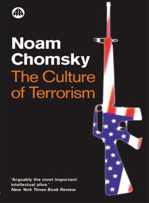

# **Noam Chomsky The Culture** of Terrorism

'Arguably the most important intellectual alive." **New York Times Book Review**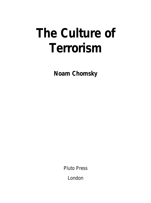# **The Culture of Terrorism**

**Noam Chomsky** 

Pluto Press

London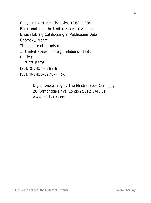Copyright © Noam Chomsky, 1988, 1989 Book printed in the United States of America British Library Cataloguing in Publication Data Chomsky, Noam.

The culture of terrorism

1. United States **—** Foreign relations **—**1981-

I. Title

 7.73 E876 ISBN 0-7453-0269-6 ISBN 0-7453-0270-X Pbk

> Digital processing by The Electric Book Company 20 Cambridge Drive, London SE12 8AJ, UK www.elecbook.com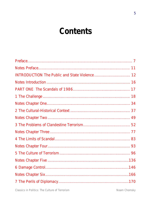## **Contents**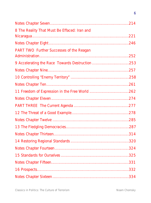| 8 The Reality That Must Be Effaced: Iran and |  |
|----------------------------------------------|--|
|                                              |  |
|                                              |  |
| PART TWO Further Successes of the Reagan     |  |
|                                              |  |
|                                              |  |
|                                              |  |
|                                              |  |
|                                              |  |
|                                              |  |
|                                              |  |
|                                              |  |
|                                              |  |
|                                              |  |
|                                              |  |
|                                              |  |
|                                              |  |
|                                              |  |
|                                              |  |
|                                              |  |
|                                              |  |
|                                              |  |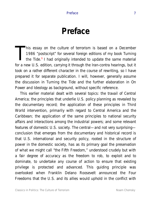his essay on the culture of terrorism is based on a December 1986 "postscript" for several foreign editions of my book *Turning the Tide.***[1](#page--1-8)** I had originally intended to update the same material for a new U.S. edition, carrying it through the Iran-contra hearings, but it took on a rather different character in the course of rewriting, so I have prepared it for separate publication. I will, however, generally assume the discussion in *Turning the Tide* and the further elaboration in *On Power and Ideology* as background, without specific reference.  $\begin{array}{c}\n\hline\n\text{his} \\
198 \\
\text{the}\n\end{array}$ 

This earlier material dealt with several topics: the travail of Central America; the principles that underlie U.S. policy planning as revealed by the documentary record; the application of these principles in Third World intervention, primarily with regard to Central America and the Caribbean; the application of the same principles to national security affairs and interactions among the industrial powers; and some relevant features of domestic U.S. society. The central—and not very surprising conclusion that emerges from the documentary and historical record is that U.S. international and security policy, rooted in the structure of power in the domestic society, has as its primary goal the preservation of what we might call "the Fifth Freedom," understood crudely but with a fair degree of accuracy as the freedom to rob, to exploit and to dominate, to undertake any course of action to ensure that existing privilege is protected and advanced. This guiding principle was overlooked when Franklin Delano Roosevelt announced the Four Freedoms that the U.S. and its allies would uphold in the conflict with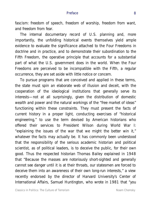fascism: freedom of speech, freedom of worship, freedom from want, and freedom from fear.

The internal documentary record of U.S. planning and, more importantly, the unfolding historical events themselves yield ample evidence to evaluate the significance attached to the Four Freedoms in doctrine and in practice, and to demonstrate their subordination to the Fifth Freedom, the operative principle that accounts for a substantial part of what the U.S. government does in the world. When the Four Freedoms are perceived to be incompatible with the Fifth, a regular occurrence, they are set aside with little notice or concern.

To pursue programs that are conceived and applied in these terms, the state must spin an elaborate web of illusion and deceit, with the cooperation of the ideological institutions that generally serve its interests—not at all surprisingly, given the distribution of domestic wealth and power and the natural workings of the "free market of ideas" functioning within these constraints. They must present the facts of current history in a proper light, conducting exercises of "historical engineering," to use the term devised by American historians who offered their services to President Wilson during World War I: "explaining the issues of the war that we might the better win it," whatever the facts may actually be. It has commonly been understood that the responsibility of the serious academic historian and political scientist, as of political leaders, is to deceive the public, for their own good. Thus the respected historian Thomas Bailey explained in 1948 that "Because the masses are notoriously short-sighted and generally cannot see danger until it is at their throats, our statesmen are forced to deceive them into an awareness of their own long-run interests," a view recently endorsed by the director of Harvard University's Center of International Affairs, Samuel Huntington, who wrote in 1981 that "you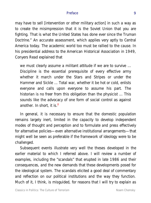may have to sell [intervention or other military action] in such a way as to create the misimpression that it is the Soviet Union that you are fighting. That is what the United States has done ever since the Truman Doctrine." An accurate assessment, which applies very aptly to Central America today. The academic world too must be rallied to the cause. In his presidential address to the American Historical Association in 1949, Conyers Read explained that

we must clearly assume a militant attitude if we are to survive ... Discipline is the essential prerequisite of every effective army whether it march under the Stars and Stripes or under the Hammer and Sickle ... Total war, whether it be hot or cold, enlists everyone and calls upon everyone to assume his part. The historian is no freer from this obligation than the physicist ... This sounds like the advocacy of one form of social control as against another. In short, it is.**[2](#page--1-8)**

In general, it is necessary to ensure that the domestic population remains largely inert, limited in the capacity to develop independent modes of thought and perception and to formulate and press effectively for alternative policies—even alternative institutional arrangements—that might well be seen as preferable if the framework of ideology were to be challenged.

Subsequent events illustrate very well the theses developed in the earlier material to which I referred above. I will review a number of examples, including the "scandals" that erupted in late 1986 and their consequences, and the new demands that these developments posed for the ideological system. The scandals elicited a good deal of commentary and reflection on our political institutions and the way they function. Much of it, I think, is misguided, for reasons that I will try to explain as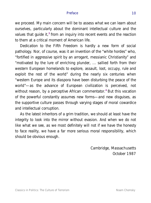we proceed. My main concern will be to assess what we can learn about ourselves, particularly about the dominant intellectual culture and the values that guide it,**[3](#page--1-8)** from an inquiry into recent events and the reaction to them at a critical moment of American life.

Dedication to the Fifth Freedom is hardly a new form of social pathology. Nor, of course, was it an invention of the "white hordes" who, "fortified in aggressive spirit by an arrogant, messianic Christianity" and "motivated by the lure of enriching plunder, ... sallied forth from their western European homelands to explore, assault, loot, occupy, rule and exploit the rest of the world" during the nearly six centuries when "western Europe and its diaspora have been disturbing the peace of the world"—as the advance of European civilization is perceived, not without reason, by a perceptive African commentator.**[4](#page--1-8)** But this vocation of the powerful constantly assumes new forms—and new disguises, as the supportive culture passes through varying stages of moral cowardice and intellectual corruption.

As the latest inheritors of a grim tradition, we should at least have the integrity to look into the mirror without evasion. And when we do not like what we see, as we most definitely will not if we have the honesty to face reality, we have a far more serious moral responsibility, which should be obvious enough.

> *Cambridge, Massachusetts* October 1987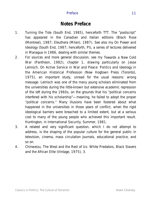### **Notes Preface**

- 1. *Turning the Tide* (South End, 1985), henceforth *TTT.* The "postscript" has appeared in the Canadian and Italian editions (Black Rose (Montreal), 1987; Eleuthera (Milan), 1987). See also my *On Power and Ideology* (South End, 1987; henceforth, *PI),* a series of lectures delivered in Managua in 1986, dealing with similar themes.
- 2. For sources and more general discussion, see my *Towards a New Cold War* (Pantheon, 1982), chapter 1, drawing particularly on Jesse Lemisch, *On Active Service in War and Peace: Politics and Ideology in the American Historical Profession* (New Hogtown Press (Toronto), 1975), an important study, unread for the usual reasons: wrong message. Lemisch was one of the many young scholars eliminated from the universities during the little-known but extensive academic repression of the left during the 1960s, on the grounds that his "political concerns interfered with his scholarship"—meaning, he failed to adopt the proper "political concerns." Many illusions have been fostered about what happened in the universities in those years of conflict, when the rigid ideological barriers were breached to a limited extent, but at a serious cost to many of the young people who achieved this important result. Huntington, in *International Security,* Summer, 1981.
- 3. A related and very significant question, which I do not attempt to address, is the shaping of the popular culture for the general public in television, cinema, mass circulation journals, educational practice, and so on.
- 4. Chinweizu, The West and the Rest of Us: White Predators, Black Slavers and the African Elite (Vintage, 1975), 3.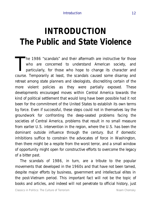## **INTRODUCTION The Public and State Violence**

he 1986 "scandals" and their aftermath are instructive for those who are concerned to understand American society, and particularly, for those who hope to change its character and course. Temporarily at least, the scandals caused some disarray and retreat among state planners and ideologists, discrediting certain of the more violent policies as they were partially exposed. These developments encouraged moves within Central America towards the kind of political settlement that would long have been possible had it not been for the commitment of the United States to establish its own terms by force. Even if successful, these steps could not in themselves lay the groundwork for confronting the deep-seated problems facing the societies of Central America, problems that result in no small measure from earlier U.S. intervention in the region, where the U.S. has been the dominant outside influence through the century. But if domestic inhibitions suffice to constrain the advocates of force in Washington, then there might be a respite from the worst terror, and a small window of opportunity might open for constructive efforts to overcome the legacy of a bitter past. The<br>
who<br>
part

The scandals of 1986, in turn, are a tribute to the popular movements that developed in the 1960s and that have not been tamed, despite major efforts by business, government and intellectual elites in the post-Vietnam period. This important fact will not be the topic of books and articles, and indeed will not penetrate to official history, just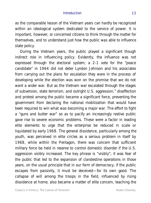#### *Introduction*

as the comparable lesson of the Vietnam years can hardly be recognized within an ideological system dedicated to the service of power. It is important, however, or concerned citizens to think through the matter for themselves, and to understand just how the public was able to influence state policy.

During the Vietnam years, the public played a significant though indirect role in influencing policy. Evidently, the influence was not expressed through the electoral system; a 2-1 vote for the "peace candidate" in 1964 did not deter Lynd[on](#page--1-8) Johnson and his associates from carrying out the plans for escalation they were in the process of developing while the election was won on the promise that we do not want a wider war. But as the Vietnam war escalated through the stages of subversion, state terrorism, and outright U.S. aggression,**<sup>1</sup>** disaffection and protest among the public became a significant force, preventing the government from declaring the national mobilization that would have been required to win what was becoming a major war. The effort to fight a "guns and butter war" so as to pacify an increasingly restive public gave rise to severe economic problems. These were a factor in leading elite elements to urge that the enterprise be reduced in scale or liquidated by early 1968. The general dissidence, particularly among the youth, was perceived in elite circles as a serious problem in itself by 1968, while within the Pentagon, there was concern that sufficient military force be held in reserve to control domestic disorder if the U.S. aggression visibly increased. The key phrase is "visibly"; it was fear of the public that led to the expansion of clandestine operations in those years, on the usual principle that in our form of democracy, if the public escapes from passivity, it must be deceived—for its own good. The collapse of will among the troops in the field, influenced by rising dissidence at home, also became a matter of elite concern, teaching the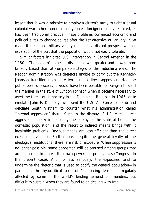#### *Introduction*

lesson that it was a mistake to employ a citizen's army to fight a brutal colonial war rather than mercenary forces, foreign or locally recruited, as has been traditional practice. These problems convinced economic and political elites to change course after the Tet offensive of January 1968 made it clear that military victory remained a distant prospect without escalation of the sort that the population would not easily tolerate.

Similar factors inhibited U.S. intervention in Central America in the 1980s. The scale of domestic dissidence was greater and it was more broadly based than at comparable stages of the Indochina wars. The Reagan administration was therefore unable to carry out the Kennedy-Johnson transition from state terrorism to direct aggression. Had the public been quiescent, it would have been possible for Reagan to send the Marines in the style of Lyndon Johnson when it became necessary to avert the threat of democracy in the Dominican Republic in 1965, or to emulate John F. Kennedy, who sent the U.S. Air Force to bomb and defoliate South Vietnam to counter what his administration called "internal aggression" there. Much to the dismay of U.S. elites, direct aggression is now impeded by the enemy of the state at home, the domestic population, and the resort to indirect means brings with it inevitable problems. Devious means are less efficient than the direct exercise of violence. Furthermore, despite the general loyalty of the ideological institutions, there is a risk of exposure. When suppression is no longer possible, some opposition will be aroused among groups that are concerned to protect their own power and prerogatives (Congress, in the present case). And no less seriously, the exposures tend to undermine the rhetoric that is used to pacify the general population—in particular, the hypocritical pose of "combating terrorism" regularly affected by some of the world's leading terrorist commanders, but difficult to sustain when they are found to be dealing with Iran.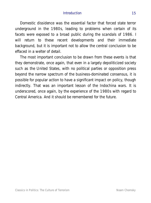#### *Introduction*

Domestic dissidence was the essential factor that forced state terror underground in the 1980s, leading to problems when certain of its facets were exposed to a broad public during the scandals of 1986. I will return to these recent developments and their immediate background, but it is important not to allow the central conclusion to be effaced in a welter of detail.

The most important conclusion to be drawn from these events is that they demonstrate, once again, that even in a largely depoliticized society such as the United States, with no political parties or opposition press beyond the narrow spectrum of the business-dominated consensus, it is possible for popular action to have a significant impact on policy, though indirectly. That was an important lesson of the Indochina wars. It is underscored, once again, by the experience of the 1980s with regard to Central America. And it should be remembered for the future.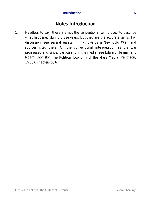### **Notes Introduction**

1. Needless to say, these are not the conventional terms used to describe what happened during those years. But they are the accurate terms. For discussion, see several essays in my *Towards a New Cold War,* and sources cited there. On the conventional interpretation as the war progressed and since, particularly in the media, see Edward Herman and Noam Chomsky, *The Political Economy of the Mass Media* (Pantheon, 1988), chapters 5, 6.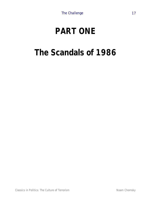# **PART ONE The Scandals of 1986**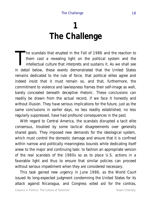he scandals that erupted in the Fall of 1986 and the reaction to them cast a revealing light on the political system and the intellectual culture that interprets and sustains it. As we shall see in detail below, these events demonstrated that the United States remains dedicated to the rule of force, that political elites agree and indeed insist that it must remain so, and that, furthermore, the commitment to violence and lawlessness frames their self-image as well, barely concealed beneath deceptive rhetoric. These conclusions can readily be drawn from the actual record, if we face it honestly and without illusion. They have serious implications for the future, just as the same conclusions in earlier days, no less readily established, no less regularly suppressed, have had profound consequences in the past. The street

With regard to Central America, the scandals disrupted a tacit elite consensus, troubled by some tactical disagreements over generally shared goals. They imposed new demands for the ideological system, which must control the domestic damage and ensure that it is confined within narrow and politically meaningless bounds while dedicating itself anew to the major and continuing task: to fashion an appropriate version of the real scandals of the 1980s so as to place U.S. actions in a favorable light and thus to ensure that similar policies can proceed without serious impediment when they are considered necessary.

This task gained new urgency in June 1986, as the World Court issued its long-expected judgment condemning the United States for its attack against Nicaragua, and Congress voted aid for the contras,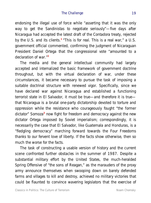endorsing the illegal use of force while "asserting that it was the only way to get the Sandinistas to negotiate seriously"—five days after [Nic](#page--1-8)aragua had accepted the latest draft of the Contadora treaty, rejected by the U.S. and its clients.**<sup>1</sup>**"This is for real. This is a real war," a U.S. government official commented, confirming the judgment of Nicaraguan President Daniel Ortega that the congressional vote "amounted to a declaration of war."**<sup>2</sup>**

The media and the general intellectual community had largely accepted and internalized the basic framework of government doctrine throughout, but with the virtual declaration of war, under these circumstances, it became necessary to pursue the task of imposing a suitable doctrinal structure with renewed vigor. Specifically, since we [h](#page--1-8)ave declared war against Nicaragua and established a functioning terrorist state in El Salvador, it must be true—and therefore it *is* true that Nicaragua is a brutal one-party dictatorship devoted to torture and oppression while the resistance who courageously fought "the *former*  dictator" Somoza<sup>3</sup> now fight for freedom and democracy against the new dictator Ortega imposed by Soviet imperialism; correspondingly, it is necessarily the case that El Salvador, like Guatemala and Honduras, is a "fledgling democracy" marching forward towards the Four Freedoms thanks to our fervent love of liberty. If the facts show otherwise, then so much the worse for the facts.

The task of constructing a usable version of history and the current scene confronted further obstacles in the summer of 1987. Despite a substantial military effort by the United States, the much-heralded Spring Offensive of "the sons of Reagan," as the marauders of the proxy army announce themselves when swooping down on barely defended farms and villages to kill and destroy, achieved no military victories that could be flaunted to convince wavering legislators that the exercise of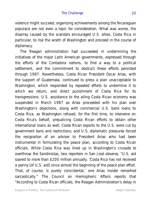violence might succeed; organizing achievements among the Nicaraguan populace are not even a topic for consideration. What was worse, the disarray caused by the scandals encouraged U.S. allies, Costa Rica in particular, to risk the wrath of Washington and proceed in the course of diplomacy.

The Reagan administration had succeeded in undermining the initiatives of the major Latin American governments, expressed through the efforts of the Contadora nations, to find a way to a political settlement, and the commitment to obstruct these efforts persisted through 1987. Nevertheless, Costa Rican President Oscar Arias, with the support of Guatemala, continued to press a plan unacceptable to Washington, which responded by repeated efforts to undermine it to which we return, and direct punishment of Costa Rica for its transgressions. U.S. assistance to the ailing Costa Rican economy was suspended in March 1987 as Arias proceeded with his plan over Washington's objections, along with commercial U.S. bank loans to Costa Rica, as Washington refused, for the first time, to intervene on Costa Rica's behalf, prejudicing Costa Rican efforts to obtain other international loans as well; Costa Rican exports to the U.S. were cut by government bans and restrictions; and U.S. diplomatic pressures forced the resignation of an adviser to President Arias who had been instrumental in formulating the peace plan, according to Costa Rican officials. While Costa Rica was lined up in Washington's crusade to overthrow the Sandinistas, two reporters in San José observe, "U.S. aid soared to more than \$200 million annually. 'Costa Rica has not received a penny [of U.S. aid] since almost the beginning of the peace plan effort. That, of course, is purely coincidental,' one Arias insider remarked sarcastically." The Council on Hemispheric Affairs reports that "According to Costa Rican officials, the Reagan Administration's delay in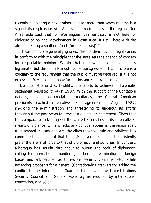recently appointing a new amb[as](#page--1-8)sador for more than seven months is a sign of its displeasure with Arias's diplomatic moves in the region. One Arias aide said that for Washington 'this embassy is not here for dialogue or political development in Costa Rica. It's still here with the aim of creating a southern front [for the contras]'."**<sup>4</sup>**

These topics are generally ignored, despite their obvious significance, in conformity with the principle that the state sets the agenda of concern for respectable opinion. Within that framework, tactical debate is legitimate, but the bounds must not be transgressed. This principle is a corollary to the requirement that the public must be deceived, if it is not quiescent. We shall see many further instances as we proceed.

Despite extreme U.S. hostility, the efforts to achieve a diplomatic settlement persisted through 1987. With the support of the Contadora nations, serving as crucial intermediaries, the Central American presidents reached a tentative peace agreement in August 1987, shocking the administration and threatening to undercut its efforts throughout the past years to prevent a diplomatic settlement. Given that the comparative advantage of the United States lies in its unparalleled means of violence, while it lacks any political appeal in the region apart from favored military and wealthy elites to whose rule and privilege it is committed, it is natural that the U.S. government should consistently prefer the arena of force to that of diplomacy, and so it has. In contrast, Nicaragua has sought throughout to pursue the path of diplomacy, calling for international monitoring of borders, elimination of foreign bases and advisers so as to reduce security concerns, etc., while accepting proposals for a general (Contadora-initiated) treaty, taking the conflict to the International Court of Justice and the United Nations Security Council and General Assembly as required by international convention, and so on.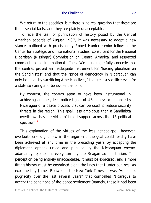We return to the specifics, but there is no real question that these are the essential facts, and they are plainly unacceptable.

To face the task of purification of history posed by the Central American accords of August 1987, it was necessary to adopt a new stance, outlined with precision by Robert Hunter, senior fellow at the Center for Strategic and International Studies, consultant for the National Bipartisan (Kissinger) Commission on Central America, and respected commentator on international affairs. We must regretfully concede that the contras proved an inadequate instrument for "forcing pluralism on the Sandinistas" and that the "price of democracy in Nicaragua" can only be paid "by sacrificing American lives," too great a sacrifice even for a state so caring and benevolent as ours:

By contrast, the contras seem to have been instrumental in achieving another, less noticed goal of US policy: acceptance by Nicaragua of a peace process that can be used to reduce security threats in the region. This goal, less ambitious than a Sandinista overthrow, has the virtue of broad support across the US political spectrum.**<sup>5</sup>**

This explanation of the virtues of the less noticed-goal, however, overlooks one slight flaw in the argument: the goal could readily have been achieved at any time in the preceding years by accepting the diplomatic options urged and pursued by the Nicaraguan enemy, adamantly rejected at every turn by the Reagan administration. This perception being entirely unacceptable, it must be exorcised, and a more fitting history must be enshrined along the lines that Hunter outlines. As explained by James Rohwer in the *New York Times,* it was "America's pugnacity over the last several years" that compelled Nicaragua to accept the conditions of the peace settlement (namely, those it had been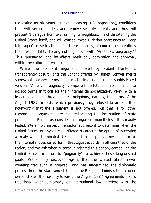requesting for six years against unceasing U.S. opposition), conditions that will secure borders and remove security thr[eat](#page--1-8)s and thus will prevent Nicaragua from overrunning its neighbors, if not threatening the United States itself, and will compel these Hitlerian aggressors to "keep Nicaragua's miseries to itself"—these miseries, of course, being entirely their responsibility, having nothing to do with "America's pugnacity."**<sup>6</sup>** This "pugnacity" and its effects merit only admiration and approval, within the culture of terrorism.

While the standard argument offered by Robert Hunter is transparently absurd, and the variant offered by James Rohwer merits somewhat harsher terms, one might imagine a more sophisticated version: "America's pugnacity" compelled the totalitarian Sandinistas to accept terms that call for their internal democratization, along with a lessening of their threat to their neighbors, namely, the terms of the August 1987 accords, which previously they refused to accept. It is noteworthy that the argument is not offered, but that is for other reasons: no arguments are required during the incantation of state propaganda. But let us consider this argument nonetheless. It is readily tested. We simply inspect the diplomatic record to determine when the United States, or anyone else, offered Nicaragua the option of accepting a treaty which terminated U.S. support for its proxy army in return for the internal moves called for in the August accords in all countries of the region, and we ask when Nicaragua rejected this option, compelling the United States to resort to "pugnacity" to achieve these long-desired goals. We quickly discover, again, that the United States never contemplated such a proposal, and has undermined the diplomatic process from the start, and still does: the Reagan administration at once demonstrated the hostility towards the August 1987 agreements that is traditional when diplomacy or international law interfere with the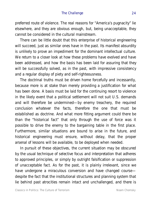preferred route of violence. The real reasons for "America's pugnacity" lie elsewhere, and they are obvious enough, but, being unacceptable, they cannot be considered in the cultural mainstream.

There can be little doubt that this enterprise of historical engineering will succeed, just as similar ones have in the past. Its manifest absurdity is unlikely to prove an impediment for the dominant intellectual culture. We return to a closer look at how these problems have evolved and have been addressed, and how the basis has been laid for assuring that they will be successfully solved, as in the past, with impressive consistency and a regular display of piety and self-righteousness.

The doctrinal truths must be driven home forcefully and incessantly, because more is at stake than merely providing a justification for what has been done. A basis must be laid for the continuing resort to violence in the likely event that a political settlement will not suit U.S. demands and will therefore be undermined—by enemy treachery, the required conclusion whatever the facts, therefore the one that must be established as doctrine. And what more fitting argument could there be than the "historical fact" that only through the use of force was it possible to drive the enemy to the bargaining table in the first place. Furthermore, similar situations are bound to arise in the future, and historical engineering must ensure, without delay, that the proper arsenal of lessons will be available, to be deployed when needed.

In pursuit of these objectives, the current situation may be obscured by the usual technique of selective focus and interpretation that adheres to approved principles, or simply by outright falsification or suppression of unacceptable fact. As for the past, it is plainly irrelevant, since we have undergone a miraculous conversion and have changed course despite the fact that the institutional structures and planning system that lie behind past atrocities remain intact and unchallenged, and there is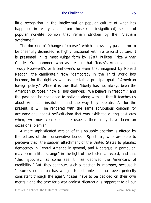little recognition in the intellectual or popular culture of what has happened in reality, apart from those (not insignificant) sectors of popular nonelite opinion that remain stricken by the "Vietnam syndrome."

The doctrine of "change of course," which allows any past horror to be cheerfully dismissed, is highly functional within a terrorist culture. It is presented in its most vulgar form by 1987 Pulitzer Prize winner Charles Krauthammer, who assures us that "today's America is not Teddy Roosevelt's or Eisenhower's or even that imagined by Ronald Reagan, the candidate." Now "democracy in the Third World has become, for the right as well as the lef[t, a](#page--1-8) principal goal of American foreign policy." While it is true that "liberty has not always been the American purpose," now all has changed: "We believe in freedom," and the past can be consigned to oblivion along with all that it teaches us about American institutions and the way they operate.**<sup>7</sup>**As for the present, it will be rendered with the same scrupulous concern for accuracy and honest self-criticism that was exhibited during past eras when, we now concede in retrospect, there may have been an occasional blemish.

A more sophisticated version of this valuable doctrine is offered by the editors of the conservative London *Spectator,* who are able to perceive that "the sudden attachment of the United States to pluralist democracy in Central America in general, and Nicaragua in particular, may seem a little strange" in the light of the historical record, and that "this hypocrisy, as some see it, has deprived the Americans of credibility." But, they continue, such a reaction is improper, because it "assumes no nation has a right to act unless it has been perfectly consistent through the ages"; "cases have to be decided on their own merits," and the case for a war against Nicaragua is "apparent to all but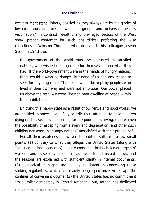western *marxistant* visitors, dazzled as they always are by the glories of low-cost housing projects, women's groups and universal measles vaccination." In contrast, wealthy and privileged sectors of the West show proper contempt for such absurdities, preferring the wise reflections of Winston Churchill, who observed to his colleague Joseph Stalin in 1943 that

the government of the world must be entrusted to satisfied nations, who wished nothing more for themselves than what they had. If the world-government were in the hands of hungry nations, there would always be danger. But none of us had any reason to seek for anything more. The peace would be kept by peoples who lived in their own way and were not ambitious. Our power placed us above the rest. We were like rich men dwelling at peace within their habitations.

Enjoying this happy state as a result of our virtue [a](#page--1-8)nd good works, we are entitled to sneer disdainfully at ridiculous attempts to save children dying of disease, provide housing for the poor and starving, offer women the possibility of escaping from slavery and degradation, and other such childish nonsense in "hungry nations" unsatisfied with their proper lot.**<sup>8</sup>**

For all their astuteness, however, the editors still miss a few small points: (1) contrary to what they allege, the United States (along with "satisfied nations" generally) is quite consistent in its choice of targets of violence and its selective concerns, as the historical record shows, and the reasons are explained with sufficient clarity in internal documents; (2) ideological managers are equally consistent in concealing these striking regularities, which can readily be grasped once we escape the confines of convenient dogma; (3) the United States has no commitment "to pluralist democracy in Central America," but, rather, has dedicated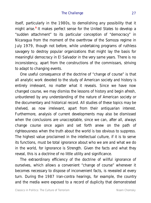itself, particularly in the 1980s, to demolishing any possibility that it might arise.**<sup>9</sup>**It makes perfect sense for the United States to develop a "sudden attachment" to its particular conception of "democracy" in Nicaragua from the moment of the overthrow of the Somoza regime in July 1979, though not before, while undertaking programs of ruthless savagery to destroy popular organizations that might lay the basis for meaningful democracy in El Salvador in the very same years. There is no inconsistency, apart from the constructions of the commissars, striving to adapt to changing events.

One useful consequence of the doctrine of "change of course" is that all analytic work devoted to the study of American society and history is entirely irrelevant, no matter what it reveals. Since we have now changed course, we may dismiss the lessons of history and begin afresh, unburdened by any understanding of the nature of American society or the documentary and historical record. All studies of these topics may be shelved, as now irrelevant, apart from their antiquarian interest. Furthermore, analysis of current developments may also be dismissed when the conclusions are unacceptable, since we can, after all, always change course once again and set forth anew on the path of righteousness when the truth about the world is too obvious to suppress. The highest value proclaimed in the intellectual culture, if it is to serve its functions, must be total ignorance about who we are and what we do in the world, for Ignorance is Strength. Given the facts and what they reveal, this is a doctrine of no little utility and significance.

The extraordinary efficiency of the doctrine of willful ignorance of ourselves, which allows a convenient "change of course" whenever it becomes necessary to dispose of inconvenient facts, is revealed at every turn. During the 1987 Iran-contra hearings, for example, the country and the media were exposed to a record of duplicity that demonstrated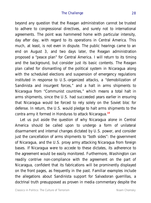beyond any question that the Reagan administration cannot be trusted to adhere to congressional directives, and surely not to international agreements. The point was hammered home with particular intensity, day after day, with regard to its operations in Central America. This much, at least, is not even in dispute. The public hearings came to an end on August 3, and two days later, the Reagan administration proposed a "peace plan" for Central America. I will return to its timing and the background, but consider just its basic contents. The Reagan plan called for dismantling of the political system in Nicaragua along with the scheduled elections and suspension of emergency regulations instituted in response to U.S.-organized attacks, a "demobilization of Sandinista and insurgent forces," and a halt in arms shipments to Nicaragua from "Communist count[ries](#page--1-8)," which means a total halt in arms shipments, since the U.S. had succeeded years earlier in ensuring that Nicaragua would be forced to rely solely on the Soviet bloc for defense. In return, the U.S. would pledge to halt arms shipments to the contra army it formed in Honduras to attack Nicaragua.**<sup>10</sup>**

Let us put aside the question of why Nicaragua alone in Central America should be called upon to undergo a form of unilateral disarmament and internal changes dictated by U.S. power, and consider just the cancellation of arms shipments to "both sides": the government of Nicaragua, and the U.S. proxy army attacking Nicaragua from foreign bases. If Nicaragua were to accede to these dictates, its adherence to the agreement would be easily monitored. Furthermore, Washington can readily contrive non-compliance with the agreement on the part of Nicaragua, confident that its fabrications will be prominently displayed on the front pages, as frequently in the past. Familiar examples include the allegations about Sandinista support for Salvadoran guerrillas, a doctrinal truth presupposed as proven in media commentary despite the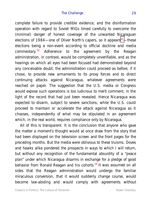complete failure to provide credible evidence; and the disinformation operation with regard to Soviet MIGs timed carefully to overcome the (minimal) danger of honest coverage of the unwanted Nicaraguan elections of 1984—one of Oliver North's capers, so it appears**<sup>11</sup>**—these elections being a non-event according to official doctrine and media commentary.**<sup>12</sup>** Adherence to the agreement by the Reagan administration, in contrast, would be completely unverifiable, and as the hearings on which all eyes had been focused had demonstrated beyond any conceivable doubt, the administration could proceed as before, if it chose, to provide new armaments to its proxy forces and to direct continuing attacks against Nicaragua, whatever agreements were reached on paper. The suggestion that the U.S. media or Congress would expose such operations is too ludicrous to merit comment, in the light of the record that had just been revealed. Hence Nicaragua was expected to disarm, subject to severe sanctions, while the U.S. could proceed to maintain or accelerate the attack against Nicaragua as it chooses, independently of what may be stipulated in an agreement which, in the real world, requires compliance only by Nicaragua.

All of this is transparent. It is the conclusion that anyone who gave the matter a moment's thought would at once draw from the story that had been displayed on the television screen and the front pages for the preceding months. But the m[ed](#page--1-8)ia were oblivious to these truisms. Doves and hawks alike pondered the prospects in ways to which I will return, but without any recognition of the fundamental absurdity of a "peace plan" under which Nicaragua disarms in exchange for a pledge of good behavior from Ronald Reagan and his cohorts.**<sup>13</sup>**It was assumed on all sides that the Reagan administration would undergo the familiar miraculous conversion, that it would suddenly change course, would become law-abiding and would comply with agreements without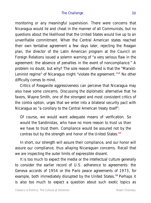monitoring or any meaningful supervision. There were concerns that Nicaragua would lie and cheat in the manner of all Communists, but no questions about the likelihood that the United States would live up to an unverifiable commitment. When the Central American states reached their own tentative agreement a few days later, rejecting the Reagan plan, the director of the Latin American [p](#page--1-8)rogram at the Council on Foreign Relations issued a solemn warning of "a very serious flaw in the agreement: the absence of penalties in the event of noncompliance." A problem no doubt, but why? The sole reason offered is that the "Marxist-Leninist regime" of Nicaragua might "violate the agreement."**<sup>14</sup>** No other difficulty comes to mind.

Critics of Reaganite aggressiveness can perceive that Nicaragua may also have some concerns. Discussing the diplomatic alternative that he favors, Wayne Smith, one of the strongest and most consistent critics of the contra option, urges that we enter into a bilateral security pact with Nicaragua as "a corollary to the Central Am[eri](#page--1-8)can treaty itself":

Of course, we would want adequate means of verification. So would the Sandinistas, who have no more reason to trust us than we have to trust them. Compliance would be assured not by the contras but by the strength and honor of the United States.**<sup>15</sup>**

In short, our strength will assure *their* compliance, and our honor will assure *our* compliance, thus allaying Nicaraguan concerns. Recall that we are inspecting the outer limits of expre[ss](#page--1-8)ible dissent.

It is too much to expect the media or the intellectual culture generally to consider the earlier record of U.S. adherence to agreements: the Geneva accords of 1954 or the Paris peace agreements of 1973, for example, both immediately disrupted by the United States.<sup>16</sup> Perhaps it is also too much to expect a question about such exotic topics as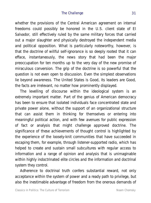whether the provisions of the Central American agreement on internal freedoms could possibly be honored in the U.S. client state of El Salvador, still effectively ruled by the same military forces that carried out a major slaughter and physically destroyed the independent media and political opposition. What is particularly noteworthy, however, is that the doctrine of willful self-ignorance is so deeply rooted that it can efface, instantaneously, the news story that had been the major preoccupation for ten months up to the very day of the new promise of miraculous conversion. The grip of the doctrine is so powerful that the question is not even open to discussion. Even the simplest observations lie beyond awareness. The United States is Good, its leaders are Good, the facts are irrelevant, no matter how prominently displayed.

The levelling of discourse within the ideological system is an extremely important matter. Part of the genius of American democracy has been to ensure that isolated individuals face concentrated state and private power alone, without the support of an organizational structure that can assist them in thinking for themselves or entering into meaningful political action, and with few avenues for public expression of fact or analysis that might challenge approved doctrine. The significance of these achievements of thought control is highlighted by the experience of the loosely-knit communities that have succeeded in escaping them, for example, through listener-supported radio, which has helped to create and sustain small subcultures with regular access to information and a range of opinion and analysis that is unimaginable within highly indoctrinated elite circles and the information and doctrinal system they control.

Adherence to doctrinal truth confers substantial reward, not only acceptance within the system of power and a ready path to privilege, but also the inestimable advantage of freedom from the onerous demands of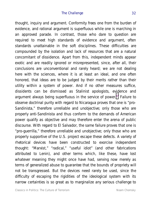thought, inquiry and argument. Conformity frees one from the burden of evidence, and rational argument is superfluous while one is marching in an approved parade. In contrast, those who dare to question are required to meet high standards of evidence and argument, often standards unattainable in the soft disciplines. These difficulties are compounded by the isolation and lack of resources that are a natural concomitant of dissidence. Apart from this, independent minds appear exotic and are readily ignored or misrepresented, since, after all, their conclusions are unconventional and rarely heard; we are not dealing here with the sciences, where it is at l[ea](#page--1-8)st an ideal, and one often honored, that ideas are to be judged by their merits rather than their utility within a system of power. And if no other measures suffice, dissidents can be dismissed as Stalinist apologists, evidence and argument always being superfluous in the service of power.**<sup>17</sup>**Failure to observe doctrinal purity with regard to Nicaragua proves that one is "pro-Sandinista," therefore unreliable and unobjective; only those who are properly anti-Sandinista and thus conform to the demands of American power qualify as objective and may therefore enter the arena of public discourse. With regard to El Salvador, the same failure proves that one is "pro-guerrilla," therefore unreliable and unobjective; only those who are properly supportive of the U.S. project escape these defects. A variety of rhetorical devices have been constructed to exorcise independent thought: "Marxist," "radical," "useful idiot" (and other fabrications attributed to Lenin), and other terms which, like these, have lost whatever meaning they might once have had, serving now merely as terms of generalized abuse to guarantee that the bounds of propriety will not be transgressed. But the devices need rarely be used, since the difficulty of escaping the rigidities of the ideological system with its narrow certainties is so great as to marginalize any serious challenge to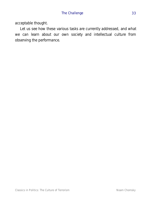acceptable thought.

Let us see how these various tasks are currently addressed, and what we can learn about our own society and intellectual culture from observing the performance.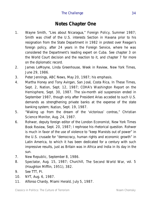### **Notes Chapter One**

- 1. Wayne Smith, "Lies about Nicaragua," *Foreign Policy,* Summer 1987; Smith was chief of the U.S. interests Section in Havana prior to his resignation from the State Department in 1982 in protest over Reagan's foreign policy, after 24 years in the Foreign Service, where he was considered the Department's leading expert on Cuba. See chapter 3 on the World Court decision and the reaction to it, and chapter 7 for more on the diplomatic record.
- 2. James LeMoyne, Linda Greenhouse, Week in Review, *New York Times,*  June 29, 1986.
- 3. Peter Jennings, ABC News, May 20, 1987; his emphasis.
- 4. Martha Honey and Tony Avirgan, San José, Costa Rica, *In These Times,*  Sept. 2, *Nation,* Sept. 12, 1987; COHA's *Washington Report on the Hemisphere,* Sept. 30, 1987. The six-month aid suspension ended in September 1987, though only after President Arias acceded to such U.S. demands as strengthening private banks at the expense of the state banking system; *Nation,* Sept. 19, 1987.
- 5. "Waking up from the dream of the 'victorious' contras," *Christian Science Monitor,* Aug. 24, 1987.
- 6. Rohwer, deputy foreign editor of the London *Economist, New York Times Book Review,* Sept. 20, 1987; I rephrase his rhetorical question. Rohwer is much in favor of the use of violence to "keep Marxists out of power" in the U.S. crusade for "democracy, human rights and economic growth" in Latin America, to which it has been dedicated for a century with such impressive results, just as Britain was in Africa and India in its day in the sun.
- 7. *New Republic,* September 8, 1986.
- 8. *Spectator,* Aug. 15, 1987; Churchill, *The Second World War,* vol. 5 (Houghton Mifflin, 1951), 382.
- 9. See *TTT, PI.*
- 10. *NYT,* Aug. 6, 1987.
- 11. Alfonso Chardy, *Miami Herald,* July 5, 1987.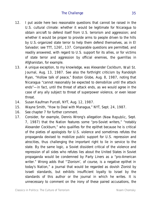- 12. I put aside here two reasonable questions that cannot be raised in the U.S. cultural climate: whether it would be legitimate for Nicaragua to obtain aircraft to defend itself from U.S. terrorism and aggression; and whether it would be proper to provide arms to people driven to the hills by U.S.-organized state terror to help them defend themselves, as in El Salvador; see *TTT,* 126f., 137. Comparable questions are permitted, and readily answered, with regard to U.S. support for its allies, or for victims of state terror and aggression by official enemies, the guerrillas in Afghanistan, for example.
- 13. A unique exception, to my knowledge, was Alexander Cockburn, *Wall St. Journal,* Aug. 13, 1987. See also the forthright criticism by Randolph Ryan, "Hollow talk of peace," *Boston Globe,* Aug. 8, 1987, noting that Nicaragua "cannot reasonably be expected to demobilize until the attack ends"—in fact, until the threat of attack ends, as we would agree in the case of any ally subject to threat of superpower violence, or even lesser threat.
- 14. Susan Kaufman Purcell, *NYT,* Aug. 12, 1987.
- 15. Wayne Smith, "How to Deal with Managua," *NYT,* Sept. 24, 1987.
- 16. See chapter 7 for further comment.
- 17. Consider, for example, Dennis Wrong's allegation *(New Republic,* Sept. 7, 1987) that the *Nation* features some "pro-Soviet writers," "notably Alexander Cockburn," who qualifies for the epithet because he is critical of the pieties of apologists for U.S. violence and sometimes refutes the propaganda devised to mobilize public support for U.S. repression and atrocities, thus challenging the important right to lie in service to the state. By the same logic, a Soviet dissident critical of the violence and repression of all sides who refutes lies about the United States in Soviet propaganda would be condemned by Party Liners as a "pro-American writer." Wrong adds that "'Zionism', of course, is a negative epithet in today's *Nation,"* a journal that would be regarded as dovish Zionist by Israeli standards, but exhibits insufficient loyalty to Israel by the standards of this author or the journal in which he writes. It is unnecessary to comment on the irony of these paired accusations, the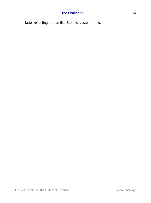latter reflecting the familiar Stalinist caste of mind.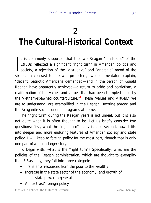37

### **2 The Cultural-Historical Context**

t is commonly supposed that the two Reagan "landslides" of the 1980s reflected a significant "right turn" in American politics and society, a rejection of the "disruptive" and "anarchic" mood of the sixties. In contrast [to](#page--1-8) the war protestors, two commentators explain, "decent, patriotic Americans demanded—and in the person of Ronald Reagan have apparently achieved—a return to pride and patriotism, a reaffirmation of the values and virtues that had been trampled upon by the Vietnam-spawned counterculture."**<sup>1</sup>** These "values and virtues," we are to understand, are exemplified in the Reagan Doctrine abroad and the Reaganite socioeconomic programs at home.  $\begin{array}{c}\n t & \text{is} \\
 198 \\
 \text{Soci} \\
 \text{isities}\n \end{array}$ 

The "right turn" during the Reagan years is not unreal, but it is also not quite what it is often thought to be. Let us briefly consider two questions: first, what the "right turn" really is; and second, how it fits into deeper and more enduring features of American society and state policy. I will keep to foreign policy for the most part, though that is only one part of a much larger story.

To begin with, what is the "right turn"? Specifically, what are the policies of the Reagan administration, which are thought to exemplify them? Basically, they fall into three categories:

- Transfer of resources from the poor to the wealthy
- Increase in the state sector of the economy, and growth of state power in general
- An "activist" foreign policy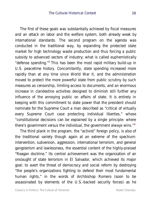The first of these goals was substantially achieved by fiscal measures and an attack on labor and the welfare system, both already weak by in[ter](#page--1-0)national standards. The second program on the agenda was conducted in the traditional way, by expanding the protected state market for high technology waste production and thus forcing a public subsidy to advanced sectors of industry; what is called euphemistically "defense spending."**<sup>2</sup>**This has been the most rapid military build-up in U.S. peacetime history. Concomitantly, state spending increased more rapidly than at any time since World War II, and the administration moved to protect the more powerful state from public scrutiny by such measures as censorship, limiting access to documents, and an enormous increase in clandestine activities designed to diminish still further any influence of the annoying public on affairs of state. It is entirely in keeping with this commitment to state power that t[he](#page--1-0) president should nominate for the Supreme Court a man described as "critical of virtually every Supreme Court case protecting individual liberties," whose "constitutional decisions can be explained by a single principle: where there's government versus the individual, the government always wins."**<sup>3</sup>**

The third plank in the program, the "activist" foreign policy, is also of the traditional variety though again at an extreme of the spectrum: intervention, subversion, aggression, international terrorism, and general gangsterism and lawlessness, the essential content of the highly-praised "Reagan doctrine." Its central achievement was the organization of an onslaught of state terrorism in El Salvador, which achieved its major goal: to avert the threat of democracy and social reform by destroying "the people's organizations fighting to defend their most fundamental human rights," in the words of Archbishop Romero (soon to be assassinated by elements of the U.S.-backed security forces) as he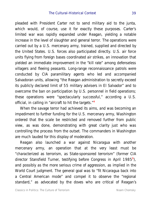## *The Cultural-Historical Context*

pleaded with President Carter not to send military aid to the junta, which would, of course, use it for exactly these purposes. Carter's limited war was rapidly expanded under Reagan, yielding a notable increase in the level of slaughter and general terror. The operations were carried out by a U.S. mercenary army, trained, supplied and directed by the United States. U.S. forces also participated directly. U.S. air force units flying from foreign bases coordinated air strikes, an innovation that yielded an immediate improvement in the "kill rate" among defenseless villagers and fleeing peasants. Long-range reconnaissance patrols were conducted by CIA paramilitary agents who led and accompanied Salvadoran units, allowing "[th](#page--1-0)e Reagan administration to secretly exceed its publicly declared limit of 55 military advisers in El Salvador" and to overcome the ban on participation by U.S. personnel in field operations; these operations were "spectacularly successful," according a U.S. official, in calling in "aircraft to hit the targets."**<sup>4</sup>**

When the savage terror had achieved its aims, and was becoming an impediment to further funding for the U.S. mercenary army, Washington ordered that the scale be restricted and removed further from public view, as was done, demonstrating with great clarity just who was controlling the process from the outset. The comma[nd](#page--1-0)ers in Washington are much lauded for this display of moderation.

Reagan also launched a war against Nicaragua with another mercenary army, an operation that at the very least must be "characterized as terrorism, as State-sponsored terrorism" (former CIA director Stansfield Turner, testifying before Congress in April 1985**<sup>5</sup>** ), and possibly as the more serious crime of aggression, as implied in the World Court judgment. The general goal was to "fit Nicaragua back into a Central American mode" and compel it to observe the "regional standard," as advocated by the doves who are critical of Reagan's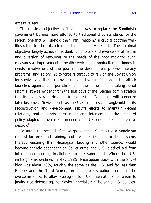excessive zeal.**<sup>6</sup>**

The maximal objective in Nicaragua was to replace the Sandinista government by one more attuned to traditional U.S. standards for the region, one that will uphold the "Fifth Freedom," a crucial doctrine wellillustrated in the historical and documentary record.**<sup>7</sup>**The minimal objective, largely achieved, is dual: (1) to block and reverse social reform and diversion of resources to the needs of the poor majority, such measures as improvement of health services and production for domestic needs, involvement of the poor in the development process, literacy programs, and so on; (2) to force Nicaragua to rely on the Soviet Union for survival and thus to provide retrospective justification for the attack launched against it as punishment for the crime of undertaking social reforms. It was evident from the first days of the Reagan administration that its policies were designed to ensure that "Nicaragua will sooner or later become a Soviet client, as the U.S. imposes a stranglehold on its reconstruction and development, rebuffs efforts to maintain decent relations, and supports harassment and intervention," the standard policy adopted in the case of an enemy the U.S. undertakes to subvert or destroy.**<sup>8</sup>**

To attain the second of these goals, the U.S. rejected a Sandinista request for arms and training, and pressured its allies to do the same, thereby ensuring that Nicaragua, lacking any other source, would become entirely dependent on Soviet arms; the U.S. blocked aid from international lending institutions to the same end. When the U.S. embargo was declared in M[ay](#page--1-0) 1985, Nicaraguan trade with the Soviet bloc was about 20%, roughly the same as the U.S. and far less than Europe and the Third World, an intolerable situation that must be overcome so as to allow apologists for U.S. international terrorism to justify it as defense against Soviet imperialism.**9** The same U.S. policies,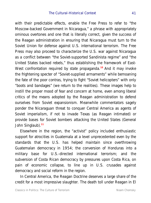## *The Cultural-Historical Context*

with their predictable effects, enable the Free Press to refer to "the Moscow-backed Government in Nicaragua," a phrase with appropriately ominous overtones and one that is literally correct, given the success of the Reagan administration in ensuring that Nicaragua must turn to the Soviet Union for defense agains[t](#page--1-0) U.S. international terrorism. The Free Press may also proceed to characterize the U.S. war against Nicaragua as a conflict between "the Soviet-supported Sandinista regime" and "the United States backed rebels," thus establishing the framework of East-West confrontation required by state propaganda.<sup>10</sup> And it may invoke the frightening specter of "Soviet-supplied armaments" while bemoaning the fate of the poor contras, trying to fight "Soviet helicopters" with only "boots and bandages" (we return to the realities). These images help to instill the proper mood of fear and concern at home, even among liberal critics of the means adopted by the Reagan administration to defend ourselves from Soviet expansionism. Meanwhile commentators sagely ponder the Nicaraguan threat to conquer Central America as agents of Soviet imperialism, if not to invade Texas (as Reagan intimated) or provide bases for Soviet bombers attacking the United States (General John Singlaub).**<sup>11</sup>**

Elsewhere in the region, the "activist" policy included enthusiastic support for atrocities in Guatemala at a level unprecedented even by the standards that the U.S. has helped maintain since overthrowing Guatemalan democracy in 1954; the conversion of Honduras into a military base for U.S.-directed international terrorism; and the subversion of Costa Rican democracy by pressures upon Costa Rica, on pain of economic collapse, to line up in U.S. crusades against democracy and social reform in the region.

In Central America, the Reagan Doctrine deserves a large share of the credit for a most impressive slaughter. The death toll under Reagan in El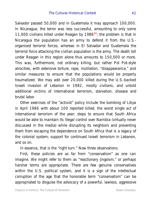Salvador passed 50,000 and in Guatemala it may approach 100,000. In Nicaragua, the terror was less successful, amounting to only some 11,000 civilians killed under Reagan by 1986**<sup>12</sup>**; the problem is that in Nicaragua the population has an army to defend it from the U.S. organized terrorist forces, whereas in El Salvador and Guatemala the terrorist force attacking the civilian population is the army. The death toll under Reagan in this region alone thus amounts to 150,000 or more. This was, furthermore, not ordinary killing, but rather Pol Pot-style atrocities, with extensive torture, rape, mutilation, "disappearance," and similar measures to ensure that the populations would be properly traumatized. We may add over 20,000 killed during the U.S.-backed Israeli invasion of Lebanon in 1982, mostly civilians, and untold additional victims of international terrorism, starvation, disease and brutal labor.

Other exercises of the "activist" policy include the bombing of Libya in April 1986 with about 100 reported killed, the worst single act of international terrorism of the year; steps to ensure that South Africa would be able to maintain its illegal control over Namibia (virtually never discussed in the media) while disrupting its neighbors and preventing them from escaping the dependence on South Africa that is a legacy of the colonial system; support for continued Israeli terrorism in Lebanon, and so on.

In essence, that is the "right turn." Now three observations.

First, these policies are as far from "conservatism" as one can imagine. We might refer to them as "reactionary jingoism," or perhaps harsher terms are appropriate. There are few genuine conservatives within the U.S. political system, and it is a sign of the intellectual corruption of the age that the honorable term "conservatism" can be appropriated to disguise the advocacy of a powerful, lawless, aggressive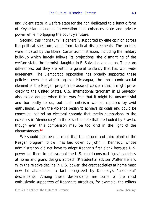and violent state, a welfare state for the rich dedicated to a lunatic form of Keynesian economic intervention that enhances state and private power while mortgaging the country's future.

Second, this "right turn" is generally supported by elite opinion across the political spectrum, apart from tactical disagreements. The policies were initiated by the liberal Carter administration, including the military build-up which largely follows its projections, the dismantling of the welfare state, the terrorist slaughter in El Salvador, and so on. There are differences, but they are within a general tendency that has won wide agreement. The Democratic opposition has broadly supported these policies, even the attack against Nicaragua, the most controversial element of the Reagan program because of concern that it might prove costly to the United States. U.S. international terrorism in El Salvador also raised doubts when there was fear that it might be unsuccessful and too costly to us, but such criticism waned, replaced by avid enthusiasm, when the violence began to achieve its goals and could be concealed behind an electoral charade that merits comparison to the exercises in "democracy" in the Soviet sphere that are lauded by *Pravda,*  though even this comparison may be too kind in the light of the circumstances.**<sup>13</sup>**

We should also bear in mind that the second and third plank of the Reagan program follow lines laid down by John F. Kennedy, whose administration did not have to adopt Reagan's first plank because U.S. power led them to believe that the U.S. could construct "great societies at home and grand designs abroad" (Presidential adviser Walter Heller). With the relative decline in U.S. power, the great societies at home must now be abandoned, a fact recognized by Kennedy's "neoliberal" descendants. Among these descendants are some of the most enthusiastic supporters of Reaganite atrocities, for example, the editors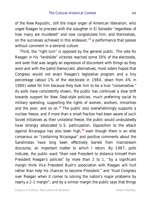of the *New Republic,* still the major organ of American liberalism, who urged Reagan to proceed with the slaughter in El Salvador "regardless of how many are murdered" and now congratulate him, and themselves, on the successes achieved in this endeavor,**<sup>14</sup>** a performance that passes without comment in a terrorist culture.

Third, the "right turn" is opposed by the general public. The vote for Reagan in his "landslide" victories reached some 30% of the electorate, and even that was largely an expression of discontent with things as they were and with the pallid Democratic alternatives; most voters hoped that Congress would not enact Reagan's legislative program and a tiny percentage (about 1% of the electorate in 1984, down from 4% in 1980) [vo](#page--1-0)ted for him because they took him to be a true "conservative." As polls have consistently shown, the public has continued a slow drift towards support for New Deal-style policies, much preferring social to military spending, supporting the rights of women, workers, minorities and the poor, and s[o o](#page--1-0)n.**<sup>15</sup>**The public also overwhelmingly supports a nuclear freeze, and if more than a small fraction had been aware of such Soviet initiatives as their unilateral freeze, the public would undoubtedly have strongly advocated U.S. participation. Opposition to the attack against Nicaragua has also been high,**<sup>16</sup>**even though there is an elite consensus on "containing Nicaragua" and positive comments about the Sandinistas have long been effectively barred from mainstream discourse, an important matter to which I return. By 1987, polls indicate, the public want "their next President to distance himself from President Reagan's policies" by more than 2 to 1, "by a significant margin think Vice President Bush's association with Reagan will hurt rather than help his chances to become President," and "trust Congress over Reagan when it comes to solving the nation's major problems by nearly a 2-1 margin"; and by a similar margin the public says that things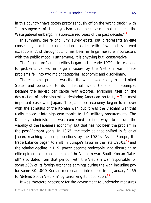in this country "have gotten pretty seriously off on the wrong track," with "a resurgence of the cynicism and negativism that marked the Watergate/oil embargo/inflation-scarred years of the past decade."**<sup>17</sup>**

In summary, the "Right Turn" surely exists, but it represents an elite consensus, tactical considerations aside, with few and scattered exceptions. And throughout, it has been in large measure inconsistent with the public mood. Furthermore, it is anything but "conservative."

The "right turn" among elites began in the early 1970s, in response to problems caused in large measure by the Vietnam war. These problems fell into two major categories: ec[on](#page--1-0)omic and disciplinary.

The economic problem was that the war proved costly to the United States and beneficial to its industrial rivals. Canada, for example, became the largest per capita war exporter, enriching itself on the destruction of Indochina while deploring American brutality.**<sup>18</sup>**The most important case was Japan. The Japanese economy began to recover with the stimulus of the Korean war, but it was the Vietnam war that really moved it into high gear thanks to U.S. military procurements. The Kennedy administration was concerned to fi[nd](#page--1-0) ways to ensure the viability of the Japanese economy, but that has not been the problem in the post-Vietnam years. In 1965, the trade balance shifted in favor of Japan, reaching serious proportions by the 1980s. As for Europe, the trade balance began to shift in Europe's favor in the late 1950s,**<sup>19</sup>**and the relative decline in U.S. power became noticeable, and disturbing to elite opinion, as a consequence of th[e V](#page--1-0)ietnam war. South Korean "takeoff" also dates from that period, with the Vietnam war responsible for some 20% of its foreign exchange earnings during the war, including pay for some 300,000 Korean mercenaries introduced from January 1965 to "defend South Vietnam" by terrorizing its population.**<sup>20</sup>**

It was therefore necessary for the government to undertake measures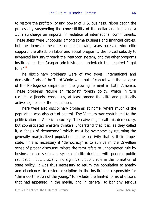to restore the profitability and power of U.S. business. Nixon began the process by suspending the convertibility of the dollar and imposing a 10% surcharge on imports, in violation of international commitments. These steps were unpopular among some business and financial circles, but the domestic measures of the following years received wide elite support: the attack on labor and social programs, the forced subsidy to advanced industry through the Pentagon system, and the other programs instituted as the Reagan administration undertook the required "right turn."**<sup>21</sup>**

The disciplinary problems were of two types: international and domestic. Parts of the Third World were out of control with the collapse of the Portuguese Empire and the growing ferment in Latin America. These problems require an "activist" foreign policy, which in turn requires a jingoist consensus, at least among the elite and politically active segments of the population.

There were also disciplinary problems at home, where much of the population was also out of control. The Vietnam war contributed to the politicization of American society. The naive might call this democracy, but sophisticated Western thinkers understand that it is, as they called it, a "crisis of democracy," which must be overcome by returning the generally marginalized population to the passivity that is their proper state. This is necessary if "democracy" is to survive in the Orwellian sense of proper discourse, where the term refers to unhampered rule by business-based sectors, a system of elite decision with periodic public ratification, but, crucially, no significant public role in the formation of state policy. It was thus necessary to return the population to apathy and obedience, to restore discipline in the institutions responsible for "the indoctrination of the young," to exclude the limited forms of dissent that had appeared in the media, and in general, to bar any serious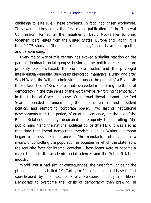challenge to elite rule. These problems, in fact, had arisen worldwide. [Th](#page--1-0)ey were addressed in the first major publication of the Trilateral Commission, formed at the initiative of David Rockefeller to bring together liberal elites from the United States, Europe and Japan; it is their 1975 study of "the crisis of democracy" that I have been quoting and paraphrasing.**<sup>22</sup>**

Every major war of this century has evoked a similar reaction on the part of dominant social groups: business, the political elites that are primarily business-based, the corporate media, and the privileged intelligentsia generally, serving as ideological managers. During and after World War I, the Wilson administration, under the pretext of a Bolshevik threat, launched a "Red Scare" that succeeded in deterring the threat of democracy (in the true sense of the word) while reinforcing "democracy" in the technical Orwellian sense. With broad liberal support, the Red Scare succeeded in undermining the labor movement and dissident politics, and reinforcing corporate power. Two lasting institutional developments from that period, of great consequence, are the rise of the Public Relations industry, dedicated quite openly to controlling "the public mind," and the national political police (the FBI). It was also at that time that liberal democratic theorists such as Walter Lippmann began to discuss the importance of "the manufacture of consent" as a means of controlling the population in societies in which the state lacks the requisite force for internal coercion. These ideas were to become a major theme in the academic social sciences and the Public Relations industry.

World War II had similar consequences, the most familiar being the phenomenon mislabelled "McCarthyism"—in fact, a broad-based effort spearheaded by business, its Public Relations industry and liberal Democrats to overcome the "crisis of democracy" then brewing. In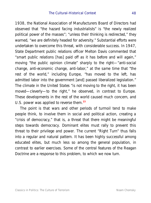### *The Cultural-Historical Context*

1938, the National Association of Manufacturers Board of Directors had observed that "the hazard facing industrialists" is "the newly realized political power of the masses"; "unless their thinking is redirected," they warned, "we are definitely headed for adversity." Substantial efforts were undertaken to overcome this threat, with considerable success. In 1947, State Department public relations officer Melton Davis commented that "smart public relations [has] paid off as it has before and will again," moving "the public opinion climate" sharply to the right—"anti-social change, anti-economic change, anti-labor," at the same time that "the rest of the world," including Europe, "has moved to the left, has admitted labor into th[e g](#page--1-0)overnment [and] passed liberalized legislation." The climate in the United States "is not moving to the right, it has been moved—cleverly—to the right," he observed, in contrast to Europe. These developments in the rest of the world caused much concern, and U.S. power was applied to reverse them.**<sup>23</sup>**

The point is that wars and other periods of turmoil tend to make people think, to involve them in social and political action, creating a "crisis of democracy," that is, a threat that there might be meaningful steps towards democracy. Dominant elites must rally to prevent this threat to their privilege and power. The current "Right Turn" thus falls into a regular and natural pattern. It has been highly successful among educated elites, but much less so among the general population, in contrast to earlier exercises. Some of the central features of the Reagan Doctrine are a response to this problem, to which we now turn.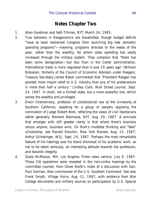## **Notes Chapter Two**

- 1. Allan Goodman and Seth Tillman, *NYT,* March 24, 1985.
- 2. True believers in Reaganomics are dissatisfied, though budget deficits "have at least restrained Congress from launching big new domestic spending programs"—meaning, programs directed to the needs of the poor, rather than the wealthy, for whom state spending has vastly increased through the military system. They complain that "there has been some deregulation—but less than in the Carter administration. International trade is more regulated than it was 10 years ago" (William Niskanen, formerly of the Council of Economic Advisers under Reagan). Treasury Secretary James Baker commented that "President Reagan has granted more import relief to U.S. industry than any of his predecessors in more than half a century." Lindley Clark, *Wall Street Journal,* Sept. 24, 1987. In short, not a limited state, but a more powerful one, which serves the wealthy and privileged.
- 3. Erwin Chemerinsky, professor of constitutional law at the University of Southern California, speaking for a group of lawyers opposing the nomination of Judge Robert Bork, reflecting the views of civil libertarians rather generally; Bernard Weinraub, *NYT*, Aug. 29, 1987. A principle that emerges with still greater clarity is that where there's business versus anyone, business wins. On Bork's muddled thinking and "fake" scholarship, see Ronald Dworkin, *New York Review,* Aug. 13, 1987; Arthur Schlesinger, *WSJ,* Sept. 24, 1987. Perhaps the most remarkable feature of his hearings was his bland dismissal of his academic work, as not to be taken seriously, an interesting attitude towards the profession, and towards integrity.
- 4. Doyle McManus, *MH, Los Angeles Times* news service, July 9, 1987. These CIA operations were revealed in the Iran-contra hearings by the committee counsel, from Oliver North's notes of a discussion with Gen. Paul Gorman, then commander of the U.S. Southern Command. See also Frank Smyth, *Village Voice,* Aug. 11, 1987, with evidence from War College documents and military sources on participation by U.S. Special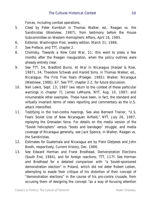Forces, including combat operations.

- 5. Cited by Peter Kornbluh in Thomas Walker, ed., *Reagan vs. the Sandinistas* (Westview, 1987), from testimony before the House Subcommittee on Western Hemispheric Affairs, April 16, 1985.
- 6. Editorial, *Washington Post,* weekly edition, March 31, 1986.
- 7. See Preface, and *TTT,* chapter 2.
- 8. Chomsky, *Towards a New Cold War,* 51; this went to press a few months after the Reagan inauguration, when the policy outlines were already entirely clear.
- 9. See *TTT,* 54; Bradford Burns, *At War in Nicaragua* (Harper & Row, 1987), 34; Theodore Schwab and Harold Sims, in Thomas Walker, ed., *Nicaragua: The First Five Years* (Praeger, 1985); Walker, *Nicaragua*  (Westview, 1986), 67. See *TTT,* chapter 2.2, for future discussion.
- 10. Neil Lewis, Sept. 13, 1987 (we return to the context of these particular warnings in chapter 7); James LeMoyne, *NYT,* Aug. 10, 1987; and innumerable other examples. These have been, in fact, the standard and virtually invariant terms of news reporting and commentary as the U.S. attack intensified.
- 11. Testifying in the Iran-contra hearings. See also Bernard Trainor, "U.S. Fears Soviet Use of New Nicaraguan Airfield," *NYT,* July 26, 1987, replaying the Grenadan farce. For details on the media version of the "Soviet helicopters" versus "boots and bandages" struggle, and media coverage of Nicaragua generally, see Jack Spence, in Walker, *Reagan vs. the Sandinistas.*
- 12. Estimates for Guatemala and Nicaragua are by Piero Gleijeses and John Booth, respectively, *Current History,* Dec. 1986.
- 13. See Edward Herman and Frank Brodhead, *Demonstration Elections*  (South End, 1984), and for foreign reactions, *TTT,* 117f. See Herman and Brodhead for a detailed comparison with "a Soviet-sponsored demonstration election" in Poland, which did not deter Robert Leiken, attempting to evade their critique of his distortion of their concept of "demonstration elections" in the course of his pro-contra crusade, from accusing them of designing the concept "as a way of focusing attention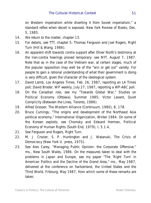on Western imperialism while diverting it from Soviet imperialism," a standard reflex when deceit is exposed. *New York Review of Books,* Dec. 5, 1985.

- 14. We return to the matter, chapter 13.
- 15. For details, see *TTT*, chapter 5; Thomas Ferguson and Joel Rogers, *Right Turn* (Hill & Wang, 1986).
- 16. An apparent shift towards contra support after Oliver North's testimony at the Iran-contra hearings proved temporary; see *NYT,* August 7, 1987. Note that as in the case of the Vietnam war, at certain stages, much of the popular opposition may well be of the "win or get out" variety. For people to gain a rational understanding of what their government is doing is very difficult, given the character of the ideological system.
- 17. David Lamb, *Los Angeles Times,* Feb. 26, 1987, reporting an *LA Times*  poll; David Broder, *WP weekly,* July 27, 1987, reporting a WP-ABC poll.
- 18. On the Canadian role, see my "Towards Global War," *Studies on Political Economy* (Ottawa), Summer 1985; Victor Levant, *Quiet Complicity* (Between the Lines, Toronto, 1986).
- 19. Alfred Grosser, *The Western Alliance* (Continuum, 1980), 8, 178.
- 20. Bruce Cumings, "The origins and development of the Northeast Asia political economy," *International Organization,* Winter 1984. On some of the Korean exploits, see Chomsky and Edward Herman, *Political Economy of Human Rights* (South End, 1979), I, 5.1.4,
- 21. See Ferguson and Rogers, *Right Turn.*
- 22. M. J. Crozier, S. P. Huntington and J. Watanuki, *The Crisis of Democracy* (New York U. press, 1975).
- 23. See Alex Carey, "Managing Public Opinion: the Corporate Offensive," ms., New South Wales, 1986. On the measures taken to deal with the problems in Japan and Europe, see my paper "The 'Right Turn' in American Politics and the Decline of the Grand Area," ms., May 1987, delivered at the conference on Switzerland, the United States and the Third World, Fribourg, May 1987, from which some of these remarks are taken.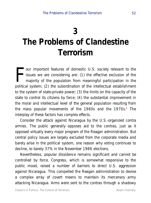## **3**

# **The Problems of Clandestine Terrorism**

our important features of domestic U.S. society relevant to the issues we are considering are: (1) the effective exclusion of the majority of the population from meaningful participation in the political system; (2) the subordination of the i[nte](#page--1-0)llectual establishment to the system of state-private power; (3) the limits on the capacity of the state to control its citizens by force; (4) the substantial improvement in the moral and intellectual level of the general population resulting from the mass popular movements of the 1960s and the 1970s.**<sup>1</sup>** The interplay of these factors has complex effects. F our<br>
maj

Consider the attack against Nicaragua by the U.S.-organized contra armies. The public generally opposes aid to the contras, just as it opposed virtually every major program of the Reagan administration. But central policy issues are largely excluded from the corporate media and barely arise in the political system, one reason why voting continues to decline, to barely 37% in the November 1986 elections*.* 

Nevertheless, popular dissidence remains significant and cannot be controlled by force. Congress, which is somewhat responsive to the public mood, raised a number of barriers to direct U.S. aggression against Nicaragua. This compelled the Reagan administration to devise a complex array of covert means to maintain its mercenary army attacking Nicaragua. Arms were sent to the contras through a shadowy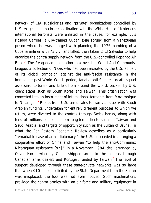network of CIA subsidiaries and "private" organizations controlled by U.S. ex-generals in close coordination with the White House.**<sup>2</sup>** Notorious international terrorists were enlisted in the cause, for example, Luis Posada Carriles, a CIA-trained Cuban exile sprung from a Venezuelan prison where he was charged with planning the 1976 bombing of a Cubana airliner with 73 civilians killed, then taken to El Salvador to help organize the contra supply network from the U.S.-controlled Ilopango Air Base.**<sup>3</sup>**The Reagan administration took over the World Anti-Communist League, a collection of Nazis who had been recruited by the U.S. as part of its global campaign against the anti-fascist resistance in the immediate post-World War II period, fanatic anti-Semites, death squad assassins, torturers and killers from around the world, backed by U.S. client states such as South Korea and Taiwan. This organization was converted into an instrument of international terrorism from Mozambique to Nicaragua.**<sup>4</sup>**Profits from U.S. arms sales to Iran via Israel with Saudi Arabian funding, undertaken for entirely different purposes to which we return, were diverted to the contras through Swiss banks, along with tens of millions of dollars from long-term clients such as Taiwan and Saudi Arabia, and targets of opportunity such as the Sultan of Brunei. In what the *Far Eastern Economic Review* describes as a particularly "remarkable case of arms diplomacy," t[he](#page--1-0) U.S. succeeded in arranging a cooperative effort of China and Taiwan "to help the anti-Communist Nicaraguan resistance [sic]," in a November 1984 deal arranged by Oliver North whereby China shipped arms to the contras through Canadian arms dealers and Portugal, funded by Taiwan.**<sup>5</sup>**The level of support developed through these state-private networks was so large that when \$10 million solicited by the State Department from the Sultan was misplaced, the loss was not even noticed. Such machinations provided the contra armies with an air force and military equipment in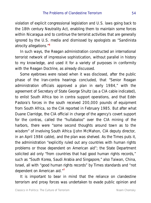vi[ol](#page--1-0)ation of explicit congressional legislation and U.S. laws going back to the 18th century Neutrality Act, enabling them to maintain some forces within Nicaragua and to continue the terrorist activities that are generally ignored by the U.S. media and dismissed by apologists as "Sandinista atrocity allegations."**<sup>6</sup>**

In such ways, the Reagan administration constructed an international terrorist network of impressive sophistication, without parallel in history to my knowledge, and used it for a variety of purposes in conformity with the Reagan Doctrine, as already discussed.

Some eyebrows were raised when it was disclosed, after the public phase of the Iran-contra hearings concluded, that "Senior Reagan administration officials approved a plan in early 1984," with the agreement of Secretary of State George Shultz (as a CIA cable indicated), to enlist South Africa too in contra support operations, and that Edén Pastora's forces in the south received 200,000 pounds of equipment from South Africa, so the CIA reported in February 1985. But after what Duane Clarridge, the CIA official in charge of the agency's covert support for the contras, called the "hullabaloo" over the CIA mining of the harbors, there were "some second thoughts around town as to the wisdom" of involving South Africa (John McMahon, CIA deputy director, in an April 1984 cable), and the plan was shelved. As the *Times* puts it, the administration "explicitly ruled out any countries with human rights problems [or](#page--1-0) those dependent on American aid"; the State Department solicited aid only "from countries that had good human rights records," such as "South Korea, Saudi Arabia and Singapore," also Taiwan, China, Israel, all with "good human rights records" by *Times* standards and "not dependent on American aid."**<sup>7</sup>**

It is important to bear in mind that the reliance on clandestine terrorism and proxy forces was undertaken to evade public opinion and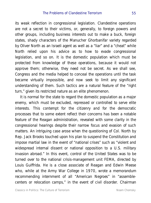its weak reflection in congressional legislation. Clandestine operations are not a secret to their victims, or, generally, to foreign powers and other groups, including business interests out to make a buck, foreign states, shady characters of the Manucher Ghorbanifar variety regarded by Oliver North as an Israeli agent as well as a "liar" and a "cheat" while North relied upon his advice as to how to evade congressional legislation, and so on. It is the domestic population which must be protected from knowledge of these operations, because it would not approve them; otherwise, they need not be secret. As we shall see, Congress and the media helped to conceal the operations until the task became virtually impossible, and now seek to limit any significant understanding of them. Such tactics are a natural feature of the "right turn," given its restricted nature as an elite phenomenon.

It is normal for the state to regard the domestic population as a major enemy, which must be excluded, repressed or controlled to serve elite interests. This contempt for the citizenry and for the democratic processes that to some extent reflect their concerns has been a notable feature of the Reagan administration, revealed with some clarity in the congressional hearings despite their narrow focus and evasion of such matters. An intriguing case arose when the questioning of Col. North by Rep. Jack Brooks touched upon his plan to suspend the Constitution and impose martial law in the event of "national crises" such as "violent and widespread internal dissent or national opposition to a U.S. military invasion abroad." In this event, control of the United States was to be turned over to the national crisis-management unit FEMA, directed by Louis Guiffrida. He is a close associate of Reagan and Edwin Meese who, while at the Army War College in 1970, wrote a memorandum recommending internment of all "American Negroes" in "assemblecenters or relocation camps," in the event of civil disorder. Chairman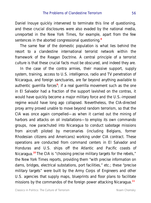Daniel Inouye quickly intervened to terminate this line of questioning, and these crucial disclosures were also evaded by the national media, unreported in the *New York Times,* for example, apart from the few sentences in the aborted congressional questioning.**<sup>8</sup>**

The same fear of the domestic population is what lies behind the resort to a clandestine international terrorist network within the framework of the Reagan Doctrine. A central principle of a terrorist cultur[e i](#page--1-0)s that these crucial facts must be obscured, and indeed they are.

In the case of the contra armies, their massive support, supply system, training, access to U.S. intelligence, radio and TV penetration of Nicaragua, and foreign sanctuaries, are far beyond anything available to authentic guerrilla forces<sup>9</sup>; if a real guerrilla movement such as the one in El Salvador had a fraction of the support lavished on the contras, it would have quickly become a major military force and the U.S.-imposed regime would have long ago collapsed. Nevertheless, the CIA-directed proxy army proved unable to move beyond random terrorism, so that the CIA was once again compelled—as when it carried out the mining of harbors and attacks on oil installations—to employ its own commando groups, now parachuted into Nicaragua to conduct sabotage missions from aircraft piloted by mercenaries (including Belgians, former Rhodesian citizens and Americans) working under CIA contract. These operations are conducted from command centers in El Salvador and Honduras and U.S. ships off the Atlantic and Pacific coasts of Nicaragua.**<sup>10</sup>**The CIA is "choosing precise military targets for the rebels," the *New York Times* reports, providing them "with p[rec](#page--1-0)ise information on dams, bridges, electrical substations, port facilities," etc.; these "precise military targets" were built by the Army Corps of Engineers and other U.S. agencies that supply maps, blueprints and floor plans to facilitate missions by the commandos of the foreign power attacking Nicaragua.**11**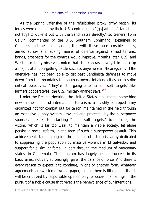As the Spring Offensive of the refurbished proxy army began, its forces were directed by their U.S. controllers to "[go] after soft targets ... not [try] to duke it out with the Sandinistas directly," so General John Galvin, commander of the U.S. Southern Command, explained to Congress and the media, adding that with these more sensible tactics, aimed at civilians lacking means of defense against armed terrorist bands, prospects for the contras would improve. Months later, U.S. and Western military observers noted that "the contras have yet to chalk up a major, attention-getting battle s[ucc](#page--1-0)ess anywhere in Nicaragua ... [T]he offensive has not been able to get past Sandinista defenses to move down from the mountains to populous towns, let alone cities, or to strike critical objectives. 'They're still going after small, soft targets' like farmers cooperatives, the U.S. military analyst says."**<sup>12</sup>**

Under the Reagan doctrine, the United States has created something new in the annals of international terrorism: a lavishly equipped army organized not for combat but for terror, maintained in the field through an extensive supply system provided and protected by the superpower sponsor, directed to attacking "small, soft targets," to bleeding the victim, which is far too weak to maintain a viable society, let alone persist in social reform, in the face of such a superpower assault. This achievement stands alongside the creation of a terrorist army dedicated to suppressing the population by massive violence in El Salvador, and support for a similar force, in part through the medium of mercenary states, in Guatemala. The program has largely been a success in its basic aims, not very surprisingly, given the balance of force. And there is every reason to expect it to continue, in one or another form, whatever agreements are written down on paper, just as there is little doubt that it will be criticized by responsible opinion only for occasional failings in the pursuit of a noble cause that reveals the benevolence of our intentions.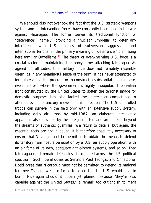We should also not overlook the fact that the U.S. strategic weapons system and its intervention forces have constantly been used in the war againstNicaragua. The former serves its traditional function of "deterrence": namely, providing a "nuclear umbrella" to deter any interference with U.S. policies of subversion, aggression and international terrorism—the primary meaning of "deterrence," dismissing here familiar Orwellisms.**<sup>13</sup>**The threat of overwhelming U.S. force is a crucial factor in maintaining the proxy army attacking Nicaragua. As agreed on all sides, this military force does not remotely resemble guerrillas in any meaningful sense of the term. It has never attempted to formulate a political program or to construct a substantial popular base, even in areas where the government is highly unpopular. The civilian front constructed by the United States to soften the terrorist image for domestic purposes has also lacked the interest or competence to attempt even perfunctory moves in this direction. The U.S.-controlled troops can survive in the field only with an extensive supply system, including daily air drops by mid-1987, an elaborate intelligence apparatus also provided by the foreign master, and armaments beyond the dreams of authentic guerrillas. We return to details, but again, the essential facts are not in doubt. It is therefore absolutely necessary to ensure that Nicaragua not be permitted to obtain the means to defend its territory from hostile penetration by a U.S. air supply operation, with an air force of its own, adequate anti-aircraft systems, and so on. That Nicaragua must remain defenseless is accepted across the U.S. political spectrum. Such liberal doves as Senators Paul Tsongas and Christopher Dodd agree that Nicaragua must not be permitted to defend its national territory; Tsongas went so far as to assert that the U.S. would have to bomb Nicaragua should it obtain jet planes, because "they're also capable against the United States," a remark too outlandish to merit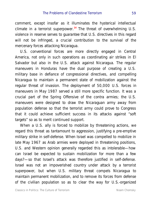comment, except insofar as it illuminates the hysterical intellectual climate in a terrorist superpower.**<sup>14</sup>**The threat of overwhelming U.S. violence in reserve serves to guarantee that U.S. directives in this regard will not be infringed, a crucial contribution to the survival of the mercenary forces attacking Nicaragua.

U.S. conventional forces are more directly engaged in Central America, not only in such operations as coordinating air strikes in El Salvador but also in the U.S. attack against Nicaragua. The regular maneuvers in Honduras have the dual purpose of creating a U.S. military base in defiance of congressional directives, and compelling Nicaragua to maintain a permanent state of mobilization against the regular threat of invasion. The deployment of 50,000 U.S. forces in maneuvers in May 1987 served a still more specific function. It was a crucial part of the Spring Offensive of the contra armies; the U.S. maneuvers were designed to draw the Nicaraguan army away from population defense so that the terrorist army could prove to Congress that it could achieve sufficient success in its attacks against "soft targets" so as to merit *continued support.* 

When a U.S. ally is forced to mobilize by threatening actions, we regard this threat as tantamount to aggression, justifying a pre-emptive military strike in self-defense. When Israel was compelled to mobilize in late May 1967 as Arab armies were deployed in threatening positions, U.S. and Western opinion generally regarded this as intolerable—how can Israel be expected to sustain mobilization for more than a few days?—so that Israel's attack was therefore justified in self-defense. Israel was not an impoverished country under attack by a terrorist superpower, but when U.S. military threat compels Nicaragua to maintain permanent mobilization, and to remove its forces from defense of the civilian population so as to clear the way for U.S.-organized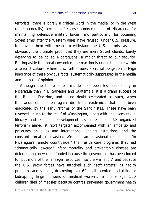terrorists, there is barely a critical word in the media (or in the West rather generally)—except, of course, condemnation of Nicaragua for maintaining defensive military forces, and particularly, for obtaining Soviet arms after the Western allies have refused, under U.S. pressure, to provide them with means to withstand the U.S. terrorist assault, obviously the ultimate proof that they are mere Soviet clients, barely deserving to be called Nicaraguans, a major threat to our security. Putting aside the moral cowardice, the reaction is understandable within a terrorist culture, where it is, furthermore, a crucial obligation to feign ignorance of these obvious facts, systematically suppressed in the media and journals of opinion.

Although the toll of direct murder has been less satisfactory in Nicaragua than in El Salvador and Guatemala, it is a grand success of the Reagan Doctrine, and is no doubt celebrated as such, when thousands of children again die from epidemics that had been eradicated by the early reforms of the Sandinistas. These have been reversed, much to the relief of Washington, along with achievements in literacy and economic development, as a result of U.S.-organized terrorism aimed at "soft targets" accompanied with an embargo and pressures on allies and international lending institutions, and the constant threat of invasion. We read an occasional report that "in Nicaragua's remote countryside," the health care programs that had "dramatically lowered" infant mortality and preventable disease are deteriorating, now underfunded because the government has been forced to "put more of their meager resources into the war effort" and because the U.S. proxy forces have attacked such "soft targets" as health programs and schools, destroying over 60 health centers and killing or kidnapping large numbers of medical workers. In one village, 150 children died of measles because contras prevented government health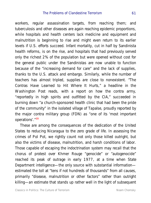workers, regular assassination targets, from reaching them; and tuberculosis and other diseases are again reaching epidemic proportions, while hospitals and health centers lack medicine and equipment and malnutrition is beginning to rise and might even return to its earlier levels if U.S. efforts succeed. Infant mortality, cut in half by Sandinista health reforms, is on the rise, and hospitals that had previously served only the richest 2% of the population but were opened without cost for the general public under the Sandinistas are now unable to function because of the "increasing demand for care" and the lack of supplies, thanks to the U.S. attack and embargo. Similarly, while the number of teachers has almost tripled, supplies are close to nonexistent. "The Contras Have Learned to Hit Where It Hurts," a headline in the *Washington Post* reads, with a report on how the contra army, "reportedly in high spirits and outfitted by the CIA," succeeded in burning down "a church-sponsored health clinic that had been the pride of the community" in the isolated village of Tapalse, proudly reported by the major contra military group (FDN) as "one of its 'most important operations'."**<sup>15</sup>**

These are among the consequences of the dedication of the United States to reducing Nicaragua to the zero grade of life. In assessing the crimes of Pol Pot, we rightly count not only those killed outright, but also the victims of disease, malnutrition, and harsh conditions of labor. Those capable of escaping the indoctrination system may recall that the chorus of protest over Khmer Rouge "genocide" or "autogenocide" reached its peak of outrage in early 1977, at a time when State Department intelligence—the only source with substantial information estimated the toll at "tens if not hundreds of thousands" from all causes, primarily "disease, malnutrition or other factors" rather than outright killing—an estimate that stands up rather well in the light of subsequent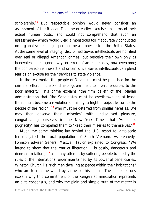scholarship.<sup>16</sup> But respectable opinion would never consider an assessment of the Reagan Doctrine or earlier exercises in terms of their actual human costs, and could not comprehend that such an assessment—which would yield a monstrous toll if accurately conducted on a global scale—might perhaps be a proper task in the United States. At the same level of integrity, disciplined Soviet intellectuals are horrified over real or alleged American crimes, but perceive their own only as benevolent intent gone awry, or errors of an earlier day, now overcome; the comparison is inexact and unfair, since Soviet intellectuals can plead fear as an excuse for their services to state violence.

In the real world, the people of Nicaragua must be punished for the cri[mi](#page--1-0)nal effort of the Sandinista government to divert resources to the poor majority. This crime explains "the firm belief" of the Reagan administration that "the Sandinistas must be overthrown or, at least, theirs must become a revolution of misery, a frightfu[l o](#page--1-0)bject lesson to the people of the region,"**<sup>17</sup>**who must be deterred from similar heresies. We may then observe their "miseries" with undisguised pleasure, congratulating ourselves in the *New York Times* that "America's [pu](#page--1-0)gnacity" has compelled them to "keep their miseries to themselves."**<sup>18</sup>**

Much the same thinking lay behind the U.S. resort to large-scale terror against the rural population of South Vietnam. As Kennedy-Johnson adviser General Maxwell Taylor explained to Congress, "We intend to show that the 'war of liberation'… is costly, dangerous and doomed to failure,"**<sup>19</sup>**as is any attempt by suffering people to modify the rules of the international order maintained by its powerful beneficiaries, Winston Churchill's "rich men dwelling at peace within their habitations" who are to run the world by virtue of this status. The same reasons explain why this commitment of the Reagan administration represents an elite consensus, and why the plain and simple truth of the matter is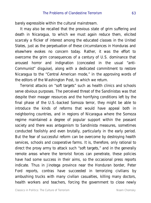barely expressible within the cultural mainstream.

It may also be recalled that the previous state of grim suffering and death in Nicaragua, to which we must again reduce them, elicited scarcely a flicker of interest among the educated classes in the United States, just as the perpetuation of these circumstances in Honduras and elsewhere evokes no concern today. Rather, it was the effort to overcome the grim consequences of a century of U.S. dominance that aroused horror and indignation (concealed in the usual "anti-Communist" disguise), along with a dedicated commitment to restore Nicaragua to the "Central American mode," in the approving words of the editors of the *Washington Post,* to which we return.

Terrorist attacks on "soft targets" such as health clinics and schools serve obvious purposes. The perceived threat of the Sandinistas was that despite their meager resources and the horrifying conditions left by the final phase of the U.S.-backed Somoza terror, they might be able to introduce the kinds of reforms that would have appeal both in neighboring countries, and in regions of Nicaragua where the Somoza regime maintained a degree of popular support within the peasant society and there was antagonism to Sandinista measures, sometimes conducted foolishly and even brutally, particularly in the early period. But the fear of successful reform can be overcome by destroying health services, schools and cooperative farms. It is, therefore, only rational to direct the proxy army to attack such "soft targets," and in the generally remote areas where the terrorist forces can penetrate, these policies have had some success in their aims, so the occasional press reports indicate. Thus in Jinotega province near the Honduran border, Peter Ford reports, contras have succeeded in terrorizing civilians by ambushing trucks with many civilian casualties, killing many doctors, health workers and teachers, forcing the government to close newly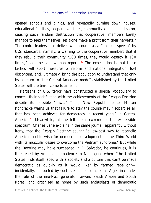opened schools and clinics, and repeatedly burning down houses, educational facilities, cooperative stores, community kitchens and so on, causing such random destruction that cooperative "members barely manage to feed the[mse](#page--1-0)lves, let alone make a profit from their harvests." The contra leaders also deliver what counts as a "political speech" by U.S. standards: namely, a warning to the cooperative members that if they rebuild their community "100 times, they would destroy it 100 times," so a peasant woman reports.**<sup>20</sup>**The expectation is that these tactics will abort measures of reform and national integration, fuel discontent, and, ultimately, bring the population to understand that only by a return to "the Central American mode" established by the United States will the terror come to an end.

Partisans of U.S. terror have constructed a special vocabulary to conceal their satisfaction with the achievements of the Reagan Doctrine despite its possible "flaws." Thus, *New Republic* editor Morton Kondracke warns us that failure to stay the course may "jeopardize all that has been achieved for democracy in recent years" in Central America.**<sup>21</sup>** Meanwhile, at the left-liberal extreme of the expressible spectrum, Charles Lane explains in the same journal, apparently without irony, that the Reagan Doctrine sought "a low-cost way to reconcile America's noble wish for democratic development in the Third World with its muscular desire to overcome the Vietnam syndrome." But while the Doctrine may have succeeded in El Salvador, he continues, it is threatened by American impatience in Nicaragua, where "the United States finds itself faced with a society and a culture that can't be made democratic as quickly as it would like" by "armed rebellion" incidentally, supported by such stellar democracies as Argentina under the rule of the neo-Nazi generals, Taiwan, Saudi Arabia and South Korea, and organized at home by such enthusiasts of democratic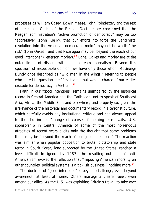processes as William Casey, Edwin Meese, John Poindexter, and the rest of the cabal. Critics of the Reagan Doctrine are concerned that the Reagan administ[rat](#page--1-0)ion's "active promotion of democracy" may be too "aggressive" (John Rielly), that our efforts "to force the Sandinista revolution into the American democratic mold" may not be worth "the risk" (John Oakes), and that Nicaragua may be "beyond the reach of our good intentions" (Jefferson Morley).**<sup>22</sup>** Lane, Oakes and Morley are at the outer limits of [d](#page--1-0)issent within mainstream journalism. Beyond this spectrum of respectable opinion, we have only those whom McGeorge Bundy once described as "wild men in the wings," referring to people who dared to question the "first team" that was in charge of our earlier crusade for democracy in Vietnam.**<sup>23</sup>**

Faith in our "good intentions" remains unimpaired by the historical record in Central America and the Caribbean, not to speak of Southeast Asia, Africa, the Middle East and elsewhere; and properly so, given the irrelevance of the historical and documentary record in a terrorist culture, which carefully avoids any institutional critique and can always appeal to the doctrine of "change of course" if nothing else avails. U.S. sponsorship in Central America of some of the most horrendous atrocities of recent years elicits only the thought that some problems there may be "beyond the reach of our good intentions." The reaction was similar when popular opposition to brutal d[icta](#page--1-0)torship and state terror in South Korea, long supported by the United States, reached a level difficult to ignore by 1987; the resulting outburst of anti-Americanism evoked the reflection that "imposing American morality on other countries' political systems is a ticklish business," nothing more.**<sup>24</sup>**

The doctrine of "good intentions" is beyond challenge, even beyond awareness—at least at home. Others manage a clearer view, even among our allies. As the U.S. was exploiting Britain's travail to take over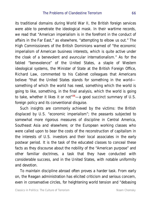its traditional domains during World War II, the British foreign services were able to penetrate the ideological mask. In their wartime records, we read that "American imperialism is in the forefront in the conduct of affairs in the Far East," as elsewhere, "attempting to elbow us out." The High Commissioners of the British Dominions warned of "the economic imperialism of American business interests, which is quite active under the cloak of a benevolent and avuncular internationalism." As for the fabled "benevolence" of the United States, a staple of Western ideological systems, the Minister of State at the British Foreign Office, Richard Law, [com](#page--1-0)mented to his Cabinet colleagues that Americans believe "that the United States stands for something in the world something of which the world has need, something which the world is going to like, something, in the final analysis, which the world is going to take, whether it likes it or not"**<sup>25</sup>**—a good succinct summary of U.S. foreign policy and its conventional disguise.

Such insights are commonly achieved by the victims: the British displaced by U.S. "economic imperialism"; the peasants subjected to somewhat more rigorous measures of discipline in Central America, Southeast Asia and elsewhere; or the European working classes who were called upon to bear the costs of the reconstruction of capitalism in the interests of U.S. investors and their local associates in the early postwar period. It is the task of the educated classes to conceal these facts as they discourse about the nobility of the "American purpose" and other familiar doctrines, a task that they have conducted with considerable success, and in the United States, with notable uniformity and devotion.

To maintain discipline abroad often proves a harder task. From early on, the Reagan administration has elicited criticism and serious concern, even in conservative circles, for heightening world tension and "debasing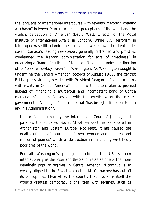the language of international intercourse with feverish rhetoric," creating a "chasm" between "current American perceptions of the world and the world's perception of America" (David Watt, Director of the Royal Institute of International Affairs in London). While U.S. terrorism in Nicaragua was still "clandestine"—meaning well-known, but kept under cover—Canada's leading newspaper, generally restrained and pro-U.S., condemned the Reagan administration for acts of "madness" in organizing a "band of cutthroats" to attack Nicaragua under the direction of its "bizarre cowboy leader" in Washington. As Washington sought to undermine the Central American accords of August 1987, the centrist British press virtually pleaded with President Reagan to "come to terms with reality in Central America" and allow the peace plan to proceed instead of "financing a murderous and incompetent band of Contra mercenaries" in his "obsession with the overthrow of the elected government of Nicaragua," a crusade that "has brought dishonour to him and his Administration":

It also flouts rulings by the International Court of Justice, and parallels the so-called Soviet 'Brezhnev doctrine' as applied in Afghanistan and Eastern Europe. Not least, it has caused the deaths of tens of thousands of men, women and children and million of pounds' worth of destruction in an already wretchedly poor area of the world.

For all Washington's propaganda efforts, the US is seen internationally as the loser and the Sandinistas as one of the more genuinely popular regimes in Central America. Nicaragua is so weakly aligned to the Soviet Union that Mr Gorbachev has cut off its oil supplies. Meanwhile, the country that proclaims itself the world's greatest democracy aligns itself with regimes, such as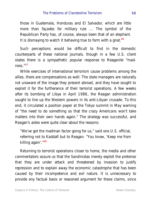those in Guatemala, Honduras and El S[alv](#page--1-0)ador, which are little more than façades for military rule ... The symbol of the Republican Party has, of course, always been that of an elephant. It is dismaying to watch it behaving true to form with a gnat.**<sup>26</sup>**

Such perceptions would be difficult to find in the domestic counterparts of these national journals, though in a few U.S. client states there is a sympathetic popular response to Reaganite "madness."**<sup>27</sup>**

While exercises of international terrorism cause problems among the allies, there are compensations as well. The state managers are naturally not unaware of the image they present abroad, and they have sought to exploit it for the furtherance of their terrorist operations. A few weeks after its bombing of Libya in April 1986, the Reagan administration sought to line up the Western powers in its anti-Libyan crusade. To this end, it circulated a position paper at the Tokyo summit in May warning of "the need to do something so that the crazy Americans won't take [m](#page--1-0)atters into their own hands again." The strategy was successful, and Reagan's aides were quite clear about the reasons:

"We've got the madman factor going for us," said one U.S. official, referring not to Kaddafi but to Reagan. "You know, 'Keep me from killing again'."**<sup>28</sup>**

Returning to terrorist operations closer to home, the media and other commentators assure us that the Sandinistas merely exploit the pretense that they are under attack and threatened by invasion to justify repression and to explain away the economic catastrophe that has been caused by their incompetence and evil nature. It is unnecessary to provide any factual basis or reasoned argument for these claims, since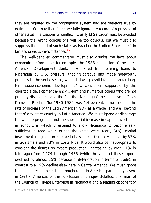they are required by the propaganda system and are therefore true by definition. W[e m](#page--1-0)ay therefore cheerfully ignore the record of repression of other states in situations of conflict—clearly El Salvador must be avoided because the wrong conclusions will be too obvious, but we must also suppress the record of such states as Israel or the United States itself, in far less onerous circumstances.**<sup>29</sup>**

The well-behaved commentator must also dismiss the facts about economic performance: for example, the 1983 conclusion of the Inter-American Development Bank, now barred from offering loans to Nicaragua by U.S. pressure, that "Nicaragua has made noteworthy progress in the social sector, which is laying a solid foundation for longterm socio-economic development," a conclusion supported by the charitable development agency Oxfam and numerous others who are not properly disciplined; and the fact that Nicaragua's net increase in Gross Domestic Product "for 1980-1985 was 4.4 percent, almost double the rate of increase of the Latin American GDP as a whole" and well beyond that of any other country in Latin America. We must ignore or disparage the welfare programs, and the substantial increase in capital investment in agriculture, which threatened to allow Nicaragua to become selfsufficient in food while during the same years (early 80s), capital investment in agriculture dropped elsewhere in Central America, by 57% in Guatemala and 73% in Costa Rica. It would also be inappropriate to consider the figures on export production, increasing by over 11% in Nicaragua from 1979 through 1985 (while the value of these exports declined by almost 25% because of deterioration in terms of trade), in contrast to a 19% decline elsewhere in Central America. We must ignore the general economic crisis throughout Latin America, particularly severe in Central America, or the conclusion of Enrique Bolaflos, chairman of the Council of Private Enterprise in Nicaragua and a leading opponent of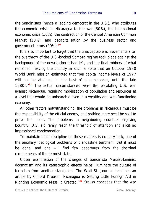the Sa[ndi](#page--1-0)nistas (hence a leading democrat in the U.S.), who attributes the economic crisis in Nicaragua to the war (60%), the international economic crisis (10%), the contraction of the Central American Common Market (10%), and decapitalization by the business sector and government errors (20%).**<sup>30</sup>**

It is also important to forget that the unacceptable achievements after the overthrow of the U.S.-backed Somoza regime took place against the background of the devastation it had left, and the final robbery of what remained, leaving the country in such a state that an October 1980 World Bank mission estimated that "per capita income levels of 1977 will not be attained, in the best of circumstances, until the late 1980s."**<sup>31</sup>** The actual circumstances were the escalating U.S. war against Nicaragua, requiring mobilization of population and resources at a level that would be unbearable even in a wealthy and well-functioning economy.

All other factors notwithstanding, the problems in Nicaragua must be the responsibility of the official enemy, and nothing more need be said to prove the point. The problems in neighboring countries enjoying bountiful U.S. aid rarely reach the threshold of attention and elicit no impassioned condemnation.

To maintain strict discipline on these matters is no easy task, one of the ancillary ideological problems of clandestine terrorism. But it must be done, and one will find few departures from the doctrinal requirements of the terrorist state.

Closer examinati[on](#page--1-0) of the charges of Sandinista Marxist-Leninist dogmatism and its catastrophic effects helps illuminate the culture of terrorism from another standpoint. The *Wall St. Journal* headlines an article by Clifford Krauss: "Nicaragua is Getting Little Foreign Aid in Righting Economic Mess it Created."**32** Krauss concedes that the war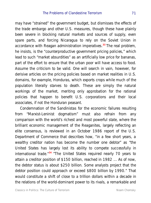may have "strained" the governm[en](#page--1-0)t budget, but dismisses the effects of the trade embargo and other U.S. measures, though these have plainly been severe in blocking natural markets and sources of supply, even spare parts, and forcing Nicaragua to rely on the Soviet Union in accordance with Reagan administration imperatives.**<sup>33</sup>**The real problem, he insists, is the "counterproductive government pricing policies," which lead to such "market absurdities" as an artificially low price for bananas, part of the effort to ensure that the urban poor will have access to food. Assume the criticism to be valid. One will search in vain, however, for derisive articles on the pricing policies based on market realities in U.S. domains, for example, Honduras, which exports crops while much of the population literally starves to death. These are simply the natural workings of the market, meriting only approbation for the rational policies that happen to benefit U.S. corporations and their local associates, if not the Honduran peasant.

Condemnation of the Sandinistas for the economic failures resulting from "Marxist-Leninist dogmatism" must also refrain from any comparison with the world's richest and most powerful state, where the brilliant economic management of the Reaganites, largely reflecting an el[ite](#page--1-0) consensus, is reviewed in an October 1986 report of the U.S. Department of Commerce that describes how, "in a few short years, a wealthy creditor nation has become the number one debtor" as "the United States has largely lost its ability to compete successfully in international trade."**<sup>34</sup>**"The United States required nearly 70 years to attain a creditor position of \$150 billion, reached in 1982 ... As of now, the debtor status is about \$250 billion. Some analysts project that the debtor position could approach or exceed \$800 billion by 1990." That would constitute a shift of close to a trillion dollars within a decade in the relations of the world-dominant power to its rivals, a remarkable and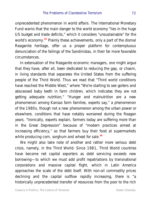unprecedented phenomenon in world affairs. The International Monetary Fund warns that the main danger to the world economy "lies in the huge US budget and trade deficits," which it considers "unsustainable" for the world's economy.**<sup>35</sup>** Plainly these achievements, only a part of the dismal Reaganite heritage, offer us a proper platform for contemptuous denunciation of the failings of the Sandinistas, in their far more favorable circumstances.

In extenuation of the Reaganite economic managers, one might argue that they have, after all, been dedicated to reducing the gap, or chasm, in living standards that separates the United States from the suffering people of the Third World. Thus we read that "Third world conditions have reached the Middle West," where "We're starting to see goiters and abscessed baby teeth in farm children, which indicates they are not getting adequate nutrition," "Hunger and malnutrition are a new phenomenon among Kansas farm families, experts say," a phenomenon of the 1980s, though not a new phenomenon among the urban power or elsewhere, conditions that hav[e n](#page--1-0)otably worsened during the Reagan years. "Ironically, experts explain, farmers today are suffering more than in the Great Depression" because of "modern practices aimed at increasing efficiency," so that farmers buy their food at supermarkets while producing corn, sorghum and wheat for sale.**<sup>36</sup>**

We might also take note of another and rather more serious debt crisis, namely, in the Third World. Since 1981, Third World countries have become net capital exporters as debt servicing exceeds new borrowing—to which we must add profit repatriations by transnational corporations and massive capital flight, which in Latin America approaches the scale of the debt itself. With non-oil commodity prices declining and the capital outflow rapidly increasing, there is "a historically unprecedented transfer of resources from the poor to the rich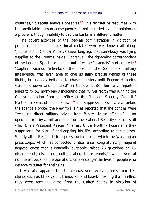countries," a recent analysis observes.**<sup>37</sup>**This transfer of resources with the predictable human consequences is not regarded by elite opinion as a problem, though inability to pay the banks is a different matter.

The covert activities of the Reagan administra[tio](#page--1-0)n in violation of public opinion and congressional dictates were well-known all along. "Journalists in Central America knew long ago that somebody was flying supplies to the Contras inside Nicaragua," the right-wing correspondent of the London *Spectator* pointed out after the "scandals" had erupted.**<sup>38</sup>** "Captain Ricardo Wheelock, the head of the Sandinista military intelligence, was even able to give us fairly precise details of these flights, but nob[od](#page--1-0)y bothered to chase the story until Eugene Hasenfus was shot down and captured" in October 1986. Similarly, reporters failed to follow many leads indicating that "Oliver North was running the Contra operation from his office at the National Security Council." North's role was of course known,**<sup>39</sup>**and suppressed. Over a year before the scandals broke, the *New York Times* reported that the contras were "receiving direct military advice from White House officials" in an operation run by a military officer on the National Security Council staff who "briefs President Reagan," namely Oliver North, whose name they suppressed for fear of endangering [hi](#page--1-0)s life, according to the editors. Shortly after, Reagan held a press conference in which the Washington press corps, which has concocted for itself a self-congratulatory image of aggressiveness that is generally laughable, raised 26 questions on 15 different subjects, asking nothing about these reports,**<sup>40</sup>** which were of no interest because the operations only endanger the lives of people who deserve to suffer for their sins.

It was also apparent that the contras were receiving arms from U.S. clients such as El Salvador, Honduras, and Israel, meaning that in effect they were receiving arms from the United States in violation of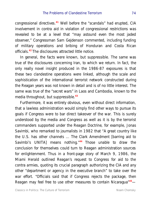congressional directives.**<sup>41</sup>** Well before the "scandals" had erupted, CIA involvement in contra aid in violation of congressional restrictions was revealed to be at a level that "may astound even the most jaded observer," Congressman Sam Gejdenson commented, including funding of military operations and bribing of Honduran and Costa Rican officials.**<sup>42</sup>**The disclosures attracted little notice.

In general, the facts were known, but suppressible. The same was true of the disclosures concerning Iran, to which we return. In fact, the only really novel insight produced in the 1986-87 exposures is that these two clande[sti](#page--1-0)ne operations were linked, although the scale and sophistication of the international terrorist network constructed during the Reagan years was not known in detail and is of no little interest. The same was true of the "secret wars" in Laos and Cambodia, known to the media throughout, but suppressible.**<sup>43</sup>**

Furthermore, it was entirely obvious, even without direct information, that a lawless administration would simply find other ways to pursue its goals if Congress were to bar direct takeover of the war. This is surely understood by the [me](#page--1-0)dia and Congress as well as it is by the terrorist commanders supported under the Reagan Doctrine, for example, Jonas Savimbi, who remarked to journalists in 1982 that "A great country like the U.S. has other channels ... The Clark Amendment [barring aid to Savimbi's UNITA] means nothing."<sup>44</sup> Those unable to draw the conclusion for themselves could turn to Reagan administration sources for enlightenment. Thus in a front-page story of March 9, 1986, the *Miami Herald* outlined Reagan's request to Co[ngr](#page--1-0)ess for aid to the contra armies, quoting its crucial paragraph authorizing the CIA and any other "department or agency in the executive branch" to take over the war effort. "Officials said that if Congress rejects the package, then Reagan may feel free to use other measures to contain Nicaragua"**45**—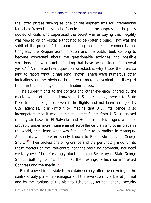the latter phrase serving as one of the euphemisms for international terrorism. When the "scandals" could no longer be suppressed, the press quoted officials who supervised the secret war as saying that "legality was viewed as an obstacle that had to be gotten around. That was the spirit of the program," then commenting that "the real wonder is that Congress, the Reagan administration and the public took so long to become concerned about the questionable activities and possible violations of law in contra funding that have been evident for several years."**<sup>46</sup>** A more pertinent question, unasked, is why it took the press so long to report what it had long known. There were numerous other indications of the obvious, but it was more convenient to disregard them, in the usual style of subordination to power.

The supply flights to the contras and other evidence ignored by the media were, of course, known to U.S. intelligence, hence to State Department intelligence; even if the flights had not been arranged by U.S. agencies, it is difficult to imagine that U.S. intelligence is so incompetent that it was unable to detect flights from U.S.-supervised military air bases in El Salvador and Honduras to Nicaragua, which is probably under more intense aerial surveillance than any other place in the world, or to learn what was familiar fare to journalists in Managua. All of this was therefore surely known to Elliott Abrams and George Shultz.**[47](#page--1-0)** Their professions of ignorance and the perfunctory inquiry into these matters at the Iran-contra hearings merit no comment, nor need we tarry over "the refreshingly blunt candor of Secretary of State George Shultz, battling for his honor" at the hearings, which so impressed Congress and the media.**<sup>48</sup>**

But it proved impossible to maintain secrecy after the downing of the contra supply plane in Nicaragua and the revelation by a Beirut journal and by the Iranians of the visit to Teheran by former national security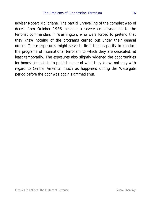#### *The Problems of Clandestine Terrorism*

adviser Robert McFarlane. The partial unravelling of the complex web of deceit from October 1986 became a severe embarrassment to the terrorist commanders in Washington, who were forced to pretend that they knew nothing of the programs carried out under their general orders. These exposures might serve to limit their capacity to conduct the programs of international terrorism to which they are dedicated, at least temporarily. The exposures also slightly widened the opportunities for honest journalists to publish some of what they knew, not only with regard to Central America, much as happened during the Watergate period before the door was again slammed shut.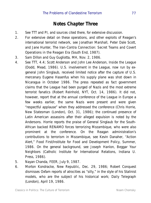### **Notes Chapter Three**

- 1. See *TTT* and *PI,* and sources cited there, for extensive discussion.
- 2. For extensive detail on these operations, and other exploits of Reagan's international terrorist network, see Jonathan Marshall, Peter Dale Scott, and Jane Hunter, *The Iran-Contra Connection: Secret Teams and Covert Operations in the Reagan Era* (South End, 1987).
- 3. Sam Dillon and Guy Gugliotta, *MH,* Nov. 2, 1986.
- 4. See *TTT,* 4.4; Scott Anderson and John Lee Anderson, *Inside the League*  (Dodd, Mead, 1986). U.S. involvement in the League, now run by exgeneral John Singlaub, received limited notice after the capture of U.S. mercenary Eugene Hasenfus when his supply plane was shot down in Nicaragua in October 1986. The press repeated as fact government claims that the League had been purged of Nazis and the most extreme terrorist fanatics (Robert Reinhold, *NYT,* Oct. 14, 1986). It did not, however, report that at the annual conference of the League in Europe a few weeks earlier, the same Nazis were present and were given "respectful applause" when they addressed the conference (Chris Horrie, *New Statesman* (London), Oct. 31, 1986); the continued presence of Latin American assassins after their alleged expulsion is noted by the Andersons. Horrie reports the praise of General Singlaub for the South-African backed RENAMO forces terrorizing Mozambique, who were also prominent at the conference. On the Reagan administration's contributions to terrorism in Mozambique, see Kevin Danaher, "Action Alert," Food First/Institute for Food and Development Policy, Summer, 1986. On the general background, see Joseph Hanlon, *Beggar Your Neighbors* (Catholic Institute for International Relations, Indiana U. Press, 1986).
- 5. Nayan Chanda, *FEER,* July 9, 1987.
- 6. Morton Kondracke, *New Republic,* Dec. 29, 1986; Robert Conquest dismisses Oxfam reports of atrocities as "silly," in the style of his Stalinist models, who are the subject of his historical work; *Daily Telegraph*  (London), April 19, 1986.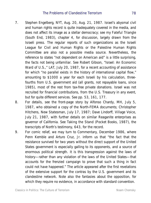- 7. Stephen Engelberg, *NYT,* Aug. 20, Aug. 21, 1987. Israel's abysmal civil and human rights record is quite inadequately covered in the media, and does not affect its image as a stellar democracy; see my *Fateful Triangle*  (South End, 1983), chapter 4, for discussion, largely drawn from the Israeli press. The regular reports of such organizations as the Israeli League for Civil and Human Rights or the Palestine Human Rights Committee are also not a possible media source. Nevertheless, the reference to states "not dependent on American aid" is a little surprising, the facts not being unfamiliar. See Robert Gibson, "Israel: An Economic Ward of U.S.," *LAT,* July 20, 1987, for a recent accounting of assistance for which "no parallel exists in the history of international capital flow," amounting to \$1000 a year for each Israeli by his calculation, threefourths from U.S. government aid (all grants, not repayable loans, since 1985), most of the rest from tax-free private donations. Israel was not recruited for financial contributions, from the U.S. Treasury in any event, but for quite different services. See pp. 53, 161, 177.
- 8. For details, see the front-page story by Alfonso Chardy, *MH,* July 5, 1987, who obtained a copy of the North-FEMA documents; Christopher Hitchens, *New Statesman,* July 17, 1987; Dave Lindorff, *Village Voice,*  July 21, 1987, with further details on similar Reaganite enterprises as governor of California. See *Taking the Stand* (Pocket Books, 1987), the transcripts of North's testimony, 643, for the record.
- 9. For comic relief, we may turn to *Commentary,* December 1986, where Penn Kemble and Arturo Cruz, Jr. inform us that "the fact that the resistance survived for two years without the direct support of the United States government is especially galling to its opponents, and a source of enormous political strength. It is this transgression against the laws of history—rather than any violation of the laws of the United States—that accounts for the frenzied campaign to prove that such a thing in fact could not have happened." The article appeared after the first revelations of the extensive support for the contras by the U.S. government and its clandestine network. Note also the fantasies about the opposition, for which they require no evidence, in accordance with standard convention.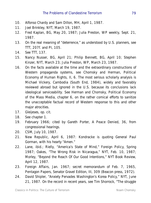- 10. Alfonso Chardy and Sam Dillon, *MH,* April 1, 1987.
- 11. Joel Brinkley, *NYT,* March 19, 1987.
- 12. Fred Kaplan, *BG,* May 20, 1987; Julia Preston, *WP weekly,* Sept. 21, 1987.
- 13. On the real meaning of "deterrence," as understood by U.S. planners, see *TTT,* 207f. and *PI,* 105.
- 14. See *TTT,* 137.
- 15. Nancy Nusser, *BG,* April 21; Philip Bennett, *BG,* April 10; Stephen Kinzer, *NYT,* March 23; Julia Preston, *WP,* March 23, 1987.
- 16. On the facts available at the time and the extraordinary constructions of Western propaganda systems, see Chomsky and Herman, *Political Economy of Human Rights,* II, 6. The most serious scholarly analysis is Michael Vickery, *Cambodia* (South End, 1984), widely and favorably reviewed abroad but ignored in the U.S. because its conclusions lack ideological serviceability. See Herman and Chomsky, *Political Economy of the Mass Media,* chapter 6, on the rather comical efforts to sanitize the unacceptable factual record of Western response to this and other major atrocities.
- 17. Gleijeses, *op. cit.*
- 18*.* See chapter 1.
- 19. February 1966; cited by Gareth Porter, *A Peace Denied,* 36, from congressional hearings.
- 20. *CSM,* July 10, 1987.
- 21. *New Republic,* April 6, 1987: Kondracke is quoting General Paul Gorman, with his hearty "Amen."
- 22. Lane, *ibid*.; Rielly, "America's State of Mind," *Foreign Policy,* Spring 1987; Oakes, "The Wrong Risk in Nicaragua," *NYT,* Feb. 10, 1987; Morley, "Beyond the Reach Of Our Good Intentions," *NYT Book Review,*  April 12, 1987.
- 23. *Foreign Affairs,* Jan. 1967; secret memorandum of Feb. 7, 1965, *Pentagon Papers,* Senator Gravel Edition, III, 309 (Beacon press, 1972).
- 24. David Shipler, "Anxiety Pervades Washington's Korea Policy," *NYT,* June 21, 1987. On the record in recent years, see Tim Shorrock, "The struggle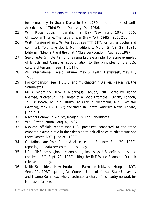for democracy in South Korea in the 1980s and the rise of anti-Americanism," *Third World Quarterly,* Oct. 1986.

- 25. Wm. Roger Louis, *Imperialism at Bay* (New York, 1978), 550; Christopher Thorne, *The Issue of War* (New York, 1985), 225, 211.
- 26. Watt, *Foreign Affairs,* Winter 1983; see *TTT*, 187, for further quotes and comment. *Toronto Globe & Mail,* editorials, March 5, 18, 28, 1986. Editorial, "Elephant and the gnat," *Observer* (London), Aug. 23, 1987.
- 27. See chapter 5, note 72, for one remarkable example. For some examples of British and Canadian subordination to the principles of the U.S. culture of terrorism, see *TTT,* 144-5.
- 28. AP, *International Herald Tribune,* May 6, 1987. *Newsweek,* May 12, 1986.
- 29. For comparison, see *TTT,* 3.5, and my chapter in Walker, *Reagan vs. the Sandinistas.*
- 30. IADB Report No. DES-13, *Nicaragua,* January 1983, cited by Dianna Melrose, *Nicaragua: The Threat of a Good Example?* (Oxfam, London, 1985); Booth, *op. cit.;* Burns, *At War in Nicaragua,* 6-7; *Excelsior*  (Mexico), May 13, 1987; translated in *Central America News Update,*  June 7, 1987.
- 31. Michael Conroy, in Walker, *Reagan vs. The Sandinistas.*
- 32. *Wall Street Journal,* Aug. 4, 1987.
- 33. Mexican officials report that U.S. pressures connected to the trade embargo played a role in their decision to halt oil sales to Nicaragua; see Larry Rohter, *NYT,* June 20. 1987.
- 34. Quotations are from Philip Abelson, editor, *Science,* Feb. 20, 1987, reporting the data presented in this study.
- 35. UPI, "IMF sees global economic gains, says US deficits must be checked," *BG,* Sept. 27, 1987, citing the IMF World Economic Outlook released that day.
- 36. Keith Schneider, "New Product on Farms in Midwest: Hunger," *NYT,*  Sept. 29, 1987, quoting Dr. Cornelia Flora of Kansas State University and Joanne Komenda, who coordinates a church food pantry network for Nebraska farmers.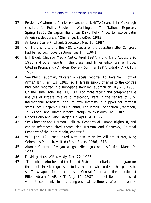- 37. Frederick Clairmonte (senior researcher at UNCTAD) and John Cavanagh (Institute for Policy Studies in Washington), *The National Reporter,*  Spring 1987. On capital flight, see David Felix, "How to resolve Latin America's debt crisis," *Challenge,* Nov./Dec. 1985.
- 38. Ambrose Evans-Pritchard, *Spectator,* May 16, 1987.
- 39. On North's role, and the NSC takeover of the operation after Congress had barred such covert actions, see *TTT,* 130-1.
- 40. Bill Nigut, *Chicago Media Critic,* April 1987, citing *NYT,* August 8,9, 1985 and other reports in the press, and *Times* editor Warren Hoge. Cited in *Propaganda Analysis Review,* Summer 1987; *Extra!* (FAIR), July 1987.
- 41. See Philip Taubman, "Nicaragua Rebels Reported To Have New Flow of Arms," *NYT,* Jan. 13, 1985, p. 1; Israeli supply of arms to the contras had been reported in a front-page story by Taubman on July 21, 1983. On the Israeli role, see *TTT,* 133. For more recent and comprehensive analysis of Israel's role as a mercenary state in the service of U.S. international terrorism, and its own interests in support for terrorist states, see Benjamin Beit-Hallahmi, *The Israeli Connection* (Pantheon, 1987) and Jane Hunter, *Israel's Foreign Policy* (South End, 1987).
- 42. Robert Parry and Brian Barger, AP, April 14, 1986.
- 43. See Chomsky and Herman, *Political Economy of Human Rights,* II, and earlier references cited there; also Herman and Chomsky, *Political Economy of the Mass Media,* chapter 6.
- 44. *WP,* Jan. 12, 1982; cited with discussion by William Minter, *King Solomon's Mines Revisited* (Basic Books, 1986), 318.
- 45. Alfonso Chardy, "Reagan weighs Nicaragua options," *MH,* March 9, 1986.
- 46. David Ignatius, *WP Weekly,* Dec. 22, 1986.
- 47. "The official who headed the United States humanitarian aid program for the rebels in Nicaragua said today that he twice ordered his planes to shuffle weapons for the contras in Central America at the direction of Elliott Abrams"; AP, *NYT,* Aug. 15, 1987, a brief item that passed without comment. In his congressional testimony after the public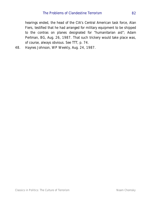hearings ended, the head of the CIA's Central American task force, Alan Fiers, testified that he had arranged for military equipment to be shipped to the contras on planes designated for "humanitarian aid"; Adam Pertman, *BG,* Aug. 26, 1987. That such trickery would take place was, of course, always obvious. See *TTT,* p. 74.

48. Haynes Johnson, *WP Weekly,* Aug. 24, 1987.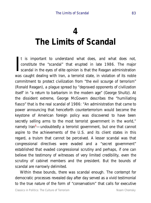t is important to understand what does, and what does not,<br>
constitute the "scandal" that erupted in late 1986. The major<br>
scandal in the eyes of elite opinion is that the Reagan administration<br>
we sought dealing with line constitute the "scandal" that erupted in late 1986. The major scandal in the eyes of elite opinion is that the Reagan administration was caught dealing with Iran, a terrorist state, in violation of its noble commitment to protect civilization from "the evil scourge of terrorism" (Ronald Reagan), a plague spread by "depraved opponents of civilization itself' in "a return to barbarism in the modern age" (George Shultz). At the dissident extreme, George McGovern describes the "humiliating fiasco" that is the real scandal of 1986: "An administration that came to power announcing that henceforth counterterrorism would become the keystone of American foreign policy was discovered to have been secretly selling arms to the most terrorist government in the world," namely Iran**<sup>1</sup>** —undoubtedly a terrorist government, but one that cannot aspire to the achievements of the U.S. and its client states in this regard, a truism that cannot be perceived. A lesser scandal was that congressional directives were evaded and a "secret government" established that evaded congressional scrutiny and perhaps, if one can believe the testimony of witnesses of very limited credibility, even the scrutiny of cabinet members and the president. But the bounds of scandal are narrowly delimited.

Within these bounds, there was scandal enough. The contempt for democratic processes revealed day after day served as a vivid testimonial to the true nature of the form of "conservatism" that calls for executive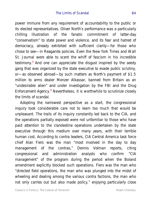power immune from any requirement of accountability to the public or its elected representatives. Oliver North's performance was a particularly chilling illustration of the fanatic commitment of latter-day "conservatism" to state power and violence, and its fear and hatred of democracy, already exhibited with sufficient clarity—for those who chose to see—in Reaganite policies. Even the *New York Times* and *Wall St. Journal* were able to scent the whiff of fascism in his incredible testimony.**<sup>2</sup>**And one can appreciate the disgust inspired by the seedy ga[ng](#page--1-0) that was organized by the state executive to evade public scrutiny, or—as observed abroad—by such matters as North's payment of \$1.5 million to arms dealer Monzer Alkassar, banned from Britain as an "undesirable alien" and under investigation by the FBI and the Drug Enforcement Agency.**<sup>3</sup>** Nevertheless, it is worthwhile to scrutinize closely the limits of scandal.

Adopting the narrowest perspective as a start, the congressional inquiry took considerable care not to learn too much that would be unpleasant. The trails of its inquiry constantly led back to the CIA, and the operations partially exposed were not unfamiliar to those who have paid attention to the clandestine operations undertaken by the state executive through this medium over many years, with their terrible human cost. According to contra leaders, CIA Central America task force chief Alan Fiers was the man "most involved in the day to day management of the contras," Dennis Volman reports, citing congressional and administration analysts who confirm "CIA management" of the program during the period when the Boland amendment explicitly blocked such operations. Fiers was the man who "directed field operations, the man who was plunged into the midst of wheeling and dealing among the various contra factions, the man who not only carries out but also made policy," enjoying particularly close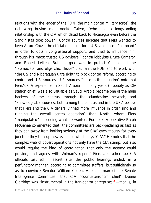relations with the leader of the FDN (the main contra military force), the right-wing businessman Adolfo Calero, "who had a longstanding relationship with the CIA which dated back to Nicaragua even before the Sandinistas took power." Contra sources indicate that Fiers wanted to keep Arturo Cruz—the official democrat for a U.S. audience—"on board" in order to obtain congressional support, and tried to influence him through his "most trusted US advisers," contra lobbyists Bruce Cameron and Robert Leiken. But his goal was to protect Calero and the "'Somocista' and oligarchic clique" that ran the FDN and to work with "the US and Nicaraguan ultra right" to block contra reform, according to contra and U.S. sources. U.S. sources "close to the situation" note that Fiers's CIA experience in Saudi Arabia for many years (probably as CIA station chief) was also valuable as Saudi Arabia became one of the main backers of the contras through the clandestine network, and "knowledgeable sources, both among the contras and in the US," believe that Fiers and the CIA generally "had more influence in organizing and running the overall contra operation" than North, whom Fiers "manipulated" into doing what he wanted. Former CIA operative Ralph McGehee commented that "the committees are back-pedaling as fast as they can away from looki[ng s](#page--1-0)eriously at the CIA" even though "at every juncture they turn up new evidence which says 'CIA'." He notes that the complex web of covert operations not only have the CIA stamp, but also would require the kind of coordination that only the agency could provide, and agrees with Volman's report.**<sup>4</sup>**Fiers and other top CIA officials testified in secret after the [p](#page--1-0)ublic hearings ended, in a perfunctory manner, according to committee staffers, but sufficiently so as to convince Senator William Cohen, vice chairman of the Senate Intelligence Committee, that CIA "counterterrorism chief" Duane Clarridge was "instrumental in the Iran-contra enterprises"**<sup>5</sup>** —that is, in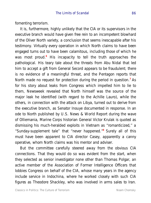fomenting terrorism.

It is, furthermore, highly unlikely that the CIA or its supervisors in the [ex](#page--1-0)ecutive branch would have given free rein to an incompetent blowhard of the Oliver North variety, a conclusion that seems inescapable after his testimony. Virtually every operation in which North claims to have been engaged turns out to have been calamitous, including those of which he was most proud.<sup>6</sup> His incapacity to tell the [tru](#page--1-0)th approaches the pathological. His teary tale about the threats from Abu Nidal that led him to accept a gift from General Secord appears to be fraudulent; there is no evidence of a meaningful threat, and the Pentagon reports that North made no request for protection during the period in question.**<sup>7</sup>**As for his story about leaks from Congress which impelled him to lie to them, *Newsweek* revealed that North himself was the source of the major leak he identified (with regard to the Achille Lauro), while the others, in connection with the attack on Libya, turned out to derive from the executive branch, as Senator [Ino](#page--1-0)uye documented in response. In an ode to North published by *U.S. News & World Report* during the wave of Olliemania, Marine Corps historian General Victor Krulak is quoted as dismissing his much-heralded exploits in Vietnam as ''romanticized,'' a ''Sunday-supplement tale'' that ''never happened."**<sup>8</sup>**Surely all of this must have been apparent to CIA director Casey, apparently a canny operative, whom North claims was his mentor and adviser.

But the committee carefully steered away from the obvious CIA connections. That they would do so was evident from the start, when they selected as senior investigator none other than Thomas Polgar, an active member of the Association of Former Intelligence Officers that lobbies Congress on behalf of the CIA, whose many years in the agency include service in Indochina, where he worked closely with such CIA figures as Theodore Shackley, who was involved in arms sales to Iran.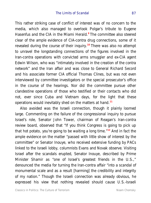This rather striking case [o](#page--1-0)f conflict of interest was of no concern to the media, which also managed to overlook Polgar's tribute to Eugene Hasenfus and the CIA in the *Miami Herald.9* The committee also steered clear of the ample evidence of CIA-contra drug connections, some of it revealed during the course of their inquiry.**<sup>10</sup>**There was also no attempt to unravel the longstanding connections of the figures involved in the Iran-contra operations with convicted arms smuggler and ex-CIA agent Edwin Wilson, who was "intimately involved in the creation of the contra network" and the Iran affair and was close to General Richard Secord and his associate former CIA official Thomas Clines, but was not even interviewed by committee investigator[s o](#page--1-0)r the special prosecutor's office in the course of the hearings. Nor did the committee pursue other clandestine operations of those who testified or their contacts who did not, ever since Cuba and Vietnam days, for the light that these operations would inevitably shed on the matters at hand.**<sup>11</sup>**

Also avoided was the Israeli co[nne](#page--1-0)ction, though it plainly loomed large. Commenting on the failure of the congressional inquiry to pursue Israel's role, Senator John Tower, chairman of Reagan's Iran-contra review board, observed that "If you think Congress is going to pick up that hot potato, you're going to be waiting a long time."**<sup>12</sup>** And in fact the ample evidence on the matter "passed with little show of interest by the committee" or Senator Inouye, who received extensive funding by PACs linked to the Israeli lobby, columnists Evans and Novak observe. Visiting Israel after the scandals erupted, Senator Inouye, described by Prime Minister Shamir as "one of Israel's greatest friends in the U.S.," denounced the media for turning the Iran-contra affair "into a scandal of monumental scale and as a result [harming] the credibility and integrity of my nation." Though the Israeli connection was already obvious, he expressed his view that nothing revealed should cause U.S.-Israeli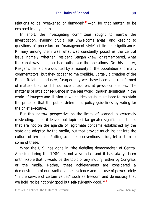relations to be "weakened or damaged"**<sup>13</sup>**—or, for that matter, to be explored in any depth.

In short, the investigating committees sought to narrow the investigation, evading crucial but unwelcome areas, and keeping to questions of procedure or "management style" of limited significance. Primary among them was what was constantly posed as the central issue, namely, whether President Reagan knew, or remembered, what the cabal was doing, or had authorized the operations. On this matter, Reagan's denials are doubted by a majority of the population and many commentators, but they appear to me credible. Largely a creation of the Public Relations industry, Reagan may well have been kept uninformed of matters that he did not have to address at press conferences. The matter is of little consequence in the real world, though significant in the world of imagery and illusion in which ideologists must labor to maintain the pretense that the public determines policy guidelines by voting for the chief executive.

But this narrow perspective on the limits of scandal is extremely misleading, since it leaves out topics of far greater significance, topics that are not on the agenda of legitimate concerns established by the state and adopted by the media, but that provide much insight into the culture of terrorism. Putting accepted conventions aside, let us turn to some of these.

What the U.S. has done in "the fledgling democracies" of Central America during the 1980s is not a scandal, and it has always been unthinkable that it would be the to[pic](#page--1-0) of any inquiry, either by Congress or the media. Rather, these achievements are considered a demonstration of our traditional benevolence and our use of power solely "in the service of certain values" such as freedom and democracy that we hold "to be not only good but self-evidently good."**<sup>14</sup>**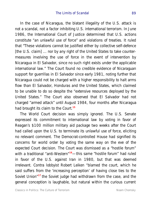In the case of Nicaragua, the blatant illegality of the U.S. attack is not a scandal, not a factor inhibiting U.S. international terrorism. In June 1986, the International Court of Justice determined that U.S. actions constitute "an unlawful use of force" and violations of treaties. It ruled that "These violations cannot be justified either by collective self-defence [the U.S. claim] ... nor by any right of the United States to take countermeasures involving the use of force in the event of intervention by Nicaragua in El Salvador, since no such right exists under the applicable international law." The Court found no credible evidence of Nicaraguan support for guerrillas in El Salvador since early 1981, noting further that Nicaragua could not be charged with a higher responsibility to halt arms flow than El Sa[lva](#page--1-0)dor, Honduras and the United States, which claimed to be unable to do so despite the "extensive resources deployed by the United States." The Court also observed that El Salvador had not charged "armed attack" until August 1984, four months after Nicaragua had brought its claim to the Court.**<sup>15</sup>**

The World Court decision was simply ignored. The U.S. Senate expressed its commitment to international law by voting in favor of Reagan's \$100 million military aid package two weeks after the Court had called up[on](#page--1-0) the U.S. to terminate its unlawful use of force, eliciting no relevant comment. The Democrat-controlled House had signified its concerns for world order by voting the same way on the eve of the expected Court decision. The Court was dismissed as a "hostile forum" with a traditional "anti-Western"**<sup>16</sup>**—this same "hostile forum" had ruled in favor of the U.S. against Iran in 1980, but that was deemed irrelevant. Contra lobbyist Robert Leiken "blamed the court, which he said suffers from the 'increasing perception' of having close ties to the Soviet Union"**<sup>17</sup>**the Soviet judge had withdrawn from the case, and the general conception is laughable, but natural within the curious current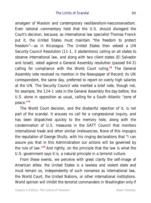amalgam of Maoism and contemporary neoliberalism-neoconservatism. Even rational commentary held that the U.S. should disregard the Court's decision, because, as international law specialist Thomas Franck put it, the United States must maintain "the freedom to protect freedom"—as in Nicaragua. The U[nit](#page--1-0)ed States then vetoed a UN Security Council Resolution (11-1, 3 abstentions) calling on all states to observe international law, and along with two client states (El Salvador and Israel), voted against a General Assembly resolution (passed 94-3) calling for compliance with the World Court ruling.**<sup>18</sup>** The General Assembly vote received no mention in the Newspaper of Record; its UN correspondent, the same day, preferred to report on overly high salaries at the UN. The Security Council vote merited a brief note, though not, for example, the 124-1 vote in the General Assembly the day before, the U.S. alone in opposition as usual, calling for a South Atlantic "zone of peace."**<sup>19</sup>**

The World Court decision, and the disdainful rejection of it, is not part of the scandal. It arouses no call for a congressional inquiry, and has been dispatched quickly to the memory hole, along with the condemnation of U.S. measures in the GATT Council that monitors international trade and other similar irrelevancies. None of this impugns the reputation of George Shultz, with his ringing declarations that "I can assure you that in this Administration our actions will be governed by the rule of law."**<sup>20</sup>**And rightly, on the principle that the law is what the U.S. government says it is, a natural principle in a terrorist culture.

From these events, we perceive with great clarity the self-image of American elites: the United States is a lawless and violent state and must remain so, independently of such nonsense as international law, the World Court, the United Nations, or other international institutions. World opinion will inhibit the terrorist commanders in Washington only if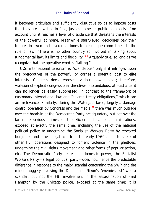it becomes articulate and sufficiently disruptive so as to impose costs that they are unwilling to face, just as domestic public opinion is of no account until it reaches [a](#page--1-0) level of dissidence that threatens the interests of the powerful at home. Meanwhile starry-eyed ideologues pay their tributes in awed and reverential tones to our unique commitment to the rule of law: "There is no other country so involved in talking about fundamental law, its limits and flexibility."**<sup>21</sup>** Arguably true, so long as we recognize that the operative word is "talking."

U.S. international terrorism is "scandalous" only if it infringes upon the prerogatives of the powerful or carries a potential cost to elite interests. Congress does represent various power blocs; therefore, violation of explicit congres[sio](#page--1-0)nal directives is scandalous, at least after it can no longer be easily suppressed, in contrast to the framework of customary international law and "solemn treaty obligations," which are an irrelevance. Similarly, during the Watergate farce, largely a damage control operation by Congress and the media,**<sup>22</sup>**there was much outrage over the break-in at the Democratic Party headquarters, but not over the far more serious crimes of the Nixon and earlier administrations, exposed at exactly the same time, including the use of the national political police to undermine the Socialist Workers Party by repeated burglaries and other illegal acts from the early 1960s—not to speak of other FBI operations designed to foment violence in the ghettoes, undermine the civil rights movement and other forms of popular action, etc. The Democratic Party represents domestic power, the Socialist Workers Party—a legal political party—does not; hence the predictable difference in response to the major scandal concerning the SWP and the minor thuggery involving the Democrats. Nixon's "enemies list" was a scandal, but not the FBI involvement in the assassination of Fred Hampton by the Chicago police, exposed at the same time; it is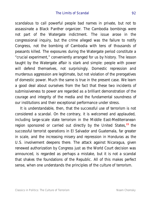scandalous to call powerful people bad names in private, but not to assassinate a Black Panther organizer. The Cambodia bombings were not part of the Watergate indictment. The issue arose in the congressional inquiry, but the crime alleged was the failure to notify Congress, not the bombing of Cambodia with tens of thousands of peasants killed. The exposures during the Watergate period constitute a "crucial experiment," conveniently arranged for us by history. The lesson taught by the Watergate affair is stark and simple: people with power will defend themselves, not surprisingly. Domestic repression and murderous aggression are legitimate, but not violation of the prerogatives of domestic power. Much the same is true in the present case. We learn a good deal about ourselves from the fact that these two incidents of submissiveness to power are regarded as a brilliant demonstration of the courage and integrity of the media and the fundamental soundness of our institutions and their exceptional performanc[e](#page--1-0) under stress.

It is understandable, then, that the successful use of terrorism is not considered a scandal. On the contrary, it is welcomed and applauded, including large-scale state terrorism in the Middle East-Mediterranean region sponsored or carried out directly by the United States,**<sup>23</sup>**the successful terrorist operations in El Salvador and Guatemala, far greater in scale, and the increasing misery and repression in Honduras as the U.S. involvement deepens there. The attack against Nicaragua, given renewed authorization by Congress just as the World Court decision was announced, is regarded as perhaps a mistake, but it is not a scandal that shakes the foundations of the Republic. All of this makes perfect sense, when one understands the principles of the culture of terrorism.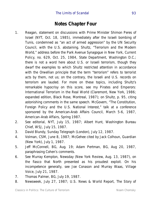### **Notes Chapter Four**

- 1. Reagan, statement on discussions with Prime Minister Shimon Peres of Israel *(NYT,* Oct. 18, 1985), immediately after the Israeli bombing of Tunis, condemned as "an act of armed aggression" by the UN Security Council, with the U.S. abstaining. Shultz, "Terrorism and the Modern World," address before the Park Avenue Synagogue in New York, *Current Policy,* no. 629, Oct. 25, 1984, State Department, Washington D.C.; there is not a word here about U.S. or Israeli terrorism, though they dwarf the examples to which Shultz restricted attention in accordance with the Orwellian principle that the term "terrorism" refers to terrorist acts by *them,* not *us;* on the contrary, the Israeli and U.S. records on terrorism are lauded. For more on these topics, including Shultz's remarkable hypocrisy on this score, see my *Pirates and Emperors: International Terrorism in the Real World* (Claremont, New York, 1986; expanded edition, Black Rose, Montreal, 1987); on Shultz, p. 95, citing astonishing comments in the same speech. McGovern, "The Constitution, Foreign Policy and the U.S. National Interest," talk at a conference sponsored by the American-Arab Affairs Council, March 5-6, 1987, *American-Arab Affairs,* Spring 1987.
- 2. See editorial, *NYT,* July 15, 1987; Albert Hunt, Washington Bureau Chief, *WSJ,* July 15, 1987.
- 3. David Blundy, *Sunday Telegraph* (London), July 12, 1987.
- 4. *Volman, CSM,* June 8, 1987; McGehee cited by Jack Colhoun, *Guardian*  (New York), July 1, 1987.
- 5. Jeff McConnell, *BG,* Aug. 19; Adam Pertman, *BG,* Aug 20, 1987, paraphrasing Cohen's comments.
- 6. See Murray Kempton, *Newsday (New York Review,* Aug. 13, 1987), on the fiasco that North presented as his proudest exploit. On his incompetence generally, see Joe Conason and Murray Waas, *Village Voice,* July 21, 1987.
- 7. Thomas Palmer, *BG,* July 19, 1987.
- 8. *Newsweek,* July 27, 1987; *U.S. News & World Report, The Story of*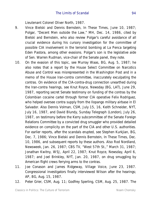#### *Lieutenant Colonel Oliver North,* 1987.

- 9. Vince Bielski and Dennis Bernstein, *In These Times,* June 10, 1987; Polgar, "Decent Men outside the Law," *MH,* Dec. 14, 1986, cited by Bielski and Bernstein, who also review Polgar's careful avoidance of all crucial evidence during his cursory investigation for the committee of possible CIA involvement in the terrorist bombing at La Penca targeting Eden Pastora, among other evasions. Polgar's son is the legislative aide of Sen. Warren Rudman, vice-chair of the Senate panel, they note.
- 10. On the evasion of this topic, see Murray Waas, *BG,* Aug. 5, 1987; he also notes that a report by the House Select Committee on Narcotics Abuse and Control was misrepresented in the *Washington Post* and in a memo of the House Iran-contra committee, inaccurately exculpating the contras. On evidence of the CIA-contra-drug connection unearthed during the Iran-contra hearings, see Knut Royce, *Newsday (BG, LAT),* June 29, 1987, reporting secret Senate testimony on funding of the contras by the Colombian cocaine cartel through former CIA operative Felix Rodriguez, who helped oversee contra supply from the Ilopango military airbase in El Salvador. Also Dennis Volman, *CSM,* July 15, 16, Keith Schneider, *NYT,*  July 16, 1987, and David Blundy, *Sunday Telegraph* (London), July 26, 1987, on testimony before the Kerry subcommittee of the Senate Foreign Relations Committee by a convicted drug smuggler who provided detailed evidence on complicity on the part of the CIA and other U.S. authorities. For earlier reports, after the scandals erupted, see Stephen Kurkjian, *BG,*  Dec. 7, 1986; Vince Bielski and Dennis Bernstein, *In These Times,* Dec. 10, 1986, and subsequent reports by these authors. Also Rod Nordland, *Newsweek,* Jan. 26, 1987; CBS TV, "West 57th St.," March 31, 1987; Jonathan Kwitny, *WSJ,* April 22, 1987; Knut Royce, *Newsday,* April 6, 1987; and Joel Brinkley, *NYT,* Jan. 20, 1987, on drug smuggling by American flight crews ferrying arms to the contras.
- 11. Joe Conason and James Ridgeway, *Village Voice,* June 23, 1987. Congressional investigators finally interviewed Wilson after the hearings; AP, *BG,* Aug. 15, 1987.
- 12. Peter Grier, *CSM,* Aug. 11; Godfrey Sperling, *CSM,* Aug. 25, 1987. The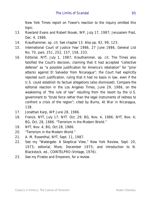*New York Times* report on Tower's reaction to the inquiry omitted this topic.

- 13. Rowland Evans and Robert Novak, *WP,* July 17, 1987; *Jerusalem Post,*  Dec. 4, 1986.
- 14. Krauthammer, *op. cit.* See chapter 13. Also pp. 92, 99, 123.
- 15. International Court of Justice Year 1986, 27 June 1986, General List No. 70, pars. 251, 252, 157, 158, 233.
- 16. Editorial, *NYT,* July 1, 1987; Krauthammer, *op. cit.* The *Times* also falsified the Court's decision, claiming that it had accepted "collective defense" as "a possible justification for America's retaliation" for "prior attacks against El Salvador from Nicaragua"; the Court had explicitly rejected such justification, ruling that it had no basis in law, even if the U.S. could establish its factual allegations (also dismissed). Compare the editorial reaction in the *Los Angeles Times,* June 29, 1986, on the weakening of "the rule of law" resulting from the resort by the U.S. government to "brute force rather than the legal instruments of redress to confront a crisis of the region"; cited by Burns, *At War in Nicaragua,*  138.
- 17. Jonathan Karp, *WP June 28, 1986.*
- 18. Franck, *NYT,* July 17; *NYT.* Oct. 29; *BG,* Nov. 4, 1986. *NYT,* Nov. 4; *BG,* Oct. 28, 1986. "Terrorism in the Modern World."
- 19. *NYT*, Nov. 4; *BG*, Oct 28, 1986.
- 20. "Terrorism in the Modern World."
- 21. A. M. Rosenthal, *NYT,* Sept. 11, 1987.
- 22. See my "Watergate: A Skeptical View," *New York Review,* Sept. 20, 1973; editorial, *More,* December 1975; and introduction to N. Blackstock, ed., *COINTELPRO* (Vintage, 1976).
- 23. See my *Pirates and Emperors,* for a review.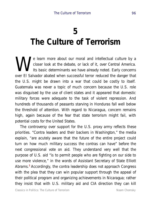e learn more about our moral and intellectual culture by a closer look at the debate, or lack of it, over Central America. Its basic determinants we have already noted. Early concerns over El Salvador abated when successful terror reduced the danger that the U.S. might be drawn into a war that could be costly to itself. Guatemala was never a topic of much concern because the U.S. role was disguised by the use of client states and it appeared that domestic military forces were adequate to the task of violent repression. And hundreds of thousands of peasants starving in Honduras fall well below the threshold of attention. With regard to Nicaragua, concern remains high, again because of the fear that state terrorism might fail, with potential costs for the United States.  $\bigvee$   $\bigvee$   $\bigvee$   $\bigvee$   $\bigvee$   $\bigvee$   $\bigvee$   $\bigvee$   $\bigvee$   $\bigvee$   $\bigvee$   $\bigvee$   $\bigvee$   $\bigvee$   $\bigvee$   $\bigvee$   $\bigvee$   $\bigvee$   $\bigvee$   $\bigvee$   $\bigvee$   $\bigvee$   $\bigvee$   $\bigvee$   $\bigvee$   $\bigvee$   $\bigvee$   $\bigvee$   $\bigvee$   $\bigvee$   $\bigvee$   $\bigve$ 

The controversy over support for the U.S. proxy army reflects these priorities. "Contra leaders and their backers in Washington," the media explain, "are acutely aware that the future of the entire project could turn on how much military success the contras can have" before the next congressional vote on aid. They understand very well that the purpose of U.S. aid "is to permit people who are fighting on our side to use more violence," in the words of Assistant Secretary of State Elliott Abrams.**<sup>1</sup>**Accordingly, the contra leadership does not approach Congress with the plea that they can win popular support through the appeal of their political program and organizing achievements in Nicaragua; rather they insist that with U.S. military aid and CIA direction they can kill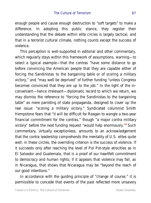enough people and cause enough destruction to "soft targets" to make a difference. In adopting this public stance, they register their understanding that the debate within elite circles is largely tactical, and that in a terrorist cultural climate, nothing counts except the success of violence.

This perception is well-supported in editorial and other commentary, which regularly stays within this framework of assumptions, warning—to select a typical example—that the contras "have some distance to go before convincing the American people that they are capable either of forcing the Sandinistas to the bargaining table or of scoring a military victory," and "may well be deprived" of further funding "unless Congress becomes convinced that they are up to the job." In the light of the inconvenient—hence irrelevant—diplomatic record to which we return, we may dismiss the reference to "forcing the Sandinistas to the bargaining table" as mere parroting of state propaganda, [des](#page--1-0)igned to cover up the real issue: "scoring a military victory." Syndicated columnist Smith Hempstone fears that "it will be difficult for Reagan to wangle a two-year financial commitment for the contras," though "a major contra military victory" before the next funding request "would help enormously."**<sup>2</sup>**Such commentary, virtually exceptionless, amounts to an acknowledgement that the contra leadership comprehends the mentality of U.S. elites quite well: in these circles, the overriding criterion is the success of violence. If it succeeds only after reaching the level of Pol Pot-style atrocities as in El Salvador and Guatemala, that is a proof of our heartfelt commitment to democracy and human rights; if it appears that violence may fail, as in Nicaragua, that shows that Nicaragua may be "beyond the reach of our good intentions."

In accordance with the guiding principle of "change of course," it is permissible to concede that events of the past reflected more unsavory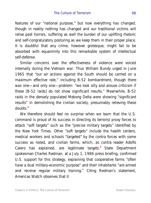features of our "national purpose," but now everything has changed, though in reality nothing has changed and our traditional victims will relive past horrors, suffering as well the burden of our uplifting rhetoric and self-congratulatory posturing as we keep them in their proper place. It is doubtful that any crime, however grotesque, might fail to be absorbed with equanimity into this remarkable system of intellectual self-defense.

Similar concerns over the effectiveness of violence were voiced internally during the Vietnam war. Thus William Bundy urged in June 1965 that "our air actions against the South should be carried on a maximum effective rate," including B-52 bombardment, though there was one—and only one—problem: "we look silly and arouse criticism if these [B-52 raids] do not show significant results." Meanwhile, B-52 raids in the densely populated Mekong Delta were showing "significant results" in demolishing the civilian society, presumably relieving these doubts.**<sup>3</sup>**

We therefore should feel no surprise when we learn that the U.S. command is proud of its success in directing its terrorist proxy forces to attack "soft targets" such as th[e "p](#page--1-0)recise military targets" identified by the *New York Times.* Other "soft targets" include the health centers, medical workers and schools "targeted" by the contra forces with some success as noted, and civilian farms, which, as contra leader Adolfo Calero has explained, are legitimate targets.<sup>4</sup> State Department spokesman Charles Redman, at a July 1, 1986 press briefing, confirmed U.S. support for this strategy, explaining that cooperative farms "often have a dual military-economic purpose" and their inhabitants "are armed and receive regular military training." Citing Redman's statement, Americas Watch observes that it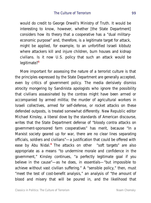would do credit to George Orwell's Ministry of Truth. It would be interesting to know, however, whether [the State Department] considers how its theory that a cooperative has a "dual militaryeconomic purpose" and, therefore, is a legitimate target for attack, might be applied, for example, to an unfortified Israeli kibbutz where attackers kill and injure children, burn houses and kidnap civilians. Is it now U.S. policy that such an attack would be legitimate?**<sup>5</sup>**

More important for assessing the nature of a terrorist culture is that the principles expressed by the State Department are generally accepted, even by critics of government policy. The media derisively dismiss atrocity mongering by Sandinista apologists who ignore the possibility that civilians assassinated by the contras might have been armed or accompanied by armed militia; the murder of agricultural workers in Israeli collectives, armed for self-defense, or rocket attacks on these defended outposts, is treated somewhat differently. *New Republic* editor Michael Kinsley, a liberal dove by the standards of American discourse, wri[tes](#page--1-0) that the State Department defense of "bloody contra attacks on government-sponsored farm cooperatives" has merit, because "In a Marxist society geared up for war, there are no clear lines separating officials, soldiers and civilians"—a justification that could be offered with ease by Abu Nidal.<sup>6</sup> The attacks on other "soft targets" are also appropriate as a means "to undermine morale and confidence in the government," Kinsley continues, "a perfectly legitimate goal if you believe in the cause"—as he does, in essentials—"but impossible to achieve without vast civilian suffering." A "sensible policy," then, must "meet the test of cost-benefit analysis," an analysis of "the amount of blood and misery that will be poured in, and the likelihood that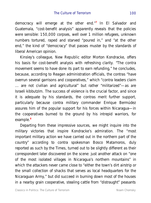democracy will emerge at the other end."**<sup>7</sup>**In El Salvador and Guatemala, "cost-benefit analysis" apparently reveals that the policies were sensible: 150,000 corpses, well over 1 million refugees, unknown numbers tortured, raped and starved "poured in," and "at the other end," the kind of "democracy" that passes muster by the standards of liberal American opinion.

Kinsley's colleague, *New Republic* editor Morton Kondracke, offers his basis for cost-benefit analysis with refreshing clarity. "The *contra*  movement seems to have done its part to earn refunding," he concludes, because, according to Reagan administration officials, the contras "have overrun several garrisons and cooperatives," which "contra leaders claim ... are not civilian and agricultural" but rather "militarized"—as are Israeli kibbutzim. The success of violence is the crucial factor, and since it is adequate by his standards, the contras merit further support, particularly because contra military commander Enrique Bermúdez assures him of the popular support for his forces within Nicaragua—in the cooperatives burned to the ground by his intrepid warriors, for example.**<sup>8</sup>**

Departing from these impressive sources, we might inquire into the military victories that inspire Kondracke's admiration. The "most important military action we have carried out in the northern part of the country" according to contra spokesman Bosco Matamoros, duly reported as such by the *Times,* turned out to be slightly different as their correspondent later discovered on the scene: just another attack on "one of the most isolated villages in Nicaragua's northern mountains" in which the attackers never came close to "either the town's dirt airstrip or the small collection of shacks that serves as local headquarters for the Nicaraguan Army," but did succeed in burning down most of the houses in a nearby grain cooperative, stealing cattle from "distraught" peasants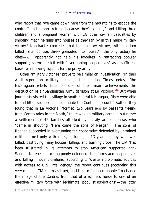who report that "we came down here from the mountains to escape the contras" and cannot return "because they'll kill us," and killing three children and a pregnant woman with 18 other civilian casualties by shooting machine guns into houses as they ran by in this major military victory.**<sup>9</sup>**Kondracke concedes that this military victory, with children killed "after *contras* threw grenades into houses"—the only victory he cites—will apparently not help his favorites in "attracting popular support"; so we are left with "overrunning cooperatives" as a sufficient basis for renewing support for the proxy ar[m](#page--1-0)y.

Other "military victories" prove to be similar on investigation. "In their April report on military actions," the *London Times* notes, "the Nicaraguan rebels listed as one of their main achievements the destruction of a "Sandinistan Army garrison at La Victoria."**<sup>10</sup>**But when journalists visited this village in south-central Nicaragua, "they were able to find little evidence to substantiate the Contras' account." Rather, they found that in La Victoria, "formed two years ago by peasants fleeing from Contra raids in the North," there was no military garrison but rather a settlement of 45 families attacked by heavily armed contras who "came in shouting, 'Here come the sons of Reagan'." The sons of Reagan succeeded in overrunning the cooperative defended by untrained militia armed only with rifles, including a 13-year old boy who was killed, destroying many houses, killing, and burning crops. The CIA "has been frustrated in its attempts to stop American supported anti-Sandinista rebels attacking poorly defended state farms and cooperatives and killing innocent civilians, according to Western diplomatic sources with access to U.S. intelligence," the report continues (accepting this very dubious CIA claim as true), and has so far been unable "to change the image of the Contras from that of a ruthless horde to one of an effective military force with legitimate, populist aspirations"—the latter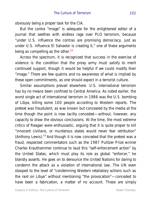obviously being a proper task for the CIA.

But the co[ntra](#page--1-0) "image" is adequate for the enlightened editor of a journal that seethes with endless rage over PLO terrorism, because "under U.S. influence the *contras* are promising democracy, just as under U.S. influence El Salvador is creating it," one of these arguments being as compelling as the other.**<sup>11</sup>**

Across the spectrum, it is recognized that success in the exercise of violence is the condition that the proxy army must satisfy to merit continued support, though it would be helpful if *we* could modify their "image." There are few qualms and no awareness of what is implied by these open commitments, as one should expect in a terrorist culture.

Similar assumptions prevail elsewhere. U.S. international terrorism has by no means been confined to Central America. As noted earlier, the worst single act of international terrorism in 1986 was the U.S. bombing of Libya, killing some 100 people according to Western reports. The pretext was fraudulent, as was known but concealed by the media at the [t](#page--1-0)ime though the point is now tacitly conceded—without, however, any capacity to draw the obvious conclusions. At the time, the most extreme critics of Reagan were enthusiastic, arguing that it is quite proper to kill "innocent civilians, or murderous states would never fear retribution" (Anthony Lewis).**<sup>12</sup>**And though it is now conceded that the pretext was a fraud, respected commentators such as the 1987 Pulitzer Prize winner Charles Krauthammer continue to laud this "self-enforcement action" by the United States, which must play its role as global "enforcer," he blandly asserts. He goes on to denounce the United Nations for daring to condemn the attack as a violation of international law. The UN even stooped to the level of "condemning Western retaliatory actions such as the raid on Libya" without mentioning "the provocation"—conceded to have been a fabrication, a matter of no account. These are simply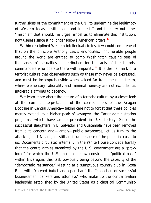further signs of the commitment of the UN "to undermine the legitimacy of Western ideas, institutions, and interests" and to carry out other "mischief" that should, he urges, impel us to eliminate this institution, now useless since it no longer follows American orders.**<sup>13</sup>**

Within disciplined Wester[n in](#page--1-0)tellectual circles, few could comprehend that on the principle Anthony Lewis enunciates, innumerable people around the world are entitled to bomb Washington causing tens of thousands of casualties in retribution for the acts of the terrorist commanders who operate there with impunity.**<sup>14</sup>** It is the hallmark of a terrorist culture that observations such as these may never be expressed, and must be incomprehensible when voiced far from the mainstream, where elementary rationality and minimal honesty are not excluded as intolerable affronts to decency.

We learn more about the nature of a terrorist culture by a closer look at the current interpretations of the consequences of the Reagan Doctrine in Central America—taking care not to forget that these policies merely extend, to a higher peak of savagery, the Carter administration programs, which have ample precedent in U.S. history. Since the successful slaughters in El Salvador and Guatemala have been removed from elite concern and—largely—public awareness, let us turn to the attack against Nicaragua, still an issue because of the potential costs to us. Documents circulated internally in the White House concede frankly that the contra armies organized by the U.S. government are a "proxy force" for which the U.S. must somehow construct a "political base" within Nicaragua, this task obviously being beyond the capacity of the "democratic resistance." Meeting at a sumptuous country club in Costa Rica with "catered buffet and open bar," the "collection of successful businessmen, bankers and attorneys" who make up the contra civilian leadership established by the United States as a classical Communist-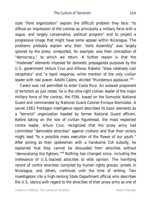style "front organization" explain the difficult problem they face: "to diffuse an impression of the contras as principally a military force with a vague, and largely conservative, political program" and to project a progressive image that might have some appeal within Nicaragua. The problems probably explain why their "exile Assembly" was largely ignored by the press; unreported, for example, was their conception of "democracy," to which we return. A further [re](#page--1-0)ason is that the "moderate" elements imposed for domestic propaganda purposes by the U.S. government (Arturo Cruz and Alfonso Robelo) "drew relatively cool receptions" and "a tepid response, while mention of the only civilian leader with real power, Adolfo Calero, elicited "thunderous applause."**<sup>15</sup>**

Calero was not permitted to enter Costa Rica. An avowed proponent of terrorism as just noted, he is the ultra-right civilian leader of the major military force of the contras, the FDN, based on the Somozist National Guard and commanded by National Guard Colonel Enrique Bermúdez. A secret 1982 Pentagon intelligence report described its basic elements as a "terrorist" organization headed by former National Guard officers. Before taking on the role of civilian figurehead, the most respected contra leader, Arturo Cruz, recognized that the proxy army had committe[d](#page--1-0) "damnable atrocities" against civilians and that their victory might lead "to a possible mass execution of the flower of our youth." After joining as their spokesman with a handsome CIA subsidy, he explained that they cannot be dissuaded from atrocities without "demoralizing the fighters."**<sup>16</sup>**Nothing has changed since, including the irrelevance of U.S.-backed atrocities to elite opinion. The horrifying record of contra atrocities compiled by human rights groups, priests in Nicaragua, and others, continues until the time of writing. Two investigators cite a high-ranking State Department official who describes the U.S. stance with regard to the atrocities of their proxy army as one of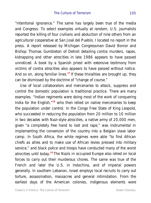"intentional ignorance." The same has largely been true of the media and Congress. To select examples virtually at random, U.S. journalists reported the killing of four civilians and abduction of nine others from an agricultural cooperative at San José del Pueblo; I located no report in the press. A report released by Michigan Congressman David Bonior and Bishop Tho[ma](#page--1-0)s Gumbleton of Detroit detailing contra murders, rapes, kidnapping and other atrocities in late 1986 appears to have passed unnoticed. A book by a Spanish priest with extensive testimony from victims of contra atrocities also appears to have passed without notice. And so on, along familiar lines.**<sup>17</sup>**If these trivialities are brought up, they can [be](#page--1-0) dismissed by the doctrine of "change of course."

Use of local collaborators and mercenaries to attack, suppress and control the domestic population is traditional practice. There are many examples. "Indian regiments were doing most of the work of conquering India for the English,"**<sup>18</sup>** who then relied on native mercenaries to keep the population under control. In the Congo Free State of King Leopold, who succeeded in reducing the population from 20 million to 10 million in two decades with Nazi-style atrocities, a native army of 20,000 men, given "a completely free hand to loot and rape," was instrumental in im[pl](#page--1-0)ementing the conversion of the country into a Belgian slave labor camp. In South Africa, the white regimes were able "to find African chiefs as allies and to make use of African levies pressed into military service," and black police and troops have conducted many of the worst atrocities until today.**<sup>19</sup>**The Nazis in occupied Europe also relied on local forces to carry out their murderous chores. The same was true of the French and later the U.S. in Indochina, and of imperial powers generally. In southern Lebanon, Israel employs local recruits to carry out torture, assassination, massacres and general intimidation. From the earliest days of the American colonies, indigenous elements were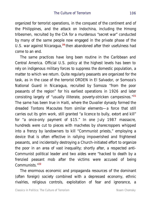organized [fo](#page--1-0)r terrorist operations, in the conquest of the continent and of the Philippines, and the attack on Indochina, including the Hmong tribesmen, recruited by the CIA for a murderous "secret war" conducted by many of the same people now engaged in the private phase of the U.S. war against Nicaragua,**<sup>20</sup>**then abandoned after their usefulness had come to an end.

The same practices have long been routine in the Caribbean and Central America. Official U.S. policy at the highest levels has been to rely on indigenous military forces to suppress the domestic population, a matter to which we return. Quite regularly peasants [are](#page--1-0) organized for the task, as in the case of the terrorist ORDEN in El Salvador, or Somoza's National Guard in Nicaragua, recruited by Somoza "from the poor peasants of the region" for his earliest operations in 1926 and later consisting largely of "usually illiterate, poverty-stricken *campesinos."21* The same has been true in Haiti, where the Duvalier dynasty formed the dreaded Tontons Macoutes from similar elements—a force that still carries out its grim work, still granted "a licence to bully, extort and kill" for "a once-only payment of \$15." In one July 1987 massacre, hundreds were cut to pieces with machetes by sharecroppers whipped into a frenzy by landowners to kill "Communist priests," employing a device that is often effective in rallying impoverished and frightened peasants, and incidentally destroying a Church-initiated effort to organize the poor in an area of vast inequality; shortly after, a respected anti-Communist political leader and two aides were "hacked to death by a frenzied peasant mob after the victims were accused of being Communists."**<sup>22</sup>**

The enormous economic and propaganda resources of the dominant (often foreign) society combined with a depressed economy, ethnic rivalries, religious controls, exploitation of fear and ignorance, a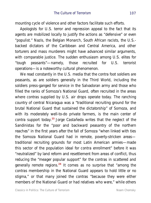mounting cycle of violence and other factors facilitate such efforts.

Apologists for U.S. terror and repression appeal to the fact that its agents are mobilized locally to justify the actions as "defensive" or even "populist." Nazis, the Belgian Monarch, South African racists, the U.S. backed dictators of the Caribbean and Central America, and other torturers and mass murderers might have advanced similar arguments, with comparable justice. The sudden enthusiasm among U.S. elites for "tough peasants"—namely, those recruited for U.S. terrorist operations—is a noteworthy cultural phenomenon.

We read constantly in the U.S. media that the contra foot soldiers are peasants, as are soldiers generally in the Third World, including the soldiers press-ganged for service in the Salvadoran army and those who filled the ranks of Somoza's National Guard, often recruited in the areas wh[ere](#page--1-0) contras supplied by U.S. air drops operate today. The ranching country of central Nicaragua was a "traditional recruiting ground for the brutal National Guard that sustained the dictatorship" of Somoza, and with its moderately well-to-do private farmers, is the main center of contra support today.**<sup>23</sup>**Jorge Castañeda writes that the neglect of the Sandinistas for the "poor and backward peasantry of the northern reaches" in the first years after the fall of Somoza "when linked with ties the Somoza National Guard had in remote, poverty-stricken areas traditio[nal](#page--1-0) recruiting grounds for most Latin American armies—made this sector of the population ideal for *contra* enrollment" before it was "neutralized" by land reform and resettlement from areas of conflict, thus reducing the "meager popular support" for the contras in scattered and generally remote regions.**<sup>24</sup>** It comes as no surprise that "among the contras membership in the National Guard appears to hold little or no stigma," or that many joined the contras "because they were either members of the National Guard or had relatives who were," while others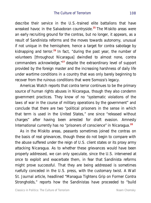describe their service in the U.S.-trained elite battalions that have wre[ake](#page--1-0)d havoc in the Salvadoran countryside.**<sup>25</sup>**The Miskito areas were an early recruiting ground for the contras, but no longer, it appears, as a result of [Sa](#page--1-0)ndinista reforms and the moves towards autonomy, unusual if not unique in the hemisphere, hence a target for contra sabotage by kidnapping and terror.**<sup>26</sup>**In fact, "during the past year, the number of volunteers [throughout Nicaragua] dwindled to almost none, contra commanders acknowledge,"**<sup>27</sup>**despite the extraordinary level of support provided by the foreign master and the increasing harshness of daily life under wartime conditions in a country that was only barely beginning to recover from the ruinous conditions that were Somoza's legacy.

Americas Watch reports that contra terror continues to be the primary source of human rights abuses in Nicaragua, though they also condemn government practices. They know of no "systematic violations of the laws of war in the course of military operations by [th](#page--1-0)e government" and conclude that there are *two* "political prisoners in the sense in which that term is used in the United States," one since "released without charges" after having been arrested for draft evasion. Amnesty International currently has no "prisoners of conscience" in Nicaragua.**<sup>28</sup>**

As in the Miskito areas, peasants sometimes joined the contras on the basis of real grievances, though these do not begin to compare with the abuse suffered under the reign of U.S. client states or its proxy army attacking Nicaragua. As to whether these grievances would have been properly addressed, we can only speculate, since the U.S. intervened at once to exploit and exacerbate them, in fear that Sandinista reforms might prove successful. That they are being addressed is sometimes ruefully conceded in the U.S. press, with the customary twist. A *Wall St. Journal* article, headlined "Managua Tightens Grip on Former Contra Strongholds," reports how the Sandinistas have proceeded to "build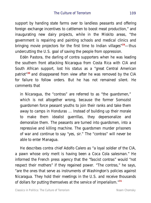support by handing state farms over to land[les](#page--1-0)s peasants and offering foreign exchange incentives to cattlemen to boost meat production," and inaugurating new dairy projects, while in the Miskito areas, "the government is repairing and painting schools and medical clinics and bringing movie projectors for the first time to Indian villages"**<sup>29</sup>**—thus undercutting the U.S. goal of saving the people from oppression.

Edén Pastora, the darling of contra supporters when he was leading the southern front attacking Nicaragua from Costa Rica with CIA and South African support, lost his status as a "great Central American patriot"**<sup>30</sup>**and disappeared from view after he was removed by the CIA for failure to follow orders. But he has not remained silent. He comments that

in Nicaragua, the "contras" are referred to as "the guardsmen," which is not altogether wrong, because the former Somozist guardsmen force peasant youths to join their ranks and take them away to camps in Honduras ... Instead of building up their morale to make them idealist guerrillas, they depersonalize and demoralize them. The peasants are turned into guardsmen, into a repressive and killing machine. The guardsmen murder prisoners of war and continue to say "yes, sir." The "contras" will never be able to enter Managua.

He describes contra chief Adolfo Calero as "a loyal soldier of the CIA, a pawn whose only merit is having been a Coca Cola salesman." He informed the French press agency that the ["fa](#page--1-0)scist contras" would "not respect their mothers" if they regained power. "The contras," he says, "are the ones that serve as instruments of Washington's policies against Nicaragua. They hold their meetings in the U.S. and receive thousands of dollars for putting themselves at the service of imperialism."**31**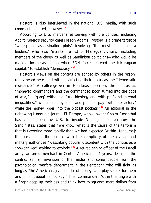Pastora is also interviewed in the national U.S. media, with such comments omitted, however.**<sup>32</sup>**

According to U.S. mercenaries serving with the contras, including Adolfo Calero's security chief Joseph Adams, Pastora is a prime target of "widespread as[sa](#page--1-0)ssination plots" involving "the most senior *contra*  leaders," who also "maintain a list of Managua civilians—including members of the clergy as well as Sandinista politicians—who would be marked for assassination when FDN forces entered the Nicaraguan capital," to establish "democracy."**<sup>33</sup>**

Pastora's views on the contras are echoed by others in the region, rarely heard here, and without affecting their status as the "democratic resistance." A coffee-grower inHonduras describes the contras as "moneyed commanders and the commanded poor, turned into the dogs of war," a "gang" without a "true ideology and with profound internal inequalities," who recruit by force and promise pay "with the victory" while the money "goes into the biggest pockets.<sup>"34</sup> An editorial in the right-wing Honduran journal *El Tiempo,* whose owner Chaim Rosenthal has called upon the U.S. to invade Nicaragua to overthrow the Sandinistas, sta[te](#page--1-0)s that "We know what is the cause of the terrorism that is flowering more rapidly than we had expected [within Honduras]: the presence of the contras with the complicity of the civilian and military authorities," describing popular discontent with the contras as a "powder keg" waiting to explode."**<sup>35</sup>**A retired senior officer of the Israeli army, an arms merchant in Central America for 4 years, describes the contras as "an invention of the media and some people from the psychological warfare department in the Pentagon" who will fight as long as "the Americans give us a lot of money ... to play soldier for them and bullshit about democracy." Their commanders "sit in the jungle with a finger deep up their ass and think how to squeeze more dollars from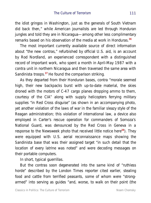the idiot gringos in Washington, just as the generals of South Vietnam did back then," while American journalists are led through Honduran jungles and told they are in Nicaragua—among other less complimentary remarks based on his observation of the media at work in Honduras.**<sup>36</sup>**

The most important currently available source of direct information [a](#page--1-0)bout "the new contras," refurbished by official U.S. aid, is an account by Rod Nordland, an experienced correspondent with a distinguished record of important work, who spent a month in April-May 1987 with a contra unit in northern Nicaragua and then traversed the same area with Sandinista troops.**<sup>37</sup>**He found the comparison striking.

As they departed from their Honduran bases, contra "morale seemed high, their new backpacks burst with up-to-date material, the skies droned with the motors of C-47 cargo planes dropping ammo to them, courtesy of the CIA" along with supply helicopters ferrying military supplies "in Red Cross disguise" (as shown in an accompanying photo, yet another violation of the laws of war in th[e fa](#page--1-0)miliar sleazy style of the Reagan administration; this violation of international law, a device also employed in Carter's rescue operation for commanders of Somoza's National Guard, was denounced by the Red Cross in Geneva in a response to the *Newsweek* photo that received little notice here**<sup>38</sup>**). They were equipped with U.S. aerial reconnaissance maps showing the Sandinista base that was their assigned target "in such detail that the location of every latrine was noted" and were decoding messages on their portable computers.

In short, typical guerrillas.

But the contras soon degenerated into the same kind of "ruthless horde" described by the *London Times* reporter cited earlier, stealing food and cattle from terrified peasants, some of whom were "strongarmed" into serving as guides "and, worse, to walk on their point (the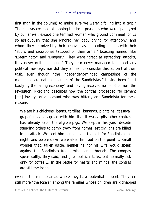first man in the column) to make sure we weren't falling into a trap." The contras excelled at robbing the local peasants who were "paralyzed by our arrival, except one terrified woman who ground cornmeal for us so assiduously that she ignored her baby crying for attention," and whom they terrorized by their behavior as marauding bandits with their "skulls and crossbones tattooed on their arms," boasting names "like 'Exterminator' and 'Dragon'." They were "great at retreating; attacks, they never quite managed." They also never managed to impart any political message, nor did they appear to consider this as part of their task, even though "the independent-minded campesinos of the mountains are natural enemies of the Sandinistas," having been "hurt badly by the failing economy" and having received no benefits from the revolution. Nordland describes how the contras proceeded "to cement [the] loyalty" of a peasant who was bitterly anti-Sandinista for these reasons:

We ate his chickens, beans, tortillas, bananas, plantains, cassava, grapefruits and agreed with him that it was a pity other contras had already eaten the eligible pigs. We slept in his yard, despite standing orders to camp away from homes lest civilians are killed in an attack. We sent him out to scout the hills for Sandinistas at night, and before dawn we walked him out on the point ... Small wonder that, taken aside, neither he nor his wife would speak against the Sandinista troops who come through. The compas speak softly, they said, and gave political talks, but normally ask only for coffee ... In the battle for hearts and minds, the contras are still the losers

even in the remote areas where they have potential support. They are still more "the losers" among the families whose children are kidnapped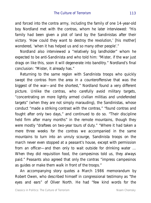and forced into the contra army, including the family of one 14-year-old boy Nordland met with the contras, whom he later interviewed: "His family had been given a plot of land by the Sandinistas after their victory. 'How could they want to destroy the revolution,' [his mother] wondered, 'when it has helped us and so many other people'."

Nordland also interviewed a "relatively big landholder" whom he expected to be anti-Sandinista and who told him: "Mister, if the war just drags on like this, soon it will degenerate into banditry." Nordland's final conclusion: "Mister, it already has."

Returning to the same region with Sandinista troops who quickly swept the contras from the area in a counteroffensive that was the biggest of the war—and the shortest," Nordland found a very different picture. Unlike the contras, who carefully avoid military targets, "concentrating on more lightly armed civilian militias and undefended targets" (when they are not simply marauding), the Sandinistas, whose conduct "made a striking contrast with the contras," "found contras and fought after only two days," and continued to do so. "Their discipline held firm after many months" in the remote mountains, though they were mostly "draftees on two-year tours of duty." "Where it had taken a mere three weeks for the contras we accompanied in the same mountains to turn into an unruly scourge, Sandinista troops on the march never even stopped at a peasant's house, except with permission from an officer—and then only to wait outside for drinking water ... When they did requisition food, the campesinos told us, they always paid." Peasants also agreed that only the contras "impress campesinos as guides or make them walk in front of the troops."

An accompanying story quotes a March 1986 memorandum by Robert Owen, who described himself in congressional testimony as "the eyes and ears" of Oliver North. He had "few kind words for the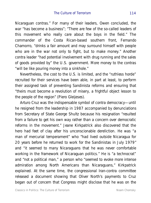Nicaraguan contras." For many of their leaders, Owen concluded, the war "has become a business"; "There are few of the so-called leaders of this movement who really care about the boys in the field." The commander of the Costa Rican-based southern front, Fernando Chamorro, "drinks a fair amount and may surround himself with people who are in the war not only to fight, but to make money." Another contra leader "had potential involvement with drug running and the sales of goods provided by" the U.S. government. More money to the contras "will be like pouring money into a sinkhole."

Nevertheless, the cost to the U.S. is limited, and the "ruthless horde" recruited for their services have been able, in part at least, to perform their assigned task of preventing Sandinista reforms and ensuring that "theirs must become a revolution of misery, a frightful object lesson to the people of the region" (Piero Gleijeses).

Arturo Cruz was the indispensable symbol of contra democracy—until he resigned from the leadership in 1987 accompanied by denunciations from Secretary of State George Shultz because his resignation "resulted from a failure to get his own way rather than a concern over democratic reforms in the movement." Jeane Kirkpatrick also discovered that the hero had feet of clay after his unconscionable dereliction. He was "a man of mercurial temperament" who "had lived outside Nicaragua for 20 years before he returned to work for the Sandinistas in July 1979" and "it seemed to many Nicaraguans that he was never comfortable working in the framework of Nicaraguan politics." He is "a technocrat" and "not a political man," a person who "seemed to evoke more intense admiration among North Americans than Nicaraguans," Kirkpatrick explained. At the same time, the congressional Iran-contra committee released a document showing that Oliver North's payments to Cruz began out of concern that Congress might disclose that he was on the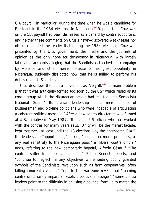CIA payroll, in particular, during the time when he was a candidate for President in the 1984 elections in Nicaragua.**<sup>39</sup>**Reports that Cruz was on the CIA payroll had been dismissed as a canard by contra supporters, and neither these comments on Cruz's newly-discovered weaknesses nor others reminded the reader that during the 1984 elections, Cruz was presented by the U.S. government, the media and the journals of opinion as the only hope for democracy in Nicaragua, with largely fabricated accounts alleging that t[he](#page--1-0) Sandinistas blocked his campaign by violence and other means because of his great popularity in Nicaragua, suddenly dissipated now that he is failing to perform his duties under U.S. orders.

Cruz describes the contra movement as "very ill."**<sup>40</sup>**Its main problem is that "it was artificially formed too soon by the US" which "used as its core a group which the Nicaraguan people had rejected—the Somocista National Guard." Its civilian leadership is "a mere 'clique' of businessmen and old-line politicians who were incapable of articulating a coherent political message." After a new contra directorate was formed at U.S. initiative in May 1987, "the senior US official who has worked with the contras for many years says, 'Unity [wil](#page--1-0)l be the merest façade, kept together—at least until the US elections—by the ringmaster, CIA'"; the leaders are "opportunists," lacking "political or moral principles, or any real sensitivity to the Nicaraguan poor," a "liberal contra official" adds, referring to the new democratic hopeful, Alfredo César.**<sup>41</sup>** "The contras suffer from political anemia," Philip Bennett reports, and "continue to neglect military objectives while raiding poorly guarded symbols of the Sandinista revolution such as farm cooperatives, often killing innocent civilians." Trips to the war zone reveal that "roaming contra units rarely impart an explicit political message." "Some contra leaders point to the difficulty in devising a political formula to match the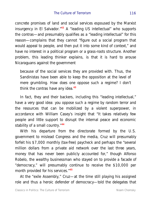concrete promises of land and social services espoused by the Marxist insurgency in El Salvador."**<sup>42</sup>** A "leading US intellectual" who supports the contras—and presumably qualifies as a "leading intellectual" for this reason—complains that they cannot "figure out a social program that would appeal to people, and then put it into some kind of context," and have no interest in a political program or a grass-roots structure. Another problem, this leading thinker explains, is that it is hard to arouse Nicaraguans aga[ins](#page--1-0)t the government

because of the social services they are provided with. Thus, the Sandinistas have been able to keep the opposition at the level of mere grumbling. How does one oppose such a regime? I don't think the contras have any idea.**<sup>43</sup>**

In fact, they and their backers, including this "leading intellectual," have a v[ery](#page--1-0) good idea: you oppose such a regime by random terror and the resources that can be mobilized by a violent superpower, in accordance with William Casey's insight that "It takes relatively few people and little support to disrupt the internal peace and economic stability of a small country."**<sup>44</sup>**

With his departure from the directorate formed by the U.S. government to mislead Congress and the media, Cruz will presumably forfeit his \$7,000 monthly (tax-free) paycheck and perhaps the "several million dollar[s f](#page--1-0)rom a private aid network over the last three years, money that has never been publicly accounted for," though Alfonso Robelo, the wealthy businessman who stayed on to provide a facade of "democracy," will presumably continue to receive the \$10,000 per month provided for his services."**<sup>45</sup>**

At the "exile Assembly," Cruz—at the time still playing his assigned role and thus a heroic defender of democracy—told the delegates that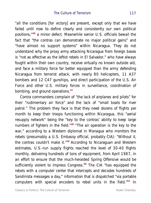"all the conditions [for victory] are present, except only that we have failed until now to define clearly and consistently our own political positions,"**<sup>46</sup>** a minor defect. Meanwhile senior U.S. officials bewail the fact that "the contras can demonstrate no major political gains" and "have almost no support systems" within Nicaragua. They do not understand why the proxy army attacking Nicaragua from foreign bases is "not as effective as the leftist rebels in El Salvador," who have always fought within their own country, receive virtually no known outside aid, and face a mi[lita](#page--1-0)ry force far better equipped than the army defending Nicaragua from terrorist attack, with nearly 80 helicopters, 11 A37 bombers and 12 C47 gunships, and direct participation of the U.S. Air Force and other U.S. military forces in surveillance, coordination of bombing, and ground operations.**<sup>47</sup>**

Contra commanders complain of "the lack of airplanes and pilots" for their "rudimen[tar](#page--1-0)y air force" and the lack of "small boats for river patrol." The problem they face is that they need dozens of flights per month to keep their troops functioning within Nicaragua, this "aerial resupply net[w](#page--1-0)ork" being the "key to the contras' ability to keep large numbers of fighters in the field."**<sup>48</sup>** "The air operation is the key to the war," according to a Western diplomat in Managua who monitors the rebels (presumably a U.S. Embassy official, probably CIA): "Without it, the contras couldn't [mak](#page--1-0)e it."**<sup>49</sup>**According to Nicaraguan and Western estimates, U.S.-run supply flights reached the level of 30-40 flights monthly, delivering hundreds of tons of equipment, from April 1987, in an effort to ensure that the much-heralded Spr[ing](#page--1-0) Offensive would be sufficiently violent to impress Congress.**<sup>50</sup>** The CIA "has equipped the rebels with a computer center that intercepts and decodes hundreds of Sandinista messages a day," information that is dispatched "via portable computers with special encoders to rebel units in the field."**51** In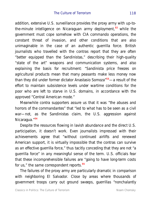addition, extensive U.S. surveillance provides the proxy army with up-tothe-minute intelligence on Nicaraguan army deployment,**<sup>52</sup>**while the government must cope somehow with CIA commando operations, the constant threat of invasion, and other conditions that are also unimaginable in the case of an authentic guerrilla force. British journalists who travelled with the contras report that they are often "better equipped than the Sandini[sta](#page--1-0)s," describing their high-quality "state of the art" weapons and communication systems, and also explaining the basis for recruitment: "Sandinista price freezes on agricultural products mean that many peasants make less money now than they did under former dictator Anastasio Somoza"**<sup>53</sup>**—a result of the effort to maintain subsistence levels under wartime conditions for the poor who are left to starve in U.S. domains, in accordance with the approved "Central American mode."

Meanwhile contra supporters assure us that it was "the abuses and horrors of the commandantes" that "led to what has to be seen as a civil war—not, as the Sandinistas claim, the U.S. aggression against Nicaragua."**<sup>54</sup>**

Despite the resources flowing in lavish abundance and the direct U.S. participation, it doesn't work. Even journalists impressed with their achievements agree that "without continued airlifts and renewed American support, it [is](#page--1-0) virtually impossible that the contras can survive as an effective guerrilla force," thus tacitly conceding that they are not "a guerrilla force" in any meaningful sense of the term. U.S. officials fear that these incomprehensible failures are "going to have long-term costs for us," the same correspondent reports.**<sup>55</sup>**

The failures of the proxy army are particularly dramatic in comparison with neighboring El Salvador. Close by areas where thousands of government troops carry out ground sweeps, guerrillas "nonchalantly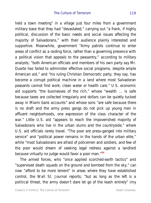held a town meeting" in a village just four miles from a government military base that they had "devastated," carrying out "a frank, if highly political, discussion of the basic needs and social issues affecting the majority of Salvadorans," with their audience plainly interested and supportive. Meanwhile, government "Army patrols continue to enter areas of conflict as a raiding force, rather than a governing presence with a political vision that appeals to the peasantry," according to military analysts; "both American officials and members of his own party say Mr. Duarte has failed to administer effective social programs, despite ample American aid," and "his ruling Christian Democratic party, they say, has become a corrupt political machine in a land where most Salvadoran peasants cannot find work, clean water or health care." U.S. economic aid supports "the businesses of the rich," whose "wealth ... is safe because taxes are collected irregularly and dollars can be quietly tucked away in Miami bank accounts" and whose sons "are safe because there is no draft and the army press gangs do not pick up young men in affluent neighborhoods, one expression of the class character of the war." Little U.S. aid "appears to reach the impoverished majority of Salvadorans who live in the urban slums and the countryside," where U.S. aid officials rarely travel. "[The](#page--1-0) poor are press-ganged into military service" and "political power remains in the hands of the urban elite," while "most Salvadorans are afraid of policemen and soldiers, and few of the poor would dream of seeking legal redress against a landlord because virtually no judge would favor a poor man."**<sup>56</sup>**

The armed forces, who "once applied scorched-earth tactics" and "supervised death squads on the ground and bombed from the sky," can now "afford to be more lenient" in areas where they have established control, the *Wall St. Journal* reports; "but as long as the left is a *political* threat, the army doesn't dare let go of the leash entirely" (my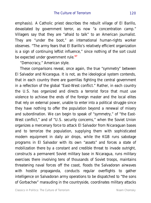emphasis). A Catholic priest describes the rebuilt village of El Barillo, devastated by government terror, as now "a concentration camp." Villagers say tha[t t](#page--1-0)hey are "afraid to talk" to an American journalist. They are "under the boot," an international human-rights worker observes. "The army fears that El Barillo's relatively efficient organization is a sign of continuing leftist influence," since nothing of the sort could be expected under government rule.**<sup>57</sup>**

"Democracy," American style.

These comparisons reveal, once again, the true "symmetry" between El Salvador and Nicaragua. It is not, as the ideological system contends, that in each country there are guerrillas fighting the central government in a reflection of the global "East-West conflict." Rather, in each country the U.S. has organized and directs a terrorist force that must use violence to achieve the ends of the foreign master and the local elites that rely on external power, unable to enter into a political struggle since they have nothing to offer the population beyond a renewal of misery and subordination. We can begin to speak of "symmetry," of "the East-West conflict," and of "U.S. security concerns," when the Soviet Union organizes a mercenary force to attack El Salvador from Nicaraguan bases and to terrorize the population, supplying them with sophisticated modern equipment in daily air drops, while the KGB runs sabotage programs in El Salvador with its own "assets" and forces a state of mobilization there by a constant and credible threat to invade outright, constructs a permanent Soviet military base in Nicaragua, runs military exercises there involving tens of thousands of Soviet troops, maintains threatening naval forces off the coast, floods the Salvadoran airwaves with hostile propaganda, conducts regular overflights to gather intelligence on Salvadoran army operations to be dispatched to "the sons of Gorbachev" marauding in the countryside, coordinates military attacks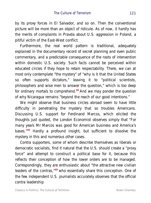by its proxy forces in El Salvador, and so on. Then the conventional picture will be more than an object of ridicule. As of now, it hardly has the merits of complaints in *Pravda* about U.S. aggression in Poland, a pitiful victim of the East-West conflict.

Furthermore, the real world pattern is traditional, adequately explained in the documentary record of secret planning and even public commentary, and a predictable consequence of the roots of intervention within domestic U.S. society. Such facts cannot be perceived within educated circles i[f](#page--1-0) they hope to retain respectability. There, we can at most only contemplate "the mystery" of "why is it that the United States so often supports dictators," leaving it to "political scientists, philosophers and wise men to answer the question," which is too deep for ordinary mortals to comprehend.**<sup>58</sup>**And we may ponder the question of why Nicaragua remains "beyond the reach of our good intentions."

We might observe that business circles abroad seem to have little difficulty in penetrating the mystery that so troubles Americans. Discussing U.S. support for Ferdinand Marcos, which elicited the thoughts just quoted, the London *Economist* observes simply that "For many years Mr Marcos was good for American business and America's bases."**<sup>59</sup>** Hardly a profound insight, but sufficient to dissolve the mystery in this and numerous other cases.

Contra supporters, some of whom describe themselves as liberals or demo[cr](#page--1-0)atic socialists, find it natural that the U.S. should create a "proxy force" and attempt to construct a political base for it, because this reflects their conception of how the lower orders are to be managed. Correspondingly, they are enthusiastic about "the attractive new civilian leaders of the *contras*,<sup>"60</sup> who essentially share this conception. One of the few independent U.S. journalists accurately observes that the official contra leadership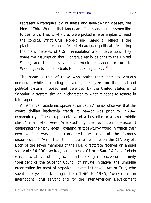represent Nicaragua's old business and land-owning classes, the kind of Third Worlder that American officials and businessmen like to deal with. That is why they were picked in Washington to head the contras. What Cruz, Robelo and Calero all reflect is the plantation mentality that infecte[d](#page--1-0) Nicaraguan political life during the many decades of U.S. manipulation and intervention. They share the assumption that Nicaragua really belongs to the United States, and that it is valid for would-be leaders to turn to Washington to find shortcuts to political legitimacy.**<sup>61</sup>**

The same is true of those who praise them here as virtuous democrats while applauding or averting their gaze from the social and political system imposed and defended by the United States in El Salvador, a system similar in character to what it hopes to restore in Nicaragua.

An American academic specialist on Latin America observes that the contra civilian leadership "tends to be—or was prior to 1979 economically affluent, representative of a tiny elite or a small middle class," men who were "alienated" by the revolution "because it challenged their privileges," creating "a topsy-turvy world in which their own welfare was being considered the equal of the formerly dispossessed." "Almost all the contra leaders are on the CIA payroll. Each of the seven members of the FDN directorate receives an annual salary of \$84,000, tax free, compliments of Uncle Sam." Alfonso Robelo was a wealthy cotton grower and cooking-oil processor, formerly "president of the Superior Council of Private Initiative, the umbrella organization for most of organized private initiative." Arturo Cruz, who spent one year in Nicaragua from 1960 to 1985, "worked as an international civil servant and for the Inter-American Development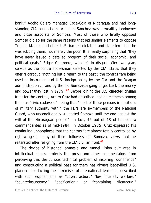bank." Adolfo Calero managed Coca-Cola of Nicaragua and had longstanding CIA connections. Aristides Sánchez was a wealthy landowner and close associate of Somoza. Most of those who finally opposed Somoza did so for the same reasons that led similar elements to oppose Trujillo, Marcos and other U.S.-backed dictators and state terrorists: he was robbing them, not merely the poor. It is hardly surprising that "they have never issued a detailed program of their social, economic, and political goals." Edgar Chamorro, who left in disgust after two years service as t[he](#page--1-0) contra spokesman selected by the CIA, states that they offer Nicaragua "nothing but a return to the past"; the contras "are being used as instruments of U.S. foreign policy by the CIA and the Reagan administration ... and by the old Somozista gang to get back the money and power they lost in 1979."**<sup>62</sup>** Before joining the U.S.-directed civilian front for the contras, Arturo Cruz had described leading elements among them as "civic cadavers," noting that "most of these persons in positions of military authority within the FDN are ex-members of the National Guard, who unconditionally supported Somoza until the end against the will of the Nicaraguan people"[—](#page--1-0)in fact, 46 out of 48 of the *contra commandantes* as of mid-1984. In October 1985, Cruz expressed his continuing unhappiness that the contras "are almost totally controlled by right-wingers, many of them followers of" Somoza, views that he reiterated after resigning from the CIA civilian front.**<sup>63</sup>**

The device of historical amnesia and tunnel vision cultivated in intellectual circles protects the press and other commentators from perceiving that the curious technical problem of inspiring "our friends" and constructing a political base for them has always bedevilled U.S. planners conducting their exercises of international terrorism, described with such euphemisms as "covert action," "low intensity warfare," "counterinsurgency," "pacification," or "containing Nicaragua."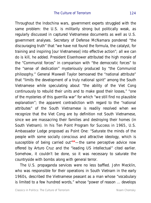Throughout the Indochina wars, government experts struggled with the same problem: the U.S. is militarily strong but politically weak, as regularly discussed in captured Vietnamese documents as well as U.S. government analyses. Secretary of Defense McNamara pondered "the discouraging truth" that "we have not found the formula, the catalyst, for training and inspiring [our Vietnamese] into effective action"; all we can do is kill, he added. President Eisenhower attributed the high morale of the "Communist forces" in comparison with "the democratic forces" to the "sense of dedication" mysteriously produced by "the Communist philosophy." General Maxwell Taylor bemoaned the "national attribute" that "limits the development of a truly national spirit" among the South Vietnamese while speculating about "the ability of the Viet Cong continuously to rebuild their units and to make good their losses," "one of the mysteries of this guerrilla war" for which "we still find no plausible explanation"; the apparent contradiction with regard to the "national attributes" of the South Vietnamese is readily resolved when we recognize that the Viet Cong are by definition not South Vietnamese, since we are m[ass](#page--1-0)acring their families and destroying their homes (in South Vietnam). In his Ten Point Program for Success in 1965, U.S. Ambassador Lodge proposed as Point One: "Saturate the minds of the people with some socially conscious and attractive ideology, which is susceptible of being carried out"**<sup>64</sup>**—the same perceptive advice now offered by Arturo Cruz and the "leading US intellectual" cited earlier. Somehow, it couldn't be done, so it was necessary to saturate the countryside with bombs along with general terror.

The U.S. propaganda services were no less baffled. John Mecklin, who was responsible for their operations in South Vietnam in the early 1960s, described the Vietnamese peasant as a man whose "vocabulary is limited to a few hundred words," whose "power of reason ... develops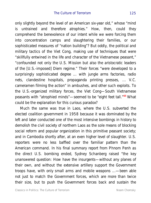only slightly beyond the level of an American six-year old," whose "mind is untrained and therefore atrophies." How, then, could they comprehend the benevolence of our intent while we were forcing them into concentration camps and slaughtering their families, or our sophisticated measures of "nation building"? But oddly, the political and military tactics of the Viet Cong, making use of techniques that were "skillfully entwined in the life and character of the Vietnamese peasant," "confounded not only the U.S. Mission but also the aristocratic leaders of the [U.S.-imposed] Diem regime." Their forces "were developed to a surprisingly sophisticated degree ... with jun[gl](#page--1-0)e arms factories, radio nets, clandestine hospitals, propaganda printing presses, ... V.C. cameramen filming the action" in ambushes, and other such exploits. To the U.S.-organized military forces, the Viet Cong—South Vietnamese peasants with "atrophied minds"—seemed to be "eight feet tall."**<sup>65</sup>**What could be the explanation for this curious paradox?

Much the same was true in Laos, where the U.S. subverted the elected coalition government in 1958 because it was dominated by the left and later conducted one of the most intensive bombings in history to demolish the civil society of northern Laos as the sole means of blocking social reform and popular organization in this primitive peasant society; and in Cambodia shortly after, at an even higher level of slaughter. U.S. reporters were no less baffled over the familiar pattern than the American command. In his final summary report from Phnom Penh as the direct U.S. bombing ended, Sydney Schanberg raised "the key unanswered question: How have the insurgents—without any planes of their own, and without the extensive artillery support the Government troops have, with only small arms and mobile weapons ...—been able not just to match the Government forces, which are more than twice their size, but to push the Government forces back and sustain the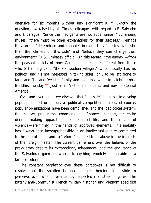offensive for six months without any significant lull?" Exactly the question now raised by his *Times* colleagues with regard to El Salvador and Nicaragua. "Since the insurgents are not superhuman," Schanberg muses, "there must be other explanations for their success." Perhaps they are so "determined and capable" because they "are less fatalistic than the Khmers on this side" and "believe they can change their environment" (U.S. Embassy official). In this regard, "the enemy"—from [th](#page--1-0)e peasant society of inner Cambodia—are quite different from those who Schanberg calls "the Cambodian villager," who "usually has no politics" and "is not interested in taking sides, only to be left alone to farm and fish and feed his family and once in a while to celebrate on a Buddhist holiday."**<sup>66</sup>**Just as in Vietnam and Laos, and now in Central America.

Over and over again, we discover that "our side" is unable to develop popular support or to survive political competition, unless, of course, popular organizations have been demolished and the ideological system, the military, production, commerce and finance—in short, the entire decision-making apparatus, the means of life, and the means of violence—are firmly in the hands of approved elements. This inability has always been incomprehensible in an intellectual culture committed to the rule of force, and to "reform" dictated from above in the interests of the foreign master. The current bafflement over the failures of the proxy army despite its extraordinary advantages, and the endurance of the Salvadoran guerrillas who lack anything remotely comparable, is a familiar refrain.

The constant perplexity over these paradoxes is not difficult to resolve, but the solution is unacceptable, therefore impossible to perceive, even when presented by respected mainstream figures. The bitterly anti-Communist French military historian and Vietnam specialist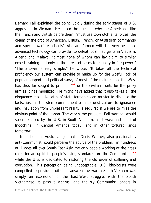Bernard Fall explained the point lucidly during the early stages of U.S. aggression in Vietnam. He raised the question why the Americans, like the French and British before them, "must use top-notch elite forces, the cream of the crop of American, British, French, or Australian commando and special warfare schools" who are "armed with the very best that advanced technology can provide" to defeat local insurgents in Vietnam, Algeria and Malaya, "almost none of whom can lay claim to similar expert training [and](#page--1-0) only in the rarest of cases to equality in fire power." "The answer is very simple," he wrote. "It takes all the technical proficiency our system can provide to make up for the woeful lack of popular support and political savvy of most of the regimes that the West has thus far sought to prop up,"**<sup>67</sup>** or the civilian fronts for the proxy armies it has mobilized. He might have added that it also takes all the eloquence that advocates of state terrorism can muster to disguise the facts, just as the stern commitment of a terrorist culture to ignorance and insulation from unpleasant reality is required if we are to miss the obvious point of the lesson. The very same problem, Fall warned, would soon be faced by the U.S. in South Vietnam, as it was; and in all of Indochina, in Central America today, and in o[th](#page--1-0)er tortured lands tomorrow.

In Indochina, Australian journalist Denis Warner, also passionately anti-Communist, could perceive the source of the problem: "in hundreds of villages all over South-East Asia the only people working at the grass roots for an uplift in people's living standards are the Communists,"**<sup>68</sup>** while the U.S. is dedicated to restoring the old order of suffering and corruption. This perception being unacceptable, U.S. ideologists were compelled to provide a different answer: the war in South Vietnam was simply an expression of the East-West struggle, with the South Vietnamese its passive victims; and the sly Communist leaders in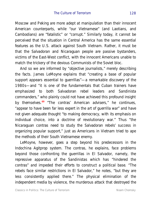Moscow and Peking are more adept at manipulation than their innocent American counterparts, while "our Vietnamese" (and Laotians, and Cambodians) are "fatalistic" or "corrupt." Similarly today, it cannot be perceived that the situation in Central America has the same essential features as the U.S. attack against South Vietnam. Rather, it must be that the Salvadoran and Nicaraguan people are passive bystanders, victims of the East-West conflict, with the innocent Americans unable to match the trickery of the devious Communists of the Soviet bloc.

And so we are informed by "objective journalists," merely describing the facts. James LeMoyne explains that "creating a base of popular support appears essential to guerrillas"—a remarkable discovery of the 1980s—and "it is one of the fundamentals that Cuban trainers have emphasized to both Salvadoran rebel leaders and Sandinista commanders," who plainly could not have achieved this profound insight by themselves.**<sup>69</sup>**"The contras' American advisers," he continues, "appear to have been far less expert in the art of guerrilla war" and have not given adequate thought "to making democracy, with its emphasis on individual choice, into a doctrine of revolutionary war." Thus "the Nicaraguan contras need to study the Salvadoran rebels' success in organizing popular support," just as Americans in Vietnam tried to ape the methods of their South Vietnamese enemy.

LeMoyne, however, goes a step beyond his predecessors in the Indochina Agitprop system. The contras, he explains, face problems beyond those confronting the guerrillas in El Salvador, namely, the repressive apparatus of the Sandinistas which has "hindered the contras" and impeded their efforts to construct a political base. "The rebels face similar restrictions in El Salvador," he notes, "but they are less consistently applied there." The physical elimination of the independent media by violence, the murderous attack that destroyed the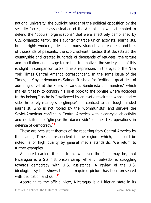national university, the outright murder of the political opposition by the security forces, the assassination of the Archbishop who attempted to defend the "popular organizations" that were effectively demolished by U.S.-organized terror, the slaughter of trade union activists, journalists, human rights workers, priests and nuns, students and teachers, and tens of thousands of peasants, the scorched-earth tactics that devastated the countryside and created hundreds of thousands of refugees, the torture and mutilation and savage terror that traumatized the society—all of this is slight in comparison to Sandinista repression, in the eyes of the *New York Times* Central America correspondent. In the same issue of the *Times,* LeMoyne denounces Salman Rushdie for "writing a great deal of admiring drivel at the knees of various Sandinista commanders" which makes it "easy to consign his brief book to the bonfire where accepted truths belong," as he is "swallowed by an exotic revolution whose darker side[s h](#page--1-0)e barely manages to glimpse"—in contrast to this tough-minded journalist, who is not fooled by the "Communists" and surveys the Soviet-American conflict in Central America with clear-eyed objectivity and no failure to "glimpse the darker side" of the U.S. operations in defense of democracy.**<sup>70</sup>**

These are persistent themes of the reporting from Central America by the leading *Times* correspondent in the region—which, it should be noted, is of high quality by general media standards. We return to further examples.

As [no](#page--1-0)ted earlier, it is a truth, whatever the facts may be, that Nicaragua is a Stalinist prison camp while El Salvador is struggling towards democracy with U.S. assistance. A review of the U.S. ideological system shows that this required picture has been presented with dedication and skill.**<sup>71</sup>**

According to the official view, Nicaragua is a Hitlerian state in its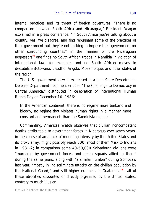internal practices and its threat of foreign adventures. "There is no comparison between South Africa and Nicaragua," President Reagan explained in a press conference. "In South Africa you're talking about a country, yes, we disagree, and find repugnant some of the practices of their government but they're not seeking to impose their government on other surrounding countries" in the manner of the Nicaraguan aggressors**<sup>72</sup>**one finds no South African troops in Namibia in violation of international law, for example, and no South African moves to destabilize Botswana, Lesotho, Angola, Mozambique, and other states of the region.

The U.S. government view is expressed in a joint State Department-Defense Department document entitled "The Challenge to Democracy in Central America," distributed in celebration of International Human Rights Day on December 10, 1986:

In the American continent, there is no regime more barbaric and bloody, no regime that violates human rights in a manner more constant and permanent, than the Sandinista regime.

Commenting, Americas Watch observes that civilian noncombatant deaths attributable to government forces in Nicaragua over seven years, in the course of an attack of mounting intensity by the United States and its proxy army, might possibly reach 300, most of them Miskito Indians in 1981-2; in comparison some 40-50,00[0 S](#page--1-0)alvadoran civilians were "murdered by government forces and death squads allied to them" during the same years, along with "a similar number" during Somoza's last year, "mostly in indiscriminate attacks on the civilian population by the National Guard," and still higher numbers in Guatemala**<sup>73</sup>**—all of these atrocities supported or directly organized by the United States, contrary to much illusion.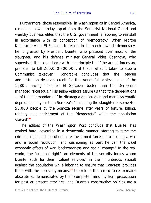Furthermore, those responsible, in Washington as in Central America, remain in power today, apart from the Somozist National Guard and wealthy business elites that the U.S. government is laboring to reinstall in accordance with its conception of "democracy." When Morton Kondracke visits El Salvador to rejoice in its march towards democracy, he is greeted by President Duarte, who presided over most of the slaughter, and his defense minister General Vides Casanova, who supervised it in accordance with his principle that "the armed forces are prepared to kill 200,000-300,000, if that's what it takes to stop a Communist takeover." Kondracke concludes that the Reagan administration deserves credit for the wonderful achievements of the 1980s, having "handled El Salvador better than the Democrats managed Nicaragua." His fellow-editors assure us that "the depredations ... of the *commandantes"* in Nicaragua are "greater and more systematic depredations by far than Somoza's," including the slaughter of some 40- 50,000 people by the Somoza regime after years of torture, killing, robbery and enrichment of the "democrats" while the population starved?**<sup>74</sup>**

The editors of the *Washington Post* conclude that Duarte "has worked hard, governing in a democratic manner, starting to tame the criminal right and to subordinate the armed forces, prosecuting a war and a social revolution, and cushioning as best he can the cruel economic effe[cts](#page--1-0) of war, backwardness and social change." In the real world, the "criminal right" are elements of the security forces whom Duarte lauds for their "valiant services" in their murderous assault against the population while laboring to ensure that Congress provides them with the necessary means,**<sup>75</sup>** the rule of the armed forces remains absolute as demonstrated by their complete immunity from prosecution for past or present atrocities, and Duarte's constructive policies are a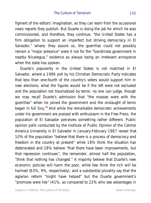figment of the editors' imagination, as they can learn from the occasional news reports they publish. But Duarte is doing the job for which he was commissioned, and therefore, they continue, "the United States has a firm obligation to support an imperfect but striving democracy in El Salvador," where, they assure us, the guerrillas could not possibly remain a "major presence" were it not for the "Sandinista government in nearby Nicaragua," evidence as always being an irrelevant annoyance when the state has spoken.

Duarte's popularity in the United States is not matched in El Salvador, where a 1986 poll by his Christian Democratic Party indicates that less than one-fourth of the country's voters would support him in [n](#page--1-0)ew elections; what the figures would be if the left were not excluded and the population not traumatized by terror, no one can judge, though we may recall Duarte's admission that "the masses were with the guerrillas" when he joined the government and the onslaught of terror began in full fury.**<sup>76</sup>**And while the remarkable democratic achievements under his government are praised with enthusiasm in the Free Press, the population of El Salvador perceives something rather different. Public opinion polls conducted by the Institute of Public Opinion of the Central America University in El Salvador in January-February 1987 reveal that 10% of the population "believe that there is a process of democracy and freedom in the country at present" while 18% think the situation has deteriorated and 28% believe "that there have been improvements, but that repression continues"; the remainder, almost half the population, "think that nothing has changed." A majority believe that Duarte's new economic policies will harm the poor, while few think the rich will be harmed (63%, 9%, respectively), and a substantial plurality say that the agrarian reform "might have helped" but the Duarte government's "promises were lies" (41%, as compared to 22% who see advantages in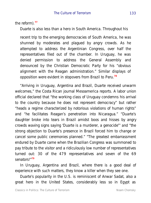the reform).**<sup>77</sup>**

Duarte is also less than a hero in South America. Throughout his

recent trip to the emerging democracies of South America, he was shunned by moderates and plagued by angry crowds. As he attempted to address the Argentinian Congress, over half the representatives filed out of the cha[mb](#page--1-0)er. In Uruguay, he was denied permission to address the General Assembly and denounced by the Christian Democratic Party for his "obvious alignment with the Reagan administration." Similar displays of opposition were evident in stopovers from Brazil to Peru.**<sup>78</sup>**

"Arriving in Uruguay, Argentina and Brazil, Duarte received unwarm welcomes," the Costa Rican journal *Mesoamerica* reports. A labor union official declared that "the working class of Uruguay condemns his arrival to the country because he does not represent democracy" but rather "heads a regime characterized by notorious violations of human rights" and "he facilitates Reagan's penetration into Nicaragua." "Duarte's daughter broke into tears in Brazil amidst boos and hisses by angry crowds waving signs saying 'Duarte is a murderer, a genocide"' and "the strong objection to Duarte's presence in Brazil forced him to change or cancel some public ceremonies planned." "The greatest embarrassment endured by Duarte came when the Brazilian Congress was summoned to pay tribute to the visitor and a ridiculously low number of representatives turned out: 30 of the 479 representatives and seven of the 69 senators!"**<sup>79</sup>**

In Uruguay, Argentina and Brazil, where there is a good deal of experience with such matters, they know a killer when they see one.

Duarte's popularity in the U.S. is reminiscent of Anwar Sadat, also a great hero in the United States, considerably less so in Egypt as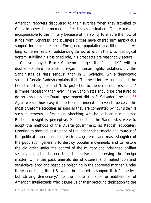American reporters discovered to their surprise when they travelled to Cairo to cover the memorial after his assassination. Duarte remains indispensable to the military because of his ability to ensure the flow of funds from Congress, and business circles have offered him ambiguous support for similar reasons. The general population has little choice. As long as he remains an outstanding democrat within the U.S. ideological system, fulfilling his assigned role, his prospects are reasonably secure.

Contra lobbyist Bruce Cameron charges the "liberal-left" with a double standard because it regards human rights violations by the Sandinistas as "less serious" than in El Salvado[r, w](#page--1-0)hile democratic socialist Ronald Radosh explains that "The need for pressure against the [Sandinista] regime" and "U.S. protection to the democratic resistance" is "more necessary than ever"; "The Sandinistas should be pressured to do no less than the Duarte government did in El Salvador," he adds.**<sup>80</sup>** Again we see how easy it is to tolerate, indeed not even to perceive the most gruesome atrocities as long as they are committed by "our side." If such statements at first seem shocking, we should bear in mind that Radosh's insight is perceptive. Suppose that the Sandinistas were to adopt the methods of the Duarte government, as Radosh advocates, resorting to physical destruction of the independent media and murder of the political opposition along with savage terror and mass slaughter of the population generally to destroy popular movements and to restore the old order under the control of the military and privileged civilian sectors dedicated to enriching themselves and serving the foreign master, while the pack animals die of disease and malnutrition and semi-slave labor and pesticide poisoning in the approved manner. Under these conditions, the U.S. would be pleased to support their "imperfect but striving democracy," to the polite applause or indifference of American intellectuals who assure us of their profound dedication to the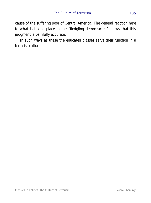cause of the suffering poor of Central America, The general reaction here to what is taking place in the "fledgling democracies" shows that this judgment is painfully accurate.

In such ways as these the educated classes serve their function in a terrorist culture.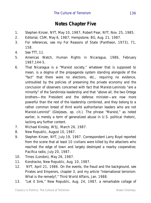# **Notes Chapter Five**

- 1. Stephen Kinzer, *NYT,* May 10, 1987; Robert Pear, *NYT,* Nov. 25, 1985.
- 2. Editorial, *CSM,* May 6, 1987; Hempstone, *BG,* Aug. 21, 1987.
- 3. For references, see my *For Reasons of State* (Pantheon, 1973), 71, 158.
- 4. See *TTT,* 11.
- 5. Americas Watch, *Human Rights in Nicaragua, 1986,* February 1987,144-5.
- 6. That Nicaragua is a "Marxist society," whatever that is supposed to mean, is a dogma of the propaganda system standing alongside of the "fact" that there were no elections, etc., requiring no evidence, untroubled by the policies of preserving the private economy and the conclusion of observers concerned with fact that Marxist-Leninists "are a minority" of the Sandinista leadership and that "above all, the two Ortega brothers—the President and the defense minister—are now more powerful than the rest of the leadership combined, and they belong to a rather common breed of third world authoritarian leaders who are not Marxist-Leninist" (Gleijeses, *op. cit.).* The phrase "Marxist," as noted earlier, is merely a term of generalized abuse in U.S. political rhetoric, lacking any further content.
- 7. Michael Kinsley, *WSJ,* March 26, 1987.
- 8. *New Republic,* August 10, 1987.
- 9. Stephen Kinzer, *NYT,* July 19, 1987. Correspondent Larry Boyd reported from the scene that at least 10 civilians were killed by the attackers who reached the edge of town and largely destroyed a nearby cooperative; Pacifica radio, July 20, 1987.
- 10. *Times* (London), May 26, 1987.
- 11. Kondracke, *New Republic,* Aug. 10, 1987.
- 12. *NYT,* April 21, 1986. On the events, the fraud and the background, see *Pirates and Emperors,* chapter 3, and my article "International terrorism: What is the remedy?," *Third World Affairs,* Jan. 1988.
- 13. "Let it Sink," *New Republic,* Aug. 24, 1987, a remarkable collage of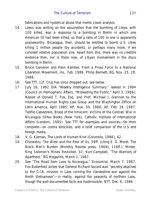fabrications and hysterical abuse that merits closer analysis.

- 14. Lewis was writing on the assumption that the bombing of Libya, with 100 killed, was a response to a bombing in Berlin in which one American GI had been killed, so that a ratio of 100 to one is apparently praiseworthy. Nicaragua, then, should be entitled to bomb U.S. cities killing 1 million people (by accident), or perhaps many more, if we consider relative population size. Apart from this, there was no credible evidence then, nor is there now, of Libyan involvement in the disco bombing in Berlin.
- 15. Bruce Cameron and Penn Kemble, *From a Proxy Force to a National Liberation Movement,* ms., Feb. 1986. Philip Bennett, *BG,* Nov. 25, 29, 1986.
- 16. See *TTT*, 12f. Cruz has since dropped out; see below.
- 17. July 16, 1982 DIA "Weekly Intelligence Summary," leaked in 1984 (Council on Hemispheric Affairs, "Misleading the Public," April 3, 1986); *Report of Donald T. Fox, Esq. and Prof. Michael I. Glennon to the International Human Rights Law Group and the Washington Office on Latin America,* April 1985; AP, Nov. 30, 1986; AP, Feb. 26, 1987; Teófilo Cabestrero, *Blood of the Innocent: Victims of the Contras' War in Nicaragua* (Orbis Books (New York), Catholic Institute of International Affairs (London), 1985). See *TTT* for examples and sources—far from complete—on contra atrocities, and a brief comparison of the U.S and foreign media.
- 18. V. G. Kiernan, *The Lords of Human Kind* (Columbia, 1986), 42.
- 19. Chinweizu, *The West and the Rest of Us,* 59ff. (citing E. D. Morel, *The Black Man's Burden* (Monthly Review press, 1969), 116ff.); Minter, *King Solomon's Mines Revisited,* 32; Kurt Campbell, "The Warriors of Apartheid," *BG* Magazine, March 1, 1987.
- 20. See "The Road from Laos to Nicaragua," *Economist,* March 7, 1987. Fox Butterfield writes that General Richard Secord was "secretly attached to the C.I.A. mission in Laos running the clandestine war against the North Vietnamese"—in reality, against the peasants of northern Laos, though the well-documented facts are inadmissible; *NYT,* Dec. 6, 1986.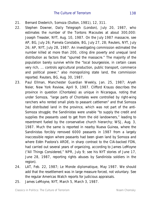- 21. Bernard Diederich, *Somoza* (Dutton, 1981), 12, 311.
- 22. Stephen Downer, *Daily Telegraph* (London), July 20, 1987, who estimates the number of the Tontons Macoutes at about 300,000: Joseph Treaster, *NYT,* Aug. 10, 1987. On the July 1987 massacre, see AP, *BG,* July 26; Pamela Constable, *BG,* July 27, 28; Reuters, *NYT,* July 26; AP, *NYT,* July 28, 1987. An investigating commission estimated the number killed at more than 200, citing dire poverty and unequal land distribution as factors that "spurred the massacre." The majority of the population barely survive while the "local bourgeoisie, in certain cases very rich, ... controls agricultural production, public transport, commerce and political power," also monopolizing state land, the commission reported. Reuters, *BG,* Aug. 30, 1987.
- 23. Paul Ellman, *Manchester Guardian Weekly,* Jan. 25, 1987; Aryeh Neier, *New York Review,* April 9, 1987. Clifford Krauss describes the province in question (Chontales) as unique in Nicaragua, noting that under Somoza, "large parts of Chontales were controlled by right-wing ranchers who rented small plots to peasant cattlemen" and that Somoza had distributed land in the province, which was not part of the anti-Somoza struggle; the Sandinistas were unable "to supply the credit and supplies the peasants used to get from the old landowners," leading to resentment fueled by the conservative church hierarchy; *WSJ,* Aug. 3, 1987. Much the same is reported in nearby Nueva Guinea, where the Sandinistas forcibly removed 6000 peasants in 1987 from a largely inaccessible region where peasants had been given land by Somoza and where Edén Pastora's ARDE, in sharp contrast to the CIA-backed FDN, had carried out several years of organizing, according to James LeMoyne ("All Things Considered," NPR, July 9; see his *NYT* stories of June 17, June 28, 1987, reporting rights abuses by Sandinista soldiers in the region).
- 24. *LAT,* Feb. 22, 1987; *Le Monde diplomatique,* May 1987. We should add that the resettlement was in large measure forced, not voluntary. See the regular Americas Watch reports for judicious appraisals.
- 25. James LeMoyne, *NYT,* March 5, March 3, 1987.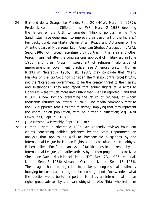- 26. Bertrand de la Grange, *Le Monde,* Feb. 20 *(MGW,* March 1, 1987); Frederick Kempe and Clifford Krauss, *WSJ,* March 2, 1987, deploring the failure of the U.S. to consider "Miskito politics" while "the Sandinistas have done much to improve their treatment of the Indians." For background, see Martin Diskin et al., *Peace and Autonomy on the Atlantic Coast of Nicaragua,* Latin American Studies Association (LASA), Sept. 1986. On forced recruitment by contras in this area and other terror, intensified after the congressional approval of military aid in June 1986, and their "brutal mistreatment of refugees," alongside of improvement in government practice, see Americas Watch, *Human Rights in Nicaragua 1986,* Feb. 1987; they conclude that "Many Miskitos on the Rio Coco now consider [the Miskito contra force] KISAN, not the Nicaraguan government, to be the greater threat to their safety and livelihoods." They also report that earlier flights of Miskitos to Honduras were "much more involuntary than we first reported," and that KISAN is now forcibly preventing the return of refugees, of whom thousands returned voluntarily in 1986. The media commonly refer to the CIA-supported rebels as "the Miskitos," implying that they represent the entire Indian population, with no further qualification; e.g., Neil Lewis, *MYT,* Sept. 25, 1987.
- 27. Julia Preston, *WP weekly,* Sept. 21, 1987.
- 28. *Human Rights in Nicaragua 1986.* An Appendix reviews fraudulent claims concerning political prisoners by the State Department, an analysis that applies as well to irresponsible allegations by the International League for Human Rights and its consultant, contra lobbyist Robert Leiken. For further analysis of falsifications in the report by the International League and earlier articles by its then-program director Nina Shea, see David MacMichael, letter, *NYT,* Dec. 23, 1985; editorial, *Nation,* Sept. 6, 1986; Alexander Cockburn, *Nation,* Sept. 13, 1986. The League had no objection to Leiken's congressional testimony lobbying for contra aid, citing the forthcoming report. One wonders what the reaction would be to a report on Israel by an international human rights group advised by a Libyan lobbyist for Abu Nidal who led them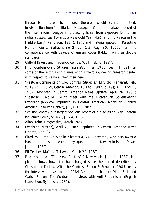through Israel (to which, of course, the group would never be admitted, in distinction from "totalitarian" Nicaragua). On the remarkable record of the International League in protecting Israel from exposure for human rights abuses, see *Towards a New Cold War,* 450, and my *Peace in the Middle East?* (Pantheon, 1974), 197; and material quoted in *Palestine Human Rights Bulletin,* no 2, pp. 1-5, Aug. 30, 1977, from my correspondence with League Chairman Roger Baldwin on their double standards.

- 29. Clifford Krauss and Frederick Kempe, *WSJ,* Feb. 6, 1987.
- 30. *J*. *of Contemporary Studies,* Spring/Summer, 1985; see *TTT,* 131, on some of the astonishing claims of this weird right-wing research center with respect to Pastora, then their hero.
- 31. "Pastora Comments on CIA, Contras' Struggle," *El Siglo* (Panama), Feb. 9, 1987 (FBIS VI, Central America, 10 Feb. 1987, p. 19); AFP, April 7, 1987, reprinted in *Central America News Update,* April 26, 1987; "Pastora: I would like to meet with the Nicaraguan Government," *Excelsior* (Mexico), reprinted in *Central American NewsPak* (Central America Resource Center), July 6-19, 1987.
- 32. See the lengthy but largely vacuous report of a discussion with Pastora by James LeMoyne, *NYT,* July 4, 1987.
- 33. Allan Nairn. *Progressive,* March 1987.
- 34. *Excelsior* (Mexico), April 2, 1987, reprinted in *Central America News Update,* April 27.
- 35. Cited by Burns, *At War in Nicaragua,* 74; Rosenthal, who also owns a bank and an insurance company, quoted in an interview in Israel, *Davar,*  June 1, 1987.
- 36. Eli Teicher, *Ma'ariv* (Tel Aviv), March 20, 1987.
- 37. Rod Nordland, "The New Contras?," *Newsweek,* June 1, 1987. His picture shows how little has changed since the period described by Christopher Dickey, *With the Contras* (Simon & Schuster, 1985) or by the interviews presented in a 1984 German publication: Dieter Eich and Carlos Rincón, *The Contras: Interviews with Anti-Sandinistas* (English translation, Synthesis, 1985).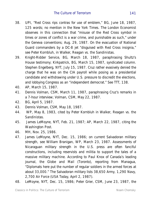- 38. UPI, "Red Cross rips contras for use of emblem," *BG,* June 18, 1987, 125 words; no mention in the *New York* Times. The London *Economist*  observes in this connection that "misuse of the Red Cross symbol in times or zones of conflict is a war crime, and punishable as such," under the Geneva conventions; Aug. 29, 1987. On the evacuation of National Guard commanders by a DC-8 jet "disguised with Red Cross insignia," see Peter Kornbluh, in Walker, *Reagan vs. the Sandinistas.*
- 39. Knight-Ridder Service, *BG,* March 18, 1987, paraphrasing Shultz's House testimony; Kirkpatrick, *BG,* March 15, 1987, syndicated column. Stephen Engelberg, *NYT,* July 15, 1987. Cruz rather evasively denied the charge that he was on the CIA payroll while posing as a presidential candidate and withdrawing under U.S. pressure to discredit the elections, and lobbying Congress as an "independent democrat." See *TTT,* 138.
- 40. AP, March 15, 1987.
- 41. Dennis Volman, *CSM,* March 11, 1987, paraphrasing Cruz's remarks in a 7-hour interview; Volman, *CSM,* May 22, 1987.
- 42. *BG,* April 5, 1987.
- 43. Dennis Volman, *CSM,* May 18, 1987.
- 44. *WP,* May 8, 1983, cited by Peter Kornbluh in Walker, *Reagan vs. the Sandinistas.*
- 45. James LeMoyne, *NYT,* Feb. 21, 1987; AP, March 22, 1987, citing the *Washington Post.*
- 46. *MH,* Nov. 25, 1986.
- 47. James LeMoyne, *NYT,* Dec. 15, 1986; on current Salvadoran military strength, see William Branigan, *WP,* March 23, 1987. Assessments of Nicaraguan military strength in the U.S. press are often fanciful constructions, including reservists and militia to support the tales of a massive military machine. According to Paul Knox of Canada's leading journal, the *Globe and Mail* (Toronto), reporting from Managua, "Diplomats here put the number of regular soldiers in the armed forces at about 33,000." The Salvadoran military lists 38,650 Army, 1,290 Navy, 2,700 Air Force *(USA Today,* April 2, 1987).
- 48. LeMoyne, *NYT,* Dec. 15, 1986; Peter Grier, *CSM,* June 23, 1987, the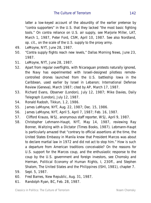latter a low-keyed account of the absurdity of the earlier pretense by "contra supporters" in the U.S. that they lacked "the most basic fighting tools." On contra reliance on U.S. air supply, see Marjorie Miller, *LAT,*  March 1, 1987, Peter Ford, *CSM,* April 10, 1987. See also Nordland, *op. cit.,* on the scale of the U.S. supply to the proxy army.

- 49. LeMoyne, *NYT,* June 28, 1987.
- 50. "Contra supply flights reach new levels," *Dallas Morning News,* June 23, 1987.
- 51. LeMoyne, *NYT,* June 28, 1987.
- 52. Apart from regular overflights, with Nicaraguan protests naturally ignored, the Navy has experimented with Israeli-designed pilotless remotecontrolled drones launched from the U.S. battleship Iowa in the Caribbean, used earlier by Israel in Lebanon; *International Defense Review* (Geneva), March 1987; cited by AP, March 17, 1987.
- 53. Richard Evans, *Observer* (London), July 12, 1987; Mike Davies, *Daily Telegraph* (London), July 12, 1987.
- 54. Ronald Radosh, *Tikkun,* 1.2, 1986.
- 55. James LeMoyne, *NYT,* Aug. 22, 1987; Dec. 15, 1986.
- 56. James LeMoyne, *NYT,* April 5, April 7, 1987; Feb. 16, 1987.
- 57. Clifford Krauss, *WSJ,* anonymous staff reporter, *WSJ,* April 9, 1987.
- 58. Christopher Lehmann-Haupt, *NYT,* May 14, 1987, reviewing Ray Bonner, *Waltzing with a Dictator* (Times Books, 1987). Lebmann-Haupt is particularly amazed that "contrary to official assertions at the time, the United States Embassy in Manila knew that President Marcos was about to declare martial law in 1972 and did not act to stop him." How is such a departure from American traditions conceivable? On the reasons for U.S. support for the Marcos coup, and the enthusiastic response to the coup by the U.S. government and foreign investors, see Chomsky and Herman, *Political Economy of Human Rights,* I, 230ff., and Stephen Shalom, *The United States and the Philippines* (ISHI, 1981), chapter *7.*
- 59. Sept. 5, 1987.
- 60. Fred Barnes, *New Republic,* Aug. 31, 1987.
- 61. Randolph Ryan, *BC,* Feb. 28, 1987.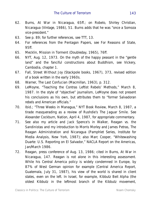- 62. Burns, *At War in Nicaragua,* 65ff.; on Robelo, Shirley Christian, *Nicaragua* (Vintage, 1986), 51. Burns adds that he was "once a Somoza vice-president."
- 63. See p. 89; for further references, see *TTT,* 13.
- 64. For references from the *Pentagon Papers,* see *For Reasons of State,*  95ff.
- 65. Mecklin, *Mission in Torment* (Doubleday, 1965), 76ff.
- 66. *NYT,* Aug. 12, 1973. On the myth of the happy peasant in the "gentle land" and the fanciful constructions about Buddhism, see Vickery, *Cambodia,* chapter 1.
- 67. Fall, *Street Without Joy* (Stackpole books, 1967), 373, revised edition of a book written in the early 1960s.
- 68. Warner, *The Last Confucian* (Macmillan, 1963), p. 312.
- 69. LeMoyne, "Teaching the Contras Leftist Rebels' Methods," March 8, 1987. In the style of "objective" journalism, LeMoyne does not present his conclusions as his own, but attributes them to "former Salvadoran rebels and American officials."
- 70. *Ibid*.; "Three Weeks in Managua," *NYT Book Review,* March 8, 1987, a tirade masquerading as a review of Rushdie's *The Jaguar Smile.* See Alexander Cockburn, *Nation,* April 4, 1987, for appropriate commentary.
- 71. See also my article and Jack Spence's in Walker, *Reagan vs. the Sandinistas* and my introduction to Morris Morley and James Petras, *The Reagan Administration and Nicaragua* (Pamphlet Series, Institute for Media Analysis, New York, 1987); also Marc Cooper, "Whitewashing Duarte: U.S. Reporting on El Salvador," NACLA *Report on the Americas,*  Jan/March 1986.
- 72. Reagan, press conference of Aug. 13, 1986; cited in Burns, *At War in Nicaragua,* 147. Reagan is not alone in this interesting assessment. While his Central America policy is widely condemned in Europe, by 87% of West German opinion for example *(Central America Report,*  Guatemala, July 31, 1987), his view of the world is shared in client states, even on the left. In Israel, for example, Kibbutz Beit Alpha (the oldest Kibbutz in the leftmost branch of the Kibbutz movement,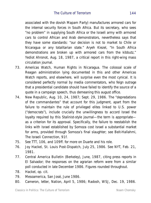associated with the dovish Mapam Party) manufactures armored cars for the internal security forces in South Africa. But its secretary, who sees "no problem" in supplying South Africa or the Israeli army with armored cars to control African and Arab demonstrators, nevertheless says that they have some standards: "our decision is not to market to Chile or Nicaragua or any totalitarian state." Aryeh Kiezel, "In South Africa demonstrations are broken up with armored cars from the kibbutz," *Yediot Ahronot,* Aug. 18, 1987, a critical report in this right-wing mass circulation journal.

- 73. Americas Watch, *Human Rights in Nicaragua.* The colossal scale of Reagan administration lying documented in this and other Americas Watch reports, and elsewhere, will surprise even the most cynical. It is considered perfectly normal by media commentators, who feign outrage that a presidential candidate should have failed to identify the source of a quote in a campaign speech, thus demeaning this august office.
- 74. *New Republic,* Aug. 10, 24, 1987; Sept. 29, 1986. The "depredations of the *commandantes"* that account for this judgment, apart from the failure to maintain the rule of privileged elites linked to U.S. power ("democrats"), include crucially the unwillingness to accord Israel the loyalty required by this Stalinist-style journal—the term is appropriate as a criterion for its approval. Specifically, the failure to reestablish the links with Israel established by Somoza cost Israel a substantial market for arms, provided through Somoza's final slaughter; see Beit-Hallahmi, *The Israeli Connection,* 91f.
- 75. See *TTT,* 106, and 109ff. for more on Duarte and his role.
- 76. Joy Hackel, *St. Louis Post-Dispatch,* July 25, 1986. See *NYT,* Feb. 21, 1981.
- 77*. Central America Bulletin* (Berkeley), June, 1987, citing press reports in El Salvador; the responses on the agrarian reform were from a similar poll conducted in late December 1986. Figures rounded throughout.
- 78. Hackel, *op. cit.*
- 79. *Mesoamerica,* San José, June 1986.
- 80. Cameron, letter, *Nation,* April 5, 1986; Radosh, *WSJ,* Dec. 19, 1986.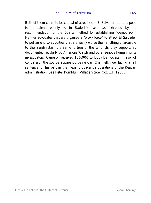Both of them claim to be critical of atrocities in El Salvador, but this pose is fraudulent, plainly so in Radosh's case, as exhibited by his recommendation of the Duarte method for establishing "democracy." Neither advocates that we organize a "proxy force" to attack El Salvador to put an end to atrocities that are vastly worse than anything chargeable to the Sandinistas; the same is true of the terrorists they support, as documented regularly by Americas Watch and other serious human rights investigators. Cameron received \$66,000 to lobby Democrats in favor of contra aid, the source apparently being Carl Channell, now facing a jail sentence for his part in the illegal propaganda operations of the Reagan administration. See Peter Kornbluh, *Village Voice,* Oct. 13, 1987.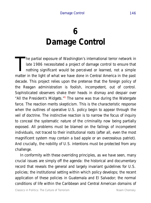he partial exposure of Washington's international terror network in late 1986 necessitated a project of damage control to ensure that nothing significant would be perceived or learned, not a simple matter in t[he](#page--1-0) light of what we have done in Central America in the past decade. This project relies upon the pretense that the foreign policy of the Reagan administration is foolish, incompetent, out of control. Sophisticated observers shake their heads in dismay and despair over "All the President's Midgets."**<sup>1</sup>** The same was true during the Watergate farce. The reaction merits skepticism. This is the characteristic response when the outlines of operative U.S. policy begin to appear through the veil of doctrine. The instinctive reaction is to narrow the focus of inquiry to conceal the systematic nature of the criminality now being partially exposed. All problems must be blamed on the failings of incompetent individuals, not traced to their institutional roots (after all, even the most magnificent system may contain a bad apple or an overzealous patriot). And crucially, the nobility of U.S. intentions must be protected from any challenge. The I

In conformity with these overriding principles, as we have seen, many crucial issues are simply off the agenda: the historical and documentary record that reveals the general and largely invariant guidelines for U.S. policies; the institutional setting within which policy develops; the recent application of these policies in Guatemala and El Salvador; the normal conditions of life within the Caribbean and Central American domains of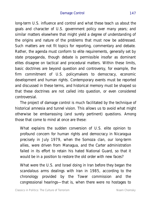long-term U.S. influence and control and what these teach us about the goals and character of U.S. government policy over many years; and similar matters elsewhere that might yield a degree of understanding of the origins and nature of the problems that must now be addressed. Such matters are not fit topics for reporting, commentary and debate. Rather, the agenda must conform to elite requirements, generally set by state propaganda, though debate is permissible insofar as dominant elites disagree on tactical and procedural matters. Within these limits, basic doctrines are beyond question and controversy, for example, the firm commitment of U.S. policymakers to democracy, economic development and human rights. Contemporary events must be reported and discussed in these terms, and historical memory must be shaped so that these doctrines are not called into question, or even considered controversial.

The project of damage control is much facilitated by the technique of historical amnesia and tunnel vision. This allows us to avoid what might otherwise be embarrassing (and surely pertinent) questions. Among those that come to mind at once are these:

What explains the sudden conversion of U.S. elite opinion to profound concern for human rights and democracy in Nicaragua precisely in July 1979, when the Somoza clan, our long-term allies, were driven from Managua, and the Carter administration failed in its effort to retain his hated National Guard, so that it would be in a position to restore the old order with new faces?

What were the U.S. and Israel doing in Iran before they began the scandalous arms dealings with Iran in 1985, according to the chronology provided by the Tower commission and the congressional hearings—that is, when there were no hostages to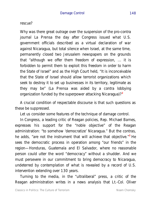#### rescue?

Why was there great outrage over the suspension of the pro-contra journal *La Prensa* the day after Congress issued what U.S. government officials described as a virtual declaration of war against Nicaragua, but total silence when Israel, at the same time, permanently closed two Jerusalem newspapers on the grounds that "although we offer them freedom of expression, ... it is forbidden to permit them to exploit this freedom in order to harm the State of Israel" and as the High Court [he](#page--1-0)ld, "It is inconceivable that the State of Israel should allow terrorist organizations which seek to destroy it to set up businesses in its territory, legitimate as they may be" *(La Prensa* was aided by a contra lobbying organization funded by the superpower attacking Nicaragua)?**<sup>2</sup>**

A crucial condition of respectable discourse is that such questions as these be suppressed.

Let us consider some features of the technique [of](#page--1-0) damage control.

In Congress, a leading critic of Reagan policies, Rep. Michael Barnes, expresses his support for the "noble objective" of the Reagan administration: "to somehow 'democratize' Nicaragua." But the contras, he adds, "are not the instrument that will achieve that objective."**<sup>3</sup>** He sees the democratic process in operation among "our friends" in the region—Honduras, Guatemala and El Salvador, where no reasonable person could utter the word "democracy" without a shudder. And we must persevere in our commitment to bring democracy to Nicaragua, undeterred by contemplation of what is revealed by a record of U.S. intervention extending over 130 years.

Turning to the media, in the "ultraliberal" press, a critic of the Reagan administration writes in a news analysis that Lt.-Col. Oliver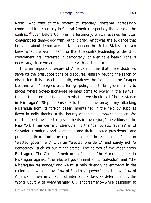North, who was at the "vortex of scandal," "became increasingly committed to democracy in Central America, especially the cause of the contras."**<sup>4</sup>**Even before Col. North's testimony, which revealed his utter contempt for democracy with brutal clarity, what was the evidence that he cared about democracy—in Nicaragua or the United States—or even knew what the word means, or that the contra leadership or the U.S. government are interested in democracy, or ever have been? None is necessary, since we are dealing here with doctrinal truths.

It is an important feature of American culture that these doctrines serve as the presuppositions of discourse, entirely beyond the reach of discussion. It is a doctrinal truth, whatever the facts, that the Reagan Doctrine was "designed as a foreign policy tool to bring democracy to places where Soviet-sponsored regimes came to power in the 1970s," though there are questions as to whether we should aid "the resistance in Nicaragua" (Stephen Rosenfeld), that is, the proxy army attacking Nicaragua from its foreign bases, maintained in the field by supplies flown in daily thanks to the bounty of their superpower sponsor. We must support the "elected governments in the region," the editors of the *New York Times* demand, strengthening the "democratic regimes" in El Salvador, Honduras and Guatemala and their "elected presidents," and protecting them from the depredations of "the Sandinistas," not an "elected government" with an "elected president," and surely not "a democracy" such as our client states. The editors of the *Washington Post* agree. The Central American conflict pits "the Marxist regime" in Nicaragua against "the elected government of El Salvador" and "the Nicaraguan resistance," and we must help "friendly governments in the region cope with the overflow of Sandinista power"—not the overflow of American power in violation of international law, as determined by the World Court with overwhelming UN endorsement—while assigning to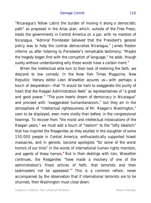"Nicaragua's fellow Latins the burden of moving it along a democratic path" as proposed in the Arias plan, which, outside of the Free Press, treats the governments in Central America on a par, with no mention of Nicaragua. "Admiral Poindexter believed that [th](#page--1-0)e President's general policy was to help the contras democratize Nicaragua," James Reston informs us after listening to Poindexter's remarkable testimony; "Maybe the tragedy began first with the corruption of language," he adds, though surely without understanding why these words have a certain merit.**<sup>5</sup>**

When the intellectual elite turn to their task of restoring the faith, we descend to low comedy. In the *New York Times Magazine, New Republic* literary editor Leon Wieseltier assures us—with perhaps a touch of desperation—that "It would be hard to exaggerate the purity of heart that the Reagan Administration feels" as representatives of "a great and good power." "The pure hearts dream of democracy in Nicaragua" and proceed with "exaggerated humanitarianism," but they err in the atmosphere of "intellectual righteousness of Mr. Reagan's Washington," soon to be displayed, even more vividly than before, in the congressional hearings. To recover from "the moral and intellectual intoxications of the Reagan years," we must add a touch of "realism" to the "lofty idealism" that has i[nsp](#page--1-0)ired the Reaganites as they exulted in the slaughter of some 150,000 people in Central America, enthusiastically supported Israeli massacres, and in general, became apologists "for some of the worst horrors of our ti[me](#page--1-0)" in the words of international human rights monitors, and agents of these horrors.<sup>6</sup> But in their dealings with Iran, Wieseltier continues, the Reaganites "have made a mockery of one of the administration's finest articles of faith, that terrorists and their taskmasters not be appeased."**<sup>7</sup>**This is a common refrain, never accompanied by the observation that if international terrorists are to be shunned, then Washington must close down.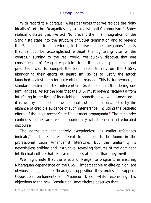With regard to Nicaragua, Wieseltier urges that we replace the "lofty idealism" of the Reaganites by a "realist anti-Communism." Sober realism dictates that we act "to prevent the final integration of the Sandinista state into the structure of Soviet domination and to prevent the Sandinistas from interfering in the lives of their neighbors," goals that cannot "be accomplished without the tightening vise of the contras." Turning to the real world, we quickly discover that one consequence of Reaganite policies from the outset, predictable and predicted, was to compel the Sandinistas to rely on the USSR, abandoning their efforts at neutralism, so as to justify the attack launched against them for quite different reasons. This is, furthermore, a standard pattern of U.S. intervention, Guatemala in 1954 being one familiar case. As for the idea that the [U](#page--1-0).S. must prevent Nicaragua from interfering in the lives of its neighbors—something we would never do it is worthy of note that the doctrinal truth remains unaffected by the absence of credible evidence of such interference, including the pathetic efforts of the most recent State Department propaganda.**<sup>8</sup>** The remainder continues in the same vein, in conformity with the norms of educated discourse.

The norms are not entirely exceptionless, as earlier references indicate,**<sup>9</sup>** and are quite different from those to be found in the professional Latin Americanist literature. But the uniformity is nevertheless striking and instructive, revealing features of the dominant intellectual culture that receive much less attention than they merit.

We might note that the effects of Reaganite programs in ensuring Nicaraguan dependence on the USSR, imperceptible to elite opinion, are obvious enough to the Nicaraguan opposition they profess to support. Opposition parliamentarian Mauricio Díaz, while expressing his objections to the new Constitution, nevertheless observes that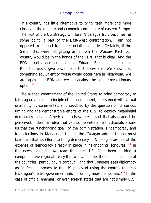This country has little alternative to tying itself more and more closely to the military and economic community of eastern Europe. The fruit of the US strategy will be if Nicaragua truly becomes, at some point, a part of the East-West confrontation. I am not opposed to support from the socialist countries. Certainly, if the Sandinistas were not getting arms from the Warsaw Pact, our country would be in the hands of the FDN, that is clear. And the FDN is not a democratic option. Eduardo Frei died hoping that Pinochet would give power back to the civilians. We know that something equivalent or worse would occur here in Nicaragua. We are against the FDN and we are against the counterrevolutionary option.**<sup>10</sup>**

The alleged commitment of the United States to bring democracy to Nicaragua, a crucial principle of damage control, is assumed with virtual unanimity by commentators, untroubled by the question of its curious timing and the demonstrable efforts of the U.S. to destroy meaningful democracy in Latin America and elsewhere, a fact that also cannot be perceived, indeed an idea that cannot be entert[ain](#page--1-0)ed. Editorials assure us that the "unchanging goal" of the administration is "democracy and free elections in Managua," though the "Reagan administration must take care that its efforts to bring democracy to Nicaragua are not at the expense of democracy already in place in neighboring Honduras."**<sup>11</sup>** In the news columns, we read that the U.[S.](#page--1-0) "has been seeking a comprehensive regional treaty that will ... compel the democratization of the countries, particularly Nicaragua," and that Congress sees diplomacy as "a fresh approach to the US policy of using the contras to press Nicaragua's leftist government into becoming more democratic."**<sup>12</sup>**In the case of official enemies, or even foreign states that are not simply U.S.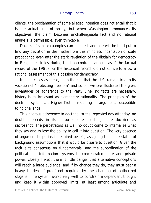clients, the proclamation of some alleged intention does not entail that it is the actual goal of policy, but when Washington pronounces its objectives, the claim becomes unchallengeable fact and no rational analysis is permissible, even thinkable.

Dozens of similar examples can be cited, and one will be hard put to find any deviation in the media from this mindless incantation of state propaganda even after the stark revelation of the disdain for democracy in Reaganite circles during the Iran-contra hearings—as if the factual record of the 1980s, or the historical record, did not suffice to allow a rational assessment of this passion for democracy.

In such cases as these, as in the call that the U.S. remain true to its vocation of "protecting freedom" and so on, we see illustrated the great advantages of adherence to the Party Line: no facts are necessary, history is as irrelevant as elementary rationality. The principles of the doctrinal system are Higher Truths, requiring no argument, susceptible to no challenge.

This rigorous adherence to doctrinal truths, repeated day after day, no doubt succeeds in its purpose of establishing state doctrine as sacrosanct. The perpetrators as well no doubt come to internalize what they say and to lose the ability to call it into question. The very absence of argument helps instill required beliefs, assigning them the status of background assumptions that it would be bizarre to question. Given the tacit elite consensus on fundamentals, and the subordination of the political and information systems to concentrated state and private power, closely linked, there is little danger that alternative conceptions will reach a large audience, and if by chance they do, they must bear a heavy burden of proof not required by the chanting of authorized slogans. The system works very well to constrain independent thought and keep it within approved limits, at least among articulate and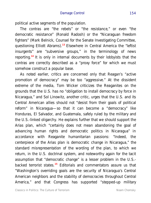political a[ct](#page--1-0)ive segments of the population.

The contras are "the rebels" or "the resistance," or even "the democratic resistance" (Ronald Radosh) or the "Nicaraguan freedom fighters" (Mark Belnick, Counsel for the Senate Investigating Committee, questioning Elliott Abrams).**<sup>13</sup>**Elsewhere in Central America the "leftist insurgents" are "subversive groups," in the terminology of news reporting.**<sup>14</sup>**It is only in internal documents by their lobbyists that the contras are correctly described as a "proxy force" for which we must somehow construct a popular base.

As noted earlier, critics are concerned only that Reagan's "active promotion of democracy" may be too "aggressive." At the dissident extreme of the media, Tom Wicker criticizes the Reaganites on the grounds that the U.S. has no "obligation to install democracy by force in Nicaragua," and Sol Linowitz, another critic, urges that the U.S. and its Central American allies should not "desist from their goals of political reform" in Nicaragua—so that it can become a "democracy" like Honduras, El Salvador, and Guatemala, safely ruled by the military and the U.S.-linked oligarchy. He explains further that we should support the Arias plan, which "certainly does not mean abandoning the goal of advancing human rights and democratic politics in Nicaragua" in accordance with Reaganite humanitarian passions: "Indeed, the cente[rpi](#page--1-0)ece of the Arias plan is democratic change in Nicaragua," the standard misrepresentation of the wording of the plan, to which we return, in the U.S. doctrinal system, and noteworthy again for the tacit assumption that "democratic change" is a lesser problem in the U.S. backed terrorist states.**<sup>15</sup>** Editorials and commentators assure us that "Washington's overriding goals are the security of Nicaragua's Central American neighbors and the stability of democracies throughout Central America," and that Congress has supported "stepped-up military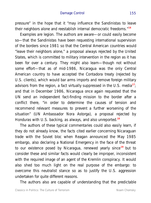pressure" in the hope that it "may influence the Sandinistas to leave their neighbors alone and reestablish internal democratic freedoms."**<sup>16</sup>**

Examples are legion. The authors are aware—or could easily become so—that the Sandinistas have been requesting international supervision of the borders since 1981 so that the Central American countries would "leave their neighbors alone," a proposal always rejected by the United States, which is committed to military intervention in the region as it has been for over a century. They might also learn[—th](#page--1-0)ough not without some effort—that as of mid-1986, Nicaragua was the only Central American country to have accepted the Contadora treaty (rejected by U.S. clients), which would bar arms imports and remove foreign military advisors from the region, a fact virtually suppressed in the U.S. media**<sup>17</sup>**; and that in December 1986, Nicaragua once again requested that the UN send an independent fact-finding [miss](#page--1-0)ion to the border after a conflict there, "in order to determine the causes of tension and recommend relevant measures to prevent a further worsening of the situation" (UN Ambassador Nora Astorga), a proposal rejected by Honduras with U.S. backing, as always, and also unreported.**<sup>18</sup>**

The authors of these typical commentarie[s](#page--1-0) could also easily learn, if they do not already know, the facts cited earlier concerning Nicaraguan trade with the Soviet bloc when Reagan announced the May 1985 embargo, also declaring a National Emergency in the face of the threat to our existence posed by Nicaragua, renewed yearly since**<sup>19</sup>**but to consider these and similar facts would clearly be improper, inconsistent with the required image of an agent of the Kremlin conspiracy. It would also shed too much light on the real purpose of the embargo: to overcome this neutralist stance so as to justify the U.S. aggression undertaken for quite different reasons.

The authors also are capable of understanding that the predictable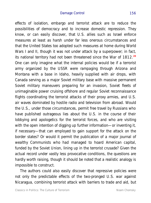effects of isolation, embargo and terrorist attack are to reduce the possibilities of democracy and to increase domestic repression. They know, or can easily discover, that U.S. allies su[ch](#page--1-0) as Israel enforce measures at least as harsh under far less onerous circumstances and that the United States too adopted such measures at home during World Wars I and II, though it was not under attack by a superpower; in fact, its national territory had not been threatened since the War of 1812.**<sup>20</sup>** One can only imagine what the internal policies would be if a terrorist army organized by the USSR were rampaging through Arizona and Montana with a base in Idaho, heavily supplied with air drops, with Canada serving as a major Soviet military base with massive permanent Soviet military maneuvers preparing for an invasion, Soviet fleets of unimaginable power cruising offshore and regular Soviet reconnaissance flights coordinating the terrorist attacks of their proxy armies, and U.S. air waves dominated by hostile radio and television from abroad. Would the U.S., under those circumstances, permit free travel by Russians who have published outrageous lies about the U.S. in the course of their lobbying and apologetics for the terrorist forces, and who are visiting with the open intention of digging up further information—or inventing it, if necessary—that can employed to gain support for the attack on the border states? Or would it permit the publication of a major journal of wealthy Communists who had managed to hoard American capital, funded by the Soviet Union, lining up in the terrorist crusade? Given the actual record under vastly less provocative conditions, the questions are hardly worth raising, though it should be noted that a realistic analogy is impossible to construct.

The authors could also easily discover that repressive policies were not only the predictable effects of the two-pronged U.S. war against Nicaragua, combining terrorist attack with barriers to trade and aid, but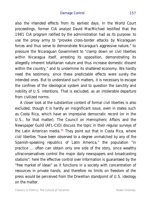also the intended effects from its earliest days. In the World Court proceedings, former CIA analyst David MacMichael testified that the 1981 CIA program ratified by the administration had as its purpose: to use the proxy army to "provoke cross-border attacks by Nicaraguan forces and thus serve to demonstrate Nicaragua's aggressive nature," to pressure the Nicaraguan Government to "clamp down on civil liberties within Nicaragua itself, arresting its opposition, demonstrating its allegedly inherent totalitarian nature and thus increase domestic dissent within the country," and to undermine its shattered economy. We hardly need the testimony, since these predictable effects were surely the intended ones. But to understand such matters, it is necessary to escape the confines of the ideological system and to question the sanctity and nobility of U.S. intentions. That is excluded, as an intolerable departure from civilized norms.

A closer look at the substantive content of formal civil liberties is also excluded[, th](#page--1-0)ough it is hardly an insignificant issue, even in states such as Costa Rica, which have an impressive democratic record (or in the U.S., for that matter). The Council on Hemispheric Affairs and the Newspaper Guild (AFL-CIO) discuss the topic in their regular surveys of the Latin American media.**<sup>21</sup>** They point out that in Costa Rica, where civil liberties "have been observed to a degree unmatched by any of the Spanish-speaking republics of Latin America," the population "in practice ... often can obtain only one side of the story, since wealthy ultraconservatives control the major daily newspapers and broadcasting stations"; here the effective control over information is guaranteed by the "free market of ideas" as it functions in a society with concentration of resources in private hands, and therefore no limits on freedom of the press would be perceived from the Orwellian standpoint of U.S. ideology on the matter.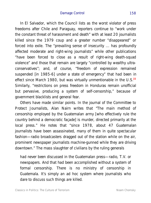In El Salvador, which the Council lists as the worst violator of press freedoms after Chile and Paraguay, reporters continue to "work under the constant threat of harassment and death" with at least 20 journalists killed since the 1979 coup and a greater number "disappeared" or forced into exile. The "prevailing sense of insecurity ... has profoundly affected moderate and right-wing journalists" while other publications "have been forced to close as a result of righ[t-w](#page--1-0)ing death-squad violence" and those that remain are largely "controlled by wealthy ultraconservatives"; and, of course, "freedom of expression remained suspended [in 1985-6] under a state of emergency" that had been in effect since March 1980, but was virtually unmentionable in the U.S.**<sup>22</sup>** Similarly, "restrictions on press freedom in Honduras remain unofficial but pervasive, producing a system of self-censorship," because of government blacklists and general fear.

Others have made similar points. In the journal of the Committee to Protect Journalists, Alan Nairn writes that "The main method of censorship employed by the Guatemalan army [who effectively rule the country behind a democratic façade] is murder, directed primarily at the local press." He notes that "since 1978, about 47 Guatemalan journalists have been assassinated, many of them in quite spectacular fashion—radio broadcasters dragged out of the station while on the air, prominent newspaper journalists machine-gunned while they are driving downtown." The mass slaughter of civilians by the ruling generals

had never been discussed in the Guatemalan press—radio, T.V. or newspapers. And that had been accomplished without a system of formal censorship. There is no ministry of censorship in Guatemala. It's simply an ad hoc system where journalists who dare to discuss such things are killed.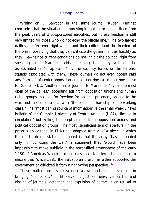Writing on El Salvador in the same journal, Ruben Martinez concludes that the situation is improving in that terror has declined from the peak years of U.S.-sponsored atrocities, but "press freedom is still very limited for those who do not echo the official line." The two largest dailies are "extreme right-wing," and their editors laud the freedom of the press, observing that they can criticize the government as harshly as they like—"since current conditions do not inhibit the political right from speaking out," Martinez adds, meaning that they will not be assassinated or "disappeared" by the security forces or the terrorist squads associated with them. These journals do not even accept paid ads from left-of-center opposition groups, nor does a smaller one, close to Duarte's PDC. Another smaller journal, *El Mundo,* is "by far the most open of the dailies," accepting ads from opposition unions and human rights groups that call for freedom for political prisoners, an end to the war, and measures to deal with "the economic hardship of the working class." The "most daring source of information" is the small weekly news bulletin of the Catholic University of Central America (UCA), "limited in circulation" but willing to accept articles from opposition unions and political opposition groups. The most "significant sign of *apertura"* in the press is an editorial in *El Mundo* adapted from a UCA piece, in which the most extreme statement quoted is that the army "has succeeded only in not losing the war," a sta[tem](#page--1-0)ent that "would have been impossible to make publicly in the terror-filled atmosphere of the early 1980s." Americas Watch also observes that state terror has sufficed to ensure that "since 1981 the Salvadoran press has either supported the government or criticized it from a right-wing perspective."**<sup>23</sup>**

These matters are never discussed as we laud our achievements in bringing "democracy" to El Salvador, just as heavy censorship and closing of journals, detention and expulsion of editors, even refusal to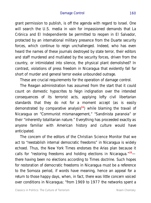grant permission to publish, is off the agenda with regard to Israel. One will search the U.S. media in vain for impassioned demands that *La Crónica* and *El Independiente* be permitted to reopen in El Salvador, protected by an international military presence from the Duarte security forces, which continue to reign unchallenged. Indeed, who has even heard the names of these journals destroyed by state terror, their editors and staff murdered and mutilated by the security forces, driven from the country, or intimidated into silence, the physical plant demolished? In contrast, violations of press freedom in Nicaragua that evidently fall far short of murder and general terror evoke unbounded outrage.

These are crucial requirements for the operation of damage control.

The Reagan admi[nis](#page--1-0)tration has assumed from the start that it could count on domestic hypocrites to feign indignation over the intended consequences of its terrorist acts, applying lofty civil libertarian standards that they do not for a moment accept (as is easily demonstrated by comparative analysis**<sup>24</sup>**) while blaming the travail of Nicaragua on "Communist mismanagement," "Sandinista paranoia" or their "inherently totalitarian nature." Everything has proceeded exactly as anyone familiar with American history and [cu](#page--1-0)lture would have anticipated.

The concern of the editors of the *Christian Science Monitor* that we act to "reestablish internal democratic freedoms" in Nicaragua is widely echoed. Thus, the *New York Times* endorses the Arias plan because it calls for "restoring freedoms and holding elections in Nicaragua."**<sup>25</sup>** there having been no elections according to *Times* doctrine. Such hopes for *restoration* of democratic freedoms in Nicaragua must be a reference to the Somoza period, if words have meaning, hence an appeal for a return to those happy days, when, in fact, there was little concern voiced over conditions in Nicaragua; "from 1969 to 1977 the networks spent a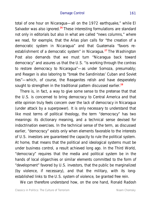total of one hour on Nicaragua—all on the 1972 earthquake," while El Salvador was also ignored.**<sup>26</sup>**These [in](#page--1-0)teresting formulations are standard not only in editorials but also in what are called "news columns," where we read, for example, that the Arias plan calls for "the creation of a democratic system *in Nicaragua"* and that Guatemala "favors *reestablishment* of a democratic system" in Nicaragua.**<sup>27</sup>**The *Washington Post* also demands that we must turn "Nicaragua *back toward*  democracy" and assures us that the U.S. "is [wo](#page--1-0)rking through the contras to *restore* democracy to Nicaragua"—as under Somoza, presumably; and Reagan is also laboring to "break the Sandinistas' Cuban and Soviet ties"—which, of course, the Reaganites relish and have desperately sought to strengthen in the traditional pattern discussed earlier.**<sup>28</sup>**

There is, in fact, a way to give some sense to the pretense that that the U.S. is concerned to bring democracy to Central America and that elite opinion truly feels concern over the lack of democracy in Nicaragua (under attack by a superpower). It is only necessary to understand that like most terms of political theology, the term "democracy" has two meanings: its dictionary meaning, and a technical sense devised for indoctrination exercises. In the technical sense of the term, as discussed earlier, "democracy" exists only when elements favorable to the interests of U.S. investors are guaranteed the capacity to rule the political system. At home, that means that the political and ideological systems must be under business control, a result achieved long ago. In the Third World, "democracy" requires that the media and political system be in the hands of local oligarchies or similar elements committed to the form of "development" favored by U.S. investors, that the public be marginalized (by violence, if necessary), and that the military, with its longestablished links to the U.S. system of violence, be granted free rein.

We can therefore understand how, on the one hand, Ronald Radosh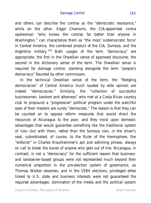and others can describe the contras as the "democratic resistance," w[hi](#page--1-0)le on the other, Edgar Chamorro, the CIA-appointed contra spokesman "who knows the contras far better than anyone in Washington," can characterize them as "the most 'undemocratic force' in Central America, the combined product of the CIA, Somoza, and the Argentine military.<sup>"29</sup> Both usages of the term "democracy" are appropriate, the first in the Orwellian sense of approved discourse, the second in the dictionary sense of the term. The Orwellian sense is required for damage control, standing alongside the term "people's democracy" flaunted by other commissars.

In the technical Orwellian sense of the term, the "fledgling democracies" of Central America much lauded by elite opinion are indeed "democracies." Similarly, the "collection of successful businessmen, bankers and attorneys" who met at a Costa Rican country club to propound a "progressive" political program under the watchful eyes of their masters are surely "democrats." The reason is that they can be counted on to oppose reform measures that would direct the resources of Nicaragua to the poor, and they insist upon domestic advantages that would guarantee something like the traditional system of rule—but with *them,* rather than the Somoza clan, in the driver's seat, subordinated, of course, to the Ruler of the Hemisphere, the "enforcer" in Charles Krauthammer's apt and admiring phrase, always on call to break the bones of anyone who gets out of line. Nicaragua, in contrast, is not a "democracy" for the sufficient reason that businessand landowner-based groups were not represented much beyond their numerical proportion in the pre-election system of governance, as Thomas Walker observes, and in the 1984 elections, privileged elites linked to U.S. state and business interests were not guaranteed the required advantages: domination of the media and the political system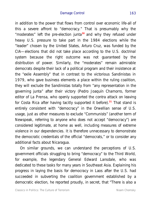in addition to the power that flows from control over economic life-all of this a severe affront to "democracy." That is presumably why the "moderates" left the pre-election junta**<sup>30</sup>**and why they refused under heavy U.S. pressure to take part in the 1984 elections while the "leader" chosen by the United States, Arturo Cruz, was funded by the CIA—elections that did not take place according to the U.S. doctrinal system because the right outcome was not guaranteed by the distribution of power. Similarly, the "moderates" remain admirable democrats despite their lack of a political program and their insistence at the "exile Assembly" that in contrast to the victorious Sandinistas in 1979, who gave business elements [a p](#page--1-0)lace within the ruling coalition, they will exclude the Sandinistas totally from "any representation in the governing junta" after their victory (Pedro Joaquín Chamorro, former editor of *La Prensa,* who openly supported the contra attack on leaving for Costa Rica after having tacitly supported it before).**<sup>31</sup>** That stand is entirely consistent with "democracy" in the Orwellian sense of U.S. usage, just as other measures to exclude "Communists" (another term of Newspeak, referring to anyone who does not accept "democracy") are considered legitimate, at home as well, including measures of extreme violence in our dependencies. It is therefore unnecessary to demonstrate the democratic credentials of the official "democrats," or to consider any additional facts about Nicaragua.

On similar grounds, we can understand the perceptions of U.S. government officials struggling to bring "democracy" to the Third World, for example, the legendary General Edward Lansdale, who was dedicated to these tasks for many years in Southeast Asia. Explaining his progress in laying the basis for democracy in Laos after the U.S. had succeeded in subverting the coalition government established by a democratic election, he reported proudly, in secret, that "There is also a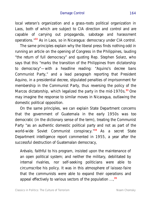local veteran's organization and a grass-roots political organization in Laos, both of which are subject to CIA direction and control and are capable of carrying out propaganda, sabotage and harassment operations."**<sup>32</sup>** As in Laos, so in Nicaragua: democracy under CIA control.

The same principles explain why the liberal press finds nothing odd in running an article on the opening of Congress in the Philippines, lauding "the return of full democracy" and quoting Rep. Stephen Solarz, who says that this "marks the transition of the Philippines from dictatorship to democracy"—with a headline reading: ["A](#page--1-0)quino's decree bans Communist Party," and a lead paragraph reporting that President Aquino, in a presidential decree, stipulated penalties of imprisonment for membership in the Communist Party, thus reversing the policy of the Marcos dictatorship, which legalized the party in the mid-1970s.**<sup>33</sup>**One may imagine the response to similar moves in Nicaragua, outlawing the domestic political opposition.

On the same principles, [we](#page--1-0) can explain State Department concerns that the government of Guatemala in the early 1950s was too democratic (in the dictionary sense of the term), treating the Communist Party "as an authentic domestic political party and not as part of the world-wide Soviet Communist conspiracy."**<sup>34</sup>**As a secret State Department intelligence report commented in 1955, a year after the successful destruction of Guatemalan democracy,

Arévalo, faithful to his program, insisted upon the maintenance of an open political system; and neithe[r t](#page--1-0)he military, debilitated by internal rivalries, nor self-seeking politicians were able to circumscribe his policy. It was in this atmosphere of *laissez-faire*  that the communists were able to expand their operations and appeal effectively to various sectors of the population ...,**35**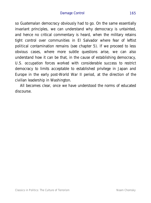so Guatemalan democracy obviously had to go. On the same essentially invariant principles, we can understand why democracy is untainted, and hence no critical commentary is heard, when the military retains tight control over communities in El Salvador where fear of leftist *political* contamination remains (see chapter 5). If we proceed to less obvious cases, where more subtle questions arise, we can also understand how it can be that, in the cause of establishing democracy, U.S. occupation forces worked with considerable success to restrict democracy to limits acceptable to established privilege in Japan and Europe in the early post-World War II period, at the direction of the civilian leadership in Washington.

All becomes clear, once we have understood the norms of educated discourse.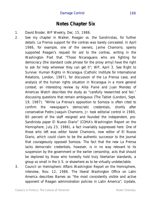# **Notes Chapter Six**

- 1. David Broder, *WP Weekly,* Dec. 15, 1986.
- 2. See my chapter in Walker, *Reagan vs. the Sandinistas,* for further details. *La Prensa* support for the contras was barely concealed. In April 1986, for example, one of the owners, Jaime Chamorro, openly supported Reagan's request for aid to the contras, writing in the *Washington Post* that "Those Nicaraguans who are fighting for democracy [the standard code phrase for the proxy army] have the right to ask for help wherever they can get it"; *WP,* April 3. See *Right to Survive: Human Rights in Nicaragua* (Catholic Institute for International Relations, London, 1987), for discussion of the *La Prensa* case, and analysis of the human rights situation in Nicaragua in a more general context; an interesting review by Alita Paine and Juan Mendez of Americas Watch describes the study as "carefully researched and fair," discussing questions that remain ambiguous *(The Tablet* (London), Sept. 19, 1987). "While *La Prensa's* opposition to Somoza is often cited to confirm the newspaper's democratic credentials, shortly after conservative Pedro Joaquín Chamorro, Jr. took editorial control in 1980, 80 percent of the staff resigned and founded the independent, pro-Sandinista paper *El Nuevo Diario"* (COHA's *Washington Report on the Hemisphere,* July 23, 1986), a fact invariably suppressed here. One of those who left was editor Xavier Chamorro, now editor of *El Nuevo Diario,* which could claim to be the authentic successor to the journal that courageously opposed Somoza. The fact that the new *La Prensa*  lacks democratic credentials, however, is in no way relevant to its suspension by the government or the earlier censorship, acts that should be deplored by those who honestly hold truly libertarian standards, a group so small in the U.S. or elsewhere as to be virtually undetectable.
- 3. Council on Hemispheric Affairs *Washington Report on the Hemisphere,*  interview, Nov. 12, 1986. The liberal Washington Office on Latin America describes Barnes as "the most consistently visible and active opponent of Reagan administration policies in Latin America"; *Update,*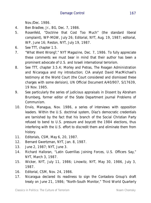Nov./Dec. 1986.

- 4. Ben Bradlee, Jr., *BG,* Dec. 7, 1986.
- 5. Rosenfeld, "Doctrine that Cost Too Much" (the standard liberal complaint), *WP-MGW,* July 26; Editorial, *NYT,* Aug. 19, 1987; editorial, *WP,* June 16; Reston, *NYT,* July 19, 1987.
- 6. See *TTT*, chapter 1.5.
- 7. "What Went Wrong?," *NYT Magazine,* Dec. 7, 1986. To fully appreciate these comments we must bear in mind that their author has been a prominent advocate of U.S. and Israeli international terrorism.
- 8. See *TTT,* chapter 3.5.4; Morley and Petras, *The Reagan Administration and Nicaragua* and my introduction; CIA analyst David MacMichael's testimony at the World Court (the Court considered and dismissed these charges with some derision), UN Official Document A/40/907, S/17639, 19 Nov. 1985.
- 9. See particularly the series of judicious appraisals in *Dissent* by Abraham Brumberg, former editor of the State Department journal *Problems of Communism.*
- 10. *Envío,* Managua, Nov. 1986, a series of interviews with opposition leaders. Within the U.S. doctrinal system, Díaz's democratic credentials are tarnished by the fact that his branch of the Social Christian Party refused to bend to U.S. pressure and boycott the 1984 elections, thus interfering with the U.S. effort to discredit them and eliminate them from history.
- 11. Editorials, *CSM,* May 6, 20, 1987.
- 12. Bernard Gwertzman, *NYT,* Jan. 8, 1987.
- 13. June 2, 1987; *NYT,* June 3.
- 14. Richard Halloran, "Latin Guerrillas Joining Forces, U.S. Officers Say," *NYT,* March 3, 1987.
- 15. Wicker, *NYT,* July 11, 1986; Linowitz, *NYT,* May 30, 1986, July 3, 1987.
- 16. Editorial, *CSM,* Nov. 24, 1986.
- 17. Nicaragua declared its readiness to sign the Contadora Group's draft treaty on June 21, 1986; "North-South Monitor," *Third World Quarterly*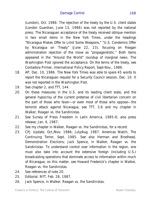(London), Oct. 1986. The rejection of the treaty by the U.S. client states *(London Guardian,* June 13, 1986) was not reported by the national press. The Nicaraguan acceptance of the treaty received oblique mention in two small items in the *New York Times,* under the headings "Nicaragua Makes Offer to Limit Some Weapons," "U.S. Condemns Offer by Nicaragua on 'Treaty" (June 22, 23), focusing on Reagan administration rejection of the move as "propagandistic." Both items appeared in the "Around the World" roundup of marginal news. The *Washington Post* ignored the acceptance. On the terms of the treaty, see *Contadora Primer, International Policy Report,* Sept-Nov., 1986.

- 18. AP, Dec. 10, 1986. The *New York Times* was able to spare 45 words to report the Nicaraguan request for a Security Council session, Dec. 10. It was not reported in the *Washington Post.*
- 19. See chapter 2, and *TTT,* 144.
- 20. On these measures in the U.S. and its leading client state, and the general hypocrisy of the current pretense of civil libertarian concern on the part of those who favor—or even most of those who oppose—the terrorist attack against Nicaragua, see *TTT,* 3.6 and my chapter in Walker, *Reagan vs. the Sandinistas.*
- 21. See *Survey of Press Freedom in Latin America, 1985-6;* also press release, Jan. 4, 1987.
- 22. See my chapter in Walker, *Reagan vs. the Sandinistas,* for a record.
- 23. *CPJ Update,* Oct./Nov. 1986; July/Aug. 1987. Americas Watch, *The Continuing Terror,* Sept. 1985. See also Herman and Brodhead, *Demonstration Elections;* Jack Spence, in Walker, *Reagan vs. the Sandinistas.* To understand control over information in the region, one must also take into account the extensive foreign (including U.S.) broadcasting operations that dominate access to information within much of Nicaragua; on this matter, see Howard Frederick's chapter in Walker, *Reagan vs. the Sandinistas.*
- 24. See references of note 20.
- 25. Editorial, *NYT,* Feb. 28, 1987.
- 26. Jack Spence, in Walker, *Reagan vs. the Sandinistas.*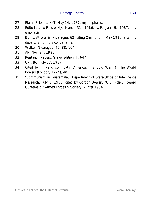- 27. Elaine Sciolino, *NYT,* May 14, 1987; my emphasis.
- 28. Editorials, *WP Weekly,* March 31, 1986, *WP,* Jan. 9, 1987; my emphasis.
- 29. Burns, *At War in Nicaragua,* 62, citing Chamorro in May 1986, after his departure from the contra ranks.
- 30. Walker, *Nicaragua,* 45, 88, 104.
- 31. AP, Nov. 24, 1986.
- 32. *Pentagon Papers,* Gravel edition, II, 647.
- 33. UPI, *BG,* July 27, 1987.
- 34. Cited by F. Parkinson, *Latin America, The Cold War, & The World Powers* (London, 1974), 40.
- 35. "Communism in Guatemala," Department of State-Office of Intelligence Research, July 1, 1955; cited by Gordon Bowen, "U.S. Policy Toward Guatemala," *Armed Forces* & *Society,* Winter 1984.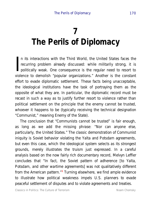n its interactions with the Third World, the United States faces the recurring problem already discussed: while militarily strong, it is politically weak. One consequence is the regular need to resort to violence to demolish "popular organizations." Another is the constant effort to evade diplomatic settlement. These facts being unacceptable, the ideological institutions have the task of portraying them as the opposite of what they are. In particular, the diplomatic record must be recast in such a way as to justify further resort to violence rather than political settlement on the principle that the enemy cannot be trusted, whoever it happens to be (typically receiving the technical designation "Communist," meaning Enemy of the State). n it<br>recu<br>poli

The conclusion that "Communists cannot be trusted" is fair enough, as long as we add the missing phrase: "Nor can anyone else, particularly, the United States." The classic demonstration of Communist iniquity is Soviet behavior violating the Yalta and Potsdam agreements, but even this case, which the ideological system selects as its strongest grounds, [m](#page--1-0)erely illustrates the truism just expressed. In a careful analysis based on the now fairly rich documentary record, Melvyn Leffler concludes that "In fact, the Soviet pattern of adherence [to Yalta, Potsdam, and other wartime agreements] was not qualitatively different from the American pattern."**<sup>1</sup>** Turning elsewhere, we find ample evidence to illustrate how political weakness impels U.S. planners to evade peaceful settlement of disputes and to violate agreements and treaties.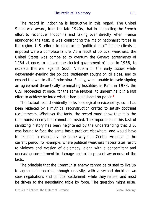The record in Indochina is instructive in this regard. The United States was aware, from the late 1940s, that in supporting the French effort to reconquer Indochina and taking over directly when France abandoned the task, it was confronting the major nationalist forces in the region. U.S. efforts to construct a "political base" for the clients it imposed were a complete failure. As a result of political weakness, the United States was compelled to overturn the Geneva agreements of 1954 at once, to subvert the elected government of Laos in 1958, to escalate the war against South Vietnam in the early sixties while desperately evading the political settle[me](#page--1-0)nt sought on all sides, and to expand the war to all of Indochina. Finally, when unable to avoid signing an agreement theoretically terminating hostilities in Paris in 1973, the U.S. proceeded at once, for the same reasons, to undermine it in a last effort to achieve by force what it had abandoned on paper.**<sup>2</sup>**

The factual record evidently lacks ideological serviceability, so it has been replaced by a mythical reconstruction crafted to satisfy doctrinal requirements. Whatever the facts, the record must show that it is the Communist enemy that cannot be trusted. The importance of this task of sanitizing history has been heightened by the understanding that U.S. was bound to face the same basic problem elsewhere, and would have to respond in essentially the same ways: in Central America in the current period, for example, where political weakness necessitates resort to violence and evasion of diplomacy, along with a concomitant and unceasing commitment to damage control to prevent awareness of the facts.

The principle that the Communist enemy cannot be trusted to live up to agreements coexists, though uneasily, with a second doctrine: *we*  seek negotiations and political settlement, while *they* refuse, and must be driven to the negotiating table by force. The question might arise,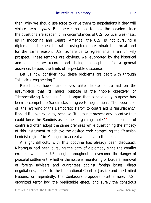then, why we should use force to drive them to negotiations if they will violate them anyway. But there is no need to solve the paradox, since the questions are academic: in circumstances of U.S. political weakness, as in Indochina and Central America, the U.S. is not pursuing a diplomatic settlement but rather using force to eliminate this threat, and for the same reason, U.S. adherence to agreements is an unlikely prospect. These remarks are obvious, well-supported by the historical and documentary record, and, being unacceptable for a general audience, beyond the limits of respectable discourse.

Let us now consider how these problems are dealt with through "historical engineering."

Recall that hawks and doves alike debate contra aid on the assumption that its major purpose is the "noble objective" of "democratizing Nicaragua," and ar[gu](#page--1-0)e that a secondary purpose has been to compel the Sandinistas to agree to negotiations. The opposition of "the left wing of the Democratic Party" to contra aid is "insufficient," Ronald Radosh explains, because "it does not present any incentive that could force the Sandinistas to the bargaining table."**<sup>3</sup>**Liberal critics of contra aid often adopt the same premises while questioning the efficacy of this instrument to achieve the desired end: compelling the "Marxist-Leninist regime" in Managua to accept a political settlement.

A slight difficulty with this doctrine has already been discussed. Nicaragua had been pursuing the path of diplomacy since the conflict erupted, while the U.S. sought throughout to overcome the danger of peaceful settlement, whether the issue is monitoring of borders, removal of foreign advisers and guarantees against foreign bases, direct negotiations, appeal to the International Court of Justice and the United Nations, or, repeatedly, the Contadora proposals. Furthermore, U.S. organized terror had the predictable effect, and surely the conscious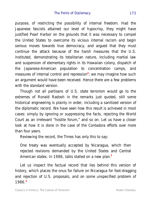purpose, of restricting the possibility of internal freedom. Had the Japanese fascists attained our level of hypocrisy, they might have justified Pearl Harbor on the grounds that it was necessary to compel the United States to overcome its vicious internal racism and begin serious moves towards true democracy, and argued that they must continue the attack be[ca](#page--1-0)use of the harsh measures that the U.S. instituted, demonstrating its totalitarian nature, including martial law and suspension of elementary rights in its Hawaiian colony, dispatch of the Japanese-American population to concentration camps, and measures of internal control and repression**<sup>4</sup>** ; we may imagine how such an argument would have been received. Hence there are a few problems with the standard version.

Though not all partisans of U.S. state terrorism would go to the extremes of Ronald Radosh in the remarks just quoted, still some historical engineering is plainly in order, including a sanitized version of the diplomatic record. We have seen how this result is achieved in most cases: simply by ignoring or suppressing the facts, rejecting the World Court as an irrelevant "hostile forum," and so on. Let us have a closer look at how it is done in the case of the Contadora efforts over more than four years.

Reviewing the record, the *Times* has only this to say:

One treaty was eventually accepted by Nicaragua, which then rejected revisions demanded by the United States and Central American states. In 1986, talks stalled on a new plan.**<sup>5</sup>**

Let us inspect the factual record that lies behind this version of history, which places the onus for failure on Nicaragua for foot-dragging and rejection of U.S. proposals, and on some unspecified problem of 1986.**6**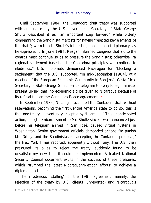Until September 1984, the Contadora draft treaty was supported with enthusiasm by the U.S. government. Secretary of State George Shultz described it as "an important step forward" while bitterly condemning the Sandinista Marxists for having "rejected key elements of the draft"; we return to Shultz's interesting conception of diplomacy, as he expresses it. In June 1984, Reagan informed Congress that aid to the contras must continue so as to pressure the Sandinistas; otherwise, "a regional settlement based on the Contadora principles will continue to elude us." U.S. diplomats denounced Nicaragua for "blocking a settlement" that the U.S. supp[ort](#page--1-0)ed. "In mid-September [1984], at a meeting of the European Economic Community in San José, Costa Rica, Secretary of State George Shultz sent a telegram to every foreign minister present urging that 'no economic aid be given to Nicaragua because of its refusal to sign the Contadora Peace agreement'."**<sup>7</sup>**

In September 1984, Nicaragua accepted the Contadora draft without reservations, becoming the first Central America state to do so; this is the "one treaty ... *eventually* accepted by Nicaragua." This unanticipated action, a slight embarrassment to Mr. Shultz since it was announced just before his telegram arrived in San José, caused virtual hysteria in Washington. Senior government officials demanded actions "to punish Mr. Ortega and the Sandinistas for accepting the Contadora proposal," the *New York Times* reported, apparently without irony. The U.S. then pressured its allies to reject the treaty, suddenly found to be unsatisfactory now that it could be implemented. A leaked National Security Council document exults in the success of these pressures, which "trumped the latest Nicaraguan/Mexican efforts" to achieve a diplomatic settlement.

The mysterious "stalling" of the 1986 agreement—namely, the rejection of the treaty by U.S. clients (unreported) and Nicaragua's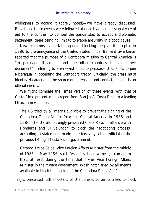willingness to accept it (barely noted)—we have already discussed. Recall that these events were followed at once by a congressional vote of aid to the contras, to compel the Sandinistas to accept a diplomatic settlement, there being no limit to tolerable absurdity in a good cause.

News columns blame Nicaragua for blocking the plan it accepted in 1986 to the annoyance of the United States. Thus, Bernard Gwertzman reported that the purpose of a Contadora mission to Central America is "to persuade Nicaragua and the other countries to sign" their document**<sup>8</sup>** —referring to a renewed effort to persuade U.S. allies to join Nicaragua in accepting the Contadora treaty. Crucially, the press must identify Nicaragua as the source of all tension and conflict, since it is an official enemy.

We might compare the *Times* version of these events with that of Costa Rica, presented in a report from San José, Costa Rica, in a leading Mexican newspaper:

The US tried by all means available to prevent the signing of the Contadora Group Act for Peace in Central America in 1985 and 1986. The US also strongly pressured Costa Rica, in alliance with Honduras and El Salvador, to block the negotiating process, according to statements made here today by a high official of the previous [Monge] Costa Rican government.

Gerardo Trejos Salas, Vice Foreign Affairs Minister from the middle of 1985 to May 1986, said, "As a first-hand witness, I can affirm that, at least during the time that I was Vice Foreign Affairs Minister in the Monge government, Washington tried by all means available to block the signing of the Contadora Peace Act."

Trejos presented further details of U.S. pressures on its allies to block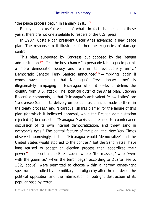"the peace process begun in January 1983."**<sup>9</sup>**

Plainly not a useful version of what—in fact—happened in these years, therefore not one available to readers of the U.S. press.

In 1987, Costa Rican president Oscar Arias advanced a new peace plan. The response to it illu[stra](#page--1-0)tes further the exigencies of damage control.

This plan, supported by Congress but opposed by the Reagan administration,**<sup>10</sup>**offers the best chance "to persuade Nicaragua to permit a more democratic society and rein in its revolutionary army," Democratic Senator Terry Sanford announced**<sup>11</sup>**"—implying, again if words have meaning, that Nicaragua's "revolutionary army" is illegitimately rampaging in Nicaragua when it seeks to defend the country from U.S. attack. The "political guts" of the Arias plan, Stephen Rosenfeld comments, is that "Nicaragua's ambivalent fellow Latins" are "to oversee Sandinista delivery on political assurances made to them in the treaty process," and Nicaragua "shares blame" for the failure of this plan (for which it indicated approval, while the Reagan administration rejected it) because the "Managua Marxists ... refused to countenance discussion of its own internal democratization, and threw sand in everyone's eyes." The central feature of the plan, the *New York Times*  observed approvingly, is that "Nicaragua would 'democratize' and the United States would stop aid to the contras," but the Sandinistas "have long refused to accept an election process that jeopardized their power"**<sup>12</sup>**—in contrast to El Salvador, where "the masses," who "were with the guerrillas" when the terror began according to Duarte (see p. 102, above), were permitted to choose within a narrow center-right spectrum controlled by the military and oligarchy after the murder of the political opposition and the intimidation or outright destruction of its popular base by terror.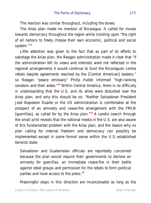The reaction was similar throughout, including the doves.

The Arias plan made no mention of Nicaragua. It called for moves towards democracy throughout the region while insisting upon "the right of all nations to freely choose their own economic, political and social system."**<sup>13</sup>**

Little attention was given to the fact that as part of its efforts to sabotage the Arias plan, the Reagan administration made it clear that "if the ad[mi](#page--1-0)nistration felt its views and interests were not reflected in the regional arrangements it would continue to fund the Nicaraguan contra rebels despite agreements reached by the [Central American] leaders," so Reagan "peace emissary" Philip Habib informed "high-ranking senators and their aides."**<sup>14</sup>**Within Central America, there is no difficulty in understanding that the [U](#page--1-0).S. and its allies were disturbed over the Arias plan, and why this should be so: "Neither Salvadoran President José Napoleón Duarte or the US administration is comfortable at the prospect of an amnesty and cease-fire arrangement with the FMLN [guerrillas], as called for by the Arias plan."**<sup>15</sup>**A careful search through the small print reveals that the national media in the U.S. are also aware of this fundamental problem with the Arias plan, and the reason why no plan calling for internal freedom and democracy can possibly be implemented except in some formal sense within the U.S.-established terrorist state:

Salvadoran and [Gua](#page--1-0)temalan officials are reportedly concerned because the plan would require their governments to declare an amnesty for guerrillas, an immediate cease-fire in their battle against rebel groups and permission for the rebels to form political parties and have access to the press.**<sup>16</sup>**

Meaningful steps in this direction are inconceivable as long as the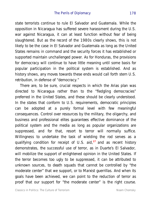state terrorists continue to rule El Salvador and Guatemala. While the opposition in Nicaragua has suffered severe harassment during the U.S. war against Nicaragua, it can at least function without fear of being slaughtered. But as the record of the 1980s clearly shows, this is not likely to be the case in El Salvador and Guatemala as long as the United States remains in command and the security forces it has established or supported maintain unchallenged power. As for Honduras, the provisions for democracy will continue to have little meaning until some basis for popular participation in the political system is established. And as history shows, any moves towards these ends would call forth stern U.S. retribution, in defense of "democracy."

There are, to be sure, crucial respects in which the Arias plan was directed to Nicaragua rather than to the "fledgling democracies" preferred in the United States, and these should be clearly understood. In the states that conform to U.S. requirements, democratic principles can be adopted at a purely formal level with few meaningful consequences. Control over resources by the military, the oligarchy, and business and professional e[lit](#page--1-0)es guarantees effective dominance of the political system and the media as long as popular organizations are suppressed, and for that, resort to terror will normally suffice. Willingness to undertake the task of wielding the rod serves as a qualifying condition for receipt of U.S. aid,**<sup>17</sup>**and as recent history demonstrates, the successful use of terror, as in Duarte's El Salvador, will mobilize the support of enlightened opinion in the United States. If the terror becomes too ugly to be suppressed, it can be attributed to unknown sources, to death squads that cannot be controlled by "the moderate center" that we support, or to Marxist guerrillas. And when its goals have been achieved, we can point to the reduction of terror as proof that our support for "the moderate center" is the right course.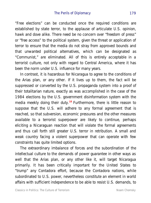"Free elections" can be conducted once the required conditions are established by state terror, to the applause of articulate U.S. opinion, hawk and dove alike. There need be no concern over "freedom of press" or "free access" to the political system, given the threat or application of terror to ensure that the media do not stray from approved bounds and that unwanted political alternatives, which can be designated as "Communist," are eliminated. All of this is entirely acceptable in a terrorist culture, not only with regard to Central America, where it has been the norm under U.S. influence for many years.

In contrast, it is hazardous for Nicaragua to agree to the conditions of the Arias pla[n,](#page--1-0) or any other. If it lives up to them, the fact will be suppressed or converted by the U.S. propaganda system into a proof of their totalitarian nature, exactly as was accomplished in the case of the 1984 elections by the U.S. government disinformation system with the media meekly doing their duty.**<sup>18</sup>**Furthermore, there is little reason to suppose that the U.S. will adhere to any formal agreement that is reached, so that subversion, economic pressures and the other measures available to a terrorist superpower are likely to continue, perhaps eliciting a Nicaraguan reaction that will violate the formal agreements and thus call forth still greater U.S. terror in retribution. A small and weak country facing a violent superpower that can operate with few constraints has quite limited options.

The extraordinary imbalance of forces and the subordination of the intellectual culture to the demands of power guarantee in other ways as well that the Arias plan, or any other like it, will target Nicaragua primarily. It has been critically important for the United States to "trump" any Contadora effort, because the Contadora nations, while subordinated to U.S. power, nevertheless constitute an element in world affairs with sufficient independence to be able to resist U.S. demands, to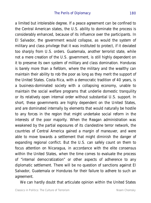a limited but intolerable degree. If a peace agreement can be confined to the Central American states, the U.S. ability to dominate the process is considerably enhanced, because of its influence over the participants. In El Salvador, the government would collapse, as would the system of military and class privilege that it was instituted to protect, if it deviated too sharply from U.S. orders. Guatemala, another terrorist state, while not a mere creation of the U.S. government, is still highly dependent on it to preserve its own system of military and class domination. Honduras is barely more than a fiefdom, where the military and the wealthy can maintain their ability to rob the poor as long as they merit the support of the United States. Costa Rica, with a democratic tradition of 40 years, is a business-dominated society with a collapsing economy, unable to maintain the social welfare programs that underlie domestic tranquility or its relatively open internal order without substantial U.S. support. In short, these governments are highly dependent on the United States, and are dominated internally by elements that would naturally be hostile to any forces in the region that might undertake social reform in the interests of the poor majority. When the Reagan administration was weakened by the partial exposures of its clandestine terror network, the countries of Central America gained a margin of maneuver, and were able to move towards a settlement that might diminish the danger of expanding regional conflict. But the U.S. can safely count on them to focus attention on Nicaragua, in accordance with the elite consensus within the United States, when the time comes to evaluate the process of "internal democratization" or other aspects of adherence to any diplomatic settlement. There will be no question of sanctions against El Salvador, Guatemala or Honduras for their failure to adhere to such an agreement.

We can hardly doubt that articulate opinion within the United States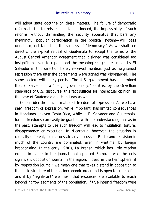will adopt state doctrine on these matters. The failure of democratic reforms in the terrorist client states—indeed, the impossibility of such reforms without dismantling the security apparatus that bars any meaningful popular participation in the political system—will pass unnoticed, not tarnishing the success of "democracy." As we shall see directly, the explicit refusal of Guatemala to accept the terms of the August Central American agreement that it signed was considered too insignificant even to report, and the meaningless gestures made by El Salvador in this direction barely received mention, just as heightened repression there after the agreements were signed was disregarded. The same pattern will surely persist. The U.S. government has determined that El Salvador is a "fledgling democracy," as it is, by the Orwellian standards of U.S. discourse; this fact suffices for intellectual opinion, in the case of Guatemala and Honduras as well.

Or consider the crucial matter of freedom of expression. As we have seen, freedom of expression, while important, has limited consequences in Honduras or even Costa Rica, while in El Salvador and Guatemala, formal freedoms can easily be granted, with the understanding that as in the past, attempts to use such freedom will lead to mutilation, torture, disappearance or execution. In Nicaragua, however, the situation is radically different, for reasons already discussed. Radio and television in much of the country are dominated, even in wartime, by foreign broadcasting. In the early 1980s, *La Prensa,* which has little relation except in name to the journal that opposed Somoza, was the only significant opposition journal in the region; indeed in the hemisphere, if by "opposition journal" we mean one that takes a stand in opposition to the basic structure of the socioeconomic order and is open to critics of it, and if by "significant" we mean that resources are available to reach beyond narrow segments of the population. If true internal freedom were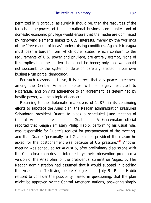permitted in Nicaragua, as surely it should be, then the resources of the terrorist superpower, of the international business community, and of domestic economic privilege would ensure that the media are dominated by right-wing elements linked to U.S. interests, merely by the workings of the "free market of ideas" under existing conditions. Again, Nicaragua must bear a burden from which other states, which conform to the requirements of U.S. power and privilege, are entirely exempt, None of this implies that the burden should not be borne; only that we should not succumb to the system of delusion carefully erected in our own business-run partial democracy.

For such reasons as these, it is correct that any peace agreement among the Central American states will be largely restricted to Nicaragua, and only its adherence to an agreement, as determined by hostile power, will be a topic of concern.

Returning to the diplomatic maneuvers of 1987, in its continuing efforts to sabotage the Arias plan, the Reagan administration pressured Salvadoran president Duarte to block a scheduled June meeting of Central American presidents in Guatem[ala](#page--1-0). A Guatemalan official reported that Reagan emissary Philip Habib, performing his usual role, was responsible for Duarte's request for postponement of the meeting, and that Duarte "personally told Guatemala's president the reason he asked for the postponement was because of US pressure."**<sup>19</sup>**Another meeting was scheduled for August 6, after preliminary discussions with the Contadora countries as intermediary; their intervention produced a version of the Arias plan for the presidential summit on August 6. The Reagan administration had assumed that it would succeed in blocking the Arias plan. Testifying before Congress on July 9, Philip Habib refused to consider the possibility, raised in questioning, that the plan might be approved by the Central American nations, answering simply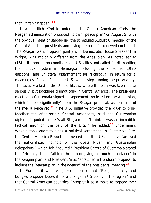that "It can't happen."**<sup>20</sup>**

In a last-ditch effort to undermine the Central American efforts, the Reagan administration produced its own "peace plan" on August 5, with the obvious intent of sabotaging the scheduled August 6 meeting of the Central American presidents and laying the basis for renewed contra aid. The Reagan plan, proposed jointly with Democratic House Speaker Jim Wright, was radically different from the Arias plan. As noted earlier (18f.), it imposed no conditions on U.S. allies and called for dismantling the political system in Nicaragua including the scheduled 1990 elections, and unilateral disarmament for Nicaragua, in return for a meaningless "pledge" that the U.S. would stop running the proxy army. Th[e ta](#page--1-0)ctic worked in the United States, where the plan was taken quite seriously, but backfired dramatically in Central America. The presidents meeting in Guatemala signed an agreement modelled on the Arias plan, which "differs significantly" from the [R](#page--1-0)eagan proposal, as elements of the media perceived.**<sup>21</sup>** "The U.S. initiative provided the 'glue' to bring together the often-hostile Central Americans, said one Guatemalan diplomat" quoted in the *Wall St. Journal:* "I think it was an incredible tactical error on the part of the U.S.," he added,**<sup>22</sup>**undermining Washington's effort to block a political settlement. In Guatemala City, the *Central America Report* commented that the U.S. initiative "aroused the nationalistic instincts of the Costa [Rica](#page--1-0)n and Guatemalan delegations," which felt "insulted." President Cerezo of Guatemala stated that "Nobody should fall into the trap of giving too much importance" to the Reagan plan, and President Arias "scratched a Honduran proposal to include the Reagan plan in the agenda" of the presidents' meeting.**<sup>23</sup>**

In Europe, it was recognized at once that "Reagan's hasty and bungled proposal bodes ill for a change in US policy in the region," and that Central American countries "interpret it as a move to torpedo their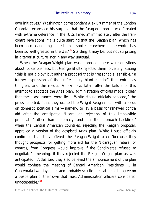own initiatives." Washington correspondent Alex Brummer of the London *Guardian* expr[es](#page--1-0)sed his surprise that the Reagan proposal was "treated with extreme deference in the [U.S.] media" immediately after the Irancontra revelations: "It is quite startling that the Reagan plan, which has been seen as nothing more than a spoiler elsewhere in the world, has been so well greeted in the US."**<sup>24</sup>**Startling it may be, but not surprising in a terrorist culture, nor in any way unusual.

When the Reagan-Wright plan was proposed, there were questions about its seriousness, but George Shultz rejected them forcefully, stating "this is not a ploy" but rather a proposal that is "reasonable, sensible," a further expression of the "refreshingly blunt candor" that entrances Congress and the media. A few days later, after the failure of this attempt to sabotage the Arias plan, administration officials made it clear that these assurances were lies. "White House officials concede," the press reported, "that they drafted the Wright-Reagan plan with a focus on domestic political aims"—namely, to lay a basis for renewed contra aid after the anticipated Nicaraguan rejection of this impossible proposal—"rather than diplomacy, and that the approach backfired" when the Central American countries, rejecting the Reagan proposal, approved a version of the despised Arias plan. White House officials confirmed that they offered the Reagan-Wright plan "because they thought prospects for getting more aid for the Nicaraguan rebels, or contras, from Congress would improve if the Sandinistas refused to negotiate"—meaning, if they rejected the Reagan-Wright plan as was anticipated; "Aides said they also believed the announcement of the plan would confuse the meeting of Central American Presidents ... in Guatemala two days later and probably scuttle their attempt to agree on a peace plan of their own that most Administration officials considered unacceptable."**<sup>25</sup>**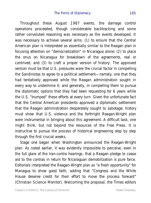Throughout these August 1987 events, the damage control operations proceeded, though considerable backtracking and some rather convoluted reasoning was necessary as the events developed. It was necessary to achieve several aims: (1) to ensure that the Central American plan is interpreted as essentially similar to the Reagan plan in focusing attention on "democratization" in Nicaragua alone; (2) to place the onus on Nicaragua for breakdown of the agreements, real or contrived; and (3) to craft a proper version of history. The approved version must be that U.S. pressures were the crucial factor in compelling the Sandinistas to agree to a political settlement—namely, one that they had tentatively approved while the Reagan administration sought in every way to undermine it; and generally, in compelling them to pursue the diplomatic options that they had been requesting for 6 years while the U.S. "trumped" these efforts at every turn. Given the unfortunate fact that the Central American presidents approved a diplomatic settlement that the Reagan administration desperately sought to sabotage, history must show that U.S. violence and the forthright Reagan-Wright plan were instrumental in bringing about this agreement. A difficult task, one might think, but not beyond the resources of the Free Press. It is instructive to pursue the process of historical engineering step by step through the first crucial weeks.

Stage one began when Washington announced the Reagan-Wright plan. As noted earlier, it was evidently impossible to perceive, even in the full glare of the Iran-contra hearings, that a Reagan pledge to cease aid to the contras in return for Nicaraguan demobilization is pure farce. Editorials interpreted the Reagan-Wright plan as "a fresh opportunity" for Managua to show good faith, adding that "Congress and the White House deserve credit for their effort to move the process forward" *(Christian Science Monitor).* Welcoming the proposal, the *Times* editors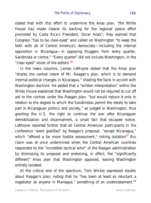stated that with this effort to undermine the Arias plan, "the White House has made clearer its backing for the regional peace effort promoted by Costa Rica's President, Oscar Arias"; they warned that Congress "has [to](#page--1-0) be clear-eyed" and called on Washington "to keep the faith with all of Central America's democrats—including the internal opposition in Nicaragua—in opposing thuggery from every quarter, Sandinista or contra." "Every quarter" did not include Washington, in the "clear-eyed" vision of the editors.**<sup>26</sup>**

In the news columns, James LeMoyne stated that the Arias plan "shares the central intent of Mr. Reagan's plan, which is to demand internal political changes in Nicaragua," shading the facts in accord with Washington doctrine. He added that a "written interpretation" within the White House explained that Washington would not be required to cut off aid to the contras under the Reagan plan, "but would reduce it only in relation to the degree to which the Sandinistas permit the rebels to take part in Nicaraguan politics and society," as judged in Washington, thus granting the U.S. the right to continue th[e](#page--1-0) war after Nicaraguan demobilization and disarmament, a small fact that escaped notice. LeMoyne reported further that all Central American participants in the conference "were gratified" by Reagan's proposal, "except Nicaragua," which "offered a far more hostile assessment," risking isolation<sup>27</sup> this claim was at once undermined when the Central American countries responded to the "incredible tactical error" of the Reagan administration by dismissing its proposal and endorsing, in effect, the "significantly [different" Arias plan that Washington opposed, le](#page--1-0)aving Washington entirely isolated.

At the critical end of the spectrum, Tom Wicker expressed doubts about Reagan's plan, noting that he "has been at least as reluctant a negotiator as anyone in Managua," something of an understatement.**28**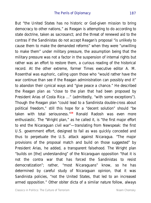But "the United States has no historic or God-given mission to bring democracy to other nations," as Reagan is attempting to do according to state doctrine, taken as sacrosanct; and the threat of renewed aid to the contras if the Sandinistas do not accept Reagan's proposal "is unlikely to cause them to make the demanded reforms" when they were "unwilling to make them" under military pressure, the assumption being that the military pressure was not a factor in the suspension of internal rights but rather was an effort to restore them, a curious reading of the historical record. At the other extreme, former *Times* executive editor A. M. Rosenthal was euphoric, calling upon those who "would rather have the war continue than see if the Reagan administration can possibly end it" to abandon their cynical ways and "give peace a chance." He described the Reagan p[la](#page--1-0)n as "close to the plan that had been proposed by President Arias of Costa Rica ..." (admittedly, "with some exceptions"). Though the Reagan plan "could lead to a Sandinista double-cross about political freedom," still this hope for a "decent solution" should "be taken with total seriousness.<sup>"29</sup> Ronald Radosh was even more enthusiastic. The "Wright plan," as he called it, is "the first major effort to end the Nicaraguan civil war"—translating from Newspeak: the first *U.S. government* effort, designed to fail as was quickly conceded and thus to perpetuate the U.S. attack against Nicaragua. "The major provisions of the proposal match and build on those suggested" by President Arias, he added, a transparent falsehood. The Wright plan "builds on [the] understanding" of the Nicaraguan opposition "that it is not the contra war that has forced the Sandinistas to resist democratization"; rather, "most Nicaraguans" know, so he has determined by careful study of Nicaraguan opinion, that it was Sandinista policies, "not the United States, that led to an increased armed opposition." Other obiter dicta of a similar nature follow, always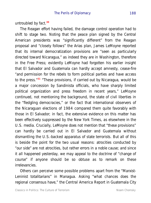untroubled by fact.**<sup>30</sup>**

The Reagan effort having failed, the damage control operation had to shift to stage two. Noting that the peace plan signed by the Central American presidents was "significantly different" from the Reagan proposal and "closely follows" the Arias plan, James LeMoyne reported that its internal democratization provisions are "seen as particularly directed toward Nicaragua," as indeed they are in Washington, therefore in the Free Press; evidently LeMoyne had forgotten his earlier insight that El Salvador and Guatemala can hardly accept amnesty, cease-fire "and permission for the rebels to form political parties and have access to the press."**<sup>31</sup>** "These provisions, if carried out by Nicaragua, would be a major concession by Sandinista officials, who have sharply limited political organization and press freedom in recent years," LeMoyne continued, not mentioning the background, the state of civil liberties in the "fledgling democracies," or the fact that international observers of the Nicaraguan elections of 1984 compared them quite favorably with those in El Salvador; in fact, the extensive evidence on this matter has been effectively suppressed by the *New York Times,* as elsewhere in the U.S. media. Crucially, LeMoyne does not mention that "these provisions" can hardly be carried out in El Salvador and Guatemala without dismantling the U.S.-backed apparatus of state terrorists. But all of this is beside the point for the two usual reasons: atrocities conducted by "our side" are not atrocities, but rather errors in a noble cause; and since it all happened yesterday, we may appeal to the doctrine of "change of course" if anyone should be so obtuse as to remark on these irrelevancies.

Others can perceive some possible problems apart from the "Marxist-Leninist totalitarians" in Managua. Asking "what chances does the regional consensus have," the *Central America Report* in Guatemala City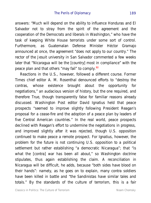answers: "Much will depend on the ability to influence Honduras and El Salvador not to stray from the spirit of the agreement and the cooperation of the Democrats and liberals in Washington," who have the task of keeping White House terrorists under some sort of control. Furthermore, as Guatemal[an](#page--1-0) Defense Minister Héctor Gramajo announced at once, the agreement "does not apply to our country." The rector of the Jesuit university in San Salvador commented a few weeks later that "Nicaragua will be the [country] most in compliance" with the peace plan and that others "may fail" to comply.**<sup>32</sup>**

Reactions in the U.S., however, followed a different course. Former *Times* chief editor A. M. Rosenthal denounced efforts to "destroy the contras, whose existence brought about the opportunity for negotiations," an audacious version of history, but the one required, and therefore True, though transparently false for familiar reasons already discussed. *Washington Post* editor David Ignatius held that peace prospects "seemed to improve slightly following President Reagan's proposal for a cease-fire and the adoption of a peace plan by leaders of five Central American countries." In the real world, peace prospects *declined* with Reagan's effort to undermine the negotiations in progress, and improved slightly after it was rejected, though U.S. opposition continued to make peace a remote prospect. For Ignatius, however, the problem for the future is not continuing U.S. opposition to a political settlement but rather establishing "a democratic Nicaragua"; that "is what the [contra] war has been all about," so Washington doctrine stipulates, thus again establishing the claim. A reconciliation in Nicaragua will be difficult, he adds, because "both sides have blood on their hands": namely, as he goes on to explain, many contra soldiers have been killed in battle and "the Sandinistas have similar tales and totals." By the standards of the culture of terrorism, this is a fair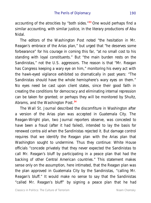accounting of the atrocities by "both sides."**<sup>33</sup>**One would perhaps find a similar accounting, with similar justice, in the literary productions of Abu Nidal.

The editors of the *Washington Post* noted "the hesitation in Mr. Reagan's embrace of the Arias plan," but urged that "he deserves some forbearance" for his courage in coming this far, "at no small cost to his standing with loyal constituents." But "the main burden rests on the Sandinistas," not the U.S. aggressors. The reason is that "Mr. Reagan has Congress keeping a wary eye on him," monitoring his every act with the hawk-eyed vigilance exhibited so dramatically in past years: "The Sandinistas sho[uld](#page--1-0) have the whole hemisphere's wary eyes on them." No eyes need be cast upon client states, since their good faith in creating the conditions for democracy and eliminating internal repression can be taken for granted; or perhaps they will be monitored by Shultz, Abrams, and the *Washington Post.***<sup>34</sup>**

The *Wall St. Journal* described the discomfiture in Washington after a version of the Arias plan was accepted in Guatemala City. The Reagan-Wright plan, two *Journal* reporters observe, was conceded to have been a fraud (after it had failed), intended to lay the basis for renewed contra aid when the Sandinistas rejected it. But damage control requires that we identify the Reagan plan with the Arias plan that Washington sought to undermine. Thus they continue: White House officials "concede privately that they never expected the Sandinistas to call Mr. Reagan's bluff by participating in a peace plan that had the backing of other Central American countries." This statement makes sense only on the assumption, here intimated, that the Reagan plan was the plan approved in Guatemala City by the Sandinistas, "calling Mr. Reagan's bluff." It would make no sense to say that the Sandinistas "called Mr. Reagan's bluff" by signing a peace plan that he had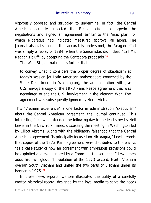vigorously opposed and struggled to undermine. In fact, the Central American countries rejected the Reagan effort to torpedo the negotiations and signed an agree[me](#page--1-0)nt similar to the Arias plan, for which Nicaragua had indicated measured approval all along. The *Journal* also fails to note that accurately understood, the Reagan effort was simply a replay of 1984, when the Sandinistas did indeed "call Mr. Reagan's bluff" by accepting the Contadora proposals.**<sup>35</sup>**

The *Wall St. Journal* reports further that

to convey what it considers the proper degree of skepticism at today's session [of Latin American ambassadors convened by the State Department in Washington], the administration will give U.S. envoys a copy of the 1973 Paris Peace agreement that was negotiated to end the U.S. involvement in the Vietnam War. The agreement was subsequently ignored by North Vietnam.

This "Vietnam experience" is one factor in administration "skepticism" about the Central American agreement, the *Journal* continued. This interesting farce was extended the following day in the lead story by Neil Lewis in the *New York Times,* discussing the meeting in Washington led by Elliott Abrams. Along with the obligatory falsehood that the Central American agreement "is principally focused on Nicaragua," Lewis reports that copies of the 1973 Paris agreement were distributed to the envoys ["](#page--1-0)as a case study of how an agreement with ambiguous provisions could be exploited and even ignored by a Communist government." Lewis then adds his own gloss: "In violation of the 1973 accord, North Vietnam overran South Vietnam and united the two parts of Vietnam under its banner in 1975.**<sup>36</sup>**

In these news reports, we see illustrated the utility of a carefully crafted historical record, designed by the loyal media to serve the needs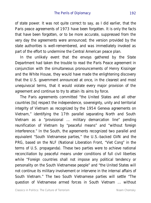of state power. It was not quite correct to say, as I did earlier, that the Paris peace agreements of 1973 have been forgotten. It is only the facts that have been forgotten, or to be more accurate, suppressed from the very day the agreements were announced; the version provided by the state authorities is well-remembered, and was immediately invoked as part of the effort to undermine the Central American peace plan.

In the unlikely event that the envoys gathered by the State Department had taken the trouble to read the Paris Peace agreement in conjunction with the simultaneous pronouncements of Henry Kissinger and the White House, they would have made the enlightening discovery that the U.S. government announced at once, in the clearest and most unequivocal terms, that it would violate every major provision of the agreement and continue to try to attain its aims by force.

The Paris agreements committed "the United States and all other countries [to] respect the independence, sovereignty, unity and territorial integrity of Vietnam as recognized by the 1954 Geneva agreements on Vietnam," identifying the 17th parallel separating North and South Vietnam as a "provisional ... military demarcation line" pending reunification of Vietnam by "peaceful means" and "without foreign interference." In the South, the agreements recognized two parallel and equivalent "South Vietnamese parties," the U.S.-backed GVN and the PRG, based on the NLF (National Liberation Front, "Viet Cong" in the terms of U.S. propaganda). These two parties were to achieve national reconciliation by peaceful means under conditions of full civil liberties while "Foreign countries shall not impose any political tendency or personality on the South Vietnamese people" and "the United States will not continue its military involvement or intervene in the internal affairs of South Vietnam." The two South Vietnamese parties will settle "The question of Vietnamese armed forces in South Vietnam ... without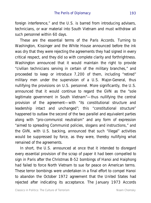foreign interference," and the U.S. is barred from introducing advisers, technicians, or war material into South Vietnam and must withdraw all such personnel within 60 days.

These are the essential terms of the Paris Accords. Turning to Washington, Kissinger and the White House announced before the ink was dry that they were rejecting the agreements they had signed in every critical respect, and they did so with complete clarity and forthrightness. Washington announced that it would maintain the right to provide "civilian technicians serving in certain of the military branches," and proceeded to keep or introduce 7,200 of them, including "retired" military men under the supervision of a U.S. Major-General, thus nullifying the provisions on U.S. personnel. More significantly, the U.S. announced that it would continue to regard the GVN as the "sole legitimate government in South Vietnam"—thus nullifying the central provision of the agreement—with "its constitutional structure and leadership intact and unchanged"; this "constitutional structure" happened to outlaw the second of the two parallel and equivalent parties along with "pro-communist neutralism" and any form of expression "aimed to spreading Communist policies, slogans and instructions," and the GVN, with U.S. backing, announced that such "illegal" activities would be suppressed by force, as they were, thereby nullifying what remained of the agreements.

In short, the U.S. announced at once that it intended to disregard every essential provision of the scrap of paper it had been compelled to sign in Paris after the Christmas B-52 bombings of Hanoi and Haiphong had failed to force North Vietnam to sue for peace on American terms. These terror bombings were undertaken in a final effort to compel Hanoi to abandon the October 1972 agreement that the United States had rejected after indicating its acceptance. The January 1973 Accords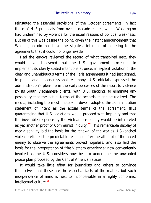reinstated the essential provisions of the October agreements, in fact those of NLF proposals from over a decade earlier, which Washington had undermined by violence for the usual reasons of political weakness. But all of this was beside the point, given the instant announcement that Washington did not have the slightest intention of adhering to the agreements that it could no longer evade.

Had the envoys reviewed the record of what transpired next, they would have discovered that the U.S. government proceeded to implement its clearly stated intentions at once, in explicit violation of the clear and unambiguous terms of the Paris agreements it had just signed. In public and in congressional testimony, U.S. officials expressed the administration's pleasure in the early successes of the resort to violence by its South Vietnamese clients, with U.S. backing, to eliminate any possibility that the actual terms of the accords might be realized. The media, including the mo[st o](#page--1-0)utspoken doves, adopted the administration statement of intent as the actual terms of the agreement, thus guaranteeing that U.S. violations would proceed with impunity and that the inevitable response by the Vietnamese enemy would be interpreted as yet another proof of Communist iniquity.**<sup>37</sup>** This remarkable display of media servility laid the basis for the renewal of the war as U.S.-backed violence elicited the predictable response after the attempt of the hated enemy to observe the agreements proved hopeless, and also laid the basis for the interpretation of "the Vietnam experience" now conveniently invoked as the U.S. considers how best to undermine the unwanted [pea](#page--1-0)ce plan proposed by the Central American states.

It would take little effort for journalists and others to convince themselves that these are the essential facts of the matter, but such independence of mind is next to inconceivable in a highly conformist intellectual culture.**38**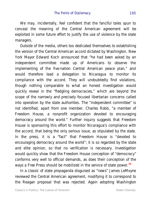We may, incidentally, feel confident that the fanciful tales spun to conceal the meaning of the Central American agreement will be exploited in some future effort to justify the use of violence by the state managers.

Outside of the media, others too dedicated themselves to establishing the version of the Central American accord dictated by Washington. New York Mayor Edward Koch announced that "he had been asked by an independent committee made up of Americans to observe the implementing of the five-nation Central American peace plan," and would therefore lead a delegation *to Nicaragua* to monitor its compliance with the accord. They will undoubtedly find violations, though nothing comparable to what an honest investigation would quickly reveal in the "fledgling democracies," which are beyond the scope of the narrowly and precisely focused libertarian concerns called into operation by the state authorities. The "independent committee" is not identified, apart from one member, Charles Robb, "a member of Freedom House, a nonprofit organization devoted to encouraging democracy around the world." Further inquiry suggests that Freedom House is sponsoring this effort to monitor *Nicaragua's* compliance with the accord, that being the only serious issue, as stipulated by the state. In the press, it is a "fact" that Freedom House is "devoted to encouraging democracy around the world"; it is s[o r](#page--1-0)egarded by the state and elite opinion, so that no verification is necessary. Investigation would quickly show that the Freedom House conception of "democracy" conforms very well to official demands, as does their conception of the ways a Free Press should be mobilized in the service of state power.**<sup>39</sup>**

In a classic of state propaganda disguised as "news" James LeMoyne reviewed the Central American agreement, modifying it to correspond to the Reagan proposal that was rejected. Again adopting Washington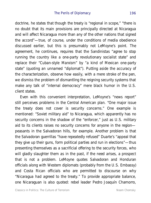doctrine, he states that though the treaty is "regional in scope," "there is no doubt that its main provisions are principally directed at Nicaragua and will affect Nicaragua more than any of the other nations that signed the accord"—true, of course, under the conditions of media obedience discussed earlier, but this is presumably not LeMoyne's point. The agreement, he continues, requires that the Sandinistas "agree to stop running the country like a one-party revolutionary socialist state" and replace their "Cuban-style Marxism" by "a kind of Mexican one-party state" (quoting an unnamed "diplomat"). Putting aside the accuracy of the characterization, observe how easily, with a mere stroke of the pen, we dismiss the problem of dismantling the reigning security systems that make any talk of "internal democracy" mere black humor in the U.S. client states.

Even with this convenient interpretation, LeMoyne's "news report" still perceives problems in the Central American plan. "One major issue the treaty does not cover is security concerns." One example is mentioned: "Soviet military aid" to Nicaragua, which apparently has no security concerns in the shadow of the "enforcer," just as U.S. military aid to its clients raises no security concerns for anyone in the region peasants in the Salvadoran hills, for example. Another problem is that the Salvadoran guerrillas "have repeatedly refused" Duarte's "appeal that they give up their guns, form political parties and run in elections"—thus presenting themselves as a sacrificial offering to the security forces, who will gladly slaughter them as in the past, if the need arises, a prospect that is not a problem. LeMoyne quotes Salvadoran and Honduran officials along with Western diplomats (probably from the U.S. Embassy) and Costa Rican officials who are permitted to discourse on why "Nicaragua had agreed to the treaty." To provide appropriate balance, one Nicaraguan is also quoted: rebel leader Pedro Joaquín Chamorro,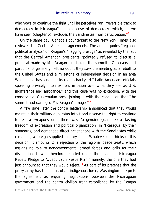who vows to continue the fight until he perceives "an irreversible track to democracy in Nicaragua"—in his sense of democracy, which, as we have seen (chapter 6), excludes the Sandinistas from participation.**<sup>40</sup>**

On the same day, Canada's counterpart to the *New York Times* also reviewed the Central American agreements. The article quotes "regional political analysts" on Reagan's "flagging prestige" as revealed by the fact that the Central American presidents "pointedly refused to discuss a proposal made by Mr. Reagan just before the summit." Observers and participants generally "left no doubt they saw the meeting as a rebuff to the United States and a milestone of independent decision in an area Washington has long con[sid](#page--1-0)ered its backyard." Latin American "officials speaking privately often express irritation over what they see as U.S. indifference and arrogance," and this case was no exception, with the conservative Guatemalan press joining in with the conclusion that "the summit had damaged Mr. Reagan's image."**<sup>41</sup>**

A few days later the contra leadership announced that they would maintain their military apparatus intact and reserve the right to continue to receive weapons until there was "a genuine guarantee of lasting freedom of expression and political organization" in Nicaragua, by their standards, and demanded direct negotiations with the Sandinistas while remaining a foreign-supplied military force. Whatever one thinks of this decision, it amounts [t](#page--1-0)o a rejection of the regional peace treaty, which assigns no role to nongovernmental armed forces and calls for their dissolution. It was therefore reported under the headline "Nicaragua Rebels Pledge to Accept Latin Peace Plan," namely, the one they had just announced that they would reject.**<sup>42</sup>**As part of its pretense that the proxy army has the status of an indigenous force, Washington interprets the agreement as requiring negotiations between the Nicaraguan government and the contra civilian front established by the Reagan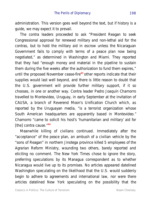administration. This version goes well beyond the text, but if history is a guide, we may expect it to prevail.

The contra leaders proceeded to ask "President Reagan to seek Congressional approval for renewed military and non-lethal aid for the contras, but to hold the military aid in escrow unless the Nicaraguan Government fails to [c](#page--1-0)omply with terms of a peace plan now being negotiated," as determined in Washington and Miami. They reported that they had "enough money and material in the pipeline to sustain them during the five weeks after the authorization to fund them expires," until the proposed November cease-fire**<sup>43</sup>**other reports indicate that their supplies would last well beyond, and there is little reason to doubt that the U.S. government will provide further military support, if it so chooses, in one or another way. Contra leader Pedro Joaquín Chamorro travelled to Montevideo, Uruguay, in early September at the invitation of C[AU](#page--1-0)SA, a branch of Reverend Moon's Unification Church which, as reported by the Uruguayan media, "is a terrorist organization whose South American headquarters are apparently based in Montevideo." Chamorro "came to solicit his host's 'humanitarian and military' aid for [the] contra cause."**<sup>44</sup>**

Meanwhile killing of civilians continued. Immediately after the "acceptance" of the peace plan, an ambush of a civilian vehicle by the "sons of Reagan" in northern Jinotega province killed 5 employees of the Agrarian Reform Ministry, wounding two others, barely reported and eliciting no comment. The *New York Times* chose to ignore the story, preferring speculations by its Managua correspondent as to whether Nicaragua would live up to its promises. No articles appeared datelined Washington speculating on the likelihood that the U.S. would suddenly begin to adhere to agreements and international law, nor were there articles datelined New York speculating on the possibility that the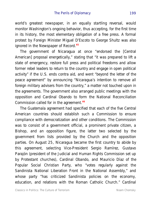world's greatest [ne](#page--1-0)wspaper, in an equally startling reversal, would monitor Washington's ongoing behavior, thus accepting, for the first time in its history, the most elementary obligation of a free press. A formal protest by Foreign Minister Miguel D'Escoto to George Shultz was also ignored in the Newspaper of Record.**<sup>45</sup>**

The government of Nicaragua at once "endorsed the [Central American] proposal energetically," stating that "it was prepared to lift a state of emergency, restore full press and political freedoms and allow former rebel leaders to return to the country and engage in open political activity" if the U.S. ends contra aid, and went "beyond the letter of the peace agreement" by [a](#page--1-0)nnouncing "Nicaragua's intention to remove all foreign military advisers from the country," a matter not touched upon in the agreements. The government also arranged public meetings with the opposition and Cardinal Obando to form the National Reconciliation Commission called for in the agreement.**<sup>46</sup>**

The Guatemala agreement had specified that each of the five Central American countries should establish such a Commission to ensure compliance with democratization and other conditions. The Commission was to consist of a government official, a prominent private citizen, a Bishop, and an opposition figure, the latter two selected by the government from lists provided by the Church and the opposition parties. On August 25, Nicaragua became the first country to abide by this agreement, selecting Vice-President Sergio Ramírez, Gustavo Parajón (president of the Judicial and Human Rights Commission set up by Protestant churches), Cardinal Obando, and Mauricio Díaz of the Popular Social Christian Party, who "votes regularly against the Sandinista National Liberation Front in the National Assembly," and whose party "has criticized Sandinista policies on the economy, education, and relations with the Roman Catholic Church." Cardinal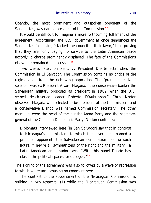Obando, the most prominent and outspoken opponent of the Sandinistas, was named president of the Commission.**<sup>47</sup>**

It would be difficult to imagine a more forthcoming fulfilment of the agreement. Ac[cor](#page--1-0)dingly, the U.S. government at once denounced the Sandinistas for having "stacked the council in their favor," thus proving that they are "only paying lip service to the Latin American peace accord," a charge prominently displayed. The fate of the Commissions elsewhere remained undiscussed.**<sup>48</sup>**

Two weeks later, on Sept. *7,* President Duarte established the Commission in El Salvador. The Commission contains no critics of the regime apart from the right-wing opposition. The "prominent citizen" selected was ex-President Alvaro Magaña, "the conservative banker the Salvadoran military proposed as president in 1982 when the U.S. vetoed death-squad leader Roberto D'Aubuisson," Chris Norton observes. Magaña was selected to be president of the Commission, and a conservative Bishop was named Commission secretary. The other members were the head of the rightist Arena Party and the secretarygeneral of the Christian Democratic Party. Norton continues:

Diplomats interviewed here [in San Salvador] say that in contrast to Nicaragua's com[miss](#page--1-0)ion—to which the government named a principal opponent—the Salvadorean commission has no such figure. "They're all sympathizers of the right and the military," a Latin American ambassador says. "With this panel Duarte has closed the political spaces for dialogue."**<sup>49</sup>**

The signing of the agreement was also followed by a wave of repression to which we return, arousing no comment here.

The contrast to the appointment of the Nicaraguan Commission is striking in two respects: (1) while the Nicaraguan Commission was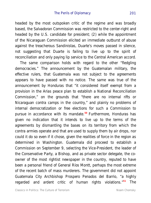headed by the most outspoken critic of the regime and was broadly based, the Salvadoran Commission was restricted to the center-right and headed by the U.S. candidate for president; (2) while the appointment of the Nicaraguan Commission elicited an immediate outburst of abuse against the treacherous Sandinistas, Duarte's moves passed in silence, not suggesting that Duarte is failing to live up to the spirit of reconciliation and only paying lip service to the Central American accord.

The same comparison holds with regard to the other "fledgling democracies." The announcement by the Guatemalan military, the effective rulers, that Guatemala was not subject to the agreements appears to have passed with no notice. The same was true of the announcement by Honduras that "it considered itself exempt from a provision in the Arias [pe](#page--1-0)ace plan to establish a National Reconciliation Commission," on the grounds that "there are no internal rifts or Nicaraguan contra camps in the country," and plainly no problems of internal democratization or free elections for such a Commission to pursue in accordance with its mandate.**<sup>50</sup>**Furthermore, Honduras has given no indication that it intends to live up to the terms of the agreements by dismantling the bases on its territory from which the contra armies operate and that are used to supply them by air drops, nor could it do so even if it chose, given the realities of force in the region as determined in Washington. Guatemala did proceed to establish a Commission on September 9, selecting the Vice-President, the leader of the Conservative Party, a Bishop, and as private sector delegate, the coowner of the most rightist newspaper in the [co](#page--1-0)untry, reputed to have been a personal friend of General Ríos Montt, perhaps the most extreme of the recent batch of mass murderers. The government did not appoint Guatemala City Archbishop Prospero Penados del Barrio, "a highly regarded and ardent critic of human rights violations."**51** The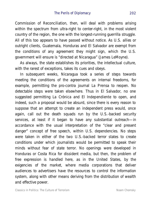Commission of Reconciliation, then, will deal with problems arising within the spectrum from ultra-right to center-right, in the most violent country of the region, the one with the longest-running guerrilla struggle. All of this too appears to have passed without notice. As U.S. allies or outright clients, Guatemala, Honduras and El Salvador are exempt from the conditions of any agreement they might sign, which the U.S. government will ensure is "directed at Nicaragua" (James LeMoyne).

As always, the state establishes its priorities, the intellectual culture, with the rarest of exceptions, takes its cues and obeys.

In subsequent weeks, Nicaragua took a series of steps towards meeting the conditions of the agreements on internal freedoms, for example, permitting the pro-contra journal *La Prensa* to reopen. No detectable steps were taken elsewhere. Thus in El Salvador, no one suggested permitting *La Crónica* and *El Independiente* to open, and indeed, such a proposal would be absurd, since there is every reason to suppose that an attempt to create an independent press would, once again, call out the death squads run by the U.S.-backed security services, at least if it began to have any substantial outreach—in accordance with the usual interpretation of the "clear and present danger" concept of free speech, within U.S. dependencies. No steps were taken in either of the two U.S.-backed terror states to create conditions under which journalists would be permitted to speak their minds without fear of state terror. No openings were developed in Honduras or Costa Rica for dissident media, but then, the problem of free expression is handled here, as in the United States, by the exigencies of the market, where media corporations that deliver audiences to advertisers have the resources to control the information system, along with other means deriving from the distribution of wealth and effective power.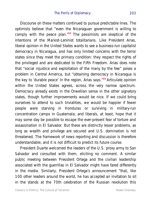Discourse on these matters continued to pursue predictable lines. The optimists believe that *"even* the Nicaraguan government is willing to comply with the peace plan."**<sup>52</sup>**The pessimists are skeptical of the intentions of the Marxist-Leninist totalitarians. Like President Arias, liberal opinion in the United States wants to see a business-run capitalist democracy in Nicaragua, and has only limited concerns with the terror states since they meet the primar[y](#page--1-0) condition: they respect the rights of the privileged and are dedicated to the Fifth Freedom. Arias does note that "social injustice and exploitation of the many by the few" poses a problem in Central America, but "obtaining democracy in Nicaragua is the key to 'durable peace' in the region, Arias says."**<sup>53</sup>**Articulate opinion within the United States agrees, across the very narrow spectrum. Democracy already exists in the Orwellian sense in the other signatory states, though further improvements would be nice. If we could bring ourselves to attend to such trivialities, we would be happier if fewer people were starving in Honduras or surviving in military-run concentration camps in Guatemala; and liberals, at least, hope that it may some day be possible to escape the ever-present fear of torture and assassination in El Salvador. But these are distinctly lesser problems, as long as wealth and privilege are secured and U.S. domination is not threatened. The framework of news reporting and discussion is therefore understandable, and it is not difficult to predict its future course.

President Duarte welcomed the leaders of the U.S. proxy army to San Salvador and consulted with them, eliciting no comment. A similar public meeting between President Ortega and the civilian leadership associated with the guerrillas in El Salvador might have fared differently in the media. Similarly, President Ortega's announcement "that, like 100 other leaders around the world, he has accepted an invitation to sit in the stands at the 70th celebration of the Russian revolution this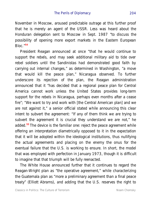November in Moscow, aroused predictable outrage at this further proof that he is merely an agent of the USSR. Less was heard about the Honduran delegation sent to Moscow in Sept. 1987 "to discuss the possibility of opening more export markets in the Eastern European Bloc."**<sup>54</sup>**

President Reagan announced at once "that he would continue to support the rebels, and may seek additional military aid to tide over rebel soldiers until the Sandinistas had demonstrated good faith by carrying out internal changes," as determined in Washington, "a move that would kill the peace plan," Nicaragua observed. To further underscore its rejection of the plan, the Reagan administration announced that it "has decided that a regional peace plan for Central America cannot work unless the United States provides long-term support for the rebels in Nicaragua, perhaps even months after a cease fire"; "We want to try and work with [the Central American plan] and we are not against it," a senior official stated while announcing this clear intent to subvert the agreement: "If any of them think we are trying to subvert the agreement it is crucial they understand we are not," he added.**<sup>55</sup>**The device is the familiar one: reject the peace agreement while offering an interpretation diametrically opposed to it in the expectation that it will be adopted within the ideological institutions, thus nullifying the actual agreements and placing on the enemy the onus for the eventual failure that the U.S. is working to ensure. In short, the model that was employed with perfection in January 1973, though it is difficult to imagine that that triumph will be fully reenacted.

The White House announced further that it continues to regard the Reagan-Wright plan as "the operative agreement," while characterizing the Guatemala plan as "more a preliminary agreement than a final peace treaty" (Elliott Abrams), and adding that the U.S. reserves the right to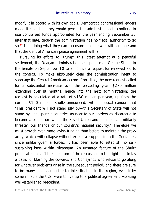modify it in accord with its own goals. Democratic congressional leaders made it clear that they would permit the administration to continue to use contra aid funds appropriated for the year ending September 30 after that date, though the administration has no "legal authority" to do so,**<sup>56</sup>** thus doing what they can to ensure that the war will continue and that the Central American peace agreement will fail.

Pursuing its efforts to "trump" this latest attempt at a peaceful settlement, the Reagan administration sent point man George Shultz to the Senate on September 10 to announce a request for renewed aid to the contras. To make absolutely clear the administration intent to sabotage the Central American accord if possible, the new request called for a substantial *increase* over the preceding year, \$270 million extending over l8 months, hence into the next administration; the request is calculated at a rate of \$180 million per year, up from the current \$100 million. Shultz announced, with his usual candor, that "This president will not stand idly by—this Secretary of State will not stand by—and permit countries as near to our borders as Nicaragua to become a place from which the Soviet Union and its allies can militarily threaten our friends or our country's national security." Therefore we must provide even more lavish funding than before to maintain the proxy army, which will collapse without extensive support from the Godfather, since unlike guerrilla forces, it has been able to establish no selfsustaining base within Nicaragua. An unstated feature of the Shultz proposal is to shift the spectrum of the discussion to the right and to lay a basis for blaming the cowards and Comsymps who refuse to go along for whatever problems arise in the subsequent period; and there are sure to be many, considering the terrible situation in the region, even if by some miracle the U.S. were to live up to a political agreement, violating well-established precedent.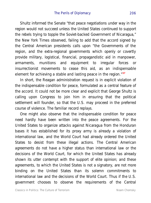Shultz informed the Senate "that peace negotiations under way in the region would not succeed unless the United States continued to support the rebels trying to topple the Soviet-backed Government of Nicaragua," the *New York Times* observed, failing to add that the accord signed by the Central American presidents calls upon "the Governments of the region, and the extra-regional governments [wh](#page--1-0)ich openly or covertly provide military, logistical, financial, propagandistic aid in manpower, armaments, munitions and equipment to irregular forces or insurrectionist movements to cease this aid, *as an indispensable element for achieving a stable and lasting peace in the region."***<sup>57</sup>**

In short, the Reagan administration request is in explicit violation of the indispensable condition for peace, formulated as a central feature of the accord. It could not be more clear and explicit that George Shultz is calling upon Congress to join him in ensuring that the political settlement will founder, so that the U.S. may proceed in the preferred course of violence. The familiar record replays.

One might also observe that the indispensable condition for peace need hardly have been written into the peace agreements. For the United States to organize attacks against Nicaragua from the Honduran bases it has established for its proxy army is already a violation of international law, and the World Court had already ordered the United States to desist from these illegal actions. The Central American agreements do not have a higher status than international law or the decisions of the World Court, for which the United States has already shown its utter contempt with the support of elite opinion; and these agreements, to which the United States is not a signatory, are not more binding on the United States than its solemn commitments to international law and the decisions of the World Court. Thus if the U.S. government chooses to observe the requirements of the Central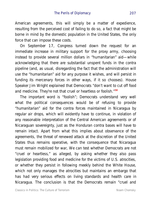American agreements, this will simply be a matter of expedience, resulting from the perceived cost of failing to do so, a fact that might be borne in mind by the domestic population in the United States, the only force that can impose these costs.

On September 17, Congress turned down the request for an immediate increase in military support for the proxy army, choosing instead to provide several million dollars in "humanitarian" aid—while acknowledging that there are substantial unspent funds in the contra pipeline (and, as usual, disregarding the [fac](#page--1-0)t that the administration will use the "humanitarian" aid for any purpose it wishes, and will persist in funding its mercenary forces in other ways, if it so chooses). House Speaker Jim Wright explained that Democrats "don't want to cut off food and medicine. They're not that cruel or heartless or foolish."**<sup>58</sup>**

The important word is "foolish"; Democrats understand very well what the political consequences would be of refusing to provide "humanitarian" aid for the contra forces maintained in Nicaragua by regular air drops, which will evidently have to continue, in violation of any reasonable interpretation of the Central American agreements or of Nicaraguan sovereignty, just as the Honduran contra bases will have to remain intact. Apart from what this implies about observance of the agreements, the threat of renewed attack at the discretion of the United States thus remains operative, with the consequence that Nicaragua must remain mobilized for war, We can test whether Democrats are not "cruel or heartless," as alleged, by asking whether they also pass legislation providing food and medicine for the victims of U.S. atrocities, or whether they persist in following meekly behind the White House, which not only manages the atrocities but maintains an embargo that has had very serious effects on living standards and health care in Nicaragua. The conclusion is that the Democrats remain "cruel and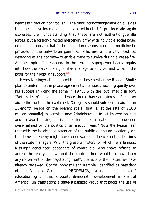heartless," though not "foolish." The frank acknowledgement on all sides that the contra forces cannot survive without U.S.-provided aid again expresses their understanding that these are not authentic guerrilla forces, but a foreign-directed mercenary army with no viable social base; no one is proposing that for humanitarian reasons, food and medicine be provided to [th](#page--1-0)e Salvadoran guerrillas—who are, at the very least, as deserving as the contras—to enable them to survive during a cease-fire. Another topic off the agenda in the terrorist superpower is any inquiry into how the Salvadoran guerrillas manage to survive, and what is the basis for their popular support.**<sup>59</sup>**

Henry Kissinger chimed in with an endorsement of the Reagan-Shultz plan to undermine the peace agreements, perhaps chuckling quietly over his success in doing the same in 1973, with the loyal media in tow. "Both sides of our domestic debate should have an interest in" military aid to the contras, he explained: "Congress should vote *contra* aid for an 18-month period on the present scale [that is, at the rate of \$100 million annually] to permit a new Administration to set its own policies and to avoid having an issue of fundamental national consequence overwhelmed by the politics of an election year." Note the typical fear that with the heightened attention of the public during an election year, the domestic enemy might have an unwanted influence on the decisions of the state managers. With the grasp of history for which he is famous, Kissinger denounced opponents of contra aid, who "have refused to accept the reality that without the *contras* there would not have been any movement on the negotiating front"; the facts of the matter, we have already reviewed. Contra lobbyist Penn Kemble, identified as president of the National Council of PRODEMCA, "a nonpartisan citizens' education group that supports democratic development in Central America" (in translation: a state-subsidized group that backs the use of

*Classics in Politics: The Culture of Terrorism* Moam Chomsky **Noam Chomsky** 

208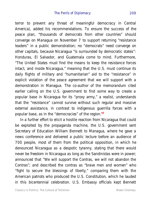terror to prevent any threat of meaningful democracy in Central America), added his recommendations. To ensure the success of the peace plan, "thousands of democrats from other countries" should converge on Managua on November 7 to support returning "resistance leaders" in a public demonstration; no "democrats" need converge on other capitals, because Nicaragua "is surrounded by democratic states": Honduras, El Salvador, and Guatemala come to mind. Furthermore, "The United States must find the means to keep the resistance forces intact, and inside Nicaragua," meaning that the U.S. must continue its daily flights of military and "humanitarian" aid to the "resistance" in explicit violation of the peace agreement that we will support with a demonstration in Managua. The co-author of the memorandum cited earlier calling on the U.S. gove[rnm](#page--1-0)ent to find some way to create a popular base in Nicaragua for its "proxy army," a realist, understands that the "resistance" cannot survive without such regular and massive external assistance, in contrast to indigenous guerrilla forces with a popular base, as in the "democracies" of the region.**<sup>60</sup>**

In a further effort to elicit a hostile reaction from Nicaragua that could be exploited by the propaganda machine, the U.S. government sent Secretary of Education William Bennett to Managua, where he gave a news conference and delivered a public lecture before an audience of 700 people, most of them from the political opposition, in which he denounced Nicaragua as a despotic tyranny, stating that there would never be freedom in Nicaragua as long as the Sandinistas were in power; announced that "We will support the Contras, we will not abandon the Contras"; and described the contras as "brave men and women" who "fight to secure the blessings of liberty," comparing them with the American patriots who produced the U.S. Constitution, which he lauded in this bicentennial celebration. U.S. Embassy officials kept Bennett

*Classics in Politics: The Culture of Terrorism* Moam Chomsky **Noam Chomsky** 

209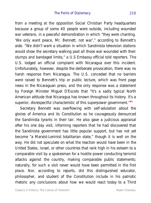from a meeting at the opposition Social Christian Party headquarters because a group of some 40 people were outside, including wounded war veterans, in a peaceful demonstration in which "they were chanting, 'We only want peace, Mr. Bennett, not war'," according to Bennett's aide. "We didn't want a situation in which Sandinista television stations would show the secretary walking past all those war wounded with their stumps and bandaged limbs," a U.S Embassy official told reporters. The U.S. lodged an official complaint with Nicaragua over this incident. Unfortunately, however, despite the deliberate provocation, there was no harsh response from Nicaragua. The U.S. conceded that no barriers were raised to Bennett's trip or public lecture, [wh](#page--1-0)ich was front page news in the Nicaraguan press, and the only response was a statement by Foreign Minister Miguel D'Escoto that "It's a sadly typical North American attitude that Nicaragua has known throughout its history. It's a superior, disrespectful characteristic of this superpower government."**<sup>61</sup>**

Secretary Bennett was overflowing with self-adulation about the glories of America and its Constitution as he courageously denounced the Sandinista tyrants in their lair. He also gave a judicious appraisal after his one day visit, informing reporters that he had discovered that the Sandinista government has little popular support, but has not yet become "a Marxist-Leninist totalitarian state," though it is well on the way. He did not speculate on what the reaction would have been in the United States, Israel, or other countries that rank high in his esteem to a comparable visit by a spokesman for a hostile power conducting terrorist attacks against the country, making comparable public statements; naturally, for such a visit never would have been permitted in the first place. Nor, according to reports, did this distinguished educator, philosopher, and student of the Constitution include in his patriotic rhetoric any conclusions about how we would react today to a Third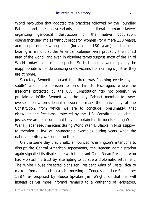World revolution that adopted the practices followed by the Founding Fathers and their descendants, endorsing literal human slavery, organizing genocidal destruction of the native population, disenfranchising males without property, women (for a mere 130 years), and people of the wrong color (for a mere 180 years), and so on bearing in mind that the American colonies were probably the richest area of the world, and even in absolute terms surpass most of the Third World today in crucial respects. Such thoughts would plainly be inappropriate while denouncing one's victims from on high, just as they are at home.

Secretary Bennett observed that there was "nothing overly coy or subtle" about the decision to send him to Nicaragua, where the freedoms protected by the U.S. Constitution "do not obtain," he proclaimed loftily. Bennett was the only Cabinet member to travel overseas on a presidential mission to mark the anniversary of the Constitution, from which we are to conclude, presumably, that elsewhere the freedoms protected by the U.S. Constitution do obtain, just as we are to assume that they did obtain for dissidents during World War I, Japanese-Americans during World War II, Blacks in Mississippito mention a few of innumerable examples during years when the national territory was under no threat.

On the same day that Shultz announced Washington's intentions to disrupt the Central American agreements, the Reagan administration again signalled its displeasure with the errant Costa Rican President who had violated his trust by attempting to pursue a diplomatic settlement. The White House "rejected plans for President Arias of Costa Rica to make a formal speech to a joint meeting of Congress" in late September 1987, as proposed by House Speaker Jim Wright, so that he "will instead deliver more informal remarks to a gathering of legislators,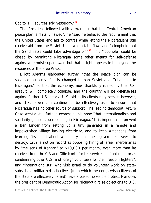Capitol Hill sources said yesterday."**<sup>62</sup>**

The President followe[d](#page--1-0) with a warning that the Central American peace plan is "fatally flawed"; he "said he believed the requirement that the United States end aid to contras while letting the Nicaraguans still receive aid from the Soviet Union was a fatal flaw, and 'a loophole that the Sandinistas could take advantage of'*.*" **<sup>63</sup>** This "loophole" could be closed by permitting Nicaragua some other means for self-defense against a terrorist superpower, but that insight appears to be beyond the resources of the Free Press.

Elliott Abrams elaborated further "that the peace plan can be salvaged but only if it is changed to ban Soviet and Cuban aid to Nicaragua," so that the economy, now thankfully ruined by the U.S. assault, will completely collapse, and the country will be defenseless against further U.S. attack; U.S. aid to its clients may persist, however, and U.S. power can continue to be effectively used to ensure that Nicaragua has no other source of support. The leading democrat, Arturo Cruz, went a step further, expressing his hope "that internationalists and solidarity groups stop meddling in Nicaragua." It is important to prevent a Ben Linder from setting up a tiny generator in a remote and impoverished village lacking electricity, and to keep Americans from learning first-hand about a country that their government seeks to destroy. Cruz is not on record as opposing hiring of Israeli mercenaries by "the sons of Reagan" at \$10,000 per month, even more than he received from the CIA and Ollie North for his services as front man, or as condemning other U.S. and foreign volunteers for the "freedom fighters"; and "internationalists" who visit Israel to do volunteer work on statesubsidized militarized collectives (from which the non-Jewish citizens of the state are effectively barred) have aroused no visible protest. Nor does the president of Democratic Action for Nicaragua raise objections to U.S.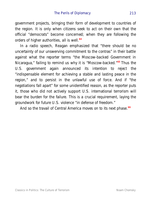government projects, bringing their form of development to countries of the region. It is only when citizens seek to act on their own that the official "democrats" become concerned; [wh](#page--1-0)en they are following the orders of higher authorities, all is well.**<sup>64</sup>**

In a radio speech, Reagan emphasized that "there should be no uncertainty of our unswerving commitment to the contras" in their battle against what the reporter terms "the Moscow-backed Government in Nicaragua," failing to remind us why it is "Moscow-backed."**<sup>65</sup>**Thus the U.S. government again announced its intention to reject the "indispensable element for achieving a stable and lasting peace in the region," and to persist in the unlawful use of force. And if "the negotiations fall apart" for some unidentified reas[on](#page--1-0), as the reporter puts it, those who did not actively support U.S. international terrorism will bear the burden for the failure. This is a crucial requirement, laying the groundwork for future U.S. violence "in defense of freedom."

And so the travail of Central America moves on to its next phase.**66**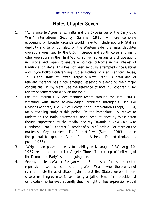# **Notes Chapter Seven**

- 1. "Adherence to Agreements: Yalta and the Experiences of the Early Cold War," *International Security,* Summer 1986. A more complete accounting on broader grounds would have to include not only Stalin's duplicity and terror but also, on the Western side, the mass slaughter operations organized by the U.S. in Greece and South Korea and many other operations in the Third World, as well as an analysis of operations in Europe and Japan to ensure a political outcome in the interest of traditional privilege. This has not been seriously attempted since Gabriel and Joyce Kolko's outstanding studies *Politics of War* (Random House, 1968) and *Limits of Power* (Harper & Row, 1972). A great deal of relevant material has since emerged, essentially extending their major conclusions, in my view. See the reference of note 23, chapter 2, for review of some recent work on the topic.
- 2. For the internal U.S. documentary record through the late 1960s, wrestling with these acknowledged problems throughout, see *For Reasons of State,* 1.VI.5. See George Kahn. *Intervention* (Knopf, 1986), for a revealing study of this period. On the immediate U.S. moves to undermine the Paris agreements, announced at once by Washington though suppressed by the media, see my *Towards a New Cold War*  (Pantheon, 1982), chapter 3, reprint of a 1973 article. For more on the matter, see Seymour Hersh, *The Price of Power* (Summit, 1983), and on the general background, Gareth Porter, *A Peace Denied* (Indiana U. press, 1975).
- 3. "Wright plan paves the way to stability in Nicaragua." *BC,* Aug. 10, 1987, reprinted from the *Los Angeles Times.* The concept of "left wing of the Democratic Party" is an intriguing one.
- 4. See my article in Walker, *Reagan* vs. *the Sandinistas,* for discussion; the repressive measures instituted during World War I, when there was not even a remote threat of attack against the United States, were still more severe, reaching even as far as a ten-year jail sentence for a presidential candidate who believed absurdly that the right of free expression would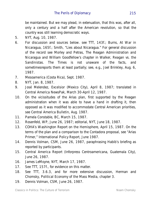be maintained. But we may plead, in extenuation, that this was, after all, only a century and a half after the American revolution, so that the country was still learning democratic ways.

- 5. *NYT,* Aug. 10, 1987.
- 6. For discussion and sources below. see *TTT,* 143f.; Burns, *At War in Nicaragua,* 165f.; Smith, "Lies about Nicaragua." For general discussion of the record see Morley and Petras, *The Reagan Administration and Nicaragua* and William Goodfellow's chapter in Walker, *Reagan vs. the Sandinistas.* The *Times* is not unaware of the facts, and sometimesreports them at least partially; see, e.g., Joel Brinkley, Aug. 6, 1987.
- 7. *Mesoamerica* (Costa Rica), Sept. 1987.
- 8. *NYT,* Jan. 8, 1987.
- 9. José Melendez, *Excelsior* (Mexico City), April 8, 1987; translated in *Central America NewsPak,* March 30-April 12, 1987.
- 10. On the vicissitudes of the Arias plan, first supported by the Reagan administration when it was able to have a hand in drafting it, then opposed as it was modified to accommodate Central American priorities, see *Central America Bulletin,* Aug. 1987.
- 11. Pamela Constable, *BC,* March 15, 1987.
- 12. Rosenfeld, *WP,* June 26, 1987; editorial, *NYT,* June 18, 1987.
- 13. COHA's *Washington Report on the Hemisphere,* April 15, 1987. On the terms of the plan and a comparison to the Contadora proposal, see "Arias Primer," *International Policy Report,* June 1987.
- 14. Dennis Volman, *CSM,* June 26, 1987, paraphrasing Habib's briefing as reported by participants.
- 15. *Central America Report* (Inforpress Centroamericana, Guatemala City), June 26, 1987.
- 16. James LeMoyne, *NYT*, March 17, 1987.
- 17. *See TTT,* 157f., for evidence on this matter.
- 18. See *TTT,* 3.6.3, and for more extensive discussion, Herman and Chomsky, *Political Economy of the Mass Media,* chapter 3.
- 19. Dennis Volman, *CSM,* June 26, 1987.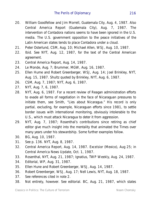- 20. William Goodfellow and Jim Morrell, Guatemala City, Aug. 4, 1987. Also *Central America Report* (Guatemala City), Aug. 7, 1987. The intervention of Contadora nations seems to have been ignored in the U.S. media. The U.S. government opposition to the peace initiatives of the Latin American states tends to place Contadora under a cloud.
- 21. Peter Osterlund, *CSM,* Aug. 10; Michael Allen, *WSJ,* Aug. 10, 1987.
- 22. *Ibid.* See *NYT,* Aug. 12, 1987, for the text of the Central American agreement.
- 23. *Central America Report,* Aug. 14, 1987.
- 24. *Le Monde,* Aug. 7; Brummer, *MGW,* Aug. 16, 1987.
- 25. Ellen Hume and Robert Greenberger, *WSJ,* Aug. 14; Joel Brinkley, *NYT,*  Aug. 15, 1987. Shultz quoted by Brinkley, *NYT,* Aug. 6, 1987.
- 26. *CSM,* Aug. 7, 1987; *NYT,* Aug. 6, 1987.
- 27. *NYT,* Aug. 7, 6, 1987.
- 28. *NYT,* Aug. 6, 1987. For a recent review of Reagan administration efforts to evade all forms of negotiation in the face of Nicaraguan pressures to initiate them, see Smith, "Lies about Nicaragua." His record is only partial, excluding, for example, Nicaraguan efforts since 1981, to settle border issues with international monitoring, obviously intolerable to the U.S., which must attack Nicaragua to deter it from aggression.
- 29. *NYT,* Aug. 7, 1987; Rosenthal's contributions since retiring as chief editor give much insight into the mentality that animated the *Times* over many years under his stewardship. Some further examples follow.
- 30. *BG,* Aug. 10, 1987.
- 31. See p. 136. *NYT,* Aug. 8, 1987.
- 32. *Central America Report,* Aug. 14, 1987. *Excelsior* (Mexico), Aug 25; in *Central America News Update,* Oct. 1, 1987.
- 33. Rosenthal, *NYT,* Aug. 21, 1987; Ignatius, *TWP Weekly,* Aug. 24, 1987.
- 34. Editorial, *WP,* Aug. 31, 1987.
- 35. Ellen Hune and Robert Greenberger, *WSJ,* Aug. 14, 1987.
- 36. Robert Greenberger, *WSJ,* Aug. 17; Nell Lewis, *NYT,* Aug. 18, 1987.
- 37. See references cited in note 2.
- 38. Not entirely, however. See editorial. *BC,* Aug. 21, 1987, which states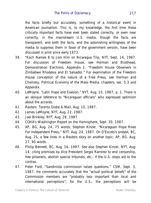the facts briefly but accurately, something of a historical event in American journalism. This is, to my knowledge, the first time these critically important facts have ever been stated correctly, or even near correctly, in the mainstream U.S. media, though the facts are transparent, and both the facts, and the astonishing willingness of the media to suppress them in favor of the government version, have been discussed in print since early 1973.

- 39. "Koch Names 8 to Join Him on Nicaragua Trip, *NYT,* Sept. 14, 1987. For discussion of Freedom House, see Herman and Brodhead, *Demonstration Elections,* Appendix 1: "Freedom House Observers in Zimbabwe Rhodesia and El Salvador." For examination of the Freedom House conception of the nature of a Free Press, see Herman and Chomsky, *Political Economy of the Mass Media,* chapters, sec. 5.3 and Appendix.
- 40. LeMoyne, "Latin Hope and Evasion," *NYT,* Aug. 10, 1987, p. 1. There is an oblique reference to "Nicaraguan officials" who expressed optimism about the accords.
- 41. Reuters. *Toronto Globe & Mail,* Aug. 10, 1987.
- 42. James LeMoyne, *NYT,* Aug. 22, 1987.
- 43. Joel Brinkley, *NYT,* Aug. 28, 1987.
- 44. COHA's *Washington Report on the Hemisphere,* Sept. 30, 1987.
- 45. AP, *BG,* Aug. 24, 75 words; Stephen Kinzer, "Nicaraguan Hope Rises For Independent Press," *NYT,* Aug. 24, 1987. On D'Escoto's protest, *BC,*  Aug. 2S, a few lines in a Reuters story on another topic; AP, *BG.* Aug. 27, 90 words.
- 46. Philip Bennett, *BC,* Aug. 16, 1987. See also Stephen Kinzer, *NYT,* Aug. 14, citing promises by Vice President Sergio Ramírez to end censorship, free prisoners, abolish special tribunals, etc., if the U.S. stops aid to the contras.
- 47. Peter Ford, "Sandinista commission raises questions." *CSM,* Sept. 3, 1987. He comments accurately that the "actual political beliefs" of the Commission members are "probably less important than local and international perceptions"; for the U.S., the perceptions will be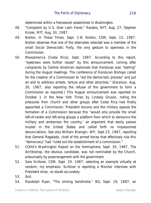determined within a framework established in Washington.

- 48. "Complaint by U.S. Over Latin Panel," Reuters, *NYT,* Aug. 27; Stephen Kinzer, *NYT,* Aug. 30, 1987.
- 49. Norton, *In These Times,* Sept. 2-8; Norton, *CSM,* Sept. 15, 1987. Norton observes that one of the alternates selected was a member of the small Social Democratic Party, the only gesture to openness in the Commission.
- 50. *Mesoamerica* (Costa Rica), Sept. 1987. According to this report, "eyebrows were further raised" by this announcement, coming after complaints by Central American diplomats that Honduras was "stalling" during the August meetings. The conference of Honduran Bishops called for the creation of a Commission to "aid the democratic process" and put an end to arbitrary arrests, torture and other atrocities." *(Excelsior.* Aug. 30, 1987, also reporting the refusal of the government to form a Commission as required.) This August announcement was reported on October 1 in the *New York Times* by Lindsey Gruson, noting the pressures from church and other groups after Costa Rica had finally appointed a Commission. President Azcona and the military oppose the formation of a Commission because this "would only provide the small left-of-center and left-wing groups a platform from which to denounce the military and embarrass the country,' an argument that easily passes muster in the United States and called forth no impassioned denunciations. See also William Branigin. *WP,* Sept 23, 1987, reporting that General Regalado, chief of the armed forces that effectively rule this "democracy" had "ruled out the establishment of a commission."
- 51. COHA's *Washington Report on the Hemisphere,* Sept. 30, 1987. The Archbishop, the obvious candidate, was not nominated by the Church, presumably by prearrangement with the government.
- 52. Sara Scribner, *CSM,* Sept. 29. 1987, selecting an example virtually at random; my emphasis. Scribner is reporting a *Monitor* interview with President Arias, no doubt accurately.
- 53. *Ibid.*
- 54. Randolph Ryan, "The sinning Sandinista," *BG,* Sept. 19, 1987, an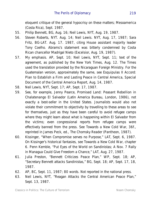eloquent critique of the general hypocrisy on these matters; *Mesoamerica*  (Costa Rica), Sept. 1987.

- 55. Philip Bennett, *BG,* Aug. 16; Neil Lewis, *NYT,* Aug. 19, 1987.
- 56. Steven Roberts, *NYT.* Aug. 14; Neil Lewis. *NYT,* Aug. 17, 1987; Sara Fritz, *BG-LAT.* Aug. 17. 1987, citing House assistant majority leader Tony Coelho. Abrams's statement was bitterly condemned by Costa Rican chancellor Madrigal Nieto *(Excelsior,* Aug. 19, 1987).
- 57. My emphasis. AP, Sept. 10; Neil Lewis, *NYT,* Sept. 11; text of the agreement, as published by the *New York Times,* Aug. 12. The *Times*  used the translation provided by the Nicaraguan Foreign Ministry. For the Guatemalan version, approximately the same, see *Esquipulas II Accord: Plan to Establish a Firm and Lasting Peace in Central America, Special Document* of the *Central America Report,* Aug. 14, 1987.
- 58. Neil Lewis, *NYT,* Sept. 17; AP, Sept. 17, 1987.
- 59. See, for example, Jenny Pearce, *Promised Land: Peasant Rebellion in Chalatenango El Salvador* (Latin America Bureau, London, 1986), not exactly a best-seller in the United States. Journalists would also not violate their commitment to objectivity by travelling to these areas to see for themselves, just as they have been careful to avoid refugee camps where they might learn about what is happening within El Salvador from the victims; even congressional reports from refugee camps were effectively banned from the press. See *Towards a New Cold War,* 36f., reprinted in James Peck, ed., *The Chomsky Reader (Pantheon,* 1987).
- 60. Kissinger, "When Compromise serves no Purpose," *LAT,* Sept. 6, 1987. On Kissinger's historical fantasies, see *Towards a New Cold War,* chapter 6. Penn Kemble, "Put Eyes of the World on Sandinistas; A Nov. 7 Rally in Managua Could Give Freedom a Chance," *LAT,* Aug. 27, 1987.
- 61. Julia Preston, "Bennett Criticizes Peace Plan," *WP,* Sept. 18; AP, "Secretary Bennett attacks Sandinistas," *BG,* Sept. 18; AP, Sept. 17, 18, 1987.
- 62. AP, *BC,* Sept. 11, 1987; 80 words. Not reported in the national press.
- 63. Neil Lewis, *NYT,* "Reagan Attacks the Central American Peace Plan," Sept. 13, 1987.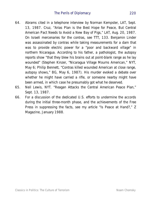- 64. Abrams cited in a telephone interview by Norman Kempster, *LAT,* Sept. 13, 1987. Cruz, "Arias Plan is the Best Hope for Peace, But Central American Pact Needs to Avoid a New Bay of Pigs," *LAT,* Aug. 20, 1987. On Israeli mercenaries for the contras, see *TTT,* 133. Benjamin Linder was assassinated by contras while taking measurements for a dam that was to provide electric power for a "poor and backward village" in northern Nicaragua. According to his father, a pathologist, the autopsy reports show "that they blew his brains out at point-blank range as he lay wounded" (Stephen Kinzer, "Nicaragua Village Mourns American," *NYT,*  May 6; Philip Bennett, "Contras killed wounded American at close range, autopsy shows," *BG,* May 6, 1987). His murder evoked a debate over whether he might have carried a rifle, or someone nearby might have been armed, in which case he presumably got what he deserved.
- 65. Neil Lewis, *NYT.* "Reagan Attacks the Central American Peace Plan," Sept. 13, 1987.
- 66. For a discussion of the dedicated U.S. efforts to undermine the accords during the initial three-month phase, and the achievements of the Free Press in suppressing the facts, see my article "Is Peace at Hand?," *Z Magazine,* January 1988.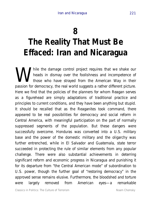# **The Reality That Must Be Effaced: Iran and Nicaragua**

**8** 

hile the damage control project requires that we shake our heads in dismay over the foolishness and incompetence of those who have strayed from the American Way in their passion for democracy, the real world suggests a rather different picture. Here we find that the policies of the planners for whom Reagan serves as a figurehead are simply adaptations of traditional practice and principles to current conditions, and they have been anything but stupid. It should be recalled that as the Reaganites took command, there appeared to be real possibilities for democracy and social reform in Central America, with meaningful participation on the part of normally suppressed segments of the population. But these dangers were successfully overcome. Honduras was converted into a U.S. military base and the power of the domestic military and the oligarchy was further entrenched, while in El Salvador and Guatemala, state terror succeeded in protecting the rule of similar elements from any popular challenge. There were also substantial achievements in deterring significant reform and economic progress in Nicaragua and punishing it for its departure from "the Central American mode" of subordination to U.S. power, though the further goal of "restoring democracy" in the approved sense remains elusive. Furthermore, the bloodshed and torture were largely removed from American eyes—a remarkable  $\bigvee$  head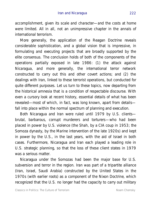accomplishment, given its scale and character—and the costs at home were limited. All in all, not an unimpressive chapter in the annals of international terrorism.

More generally, the application of the Reagan Doctrine reveals considerable sophistication, and a global vision that is impressive, in formulating and executing projects that are broadly supported by the elite consensus. The conclusion holds of both of the components of the operations partially exposed in late 1986: (1) the attack against Nicaragua, and more generally, the international terror network constructed to carry out this and other covert actions; and (2) the dealings with Iran, linked to these terrorist operations, but conducted for quite different purposes. Let us turn to these topics, now departing from the historical amnesia that is a condition of respectable discourse. With even a cursory look at recent history, essential details of what has been revealed—most of which, in fact, was long known, apart from details fall into place within the normal spectrum of planning and execution.

Both Nicaragua and Iran were ruled until 1979 by U.S. clients brutal, barbarous, corrupt murderers and torturers—who had been placed in power by U.S. violence (the Shah, by a CIA coup in 1953; the Somoza dynasty, by the Marine intervention of the late 1920s) and kept in power by the U.S., in the last years, with the aid of Israel in both cases. Furthermore, Nicaragua and Iran each played a leading role in U.S. strategic planning, so that the loss of these client states in 1979 was a serious matter.

Nicaragua under the Somozas had been the major base for U.S. subversion and terror in the region. Iran was part of a tripartite alliance (Iran, Israel, Saudi Arabia) constructed by the United States in the 1970s (with earlier roots) as a component of the Nixon Doctrine, which recognized that the U.S. no longer had the capacity to carry out military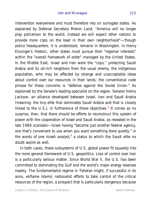intervention everywhere and must therefore rely on surrogate states. As explained by Defense Secretary Melvin Laird, "America will no longer play policeman to the world. Instead we will expect other nations to provide more cops on the beat in their own neighborhood"—though police headquarters, it is understood, remains in Washington. In Henry Kissinger's rhetoric, other states must pursue their "regional interests" within the "overall framework of order" managed by the United States. In the Middle East, Israel and Iran were the "cops," protecting Saudi Arabia and its oil-rich neighbors from the usual enemy, the indigenous population, who may be affected by strange and unacceptable ideas about control over our resources in their lands; the conventional code phrase for these concerns is "defe[nse](#page--1-0) against the Soviet Union." As explained by the Senate's leading specialist on the region, Senator Henry Jackson, an alliance developed between Israel, Iran and Saudi Arabia (meaning: the tiny elite that dominates Saudi Arabia and that is closely linked to the U.S.), in furtherance of these objectives.**<sup>1</sup>** It comes as no surprise, then, [th](#page--1-0)at there should be efforts to reconstruct this system of power with the cooperation of Israel and Saudi Arabia, as revealed in the late 1986 scandals—Israel having "become just another federal agency, one that's convenient to use when you want something done quietly," in the words of one Israeli analyst,**<sup>2</sup>** a status to which the Saudi elite no doubt aspire as well.

In both cases, these subsystems of U.S. global power fit squarely into the more general framework of U.S. geopolitics. Loss of control over Iran is a particularly serious matter. Since World War II, the U.S. has been committed to dominating the Gulf and the world's major energy reserves nearby. The fundamentalist regime in Teheran might, if successful in its aims, enflame Islamic nationalist efforts to take control of the critical resources of the region, a prospect that is particularly dangerous because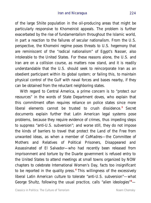of the large Shiite population in the oil-producing areas that might be particularly responsive to Khomeinist appeals. The problem is further exacerbated by the rise of fundamentalism throughout the Islamic world, in part a reaction to the failures of secular nationalism. From the U.S. perspective, the Khomeini regime poses threats to U.S. hegemony that are reminiscent of the "radical nationalism" of Egypt's Nasser, also intolerable to the United States. For these reasons alone, the U.S. and Iran are on a collision course, as matters now stand, and it is readily understandable that the U.S. should seek to reincorporate Iran as an obedient participant within its global system; or failing this, to maintain physical control of the Gulf with naval forces and bases nearby, if they can be obtained from the reluctant neighborin[g st](#page--1-0)ates.

With regard to Central America, a prime concern is to "protect our resources" in the words of State Department doves, who explain that this commitment often requires reliance on police states since more liberal elements cannot be trusted to crush dissidence.<sup>3</sup> Secret documents explain further that Latin American legal systems pose problems, because they require evidence of crimes, thus impeding steps to suppress "anti-U.S. subversion"; and worse still, they do not impose the kinds of barriers to travel that protect the Land of the Free from unwanted ideas, as when a member of CoMadres—the Committee of Mothers and Relatives of Political Prisoners, Disappeared and Assassinated of [El](#page--1-0) Salvador—who had recently been released from imprisonment and torture by the Duarte government is refused entry to the United States to attend meetings at small tow[ns](#page--1-0) organized by NOW chapters to celebrate International Women's Day, facts too insignificant to be reported in the quality press.**<sup>4</sup>**This willingness of the excessively liberal Latin American culture to tolerate "anti-U.S. subversion"—what George Shultz, following the usual practice, calls "alien ideologies"**<sup>5</sup>** —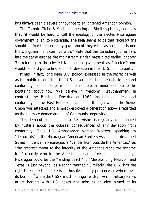has always been a severe annoyance to enlightened American opinion.

The *Toronto Globe* & *Mail,* commenting on Shultz's phrase, observes that "it would be hard to call the ideology of the elected Nicaraguan government 'alien' to Nicaragua. The idea seems to be that Nicaraguans should be free to choose any government they wish, as long as it is one the US government can live with." Note that the Canadian journal falls into the same error as the mainstream British press cited earlier (chapter 3), referring to the elected Nicaraguan government as "elected"; one would be hard put to find a similar deviation in their U.S. counterparts.

It has, in fact, long been U.S. policy, expressed in the secret as well as the public record, that the U.S. government has the right to demand conformity to its dictates in the hemisphere, a minor footnote to the posturing about how "We believe in freedom" (Krauthammer). In contrast, the Brezhnev Doctrine of 1968 insisting on ideological conformity in the East European satellites—through which the Soviet Union was attacked and almost destroyed a generation ago—is regarded as the ultimate demonstration of Communist depravity.

This demand for obedience to U.S. wishes is regularly accompanied by hysteria about the colossal consequences of any deviation from conformity. Thus UN Ambassador Vernon Walters, speaking to "democrats" of the Nicaraguan American Bankers Association, described Soviet influence in Nicar[ag](#page--1-0)ua, a "cancer from outside the Americas," as "the greatest threat to the integrity of the Americas since we became free" (exactly who in the Americas became free, he does not say). Nicaragua could be the "landing beach" for "destabilizing Mexico," and Texas is just beyond, as Reagan warned.**<sup>6</sup>**Similarly, the U.S. has the right to ensure that there is no hostile military presence anywhere near its borders,**<sup>7</sup>**while the USSR must be ringed with powerful military forces at its borders with U.S. bases and missiles on alert aimed at its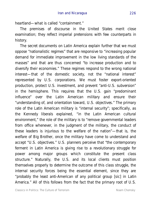heartland—what is called "containment."

The premises of discourse in the United States merit close examination; they reflect imperial pretensions with few counterparts in history.

The secret documents on Latin America explain further that we must oppose "nationalistic regimes" that are responsive to "increasing popular demand for immediate improvement in the low living standards of the masses" and that are thus concerned "to increase production and to diversify their economies." These regimes respond to the wrong national interest—that of the domestic society, not the "national interest" represented by U.S. corporations. We must foster export-oriented production, protect U.S. investment, and prevent "anti-U.S. subversion" in the hemisphere. This requires that the U.S. gain "predominant influence" over the Latin American military and ensure their "understanding of, and orientation toward, U.S. objectives." The primary role of the Latin American military is "internal security"; specifically, as the Kennedy liberals explained, "in the Latin American cultural environment," the role of the military is to "remove governmental leaders from office whenever, in the judgment of the military, the conduct of these leaders is injurious to the welfare of the nation"—that is, the welfare of Big Brother, once the military have come to understand and accept "U.S. objectives." U.S. planners perceive that "the contemporary ferment in Latin America is giving rise to a revolutionary struggle for power among major groups which constitute the present class structure." Naturally, the U.S. and its local clients must position themselves properly to determine the outcome of this class struggle, the internal security forces being the essential element, since they are "probably the least anti-American of any political group [sic] in Latin America." All of this follows from the fact that the primary root of U.S.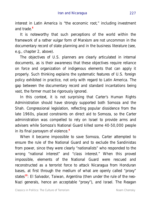interest in Latin America is "the economic root," including investment and trade.**<sup>8</sup>**

It is noteworthy that such perceptions of the world within the framework of a rather vulgar form of Marxism are not uncommon in the documentary record of state planning and in the business literature (see, e.g., chapter 2, above).

The objectives of U.S. planners are clearly articulated in internal documents, as is their awareness that these objectives require reliance on force and organization of indigenous elements that can apply it properly. Such thinking explains the systematic features of U.S. foreign policy exhibited in practice, not only with regard to Latin America. The gap between the documentary record and standard incantations being vast, the former must be rigorously ignored.

In this context, it is not surprising that Carter's Human Rights Administration should have strongly supported both Somoza and the Shah. Congr[ess](#page--1-0)ional legislation, reflecting popular dissidence from the late 1960s, placed constraints on direct aid to Somoza, so the Carter administration was compelled to rely on Israel to provide arms and advisers while Somoza's National Guard killed some 40-50,000 people in its final paroxysm of violence.**<sup>9</sup>**

When it became impossible to save Somoza, Carter attempted to ensure the rule of the National Guard and to exclude the Sandinistas from power, since they were clearly "nationalists" who responded to the wrong "national interest" and "class interest." When this proved impossible, elements of the National Guard were rescued and reconstructed as a terrorist force to attack Nicaragua from Honduran bases, at first through the medium of what are openly called "proxy" states**10**: El Salvador, Taiwan, Argentina (then under the rule of the neo-Nazi generals, hence an acceptable "proxy"), and Israel. The Reagan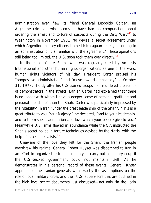administration even flew its friend General Leopoldo Galtieri, an Argentine criminal "who seems to have had no compunction about ordering the arrest and torture of suspe[cts](#page--1-0) during the Dirty War,"**<sup>11</sup>**to Washington in November 1981 "to devise a secret agreement under which Argentine military officers trained Nicaraguan rebels, according to an administration official familiar with the agreement." These operations still being too limited, the U.S. soon took them over directly.**<sup>12</sup>**

In the case of the Shah, who was regularly cited by Amnesty International and other human rights organizations as one of the worst human rights violators of his day, President Carter praised his "progressive administration" and "move toward democracy" on October 31, 1978, shortly after his U.S-trained troops had murdered thousands of demonstrators in the streets. Earlier, Carter had explained that "there is no leader with whom I have a deeper sense of personal gratitude and personal friendship" than the Shah. Carter was particularly impressed by the "stability" in Iran "under the great leadership of the Shah": "This is a great t[ribu](#page--1-0)te to you, Your Majesty," he declared, "and to your leadership, and to the respect, admiration and love which your people give to you." Meanwhile U.S. arms flowed in abundance while the CIA instructed the Shah's secret police in torture techniques devised by the Nazis, with the help of Israeli specialists.**<sup>13</sup>**

Unaware of the love they felt for the Shah, the Iranian people overthrew his regime. General Robert Huyser was dispatched to Iran in an effort to organize the Iranian military to carry out a military coup if the U.S.-backed government could not maintain itself. As he demonstrates in his personal record of these events, General Huyser approached the Iranian generals with exactly the assumptions on the role of local military forces and their U.S. supervisors that are outlined in the high level secret documents just discussed—not only "in the Latin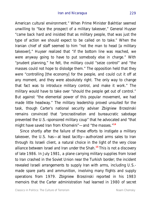American cultural environment." When Prime Minister Bakhtiar seemed unwilling to "face the prospect of a military takeover," General Huyser "came back hard and insisted that as military people, that was just the type of action we should expect to be called on to take." When the Iranian chief of staff seemed to him "not the man to head [a military takeover]," Huyser realized that "if the bottom line was reached, we were anyway going to have to put somebody else in charge." With "prudent planning," he felt, the military could "seize control" and "the masses could not hope to dislodge them." The opposition held that they were "controlling [the economy] for the people, and could cut it off at any moment, and they were absolutely right. The only way to change that fact was to introduce military control, and make it work." The military would have to take over "should the people get out of control." But against "the elemental power of this popular movement, we had made little headway." The military lea[der](#page--1-0)ship proved unsuited for the task, though Carter's national security adviser Zbigniew Brzezinski remains convinced that "procrastination and bureaucratic sabotage prevented the U.S.-sponsored military coup" that he advocated and "that might have saved Iran from K[ho](#page--1-0)meini"—and "the masses."**<sup>14</sup>**

Since shortly after the failure of these efforts to instigate a military takeover, the U.S. has—at least tacitly—authorized arms sales to Iran through its Israeli client, a natural choice in the light of the very close alliance between Israel and Iran under the Shah.**<sup>15</sup>**This is not a discovery of late 1986. In July 1981, a plane carrying military supplies from Israel to Iran crashed in the Soviet Union near the Turkish border; the incident revealed Israeli arrangements to supply Iran with arms, including U.S. made spare parts and ammunition, involving many flights and supply operations from 1979. Zbigniew Brzezinski reported in his 1983 memoirs that the Carter administration had learned in 1980 of secret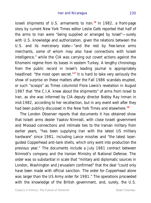Israeli shipments of U.S. armaments to Iran.**<sup>16</sup>**In 1982, a front-page story by current *New York Times* editor Leslie Gelb reported that half of the arms to Iran were "being supplied or arranged by Israel"—surely with U.S. knowledge and authorization, given the relations between the U.S. and its mercenary state—"and the rest by free-lance arms merchants, som[e](#page--1-0) of whom may also have connections with Israeli intelligence," while the CIA was carrying out covert actions against the Khomeini regime from its bases in eastern Turkey. A lengthy chronology from the public record in Israel's leading journal is appropriately headlined: "the most open secret."**<sup>17</sup>**It is hard to take very seriously the show of surprise on these matters after the Fall 1986 scandals erupted, or such "scoops" as *Times* columnist Flora Le[wis'](#page--1-0)s revelation in August 1987 that "the C.I.A. knew about the shipments" of arms from Israel to Iran, as she was informed by CIA deputy director Bobby Ray Inman in mid-1982, according to her recollection, but in any event well after they had been publicly discussed in the *New York Times* and elsewhere.**<sup>18</sup>**

The *London Observer* reports that documents it has obtained show that Israeli arms dealer Yaakov Nimrodi, with close Israeli government and Mossad connections and intimate ties to the Iranian military from earlier years, "has been supplying Iran with the latest US military hardware" since 1981, including Lance missiles and "the latest laserguided Copperhead anti-tank shells, which only went into production the previous year." The documents include a July 1981 contract between Nimrodi's company and the Iranian Ministry of National Defense. The order was so substantial in scale that "military and diplomatic sources in London, Washington and Jerusalem confirmed" that the deal "could only have been made with official sanction. The order for Copperhead alone was larger than the US Army order for 1981." The operations proceeded with the knowledge of the British government, and, surely, the U.S.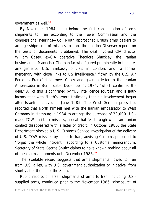government as well.**<sup>19</sup>**

By November 1984—long before the first consideration of arms shipments to Iran according to the Tower Commission and the congressional hearings—Col. North approached British arms dealers to arrange shipments of missiles to Iran, the *London Observer* reports on the basis of documents it obtained. The deal involved CIA director William Casey, ex-CIA operative Theodore Shackley, the Iranian businessman Manucher Ghorbanifar who figured prominently in the later arrangements, U.S. Embassy officials in London, and "a former mercenary with close links to US intelligence," flown by the U.S. Air Force to Frankfurt to meet Casey and given a letter to the Iranian Ambassador in Bonn, dated December 6, 1984, "which confirmed the deal." All of this is confirmed by "US intelligence sources" and is flatly inconsistent with North's sworn testimony that his involvement began after Israeli initiatives in June 1985. The West German press has reported that North himself met with the Iranian ambassador to West Germany in Hamburg in 1984 to arrange the purchase of 20,000 U.S. made TOW anti-tank missiles, a deal that fell through when an Iranian contact disappeared with a letter of credit. In October 1985, the State Department blocked a U.S. [Cus](#page--1-0)toms Service investigation of the delivery of U.S. TOW missiles by Israel to Iran, advising Customs personnel to "forget the whole incident," according to a Customs memorandum; Secretary of State George Shultz claims to have known nothing about all of these arms shipments until December 1985.**<sup>20</sup>**

The available record suggests that arms shipments flowed to Iran from U.S. allies, with U.S. government authorization or initiative, from shortly after the fall of the Shah.

Public reports of Israeli shipments of arms to Iran, including U.S. supplied arms, continued prior to the November 1986 "disclosure" of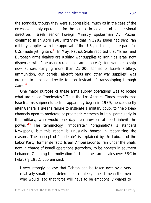the scandals, though they were suppressible, much as in the case of the exte[nsi](#page--1-0)ve supply operations for the contras in violation of congressional directives. Israeli senior Foreign Ministry spokesman Avi Pazner confirmed in an April 1986 interview that in 1982 Israel had sent Iran military supplies with the approval of the U.S., including spare parts for U.S.-made jet fighters.**<sup>21</sup>** In May, Patrick Seale reported that "Israeli and European arms dealers are rushing war supplies to Iran," as Israel now dispenses with "the usual roundabout arms routes"; "for example, a ship now at sea, carrying more than 25,000 tonnes of Israeli artillery, ammunition, gun barrels, aircraft parts and other war supplies" was ordered to proceed directly to Iran instead of transshipping through Zaire.**<sup>22</sup>**

One major purpose of these arms supply operations was to locate what are called "moderates." Thus the *Los Angeles Times* reports that Israeli arms shipments to Iran apparently began in 1979, hence shortly after General Huyser's failure to instigate a military coup, to "help keep channels open to moderate or pragmatic elements in Iran, particularly in the military, who would one day overthrow or at least inherit the power."**<sup>23</sup>**The terminology ("moderate," "pragmatic") is standard Newspeak, but this report is unusually honest in recognizing the reasons. The concept of "moderate" is explained by Un Lubrani of the Labor Party, former de facto Israeli Ambassador to Iran under the Shah, now in charge of Israeli operations (terrorism, to be honest) in southern Lebanon. Outlining the motivation for the Israeli arms sales over BBC in February 1982, Lubrani said:

I very strongly believe that Tehran can be taken over by a very relatively small force, determined, ruthless, cruel. I mean the men who would lead that force will have to be emotionally geared to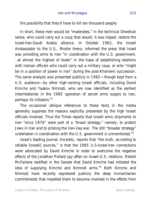the possibility that they'd have to kill ten thousand people.

In short, these men would be "moderates," in the technical Orwellian sense, who could carry out a coup that would, it was hoped, restore the Israel-Iran-Saudi Arabia alliance. In October 1982, the Israeli Ambassador to the U.S., Moshe Arens, informed the press that Israel was providing arms to Iran "in coordination with the U.S. government. ..at almost the highest of levels" in the hope of establishing relations with Iranian officers who could carry out a military coup, or who "might be in a position of power in Iran" during the post-Khomeini succession. Th[e s](#page--1-0)ame analysis was presented publicly in 1982—though kept from a U.S. audience—by other high-ranking Israeli officials, including David Kimche and Yaakov Nimrodi, who are now identified as the earliest intermediaries in the 1985 operation of secret arms supply to Iran, perhaps its initiators.**<sup>24</sup>**

The occasional oblique references to these facts in the media generally suppress the reasons explicitly presente[d](#page--1-0) by the high Israeli officials involved. Thus the *Times* reports that Israeli arms shipments to Iran "since 1979" were part of a "broad strategy," namely, to protect Jews in Iran and to prolong the Iran-Iraq war. The still "broader strategy" undertaken in coordination with the U.S. government is unmentioned.**<sup>25</sup>**

Israel's leading journal, *Ha'aretz,* reports that "the truth, according to reliable [Israeli] sources," is th[at](#page--1-0) the 1985 U.S-Israel-Iran connections were advocated by David Kimche in order to overcome the negative effects of the Jonathan Pollard spy affair on Israeli-U.S. relations. Robert McFarlane testified in the Senate that David Kimche had initiated the idea of supplying Kimche and Nimrodi arms.**<sup>26</sup>** Both Kimche and Nimrodi have recently expressed publicly the deep humanitarian commitments that impelled them to become involved in the efforts from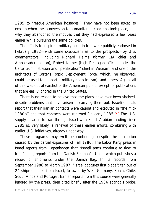1985 to "rescue American hostages." They have not been asked to explain when their conversion to humanitarian concerns took place, and why they abandoned the motives that they had expressed a few years earlier while pursuing the same policies.

The efforts to inspire a military coup in Iran were publicly endorsed in February 1982—with some skepticism as to the prospects—by U.S. commentators, including Richard Helms (former CIA chief and Ambassador to Iran), Robert Komer (high Pentagon official under the Carter administration and "pacification" chief in Vietnam, and one of the architects of Carter's Rapid Deployment Force, which, he observed, could be used to support a military coup in Iran), and others. Again, all of this was out of earshot of the American public, except for publications that are easily ignored in the United State[s.](#page--1-0) 

There is no reason to believe that the plans have ever been shelved, despite problems that have arisen in carrying them out. Israeli officials report that their Iranian contacts were caught and executed in "the mid-1980's" and that contacts were renewed "in early 1985."**<sup>27</sup>** The U.S. supply of arms to Iran through Israel with Saudi Arabian funding since 1985 is, very likely, a renewal of these earlier efforts, combining with earlier U.S. initiatives, already under way.

These programs may well be continuing, despite the disruption caused by the partial exposures of Fall 1986. The Labor Party press in Israel reports from Copenhagen that "Israeli arms continue to flow to Iran," citing reports from the Danish Seaman's Union, which publishes a record of shipments under the Danish flag. In its records from September 1986 to March 1987, "Israel captures first place"; ten out of 24 shipments left from Israel, followed by West Germany, Spain, Chile, South Africa and Portugal. Earlier reports from this source were generally ignored by the press, then cited briefly after the 1986 scandals broke.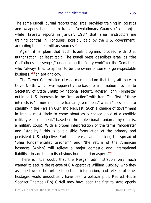The same Israeli [jou](#page--1-0)rnal reports that Israel provides training in logistics and weapons handling to Iranian Revolutionary Guards (Pasdaran) while *Ha'aretz* reports in January 1987 that Israeli instructors are training contras in Honduras, possibly paid by the U.S. government, according to Israeli military sources.**<sup>28</sup>**

Again, it is plain that such Israeli programs proceed with U.S. authorization, at least tacit. The Israeli press describes Israel as "the Godfather's messenger," undertaking the "dirty work" for the Godfather, who "always tries to appear to be the owner of some large respectable business,"**<sup>29</sup>**an apt analogy.

The Tower Commission cites a memorandum that they attribute to Oliver North, which was apparently the basis for information provided to Secretary of State Shultz by national security adviser John Poindexter outlining U.S. interests in the "transaction" with Iran. The first of these interests is "a more moderate Iranian government," which "is essential to stability in the Persian Gulf and MidEast. Such a change of government in Iran is most likely to come about as a consequence of a credible military establishment," based on the professional Iranian army (that is, a military coup). With a proper interpretation of the terms "moderate" and "stability." this is a plausible [fo](#page--1-0)rmulation of the primary and persistent U.S. objective. Further interests are: blocking the spread of "Shia fundamentalist terrorism" and "the return of the American hostages [which] will relieve a major domestic and international liability—in addition to its obvious humanitarian aspect."**<sup>30</sup>**

There is little doubt that the Reagan administration very much wanted to secure the release of CIA operative William Buckley, who they assumed would be tortured to obtain information, and release of other hostages would undoubtedly have been a political plus. Retired House Speaker Thomas (Tip) O'Neil may have been the first to state openly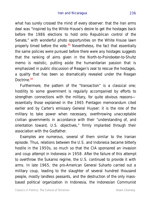what has sur[ely](#page--1-0) crossed the mind of every observer: that the Iran arms deal was "inspired by the White House's desire to get the hostages back before the 1986 elections to hold onto Republican control of the Senate," with wonderful photo opportunities on the White House lawn properly timed before the vote.**<sup>31</sup>** Nevertheless, the fact that essentially the same policies were pursued before there were any hostages suggests that the ranking of aims given in the North-to-Poindexter-to-Shultz memo is realistic, putting aside the humanitarian passion that is emphasized in public discussion of Reagan's zeal to rescue the hostages, a quality that has been so dramatically revealed under the Reagan Doctrine.**<sup>32</sup>**

Furthermore, the pattern of the "transaction" is a classical one; hostility to some government is regularly accompanied by efforts to strengthen connections with the military, for quite obvious reasons essentially those explained in the 1965 Pentagon memorandum cited earlier and by Carter's emissary General Huyser: it is the role of the military to take power when necessary, overthrowing unacceptable civilian governments in accordance with their "understanding of, and orientation toward, U.S. objectives," firmly implanted through their association with the Godfather.

Examples are numerous, several of them similar to the Iranian episode. Thus, relations between the U.S. and Indonesia became bitterly hostile in the 1950s, so much so that the CIA sponsored an invasion and coup attempt in Indonesia in 1958. After the failure of this attempt to overthrow the Sukarno regime, the U.S. continued to provide it with arms. In late 1965, the pro-American General Suharto carried out a military coup, leading to the slaughter of several hundred thousand people, mostly landless peasants, and the destruction of the only massbased political organization in Indonesia, the Indonesian Communist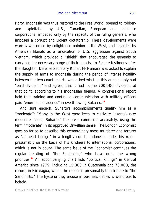Party. Indonesia was thus restored to the Free World, opened to robbery and exploitation by U.S., Canadian, European and Japanese corporations, impeded only by the rapacity of the ruling generals, who imposed a corrupt and violent dictatorship. These developments were warmly welcomed by enlightened opinion in the West, and regarded by American liberals as a vindication of U.S. aggression against South Vietnam, which provided a "shield" that encouraged the generals to carry out the necessary purge of their society. In Senate testimony after the slaughter, Defense Secretary Robert McNamara was asked to explain the supply of arms to Indonesia during the period of intense hostility between the two countries. He w[as](#page--1-0) asked whether this arms supply had "paid dividends" and agreed that it had—some 700,000 dividends at that point, according to his Indonesian friends. A congressional report held that training and continued communication with military officers paid "enormous dividends" in overthrowing Sukarno.**<sup>33</sup>**

And sure enough, Suharto's accomplishments qualify him as a "moderate": "Many in the West were keen to cultivate Jakarta's new moderate leader, Suharto," the press comments accurately, using the term "moderate" in its approved Orwellian sense. The London *Economist*  goes so far as to describe this extraordinary mass murderer and torturer as "at heart benign" in a lengthy ode to Indonesia under his rule presumably on the basis of his kindness to international corporations, which is not in doubt. The same issue of the *Economist* continues the regular berating of "the Sandinists," who have quite the wrong priorities.**<sup>34</sup>**An accompanying chart lists "political killings" in Central America since 1979, including 15,000 in Guatemala and 70,000, the record, in Nicaragua, which the reader is presumably to attribute to "the Sandinists." The hysteria they arouse in business circles is wondrous to behold.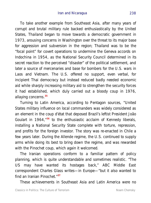To take another example from Southeast Asia, after many years of corrupt and brutal military rule backed enthusiastically by the United States, Thailand began to move towards a democratic government in 1973, arousing concerns in Washington over the threat to its major base for aggression and subversion in the region; Thailand was to be the "focal point" for covert operations to undermine the Geneva accords on Indochina in 1954, as the National Security Council determined in its secret reaction to the perceived "disaster" of the political settlement, and later a source of mercenaries and base for bombers for the U.S. wars in [La](#page--1-0)os and Vietnam. The U.S. offered no support, even verbal, for incipient Thai democracy but instead reduced badly needed economic aid while sharply increasing military aid to strengthen the security forces it had established, which duly carried out a bloody coup in 1976, [alla](#page--1-0)ying concerns.**<sup>35</sup>**

Turning to Latin America, according to Pentagon sources, "United States military influence on local commanders was widely considered as an element in the coup d'état that deposed Brazil's leftist President João Goulart in 1964,"**<sup>36</sup>** to the enthusiastic acclaim of Kennedy liberals, installing a National Security State complete with torture, repression, and profits for the foreign investor. The story was re-enacted in Chile a few years later. During the Allende regime, the U.S. continued to supply arms while doing its best to bring down the regime, and was rewarded with the Pinochet coup, which again it welcomed.

The [Ir](#page--1-0)anian operations conform to a familiar pattern of policy planning, which is quite understandable and sometimes realistic. "The US may have wanted its hostages back," ABC Middle East correspondent Charles Glass writes—in Europe—"but it also wanted to find an Iranian Pinochet."**<sup>37</sup>**

These achievements in Southeast Asia and Latin America were no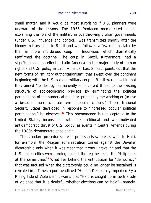small matter, and it would be most surprising if U.S. planners were unaware of the lessons. The 1965 Pentagon memo cited earlier, explaining the role of the military in overthrowing civilian governments (under U.S. influence and control), was transmitted shortly after the bloody military coup in Brazil and was followed a few months later by the far more murderous coup in Indonesia, which dramatically reaffirmed the doctrine. The coup in Brazil, furthermore, had a significant domino effect in Latin America. In the major study of human rights and U.S. policy in Latin America, Lars Shoultz points out that the new forms of "military authoritarianism" that swept over the continent beginning with the U.S.-backed military coup in Brazil were novel in that they aimed "to destroy permanently a perceived threat to the existing structure [o](#page--1-0)f socioeconomic privilege by eliminating the political participation of the numerical majority, principally the working or (to use a broader, more accurate term) popular classes." These National Security States developed in response to "increased popular political participation," he observes.**<sup>38</sup>** This phenomenon is unacceptable to the United States, inconsistent with the traditional and well-motivated antidemocratic thrust of U.S. policy, as events in Central America during [th](#page--1-0)e 1980s demonstrate once again.

The standard procedures are in process elsewhere as well. In Haiti, for example, the Reagan administration turned against the Duvalier dictatorship only when it was clear that it was unraveling and that the U.S.-linked elites were turning against the regime, as in the Philippines at the same time.**<sup>39</sup>**What lies behind the enthusiasm for "democracy" that was aroused when the dictatorship could no longer be sustained is revealed in a *Times* report headlined "Haitian Democracy Imperiled By a Rising Tide of Violence." It warns that "Haiti is caught up in such a tide of violence that it is doubtful whether elections can be held"—namely,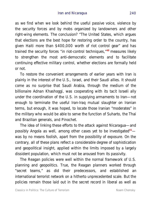as we find when we look behind the useful passive voice, violence by the security forces and by mobs [org](#page--1-0)anized by landowners and other right-wing elements. The conclusion? "The United States, which argues that elections are the best hope for restoring order to the country, has given Haiti more than \$400,000 worth of riot control gear" and has trained the security forces "in riot-control techniques,"**<sup>40</sup>**measures likely to strengthen the most anti-democratic elements and to facilitate continuing effective military control, whether elections are formally held or not.

To restore the convenient arrangements of earlier years with Iran is plainly in the interest of the U.S., Israel, and their Saudi allies. It should come as no surprise that Saudi Arabia, through the medium of the billionaire Adnan Khashoggi, was cooperating with its tacit Israeli ally under the coordination of the U.S. in supplying armaments to Iran—not enough to terminate the useful Iran-Iraq mutual slaughter on Iranian terms, but enough, it was hoped, to locate those [Ira](#page--1-0)nian "moderates" in the military who would be able to serve the function of Suharto, the Thai and Brazilian generals, and Pinochet.

The idea of linking these efforts to the attack against Nicaragua—and possibly Angola as well, among other cases yet to be investigated**<sup>41</sup>** was by no means foolish, apart from the possibility of exposure. On the contrary, all of these plans reflect a considerable degree of sophistication and geopolitical insight, applied within the limits imposed by a largely dissident population, which must not be aroused from its passivity.

The Reagan policies were well within the normal framework of U.S. planning and geopolitics. True, the Reagan planners worked through "secret teams," as did their predecessors, and established an international terrorist network on a hitherto unprecedented scale. But the policies remain those laid out in the secret record in liberal as well as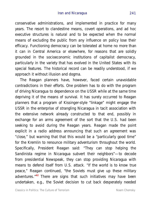conservative administrations, and implemented in practice for many years. The resort to clandestine means, covert operations, and ad hoc executive structures is natural and to be expected when the normal means of excluding the public from any influence on policy lose their efficacy. Functioning democracy can be tolerated at home no more than it can in Central America or elsewhere, for reasons that are solidly grounded in the socioeconomic institutions of capitalist democracy, particularly in the variety that has evolved in the United States with its special features. The historical record can be readily understood, if we approach it without illusion and dogma.

The Reagan planners have, however, faced certain unavoidable contradictions in their efforts. One problem has to do with the program of driving Nicaragua to dependence on the USSR while at the same time depriving it of the means of survival. It has surely occurred to Reagan planners that a program of Kissinger-style "linkage" might engage the USSR in the enterprise of strangling Nicaragua in tacit association with the extensive network already constructed to that end, possibly in exchange for an arms agreement of the sort that the U.S. had been seeking to avoid during the Reagan years. Reagan made the point explicit in a radio address announcing that such an agreement was "close," but warning that that this would be a "particularly good time" for the Kremlin to renounce military adventurism throughout the world. Specifically, President Reagan said: "They can stop helping the Sandinista regime in Nicaragua subvert their neighbors"—to decode from presidential Newspeak, they can stop providing Nicaragua with means to defend itself from U.S. attack. "If the world is to know true peace," Reagan continued, "the Soviets must give up these military adventures."**<sup>42</sup>**There are signs that such initiatives may have been undertaken, e.g., the Soviet decision to cut back desperately needed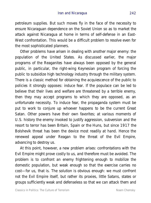petroleum supplies. But such moves fly in the face of the necessity to ensure Nicaraguan dependence on the Soviet Union so as to market the attack against Nicaragua at home in terms of self-defense in an East-West confrontation. This would be a difficult problem to resolve even for the most sophisticated planners.

Other problems have arisen in dealing with another major enemy: the population of the United States. As discussed earlier, the major programs of the Reaganites have always been opposed by the general public, in particular, the right-wing Keynesian program of forcing the public to subsidize high technology industry through the military system. There is a classic method for obtaining the acquiescence of the public to policies it strongly opposes: induce fear. If the populace can be led to believe that their lives and welfare are threatened by a terrible enemy, then they may accept programs to which they are opposed, as an unfortunate necessity. To induce fear, the propaganda system must be put to work to conjure up whoever happens to be the current Great Satan. Other powers have their own favorites; at various moments of U.S. history the enemy invoked to justify aggression, subversion and the resort to terror has been Britain, Spain or the Huns, but since 1917 the Bolshevik threat has been the device most readily at hand. Hence the renewed appeal under Reagan to the threat of the Evil Empire, advancing to destroy us.

At this point, however, a new problem arises: confrontations with the Evil Empire might prove costly to us, and therefore must be avoided. The problem is to confront an enemy frightening enough to mobilize the domestic population, but weak enough so that the exercise carries no cost—for us, that is. The solution is obvious enough: we must confront not the Evil Empire itself, but rather its *proxies,* little Satans, states or groups sufficiently weak and defenseless so that we can attack them and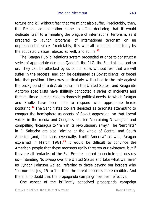torture and kill without fear that we might also suffer. Predictably, then, the Reagan administration [cam](#page--1-0)e to office declaring that it would dedicate itself to eliminating the plague of international terrorism, as it prepared to launch programs of international terrorism on an unprecedented scale. Predictably, this was all accepted uncritically by the educated classes, abroad as well, and still is.**<sup>43</sup>**

The Reagan Public Relations system proceeded at once to construct a series of appropriate demons: Qaddafi, the PLO, the Sandinistas, and so on. They can be attacked by us or our allies without fear that we will suffer in the process, and can be designated as Soviet clients, or forced into that position. Libya was particularly well-suited to the role against the background of anti-Arab racism in the United States, and Reaganite Agitprop specialists have skillfully concocted a series of incidents and threats, timed in each case to domestic political needs, to which Reagan and Shultz have been able to respond with appropriate heroic posturing.**<sup>44</sup>**The Sandinistas too are depicted as terrorists attempting to conquer the hemisphere as agents of Soviet aggression, so that liberal voices in [the](#page--1-0) media and Congress call for "containing Nicaragua" and compelling Nicaragua to "rein in its revolutionary army." The "terrorists" in El Salvador are also "aiming at the whole of Central and South America [and] I'm sure, eventually, North America" as well, Reagan explained in March 1981.**<sup>45</sup>** It would be difficult to convince the American people that these monsters really threaten our existence, but if they are all tentacles of the Evil Empire, poised to encircle and destroy us—intending "to sweep over the United States and take what we have" as Lyndon Johnson wailed, referring to those beyond our borders who "outnumber [us] 15 to 1"—then the threat becomes more credible. And there is no doubt that the propaganda campaign has been effective.

One aspect of the brilliantly conceived propaganda campaign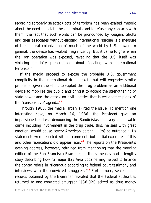regarding (properly selected) acts of terrorism has been exalted rhetoric about the need to isolate these criminals and to refuse any contacts with them; the fact that such words can be pronounced by Reagan, Shultz and their associates without eliciting international ridicule is a measure of the cultural colonization of much of the world by U.S. power. In general, the device has worked magnificently. But it came to grief when the Iran operation was exposed, revealing that the U.S. itself was violating its lofty prescriptions about "dealing with international terrorists."

If the media proceed to expose the probable U.S. government complici[ty](#page--1-0) in the international drug racket, that will engender similar problems, given the effort to exploit the drug problem as an additional device to mobilize the public and bring it to accept the strengthening of state power and the attack on civil liberties that is yet another plank of the "conservative" agenda.**<sup>46</sup>**

Through 1986, the media largely skirted the issue. To mention one interesting case, on March 16, 1986, the President gave an impassioned address [d](#page--1-0)enouncing the Sandinistas for every conceivable crime including involvement in the drug trade; this, he said with great emotion, would cause "every American parent ... [to] be outraged." His statements were reported without comment, but partial exposures of this and other fabrications did appear later.**<sup>47</sup>**The reports on the President's evening address, howev[er,](#page--1-0) refrained from mentioning that the morning edition of the *San Francisco Examiner* on the same day had a lengthy story describing how "a major Bay Area cocaine ring helped to finance the contra rebels in Nicaragua according to federal court testimony and interviews with the convicted smugglers.<sup>"48</sup> Furthermore, sealed court records obtained by the *Examiner* revealed that the Federal authorities returned to one convicted smuggler "\$36,020 seized as drug money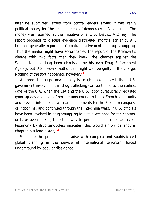after he submitted letters from contra leaders saying it was really political money for 'the reinstatement of democracy in Nicaragua'." The money was returned at the initiative of a U.S. District Attorney. The report proceeds to discuss evidence distributed months earlier by AP, but not generally reported, of contra involvement in drug smuggling. Thus the media mig[ht](#page--1-0) have accompanied the report of the President's charge with two facts that they knew: the charges against the Sandinistas had long been dismissed by his own Drug Enforcement Agency, but U.S. Federal authorities might well be guilty of the charge. Nothing of the sort happened, however.**<sup>49</sup>**

A more thorough news analysis might have noted that U.S. government involvement in drug trafficking can be traced to the earliest days of the CIA, when the CIA and the U.S. labor bureaucracy recruited goon squads and scabs from the underworld to break French labor unity and prevent interference with arms shipments for the French reconquest of Ind[och](#page--1-0)ina, and continued through the Indochina wars. If U.S. officials have been involved in drug smuggling to obtain weapons for the contras, or have been looking the other way to permit it to proceed as recent testimony by drug smugglers indicates, this would simply be another chapter in a long history.**<sup>50</sup>**

Such are the problems that arise with complex and sophisticated global planning in the service of international terrorism, forced underground by popular dissidence.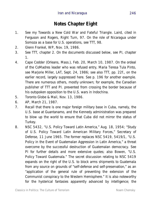### **Notes Chapter Eight**

- 1. See my *Towards a New Cold War* and *Fateful Triangle.* Laird, cited in Ferguson and Rogers, *Right Turn,* 97. On the role of Nicaragua under Somoza as a base for U.S. operations, see *TTT,* 98.
- 2. Glenn Frankel, *WP,* Nov. 19, 1986.
- 3. See *TTT,* chapter 2. On the documents discussed below, see *PI,* chapter 1.
- 4. *Cape Codder* (Orleans, Mass.), Feb. 20, March 10, 1987. On the ordeal of the CoMadres leader who was refused entry, Maria Teresa Tula Pinto, see Marjorie Miller, *LAT,* Sept. 24, 1986; see also *TTT,* pp. 22f., on the earlier record, largely suppressed here. See p. 196 for another example. There are numerous others, mostly unknown; for example, the Canadian publisher of *TTT* and *PI.* prevented from crossing the border because of his outspoken opposition to the U.S. wars in Indochina.
- 5. *Toronto Globe & Mail,* Nov. 13, 1986.
- 6. AP, March 21, 1987.
- 7. Recall that there is one major foreign military base in Cuba, namely, the U.S. base at Guantanamo, and the Kennedy administration was prepared to blow up the world to ensure that Cuba did not mirror the status of Turkey.
- 8. NSC 5432, "U.S. Policy Toward Latin America," Aug. 18, 1954; "Study of U.S. Policy Toward Latin American Military Forces," Secretary of Defense, 11 June 1965. The former replaces NSC 5419, 5419/1, "U.S. Policy in the Event of Guatemalan Aggression in Latin America," a threat overcome by the successful destruction of Guatemalan democracy. See *PI* for further details and more extensive quotes; also Bowen, "U.S. Policy Toward Guatemala." The secret discussion relating to NSC 5419 expands on the right of the U.S. to block arms shipments to Guatemala from any source on grounds of "self-defense and self-preservation," as an "application of the general rule of preventing the extension of the Communist conspiracy to the Western Hemisphere." It is also noteworthy for the hysterical fantasies apparently advanced by intelligence; the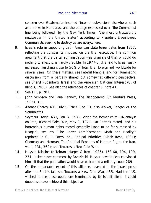concern over Guatemalan-inspired "internal subversion" elsewhere, such as a strike in Honduras; and the outrage expressed over "the Communist line being followed" by the *New York Times,* "the most untrustworthy newspaper in the United States" according to President Eisenhower. Communists seeking to destroy us are everywhere.

- 9. Israel's role in supporting Latin American state terror dates from 1977, reflecting the constraints imposed on the U.S. executive. The common argument that the Carter administration was unaware of this, or could do nothing to affect it, is hardly credible. In 1977-8, U.S. aid to Israel vastly increased, reaching close to 50% of total U.S. foreign aid worldwide for several years. On these matters, see *Fateful Mangle,* and for illuminating discussion from a partially shared but somewhat different perspective, see Cheryl Rubenberg, *Israel and the American National Interest* (U. of Illinois, 1986). See also the references of chapter 3, note 41.
- 10. See *TTT,* p. 201.
- 11. John Simpson and Jana Bennett, *The Disappeared* (St. Martin's Press, 1985), 311.
- 12. Alfonso Chardy, *MH,* July 5, 1987. See *TTT;* also Walker, *Reagan vs. the Sandinistas.*
- 13. Seymour Hersh, *NYT,* Jan. 7, 1979, citing the former chief CIA analyst on Iran; Richard Sale, *WP,* May 9, 1977. On Carter's record, and his horrendous human rights record generally (soon to be far surpassed by Reagan), see my "The Carter Administration: Myth and Reality," reprinted in C. P. Otero, ed., *Radical Priorities* (Black Rose, 1981); Chomsky and Herman, *The Political Economy of Human Rights* (on Iran, vol. I, 13f., 369); and *Towards a New Cold War.*
- 14. Huyser, *Mission to Tehran* (Harper *&* Row, 1986), 158-60, 194, 199, 231, jacket cover comment by Brzezinski. Huyser nevertheless convinced himself that the population would have welcomed a military coup; 289.
- 15. On the remarkable extent of this alliance, revealed in the Israeli press after the Shah's fall, see *Towards a New Cold War,* 455. Had the U.S. wished to see these operations terminated by its Israeli client, it could doubtless have achieved this objective.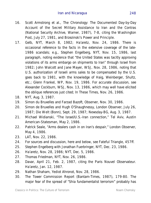- 16. Scott Armstrong et al., *The Chronology: The Documented Day-by-Day Account of the Secret Military Assistance to Iran and the Contras*  (National Security Archive, Warner, 1987), 7-8, citing the *Washington Post,* July 27, 1981, and Brzezinski's *Power and Principle.*
- 17. Gelb, *NYT,* March 8, 1982; *Ha'aretz,* Nov. 24, 1986. There is occasional reference to the facts in the extensive coverage of the late-1986 scandals; e.g., Stephen Engelberg, *NYT,* Nov. 15, 1986, last paragraph, noting evidence that "the United States was tacitly approving violations of its arms embargo on shipments to Iran" through Israel from 1982; John Walcott and Jane Mayer, *WSJ,* Nov. 28, 1986, noting that U.S. authorization of Israeli arms sales to be compensated by the U.S. goes back to 1981, with the knowledge of Haig, Weinberger, Shultz, etc.; Glenn Frankel, *WP,* Nov. 19, 1986. For accurate discussion, see Alexander Cockburn, *WSJ,* Nov. 13, 1986, which may well have elicited the oblique references just cited; *In These Times,* Nov. 26, 1986.
- 18. *NYT,* Aug. 3, 1987.
- 19. Simon du Bruxelles and Farzad Bazoft, *Observer,* Nov. 30, 1986.
- 20. Simon de Bruxelles and Hugh O'Shaughnessy, *London Observer,* July 26, 1987; *Die Welt* (Bonn), Sept. 29, 1987; *Newsday-BG,* Aug. 3, 1987.
- 21. Michael Widianski, "The Israel/U.S.-Iran connection," Tel Aviv, *Austin American-Statesman,* May 2, 1986.
- 22. Patrick Seale, "Arms dealers cash in on Iran's despair," *London Observer,*  May 4, 1986.
- 23. *LAT,* Nov. 22, 1986.
- 24. For sources and discussion, here and below, see *Fateful Triangle,* 457ff.
- 25. Stephen Engelberg with Jonathan Fuerbringer, *NYT,* Dec. 23, 1986.
- 26. *Ha'aretz,* Nov. 28, 1986; *NYT,* Dec. 5, 1986.
- 27. Thomas Friedman, *NYT,* Nov. 26, 1986.
- 28. *Davar,* April 21, Feb. 2, 1987, citing the Paris *Nouvel Observateur. Ha'aretz,* Jan. 12, 1987.
- 29. Nathan Shaham, *Yediot Ahronot,* Nov. 28, 1986.
- 30. *The Tower Commission Report* (Bantam-Times, 1987), 179-80. The major fear of the spread of "Shia fundamentalist terrorism" probably has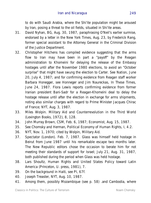to do with Saudi Arabia, where the Shi'ite population might be aroused by Iran, posing a threat to the oil fields, situated in Shi'ite areas.

- 31. David Nyhan, *BG,* Aug. 30, 1987, paraphrasing O'Neil's earlier surmise, endorsed by a letter in the *New York Times,* Aug. 23, by Frederick Rang, former special assistant to the Attorney General in the Criminal Division of the Justice Department.
- 32. Christopher Hitchens has compiled evidence suggesting that the arms flow to Iran may have been in part a "payoff" by the Reagan administration to Khomeini for delaying the release of the Embassy hostages until after the November 1980 elections, to avoid an "October surprise" that might have swung the election to Carter. See *Nation,* June 20, July 4, 1987; and for confirming evidence from Reagan staff worker Barbara Honegger, see Honneger and Jim Naureckas, *In These Times,*  June 24, 1987. Flora Lewis reports confirming evidence from former Iranian president Bani-Sadr for a Reagan-Khomeini deal to delay the hostage release until after the election in exchange for arms shipments, noting also similar charges with regard to Prime Minister Jacques Chirac of France; *NYT,* Aug. 3, 1987.
- 33. Miles Wolpin. *Military Aid and Counterrevolution in the Third World*  (Lexington Books, 1972), 8, 128.
- 34. John Murray Brown, *CSM,* Feb. 6, 1987; *Economist,* Aug. 15, 1987.
- 35. See Chomsky and Herman, *Political Economy of Human Rights,* I, 4.2.
- 36. *NYT,* Nov. 1, 1970; cited by Wolpin, *Military Aid.*
- 37. *Spectator* (London). Feb. 7, 1987. Glass was himself held hostage in Beirut from June 1987 until his remarkable escape two months later. The *New Republic* editors chose the occasion to berate him for not meeting their standards of support for Israel; July 21, Aug. 31, 1987, both published during the period when Glass was held hostage.
- 38. Lars Shoultz, *Human Rights and United States Policy toward Latin America* (Princeton, U. press, 1981), 7.
- 39. On the background in Haiti, see *PI,* 67f.
- 40. Joseph Treaster, *NYT,* Aug. 10, 1987.
- 41. Among them, possibly Mozambique (see p. 58) .and Cambodia, where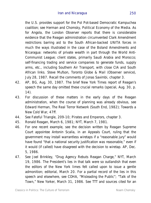the U.S. provides support for the Pol Pot-based Democratic Kampuchea coalition; see Herman and Chomsky, *Political Economy of the Media.* As for Angola, the London *Observer* reports that there is considerable evidence that the Reagan administration circumvented Clark Amendment restrictions barring aid to the South African-backed UNITA forces in much the ways illustrated in the case of the Boland Amendments and Nicaragua: networks of private wealth in part through the World Anti-Communist League; client states, primarily Saudi Arabia and Morocco; self-financing trading and service companies to generate funds, supply arms, etc., including Southern Air Transport, with close CIA and South African links. Steve Mufson, *Toronto Globe & Mail (Observer* service), July 28, 1987. Recall the comments of Jonas Savimbi, chapter 3.

- 42. AP, *BG,* Aug. 30, 1987. The brief *New York Times* report of Reagan's speech the same day omitted these crucial remarks (special, Aug. 30, p. 14).
- 43. For discussion of these matters in the early days of the Reagan administration, when the course of planning was already obvious, see Edward Herman, *The Real Terror Network* (South End, 1982); *Towards a New Cold War,* 47ff.
- 44. See *Fateful Triangle,* 209-10; *Pirates and Emperors,* chapter 3.
- 45. Ronald Reagan, March 6, 1981; *NYT,* March 7, 1981.
- 46. For one recent example, see the decision written by Reagan Supreme Court appointee Antonin Scalia, in an Appeals Court, ruling that the government may install warrantless wiretaps if a "reasonable jury" would have found "that a national security justification was reasonable," even if it would (if called) have disagreed with the decision to wiretap. AP, Dec. 5, 1986.
- 47. See Joel Brinkley, "Drug Agency Rebuts Reagan Charge," *NYT,* March 19, 1986. The President's lies in that talk were so outlandish that even the editors of the *New York limes* felt called upon to issue a gentle admonition; editorial, March 20. For a partial record of the lies in this speech and elsewhere, see COHA, "Misleading the Public"; "Talk of the Town," *New Yorker,* March 31, 1986. See *TTT* and sources cited for an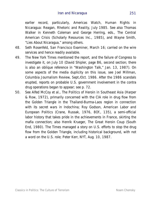earlier record, particularly, Americas Watch, *Human Rights in Nicaragua: Reagan, Rhetoric and Reality,* July 1985. See also Thomas Walker in Kenneth Coleman and George Herring, eds., *The Central American Crisis* (Scholarly Resources Inc., 1985), and Wayne Smith, "Lies About Nicaragua," among others.

- 48. Seth Rosenfeld, *San Francisco Examiner,* March 16; carried on the wire services and hence readily available.
- 49. The *New York Times* mentioned the report, and the failure of Congress to investigate it, on July 10 (David Shipler, page B6, second section; there is also an oblique reference in "Washington Talk," Jan. 13, 1987). On some aspects of the media duplicity on this issue, see Joel Millman, *Columbia Journalism Review,* Sept./Oct. 1986. After the 1986 scandals erupted, reports on probable U.S. government involvement in the contra drug operations began to appear; see p. 72.
- 50. See Alfed McCoy et al., *The Politics of Heroin in Southeast Asia* (Harper *&* Row, 1972), primarily concerned with the CIA role in drug flow from the Golden Triangle in the Thailand-Burma-Laos region in connection with its secret wars in Indochina; Roy Godson, *American Labor and European Politics* (Crane, Russak, 1976, 8Of., 135), a semi-official labor history that takes pride in the achievements in France, skirting the mafia connection; also Henrik Krueger, *The Great Heroin Coup* (South End, 1980). The *Times* managed a story on U.S. efforts to stop the drug flow from the Golden Triangle, including historical background, with not a word on the U.S. role; Peter Kerr, *NYT,* Aug. 10, 1987.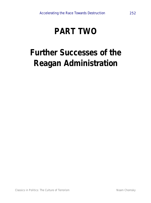### **PART TWO**

## **Further Successes of the Reagan Administration**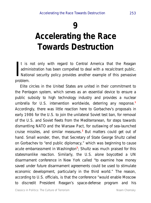### **9**

### **Accelerating the Race Towards Destruction**

t is not only with regard to Central America that the Reagan administration has been compelled to deal with a recalcitrant public. National security policy provides another exampl[e](#page--1-0) of this pervasive problem. t is<br>adm<br>Nat

Elite circles in the United States are united in their commitment to the Pentagon system, which serves as an essential device to ensure a public subsidy to high technology industry and provides a nuclear umbrella for U.S. intervention worldwide, deterring any response.**<sup>1</sup>** Accordingly, there w[as](#page--1-0) little reaction here to Gorbachev's proposals in early 1986 for the U.S. to join the unilateral Soviet test ban, for removal of the U.S. and Soviet fleets from the Mediterranean, for steps towards dismantling NATO [a](#page--1-0)nd the Warsaw Pact, for outlawing of sea-launched cruise missiles, and similar measures.**<sup>2</sup>**But matters could get out of hand. Small wonder, then, that Secretary of State George Shultz called on Gorbachev to "end public diplomacy," which was beginning to cause acute embarrassment in Washington**<sup>3</sup>** ; Shultz was much praised for this statesmanlike reaction. Similarly, the U.S. alone boycotted a UN disarmament conference in New York called "to examine how money saved under future disarmament agreements could be used to stimulate economic development, particularly in the third world." The reason, according to U.S. officials, is that the conference "would enable Moscow to discredit President Reagan's space-defense program and his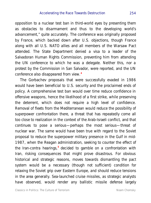opposition to a nuclear test ban in third-world eyes by presenting them as obstacles to disarmament and thus to the developing world's advancement," quite accurately. The conference was originally proposed by France, which backed down after U.S. objections, though France along with all U.S. NATO allies and all members of the Warsaw Pact attended. The Stat[e](#page--1-0) Department denied a visa to a leader of the Salvadoran Human Rights Commission, preventing him from attending the UN conference to which he was a delegate. Neither this, nor a protest by the Commission in San Salvador, were reported, and the UN conference also disappeared from view.**<sup>4</sup>**

The Gorbachev proposals that were successfully evaded in 1986 would have been beneficial to U.S. security and the proclaimed ends of policy. A comprehensive test ban would over time reduce confidence in offensive weapons, hence the likelihood of a first strike, while preserving the deterrent, which does not require a high level of confidence. Removal of fleets from the Mediterranean would reduce the possibility of superpower confrontation there, a threat that has repeatedly come all too close to realization in the context of the Arab-Israeli conflict, and that contin[ues](#page--1-0) to pose a serious—perhaps the most serious—threat of nuclear war. The same would have been true with regard to the Soviet proposal to reduce the superpower military presence in the Gulf in mid-1987, when the Reagan administration, seeking to counter the effect of the Iran-contra hearings,**<sup>5</sup>**decided to gamble on a confrontation with Iran, risking consequences that might prove disastrous. For obvious historical and strategic reasons, moves towards dismantling the pact system would be a necessary (though not sufficient) condition for relaxing the Soviet grip over Eastern Europe, and should reduce tensions in the area generally. Sea-launched cruise missiles, as strategic analysts have observed, would render any ballistic missile defense largely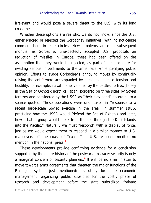irrelevant and would pose a severe threat to the U.S. with its long coastlines.

Whether these options are realistic, we do not know, since the U.S. either ignored or rejected the Gorbachev initiatives, with no noticeable comment here in elite circles. New problems arose in subsequent months, as Gorbachev unexpectedly accepted U.S. proposals on [r](#page--1-0)eduction of missiles in Europe; these had been offered on the assumption that they would be rejected, as part of the procedure for evading serious impediments to the arms race while pacifying public opinion. Efforts to evade Gorbachev's annoying moves by continually raising the ante<sup>6</sup> were accompanied by steps to increase tension and hostility, for example, naval maneuvers led by the battleship New Jersey in the Sea of Okhotsk north of Japan, bordered on three sides by Soviet territory and considered by the USSR as "their play pond" according to a source quoted. These operations were undertaken in ''response to a recent large-scale Soviet exercise in the area'' in summer 1986, practicing how the USSR would "defend the Sea of Okhotsk and later, how a batt[le](#page--1-0) group would break from the sea through the Kuril Islands into the Pacific." Naturally we must "respond" with a display of force, just as we would expect them to respond in a similar manner to U.S. maneuvers off the c[oas](#page--1-0)t of Texas. This U.S. response merited no mention in the national press.**<sup>7</sup>**

These developments provide confirming evidence for a conclusion supported by the entire history of the postwar arms race: security is only a marginal concern of security planners.**<sup>8</sup>**It will be no small matter to move towards arms agreements that threaten the major functions of the Pentagon system just mentioned: its utility for state economic management (organizing public subsidies for the costly phase of research and development before the state subsidized "private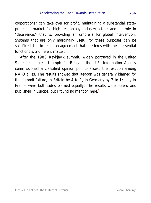corporations" can take over for profit, maintaining a substantial stateprotected market for high technology industry, etc.); and its role in "deterrence," that is, providing an umbrella for global intervention. Systems that are only marginally useful for these purposes can be sacrificed, but to reach an agreement that interferes with these essential functions is a different matter.

After the 1986 Reykjavik summit, widely portrayed in the United States as a great triumph for Reagan, the U.S. Information Agency commissioned a classified opi[nio](#page--1-0)n poll to assess the reaction among NATO allies. The results showed that Reagan was generally blamed for the summit failure, in Britain by 4 to 1, in Germany by 7 to 1; only in France were both sides blamed equally. The results were leaked and published in Europe, but I found no mention here.**9**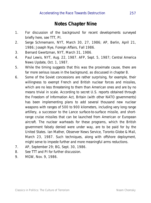### **Notes Chapter Nine**

- 1. For discussion of the background for recent developments surveyed briefly here, see *TTT, PI.*
- 2. Serge Schmemann, NYT, March 30, 27, 1986; AP, Berlin, April 21, 1986; Joseph Nye, Foreign Affairs, Fall 1986.
- 3. Bernard Gwertzman, NYT, March 31, 1986.
- 4. Paul Lewis, NYT, Aug. 22, 1987. AFP, Sept. 5, 1987; Central America News Update, Oct. 1, 1987.
- 5. While the timing suggests that this was the proximate cause, there are far more serious issues in the background, as discussed in chapter 8.
- 6. Some of the Soviet concessions are rather surprising, for example, their willingness to exempt French and British nuclear forces and missiles, which are no less threatening to them than American ones and are by no means trivial in scale. According to secret U.S. reports obtained through the Freedom of Information Act, Britain (with other NATO governments) has been implementing plans to add several thousand new nuclear weapons with ranges of 500 to 900 kilometers, including very long range artillery, a successor to the Lance surface-to-surface missile, and shortrange cruise missiles that can be launched from American or European aircraft. The nuclear warheads for these programs, which the British government falsely denied were under way, are to be paid for by the United States. Ian Mather, Observer News Service, Toronto Globe & Mail, March 23, 1987. Such techniques, along with offshore deployment, might serve to impede further and more meaningful arms reductions.
- 7. AP, September 29; BG, Sept. 30, 1986.
- 8. See *TTT* and *PI* for further discussion.
- 9. MGW, Nov. 9, 1986.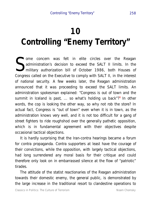# **10**

# **Controlling "Enemy Territory"**

ome concern was felt in elite circles over the Reagan administration's decision to exceed the SALT II limits. In the ome concern was felt in elite circles over the Reagan<br>administration's decision to exceed the SALT II limits. In the<br>military authorization bill of October 1986, both Houses of Congress called on the Executive to comply [wi](#page--1-0)th SALT II, in the interest of national security. A few weeks later, the Reagan administration announced that it was proceeding to exceed the SALT limits. An administration spokesman explained: "Congress is out of town and the summit in Iceland is past, ... so what's holding us back"?<sup>1</sup> In other words, the cop is looking the other way, so why not rob the store? In actual fact, Congress is "out of town" even when it is in town, as the administration knows very well, and it is not too difficult for a gang of street fighters to ride roughshod over the generally pathetic opposition, which is in fundamental agreement with their objectives despite occasional tactical objections.

It is hardly surprising that the Iran-contra hearings became a forum for contra propaganda. Contra supporters at least have the courage of their convictions, while the opposition, with largely tactical objections, had long surrendered any moral basis for their critique and could therefore only look on in embarrassed silence at the flow of "patriotic" tirades.

The attitude of the statist reactionaries of the Reagan administration towards their domestic enemy, the general public, is demonstrated by the large increase in the traditional resort to clandestine operations to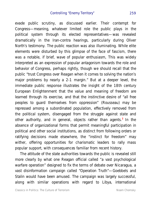#### *Controlling "Enemy Territory"*

evade public scrutiny, as discussed earlier. Their contempt for Congress—meaning, whatever limited role the public plays in the political system through its elected representatives—was revealed dramatically in the Iran-contra hearings, particularly during Oliver North's testimony. The public reaction was also illuminating. While elite elements were disturbed by this glimpse of the face of fascism, there was a notable, if brief, wave of popular enthusiasm, This was widely interpreted as an expression of popular antagonism towards the role and behavior of Congress, perhaps rightly, though we should recall that the public "trust Congress over Reagan when it comes to solving the nation's major problems by nearly a 2-1 margin." But at a deeper level, the immediate public response illustrates the insight of the 18th century European Enlightenment that the value and meaning of freedom are learned through its exercise, and that the in[stin](#page--1-0)ctive desire of "all free peoples to guard themselves from oppression" (Rousseau) may be repressed among a subordinated population, effectively removed from the political system, disengaged from the struggle against state and other authority, and in general, objects rather than agents.**<sup>2</sup>**In the absence of organizational forms that permit meaningful participation in political and other social institutions, as distinct from following orders or ratifying decisions made elsewhere, the "instinct for freedom" may wither, offering opportunities for charismatic leaders to rally mass popular support, with consequences familiar from recent history.

The attitude of the state authorities towards the public is revealed still more clearly by what one Reagan official called "a vast psychological warfare operation" designed to fix the terms of debate over Nicaragua, a vast disinformation campaign called "Operation Truth"—Goebbels and Stalin would have been amused. The campaign was largely successful, along with similar operations with regard to Libya, international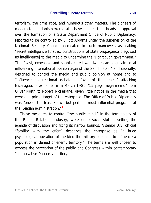#### *Controlling "Enemy Territory"*

terrorism, the arms race, and numerous other matters. The pioneers of modern totalitarianism would also have nodded their heads in approval over the formation of a State Department Office of Public Diplomacy, reported to be controlled by Elliott Abrams under the supervision of the National Security Council, dedicated to such maneuvers as leaking "secret intelligence [that is, constructions of state propaganda disguised as intelligence] to the media to undermine the Nicaraguan government." This "vast, expensive and sophisticated worldwide campaign aimed at influencing international opinion against the Sandinistas," and crucially, designed to control the media and public opinion at home and to "influence congressional debate in favor of the rebels" attacking Nicaragu[a, i](#page--1-0)s explained in a March 1985 "15 page mega-memo" from Oliver North to Robert McFarlane, given little notice in the media that were one prime target of the enterprise. The Office of Public Diplomacy was "one of the least known but perhaps must influential programs of the Reagan administration."**<sup>3</sup>**

These measures to control "the public mind," in the terminology of the Public Relations industry, were quite successful in setting the agenda of discussion and fixing its narrow bounds. A senior U.S. official "familiar with the effort" describes the enterprise as "a huge psychological operation of the kind the military conducts to influence a population in denied or enemy territory." The terms are well chosen to express the perception of the public and Congress within contemporary "conservatism": enemy territory.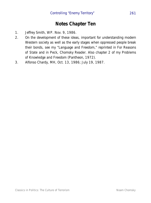### **Notes Chapter Ten**

- 1. Jeffrey Smith, *WP.* Nov. 9, 1986.
- 2. On the development of these ideas, important for understanding modern Western society as well as the early stages when oppressed people break their bonds, see my "Language and Freedom," reprinted in *For Reasons of State* and in Peck, *Chomsky Reader.* Also chapter 2 of my *Problems of Knowledge and Freedom* (Pantheon, 1972).
- 3. Alfonso Chardy, *MH,* Oct. 13, 1986; July 19, 1987.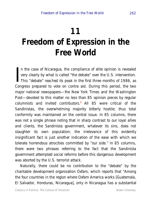# **11 Freedom of Expression in the Free World**

n the case of Nicaragua, the compliance of elite opinion is revealed very clearly by what is called "the debate" over the U.S. intervention. This "debate" rea[che](#page--1-0)d its peak in the first three months of 1986, as Congress prepared to vote on contra aid. During this period, the two major national newspapers—the *New York Times* and the *Washington Post*—devoted to this matter no less than 85 opinion pieces by regular columnists and invited contributors.**<sup>1</sup>**All 85 were critical of the Sandinistas, the overwhelming majority bitterly hostile; thus total conformity was maintained on the central issue. In 85 columns, there was not a single phrase noting that in sharp contrast to our loyal allies and clients, the Sandinista government, whatever its sins, does not slaughter its own population; the irrelevance of this evidently insignificant fact is just another indication of the ease with which we tolerate horrendous atrocities committed by "our side." In 85 columns, there were two phrases referring to the fact that the Sandinista government attempted social reforms before this dangerous development was aborted by the U.S. terrorist attack. n the very

Naturally, there could be no contribution to the "debate" by the charitable development organization Oxfam, which reports that "Among the four countries in the region where Oxfam America works [Guatemala, El Salvador, Honduras, Nicaragua], only in Nicaragua has a substantial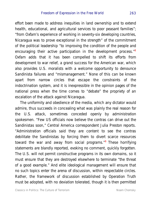effort been made to address inequities in land ownership and to extend health, educational, and agricultural services to poo[r p](#page--1-0)easant families"; "from Oxfam's experience of working in seventy-six developing countries, Nicaragua was to prove exceptional in the strength" of the commitment of the political leadership "to improving the condition of the people and encouraging their active participation in the development process."**<sup>2</sup>** Oxfam adds that it has been compelled to shift its efforts from development to war relief, a grand success for the American war, which also provides U.S. moralists with a welcome opportunity to denounce Sandinista failures and "mismanagement." None of this can be known apart from narrow circles that escape the constraints of the indoctrination system, and it is inexpressible in the opinion pages of the national press when the time comes to "debate" the propriety of an escalation of the attack against Nicaragua.

The uniformity and obedience of the media, which any dictator would admire, thus succeeds in concealing what was plainly the real reason for the U.S. attack, sometimes conceded openly by administration spokesmen. "Few US officials now [bel](#page--1-0)ieve the contras can drive out the Sandinistas soon," Central America correspondent Julia Preston reports. "Administration officials said they are content to see the contras debilitate the Sandinistas by forcing them to divert scarce resources toward the war and away from social programs."**<sup>3</sup>**These horrifying statements are blandly reported, evoking no comment, quickly forgotten. The U.S. will not permit constructive programs in its own domains, so it must ensure that they are destroyed elsewhere to terminate "the threat of a good example." And elite ideological management will ensure that no such topics enter the arena of discussion, within respectable circles. Rather, the framework of discussion established by Operation Truth must be adopted, with no deviation tolerated, though it is then permitted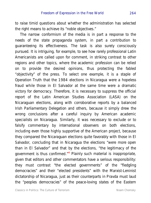to raise timid questions about whether the administration has selected the right means to achieve its "noble objectives."

The narrow conformism of the media is in part a response to the needs of the state propaganda system, in part a contribution to guaranteeing its effectiveness. The task is also surely consciously pursued. It is intriguing, for example, to see how rarely professional Latin Americanists are called upon for comment, in striking contrast to other regions and other topics, where the academic profession can be relied on to provide the desired opinions, thus protecting the fabled "objectivity" of the press. To select one example, it is a staple of Operation Truth that the 1984 elections in Nicaragua were a hopeless fraud while those in El Salvador at the same time were a dramatic victory for democracy. Therefore, it is necessary to suppress the official report of the Latin American Studies Association (LASA) on the Nicaraguan elections, along with corroborative reports by a balanced Irish Parliamentary Delegation and others, because it simply drew the wrong conclusions after a careful inquiry by American academic specialists on Nicaragua. Similarly, it was necessary to exclude or to falsify commentary by international observers on both elections, including eve[n](#page--1-0) those highly supportive of the American project, because they compared the Nicaraguan elections quite favorably with those in El Salvador, concluding that in Nicaragua the elections "were more open than in El Salvador" and that by the elections, "the legitimacy of the government is thus confirmed."**<sup>4</sup>** Plainly such material is inappropriate, given that editors and other commentators have a serious responsibility: they must contrast "the elected governments" of the "fledgling democracies" and their "elected presidents" with the Marxist-Leninist dictatorship of Nicaragua, just as their counterparts in *Pravda* must laud the "peoples democracies" of the peace-loving states of the Eastern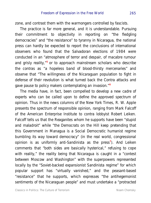zone, and contrast them with the warmongers controlled by fascists.

The practice is far more general, and it is understandable. Pursuing their commitment to objectivity in reporting on "the fledgling [dem](#page--1-0)ocracies" and "the resistance" to tyranny in Nicaragua, the national press can hardly be expected to report the conclusions of international observers who found that the Salvadoran elections of 1984 were conducted in an "atmosphere of terror and despair, of macabre rumour and grisly reality,"**<sup>5</sup>**or to approach [ma](#page--1-0)instream scholars who describe the contras as "a hopeless band of blood-thirsty mercenaries" and observe that "The willingness of the Nicaraguan population to fight in defense of their revolution is what turned back the Contra attacks and gave pause to policy makers contemplating an invasion."**<sup>6</sup>**

The media have, in fact, been compelled to develop a new cadre of experts who can be called upon to define the approved spectrum of opinion. Thus in the news columns of the *New York Times,* R. W. Apple presents the spectrum of responsible opinion, ranging from Mark Falcoff of the American Enterprise Institute to contra lobbyist Robert Leiken. Falcoff tells us that the Reaganites wh[om](#page--1-0) he supports have been "stupid and maladroit" while "the Democrats on the Hill keep pretending that this Government in Managua is a Social Democratic humanist regime bumbling its way toward democracy" (in the real world, congressional opinion is as uniformly anti-Sandinista as the press**<sup>7</sup>** ). And Leiken comments that "both sides are basically hysterical," refusing to cope with reality," the reality being that Nicaragua is caught in a "contest" between Moscow and Washington" with the superpowers represented locally by the "Soviet-backed expansionist Sandinista regime" for which popular support has "virtually vanished," and the peasant-based "resistance" that he supports, which expresses "the antihegemonist sentiments of the Nicaraguan people" and must undertake a "protracted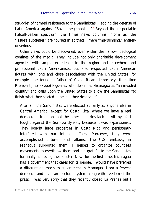struggle" of "armed resistance to the Sandinistas," leading the defense of Latin America against "Soviet hegemonism."<sup>8</sup> Beyond the respectable Falcoff-Leiken spectrum, the *Times* news columns inform us, the "issue's subtleties" are "buried in epithets," mere "mudslinging," entirely unserious.

Other views could be discovered, even within the narrow ideological confines of the media. They include not only charitable development agencies with ample experience in the region and elsewhere and professional Latin Americanists, but also respected Latin American figures with long and close associations with the United States: for example, the founding father of Costa Rican democracy, three-time President José (Pepe) Figueres, who describes Nicaragua as "an invaded country" and calls upon the United States to allow the Sandinistas "to finish what they started in peace; they deserve it":

After all, the Sandinistas were elected as fairly as anyone else in Central America, except for Costa Rica, where we have a real democratic tradition that the other countries lack ... All my life I fought against the Somoza dynasty because it was expansionist. They bought large properties in Costa Rica and persistently interfered with our internal affairs. Moreover, they were accomplished torturers and villains. The U.S. embassy in Managua supported them. I helped to organize countless movements to overthrow them and am grateful to the Sandinistas for finally achieving their ouster. Now, for the first time, Nicaragua has a government that cares for its people. I would have preferred a different approach to government in Managua. I am a fervent democrat and favor an electoral system along with freedom of the press. I was very sorry that they recently closed *La Prensa* but I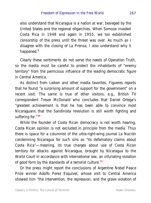also understand that Nicaragua is a nation at war, besieged by the United States and the regional oligarchies. When Somoza invaded Costa Rica in 1948 and again in 1955, we too established censorship of the press until the threat was over. As much as I disagree with the closing of *La Prensa,* I also understand why it happened.**<sup>9</sup>**

Clearly these sentiments do not serve the needs of Operation Truth, so the media must be careful to protect the inhabitants of "enemy territory" from the pernicious influence of the leading democratic figure in Central America.

As distinct from Leiken and other media favorites, Figueres reports that he found "a surprising amount of support for the government" on a recent visit. The same is true of other visitors, e.g., British TV correspondent Trevor McDonald who concludes that Daniel Ortega's "greatest achievement is that he has been able to convince most Nicaraguans that the Sandinista revolution is still worth fighting and suffering for."**<sup>10</sup>**

While the founder of Costa Rican democracy is not worth hearing, Costa Rican opinion is not excluded in principle from the media. Thus there is space for a columnist of the ultra-right-wing journal *La Nación*  condemning Nicaragua for suc[h s](#page--1-0)ins as "its defamatory claims about Costa Rica"—meaning, its true charges about use of Costa Rican territory for attacks against Nicaragua, brought by Nicaragua to the World Court in accordance with international law, an infuriating violation of good form by the standards of a terrorist culture.**<sup>11</sup>**

Or the press might report the conclusions of Argentine Nobel Peace Prize winner Adolfo Perez Esquivel, whose visit to Central America showed him "the intervention, the repression, and the grave violation of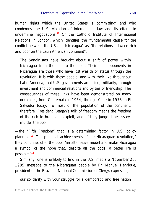human rights which the United States is committing" and who condemns the U.S. violation of international law and its efforts to undermine negotiations.**<sup>12</sup>**Or the Catholic Institute of International Relations in London, which identifies the "fundamental cause for the conflict between the US and Nicaragua" as "the relations between rich and poor on the Latin American continent":

The Sandinistas have brought about a shift of power within Nicaragua from the rich to the poor. Their chief opponents in Nicaragua are those who have lost wealth or status through the revolution. It is with these people, and with their like throughout Latin America, that U.S. governments are allied, militarily, through investment and commercial relations and by ties of friendship. The consequences of these links have been demonstrated on many occasions, from Guatemala in 1954, through Chile in 1973 to El Salvador today. To most of the population of the continent, therefore, President Reagan's talk of freedom means the freedom of the rich to humiliate, exploit, and, if they judge it necessary, murder the poor

—the "Fifth Freedom" that is a determining factor in U.S. policy planning.**<sup>13</sup>**"The practical achievements of the Nicaraguan revolution," they continue, offer the poor "an alternative model and make Nicaragua a symbol of the hope that, despite all the odds, a better life is possible."**<sup>14</sup>**

Similarly, one is unlikely to find in the U.S. media a November 26, 1985 message to the Nicaraguan people by Fr. Manuel Henrique, president of the Brazilian National Commission of Clergy, expressing

our solidarity with your struggle for a democratic and free nation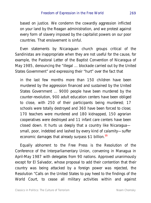based on justice. We condemn the cowardly aggression inflicted on your land by the Reagan administration, and we protest against every form of slavery imposed by the capitalist powers on our poor countries. That enslavement is sinful.

Even statements by Nicaraguan church groups critical of the Sandinistas are inappropriate when they are not useful for the cause, for example, the Pastoral Letter of the Baptist Convention of Nicaragua of May 1985, denouncing the "illegal ... blockade carried out by the United States Government" and expressing their "hurt" over the fact that

in the last few months more than 150 children have been murdered by the aggression financed and sustained by the United States Government ... 9000 people have been murdered by the counter-revolution, 900 adult education centers have been obliged to close, with 250 of their participants being murdered; 17 schools were totally destroyed and 360 have been forced to close; 170 teachers were murdered a[nd](#page--1-0) 180 kidnapped, 150 agrarian cooperatives were destroyed and 11 infant care centers have been closed down. It hurts us deeply that a country like Nicaragua small, poor, indebted and lashed by every kind of calamity—suffer economic damages that already surpass \$1 billion.**<sup>15</sup>**

Equally abhorrent to the Free Press is the Resolution of the Conference of the Interparliamentary Union, convening in Managua in April-May 1987 with delegates from 90 nations. Approved unanimously except for El Salvador, whose proposal to add their contention that their country was being attacked by a foreign power was rejected, the Resolution "Calls on the United States to pay heed to the findings of the World Court, to cease all military activities within and against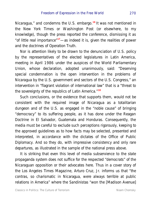Nicaragua," and condemns the U.S. embargo.**<sup>16</sup>**It was not mentioned in the *New York Times* or *Washington Post* (or elsewhere, to my knowledge), though the press reported the conference, dismissing it as "of little real importance"**<sup>17</sup>**—as indeed it is, given the realities of power and the doctrines of Operation Truth.

Nor is attention likely to be drawn to the denunciation of U.S. policy by the representatives of the elected legislatures in Latin America, meeting in April 1986 under the auspices of the World Parliamentary Union, whose declaration, [ado](#page--1-0)pted unanimously, said: "Deserving special condemnation is the open intervention in the problems of Nicaragua by the U.S. government and sectors of the U.S. Congress," an intervention in "flagrant violation of international law" that is a "threat to the sovereignty of the republics of Latin America."**<sup>18</sup>**

Such conclusions, or the evidence that supports them, would not be consistent with the required image of Nicaragua as a totalitarian dungeon and of the U.S. as engaged in the "noble cause" of bringing "democracy" to its suffering people, as it has done under the Reagan Doctrine in El Salvador, Guatemala and Honduras. Consequently, the media must be careful to exclude such perceptions rigorously, keeping to the approved guidelines as to how facts may be selected, presented and interpreted, in accordance with the dictates of the Office of Public Diplomacy. And so they do, with impressive consistency and only rare departures, as illustrated in the sample of the national press above.

It is striking that even this level of media subservience to the state propaganda system does not suffice for the respected "democrats" of the Nicaraguan opposition or their advocates here. Thus in a cover story of the *Los Angeles Times Magazine,* Arturo Cruz, Jr. informs us that "the contras, so charismatic in Nicaragua, were always terrible at public relations in America" where the Sandinistas "won the [Madison Avenue]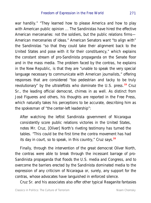war handily." "They learned how to please America and how to play with American public opinion ... The Sandinistas have hired the effective American mercenaries: not the soldiers, but the public relations firms— American mercenaries of ideas." American Senators want "to align with" the Sandinistas "so that they could take their alignment back to the United States and pose with it for their constituency," which explains the constant stream of pro-Sandinista propaganda on the Senate floor and in the mass media. The problem faced b[y th](#page--1-0)e contras, he explains in the *New Republic,* is that they are "unable to speak the very special language necessary to communicate with American journalists," offering responses that are considered "too pedestrian and tacky to be truly revolutionary" by the ultraleftists who dominate the U.S. press.**<sup>19</sup>** Cruz Sr., the leading official democrat, chimes in as well. As distinct from José Figueres and others, his thoughts are reported in the Free Press, which naturally takes his perceptions to be accurate, describing him as the spokesman of "the center-left leadership":

After watching the leftist Sandinist[a](#page--1-0) government of Nicaragua consistently score public relations victories in the United States, notes Mr. Cruz, [Oliver] North's riveting testimony has turned the tables. "This could be the first time the contra movement has had its day in court, so to speak, in this country," Cruz says.**<sup>20</sup>**

Finally, through the intervention of the great democrat Oliver North, the contras were able to break through the incessant barrage of pro-Sandinista propaganda that floods the U.S. media and Congress, and to overcome the barriers erected by the Sandinista dominated media to the expression of any criticism of Nicaragua or, surely, any support for the contras, whose advocates have languished in enforced silence.

Cruz Sr. and his associates also offer other typical Reaganite fantasies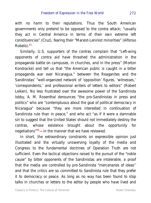with no harm to their reputations. Thus the South American governments only pretend to be opposed to the contra attack; "usually they act in Central America in terms of their own extreme left constituencies" (Cruz), fearing their "Marxist-Leninist minorities" (Alfonso Robelo).**<sup>21</sup>**

Similarly, U.S. supporters of the contras complain that "Left-wing opponents of *contra* aid have thrashed the administration in the propaganda battle on campuses, in churches, *and in the press"* (Morton Kondracke) and tell us that "the American public is caught in a bitter propaganda war over Nicaragua," between the Reaganites and the Sandinistas' "well-organized network of 'opposition' figures, 'witnesses,' 'correspondents,' and professional writers of letters to editors" (Robert Leiken). No less frustrated over the awesome power of the Sandinista lobby, A. M. Rosenthal denounces "the pro-Sandinistas in press and politics" who are "contemptuous about the goal of political democracy in Nicaragua" because "they are more interested in continuation of Sandinista rule than in peace," and who act "as if it were a damnable sin to suggest that the United States should not immediately destroy the contras, whose existence brought about the opportunity for negotiations"**<sup>22</sup>**—in the manner that we have reviewed.

In short, the extraordinary constraints on expressible opinion just illustrated and the virtually unswerving loyalty of the media and Congress to the fundamental doctrines of Operation Truth are not sufficient. Even the tactical objections raised to the pursuit of the "noble cause" by bitter opponents of the Sandinistas are intolerable, a proof that the media are controlled by pro-Sandinista "mercenaries of ideas'' and that the critics are so committed to Sandinista rule that they prefer it to democracy or peace. As long as no way has been found to stop talks in churches or letters to the editor by people who have lived and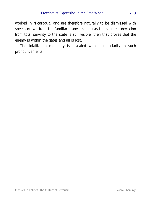worked in Nicaragua, and are therefore naturally to be dismissed with sneers drawn from the familiar litany, as long as the slightest deviation from total servility to the state is still visible, then that proves that the enemy is within the gates and all is lost.

The totalitarian mentality is revealed with much clarity in such pronouncements.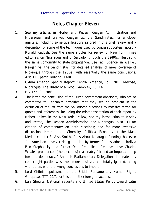### **Notes Chapter Eleven**

- 1. See my articles in Morley and Petras, *Reagan Administration and Nicaragua,* and Walker, *Reagan vs. the Sandinistas,* for a closer analysis, including some qualifications ignored in this brief review and a description of some of the techniques used by contra supporters, notably Ronald Radosh. See the same articles for review of *New York Times*  editorials on Nicaragua and El Salvador through the 1980s, illustrating the same conformity to state propaganda. See Jack Spence, in Walker, *Reagan vs. the Sandinistas,* for detailed analysis of news coverage of Nicaragua through the 1980s, with essentially the same conclusions. Also *TTT,* particularly pp. 140f.
- 2. *Oxfam America Special Report: Central America,* Fall 1985; Melrose, *Nicaragua: The Threat of a Good Example?,* 26, 14.
- 3. *BG,* Feb. 9, 1986.
- 4. The latter, the conclusion of the Dutch government observers, who are so committed to Reaganite atrocities that they see no problem in the exclusion of the left from the Salvadoran elections by massive terror; for quotes and references, including the misrepresentation of their report by Robert Leiken in the *New York Review,* see my introduction to Morley and Petras, *The Reagan Administration and Nicaragua;* also *TTT* for citation of commentary on both elections; and for more extensive discussion, Herman and Chomsky, *Political Economy of the Mass Media,* chapter 3. Also Smith, "Lies About Nicaragua," noting that even "an American observer delegation led by former Ambassador to Bolivia Ben Stephansky and former Ohio Republican Representative Charles Whalen pronounced [the elections] reasonably fair and an important step towards democracy." An Irish Parliamentary Delegation dominated by center-right parties was even more positive, and totally ignored, along with others with the wrong conclusions to impart.
- 5. Lord Chitnis, spokesman of the British Parliamentary Human Rights Group; see *TTT,* 117, for this and other foreign reactions.
- 6. Lars Shoultz, *National Security and United States Policy toward Latin*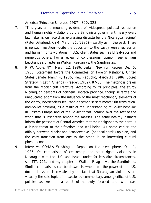*America* (Princeton U. press, 1987), 320, 323.

- 7. "This year. amid mounting evidence of widespread political repression and human rights violations by the Sandinista government, nearly every lawmaker is on record as expressing distaste for the Nicaragua regime" (Peter Osterlund, *CSM.* March 21, 1986)—exactly as in the past. There is no such reaction—quite the opposite—to the vastly worse repression and human rights violations in U.S. client states such as El Salvador and numerous others. For a review of congressional opinion, see William LeoGrande's chapter in Walker, *Reagan vs. the Sandinistas.*
- 8. R. W. Apple, *NYT,* March 12, 1986. Leiken, *New York Review,* Dec. 5, 1985; Statement before the Committee on Foreign Relations, United States Senate, March 4, 1986; *New Republic,* March 31, 1986; *Soviet Strategy in Latin America* (Praeger, 1982), 87-88. The rhetoric is drawn from the Maoist cult literature. According to its principles, the sturdy Nicaraguan peasants of northern Jinotega province, though illiterate and uneducated apart from the influence of the most reactionary elements of the clergy, nevertheless feel "anti-hegemonist sentiments" (in translation, anti-Soviet passion), as a result of the understanding of Soviet behavior in Eastern Europe and of the Soviet threat looming over the rest of the world that is instinctive among the masses. The same healthy instincts inform the peasants of Central America that their neighbor to the north is a lesser threat to their freedom and well-being. As noted earlier, the affinity between Maoist and "conservative" (or "neoliberal") opinion, and the easy transition from one to the other, is an interesting cultural phenomenon.
- 9. Interview, COHA's *Washington Report on the Hemisphere,* Oct. 1, 1986. On comparison of censorship and other rights violations in Nicaragua with the U.S. and Israel, under far less dire circumstances, see *TTT,* 72f., and my chapter in Walker, *Reagan vs. the Sandinistas.*  Similar comparisons can be drawn elsewhere, but the power of the U.S. doctrinal system is revealed by the fact that Nicaraguan violations are virtually the sole topic of impassioned commentary, among critics of U.S. policies as well, in a burst of narrowly focused and—with rare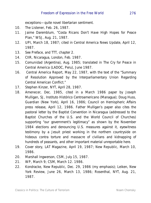exceptions—quite novel libertarian sentiment.

- 10. *The Listener,* Feb. 26, 1987.
- 11. Jaime Daremblum, "Costa Ricans Don't Have High Hopes for Peace Plan," *WSJ,* Aug. 21, 1987.
- 12. UPI, March 18, 1987; cited in *Central America News Update,* April 12, 1987.
- 13. See Preface, and *TTT,* chapter 2.
- 14. CIIR, *Nicaragua,* London, Feb. 1987.
- 15. *Comunidad* (Argentina), Aug. 1985; translated in *The Cry for Peace in Central America* (LADOC, Peru), June 1987.
- 16. *Central America Report,* May 22, 1987, with the text of the "Summary of Resolution Approved by the Interparliamentary Union Regarding Central American Conflict."
- 17. Stephen Kinzer, *NYT,* April 28, 1987.
- 18. *Amenecer,* Dec. 1985, cited in a March 1986 paper by Joseph Mulligan, SJ, Instituto Histórico Centroamericano (Managua); Doug Huss, *Guardian* (New York), April 16, 1986; Council on Hemispheric Affairs press release, April 12, 1986. Father Mulligan's paper also cites the pastoral letter by the Baptist Convention in Nicaragua (addressed to the Baptist Churches of the U.S. and the World Council of Churches) supporting "our government's legitimacy" as shown by the November 1984 elections and denouncing U.S. measures against it, eyewitness testimony by a Jesuit priest working in the northern countryside on hideous contra torture and massacre of civilians and kidnapping of hundreds of peasants, and other important material unreportable here.
- 19. Cover story, *LAT Magazine,* April 19, 1987; *New Republic,* March 10, 1986.
- 20. Marshall Ingwerson, *CSM,* July 15, 1987.
- 21. *WP,* March 9; *CSM,* March 12. 1986.
- 22. Kondracke, *New Republic,* Dec. 29, 1986 (my emphasis); Leiken, *New York Review,* June 26, March 13, 1986; Rosenthal, *NYT,* Aug. 21, 1987.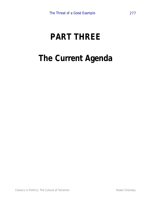## **PART THREE**

## **The Current Agenda**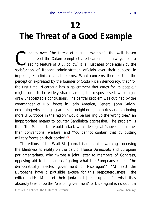### **12**

# **The Th[re](#page--1-0)at of a Good Example**

oncern over "the threat of a good example"—the well-chosen subtitle of the Oxfam pamphlet cited earlier—has always been a oncern over "the threat of a good example"—the well-chosen subtitle of the Oxfam pamphlet cited earlier—has always been a leading feature of U.S. policy.<sup>1</sup> It is illustrated once again by the satisfaction of Reagan administration officials over their success in impeding Sandinista social reforms. What concerns them is that the perception expressed by the founder of Costa Rican democracy, that "for the first time, Nicaragua has a government that cares for its people," might come to be widely shared among the dispossessed, who might draw unacceptable conclusions. The central problem was outlined by the commander of U.S. forces in Latin America, General John Galvin, explaining why enlarging armies in neighboring countries and stationing more U.S. tr[oop](#page--1-0)s in the region "would be barking up the wrong tree," an inappropriate means to counter Sandinista aggression. The problem is that "the Sandinistas would attack with ideological 'subversion' rather than conventional warfare, and 'You cannot contain that by putting military forces on their border'."**<sup>2</sup>**

The editors of the *Wall St. Journal* issue similar warnings, decrying the blindness to reality on the part of House Democrats and European parliamentarians, who "wrote a joint letter to members of Congress, opposing aid to the contras fighting what the Europeans called, 'the democratically elected government of Nicaragua'." "At least the Europeans have a plausible excuse for this preposterousness," the editors add: "Much of their junta aid [i.e., support for what they absurdly take to be the "elected government" of Nicaragua] is no doubt a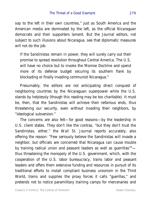sop to the left in their own countries," just as South America and the American media are dominated by the left, as the official Nicaraguan democrats and their supporters lament. But the *Journal* editors, not subject to such illusions about Nicaragua, see that diplomatic measures will not do the job:

If the Sandinistas remain in pow[er,](#page--1-0) they will surely carry out their promise to spread revolution throughout Central America. The U.S. will have no choice but to invoke the Monroe Doctrine and spend more of its defense budget securing its southern flank by blockading or finally invading communist Nicaragua.**<sup>3</sup>**

Presumably, the editors are not anticipating direct conquest of neighboring countries by the Nicaraguan superpower while the U.S. stands by helplessly (though this reading may be too charitable). It must be, then, that the Sandinistas will achieve their nefarious ends, thus threatening our security, even without invading their neighbors, by "ideological subversion."

The concerns are also felt—for good reasons—by the leadership in U.S. client states. They don't like the contras, "b[ut](#page--1-0) they don't trust the Sandinistas, either," the *Wall St. Journal* reports accurately, also offering the reason: "Few seriously believe the Sandinistas will invade a neighbor, but officials are concerned that Nicaragua can cause trouble by training radical union and peasant leaders as well as guerrillas"**<sup>4</sup>** thus threatening the monopoly of the U.S. government, which, with the cooperation of the U.S. labor bureaucracy, trains labor and peasant leaders and offers them extensive funding and resources in pursuit of its traditional efforts to install compliant business unionism in the Third World, trains and supplies the proxy forces it calls "guerillas," and pretends not to notice paramilitary training camps for mercenaries and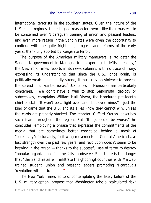international terrorists in the southern states. Given the nature of the U.S. client regimes, there is good reason for them—like their master—to be concerned over Nicaraguan training of union and peasant leaders, and even more reason if the Sandinistas were given the opportunity to continue with the quite frightening progress and reforms of the early years, thankfully aborted by Reaganite terror.

The purpose of the American military maneuvers is "to deter the Sandinista g[ove](#page--1-0)rnment in Managua from exporting its leftist ideology," the *New York Times* reports in its news columns with no trace of irony, expressing its understanding that since the U.S., once again, is politically weak but militarily strong, it must rely on violence to prevent the spread of unwanted ideas.**<sup>5</sup>**U.S. allies in Honduras are particularly concerned. "'We don't have a wall to stop Sandinista ideology or subversives,' complains William Hall Rivera, the Honduran president's chief of staff. 'It won't be a fight over land, but over minds'"—just the kind of game that the U.S. and its allies know they cannot win, unless the cards are properly stacked. The reporter, Clifford Krauss, describes such fears throughout the region. But "things could be worse," he concludes, employing a phrase that expresses the commitments of the media that are sometimes better concealed behind a mask of "objectivity"; fortunately, "left-wing movements in Central America have lost strength over the past few years, and revolution doesn't seem to be brewing in [th](#page--1-0)e region"—thanks to the successful use of terror to destroy "popular organizations," as he fails to observe. Still, there is the danger that "the Sandinistas will infiltrate [neighboring] countries with Marxisttrained student, union and peasant leaders promoting Nicaragua's 'revolution without frontiers'."**<sup>6</sup>**

The *New York Times* editors, contemplating the likely failure of the U.S. military option, propose that Washington take a "calculated risk"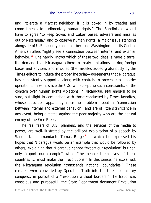### *The Threat of a Good Example*

and "tolerate a Marxist neighbor, if it is boxed in by treaties and commitments to rudimentary human rights." The Sandinistas would have to agree "to keep Soviet and Cuban bases, advisers and missiles out of Nicaragua," and to observe human rights, a major issue standing alongside of U.S. security concerns, because Washington and its Central American allies "rightly see a connection between internal and external behavior."**<sup>7</sup>** One hardly knows which of these two ideas is more bizarre: the demand that Nicaragua adhere to treaty limitations barring foreign bases and advisers and missiles (the missiles added gratuitously by the *Times* editors to induce the proper hysteria)—agreements that Nicaragua has consistently supported along with controls to prevent cross-border operations, in vain, since the U.S. will accept no such constraints; or the concern over human rights violations in Nicaragua, real enough to be sure, but slight in comparison with those conducted by *Times* favorites, whose atrocities apparently raise no problem about a "connection between internal and external behavior," and are of little significance in any event, being direct[ed](#page--1-0) against the poor majority who are the natural enemy of the Free Press.

The real fears of U.S. planners, and the services of the media to power, are well-illustrated by the brilliant exploitation of a speech by Sandinista commandante Tomás Borge,**<sup>8</sup>** in which he expressed his hopes that Nicaragua would be an example that would be followed by others, explaining that Nicaragua cannot "export our revolution" but can only "export our example" while "the people themselves of these countries ... must make their revolutions." In this sense, he explained, the Nicaraguan revolution "transcends national boundaries." These remarks were converted by Operation Truth into the threat of military conquest, in pursuit of a "revolution without borders." The fraud was conscious and purposeful; the State Department document *Revolution*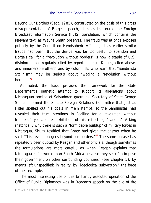### *The Threat of a Good Example*

*Beyond Our Borders* (Sept. 1985), constructed on the basis of this gross misrepresentation of Borge's speech, cites as its source the Foreign Broadcast Information Service (FBIS) translation, which contains the relevant text, as Wayne Smith observes. The fraud was at once exposed publicly by the Council on Hemispheric Affairs, just as earlier similar frauds had been. But the device was far too useful to abandon and Borge's call for a "revolution without borders" is now a staple of U.S. disinformation, regularly cited by reporters (e.g., Krauss, cited above, and innumerable others) and by columnists who warn that "Sandinista Stalinism" may be serious about "waging a 'revolution without borders'."**<sup>9</sup>**

As noted, the fraud provided the framework for the State Department's pathetic attempt to support its allegations about Nicaraguan arming of Salvadoran guerrillas. Secretary of State George Shultz informed the Senate Foreign Relations Committee that just as Hitler spelled out his goals in *Mein Kampf,* so the Sandinistas had revealed their true intentio[ns](#page--1-0) in "calling for a revolution without frontiers," yet another exhibition of his refreshing "candor." Asking rhetorically why there is such a "formidable buildup" of military forces in Nicaragua, Shultz testified that Borge had given the answer when he said "This revolution goes beyond our borders."**<sup>10</sup>**The same phrase has repeatedly been quoted by Reagan and other officials, though sometimes the formulations are more careful, as when Reagan explains that Nicaragua is far worse than South Africa because they seek "to impose their government on other surrounding countries" (see chapter 5), by means left unspecified: in reality, by "ideological subversion," the force of their example.

The most interesting use of this brilliantly executed operation of the Office of Public Diplomacy was in Reagan's speech on the eve of the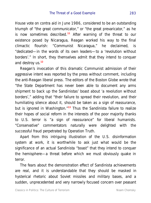House vote on contra aid in June 1986, considered to be an outstanding triumph of "the great communicator," or "the great prevaricator," as he is now sometimes described.**<sup>11</sup>** After warning of the threat to our existence posed by Nicaragua, Reagan worked his way to the final climactic flourish: "Communist Nicaragua," he declaimed, is "dedicated—in the words of its own leaders—to a 'revolution without borders'." In short, they themselves admit that they intend to conquer and destroy us.**<sup>12</sup>**

Reagan's invocation of this dramatic Communist admission of their aggressive intent was reported by the press without comment, including the anti-Reagan liberal press. The editors of the *Boston Globe* wrote that "the State [Dep](#page--1-0)artment has never been able to document any arms shipment to back up the Sandinistas' boast about 'a revolution without borders'," adding that "their failure to spread their revolution, and their humiliating silence about it, should be taken as a sign of reassurance, but is ignored in Washington."**<sup>13</sup>** Thus the Sandinista failure to realize their hopes of social reform in the interests of the poor majority thanks to U.S. terror is "a sign of reassurance" for liberal humanists. "Conservative" commentators naturally were delighted with the successful fraud perpetrated by Operation Truth.

Apart from this intriguing illustration of the U.S. disinformation system at work, it is worthwhile to ask just what would be the significance of an actual Sandinista "boast" that they intend to conquer the hemisphere—a threat before which we must obviously quake in terror.

The fears about the demonstration effect of Sandinista achievements are real, and it is understandable that they should be masked in hysterical rhetoric about Soviet missiles and military bases, and a sudden, unprecedented and very narrowly focused concern over peasant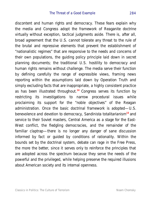### *The Threat of a Good Example*

discontent and human rights and democracy. These fears explain why the media and Congress adopt the framework of Reaganite doctrine virtually without exception, tactical judgments aside. There is, after all, broad agreement that the U.S. cannot tolerate any threat to the rule of the brutal and repressive elements that prevent the establishment of "nationalistic regimes" that are responsive to the needs and concerns of their own populations, the guiding policy principle laid down in secret planning documents; the traditional U.S. hostility to democracy and human rights rem[ain](#page--1-0)s without challenge. The media serve their function by defining carefully the range of expressible views, framing news reporting within the assumptions laid down by Operation Truth and simply excluding facts that are inappropriate, a highly consistent practice as has been illustrated throughout.**<sup>14</sup>**Congres[s s](#page--1-0)erves its function by restricting its investigations to narrow procedural issues while proclaiming its support for the "noble objectives" of the Reagan administration. Once the basic doctrinal framework is adopted—U.S. benevolence and devotion to democracy, Sandinista totalitarianism**<sup>15</sup>**and service to their Soviet masters, Central America as a stage for the East-West conflict, the fledgling democracies, and the remainder of the familiar claptrap—there is no longer any danger of sane discussion informed by fact or guided by conditions of rationality. Within the bounds set by the doctrinal system, debate can rage in the Free Press, the more the better, since it serves only to reinforce the principles that are adopted across the spectrum because they serve the needs of the powerful and the privileged, while helping preserve the required illusions about American society and its internal openness.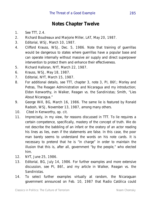### **Notes Chapter Twelve**

- 1. See *TTT,* 2.4.
- 2. Richard Boudreaux and Marjorie Miller, *LAT,* May 20, 1987.
- 3. Editorial, *WSJ,* March 10, 1987.
- 4. Clifford Krauss, *WSJ,* Dec. 5, 1986. Note that training of guerrillas would be dangerous to states where guerrillas have a popular base and can operate internally without massive air supply and direct superpower intervention to protect them and enhance their effectiveness.
- 5. Richard Halloran, *NYT,* March 22, 1987.
- 6. Krauss, *WSJ,* May 18, 1987.
- 7. Editorial, *NYT,* March 15, 1987.
- 8. For additional details, see *TTT,* chapter 3, note 3, *PI,* 86f.; Morley and Petras, *The Reagan Administration and Nicaragua* and my introduction; Eldon Kenworthy, in Walker, *Reagan vs. the Sandinistas;* Smith, "Lies About Nicaragua."
- 9. George Will, *BG,* March 16, 1986. The same lie is featured by Ronald Radosh, *WSJ,* November 13, 1987, among many others.
- 10. Cited in Kenworthy, *op. cit.*
- 11. Imprecisely, in my view, for reasons discussed in *TTT.* To lie requires a certain competence, specifically, mastery of the concept of truth. We do not describe the babbling of an infant or the oratory of an actor reading his lines as lies, even if the statements are false. In this case, the poor man barely seems to understand the words on his note cards. It is necessary to pretend that he is "in charge" in order to maintain the illusion that this is, after all, government "by the people," who elected him.
- 12. *NYT,* June 25, 1986.
- 13. Editorial, *BG,* July 14, 1986. For further examples and more extensive discussion, see *PI,* 86f., and my article in Walker, *Reagan vs. the Sandinistas.*
- 14. To select further examples virtually at random, the Nicaraguan government announced on Feb. 10, 1987 that *Radio Católica* could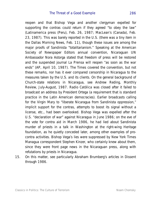reopen and that Bishop Vega and another clergyman expelled for supporting the contras could return if they agreed "to obey the law" *(Latinamerica press* (Peru), Feb. 26, 1987; *MacLean's* (Canada), Feb. 23, 1987). This was barely reported in the U.S. (there was a tiny item in the *Dallas Morning News,* Feb. 11), though these issues are among the major proofs of Sandinista "totalitarianism." Speaking at the American Society of Newspaper Editors annual convention, Nicaraguan UN Ambassador Nora Astorga stated that freedom of press will be restored and the suspended journal *La Prensa* will reopen "as soon as the war ends" (AP, April 10, 1987). The *Times* covered the convention, but not these remarks, nor has it ever compared censorship in Nicaragua to the measures taken by the U.S. and its clients. On the general background of Church-state relations in Nicaragua, see Andrew Reding, *Monthly Review,* July-August, 1987. *Radio Católica* was closed after it failed to broadcast an address by President Ortega (a requirement that is standard practice in the Latin American democracies). Earlier broadcasts calling for the Virgin Mary to "liberate Nicaragua from Sandinista oppression," implicit support for the contras, attempts to boost its signal without a license, etc., had been overlooked. Bishop Vega was expelled after the U.S. "declaration of war" against Nicaragua in June 1986; on the eve of the vote for contra aid in March 1986, he had lied about Sandinista murder of priests in a talk in Washington at the right-wing Heritage foundation, as he quietly conceded later, among other examples of procontra activities. Bishop Vega's lies were suppressed by *New York Times*  Managua correspondent Stephen Kinzer, who certainly knew about them, since they were front page news in the Nicaraguan press, along with refutations by priests in Nicaragua.

15. On this matter, see particularly Abraham Brumberg's articles in *Dissent*  through 1986.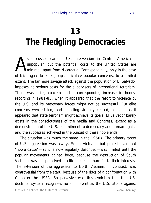### **13**

# **The Fledgling Democracies**

s discussed earlier, U.S. intervention in Central America is unpopular, but the potential costs to the United States are minimal, apart from Nicaragua. Correspondingly, only in the case of Nicaragua do elite groups articulate popular concerns, to a limited extent. The far more savage attack against the population of El Salvador imposes no serious costs for the supervisors of international terrorism. There was rising concern and a corresponding increase in honest reporting in 1981-83, when it appeared that the resort to violence by the U.S. and its mercenary forces might not be successful. But elite concerns were stilled, and reporting virtually ceased, as soon as it appeared that state terrorism might achieve its goals. El Salvador barely exists in the consciousness of the media and Congress, except as a demonstration of the U.S. commitment to democracy and human rights, and the successes achieved in the pursuit of these noble ends.  $A<sub>unp</sub><sub>min</sub>$ 

The situation was much the same in the 1960s. The primary target of U.S. aggression was always South Vietnam, but protest over that "noble cause"—as it is now regularly described—was limited until the popular movements gained force, because the destruction of South Vietnam was not perceived in elite circles as harmful to their interests. The extension of the aggression to North Vietnam, in contrast, was controversial from the start, because of the risks of a confrontation with China or the USSR. So pervasive was this cynicism that the U.S. doctrinal system recognizes no such event as the U.S. attack against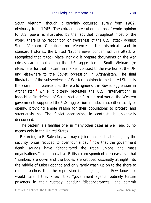#### *The Fledgling Democracies*

South Vietnam, though it certainly occurred, surely from 1962, obviously from 1965. The extraordinary subordination of world opinion to U.S. power is illustrated by the fact that throughout most of the world, there is no recognition or awareness of the U.S. attack against South Vietnam. One finds no reference to this historical event in standard histories; the United Nations never condemned this attack or recognized that it took place, nor did it prepare documents on the war crimes carried out during the U.S. aggression in South Vietnam (or elsewhere, for that matter), in marked contrast to the reaction at the UN and elsewhere to the Soviet aggression in Afghanistan. The final illustration of the subservience of Western opinion to the United States is the common pretense that the world ignores the Soviet aggression in Afghanistan,**<sup>1</sup>**while it bitterly protested the U.S. "intervention" in Indochina "in defense of South Vietnam." In the real world, the Western governments supported the U.S. aggression in Indochina, either tacitly or openly, providing ample reason for their populations to protest, and strenuously so. The So[vie](#page--1-0)t aggression, in contrast, is universally denounced.

The pattern is a familiar one, in many other cases as well, and by no means only in the United States.

Returning to El Salvador, we may rejoice that political killings by the security forces reduced to over four a day,**<sup>2</sup>**now that the government death squads have "decapitated [t](#page--1-0)he trade unions and mass organisations," a conservative British correspondent observes, so that "numbers are down and the bodies are dropped discreetly at night into the middle of Lake Ilopango and only rarely wash up on to the shore to remind bathers that the repression is still going on."**<sup>3</sup>**Few know—or would care if they knew—that "government agents routinely torture prisoners in their custody, conduct 'disappearances,' and commit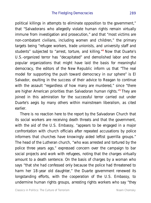#### *The Fledgling Democracies*

political killings in attempts to eliminate opposition to the government," that "Salvadorans who allegedly [vio](#page--1-0)late human rights remain virtually immune from investigation and prosecution," and that "most victims are non-combatant civilians, including women and children," the primary targets being "refugee workers, trade unionists, and university staff and students" subjected to "arrest, torture, and killing."**<sup>4</sup>**Now that Duarte's U.S.-organized terror has "decapitated" and demolished labor and the popular organizations that might have laid the basis for meaningful democracy, the editors of the *New Repub[lic](#page--1-0)* inform us that "The real model for supporting the push toward democracy in our sphere" is El Salvador, exulting in the success of their advice to Reagan to continue with the assault "regardless of how many are murdered," since "there are higher American priorities than Salvadoran human rights."**<sup>5</sup>**They are joined in this admiration for the successful terror carried out under Duarte's aegis by many others within mainstream liberalism, as cited earlier.

There is no reaction here to the report by the Salvadoran Church that its social workers are receiving death threats and that the government, with the aid of the U.S. Embassy, "appears to be engaged in a major confrontation with church officials after repeated accusations by police informers that churches have knowingly aided leftist guerrilla groups." The head of the Lutheran church, "who was arrested and tortured by the police three years ago," expressed concern over the campaign to bar social projects and work with refugees, noting that the charges virtually amount to a death sentence. On the basis of charges by a woman who says "that she had confessed only because the police had threatened to harm her 18-year old daughter," the Duarte government renewed its longstanding efforts, with the cooperation of the U.S. Embassy, to undermine human rights groups, arresting rights workers who say "they

*Classics in Politics: The Culture of Terrorism* Moam Chomsky **Noam Chomsky** 

289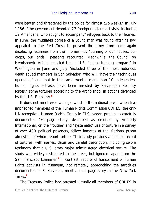were beaten and threatened by the police for almost two weeks." In July 1986, "the government deported 23 foreign religious activists, including 19 Americans, who sought to accompany" refugees back to their homes. In June, the mutilated corpse of a young man was found after he had appealed to the Red Cross to prevent the army from once again displacing returnees from their homes—by "burning of our houses, our crops, our lands," peasants recounted. Meanwhile, the Council on Hemispheric Affairs reported that a U.S. "police training program" in Washington in June and July "included three of the most notorious de[ath](#page--1-0) squad members in San Salvador" who will "have their techniques upgraded," and that in the same weeks "more than 10 independent human rights activists have been arrested by Salvadoran Security forces," some tortured according to the Archbishop, in actions defended by the U.S. Embassy.**<sup>6</sup>**

It does not merit even a single word in the national press when five imprisoned members of the Human Rights Commission CDHES, the only UN-recognized Human Rights Group in El Salvador, produce a carefully documented 160-page study, described as credible by Amnesty International, on the "routine" and "systematic" use of torture in a survey of over 400 political prisoners, fellow inmates at the Mariona prison almost [all](#page--1-0) of whom report torture. Their study provides a detailed record of tortures, with names, dates and careful description, including sworn testimony that a U.S. army major administered electrical torture. The study was widely distributed to the press, but ignored, apart from the *San Francisco Examiner.***<sup>7</sup>** In contrast, reports of harassment of human rights activists in Managua, not remotely approaching the atrocities documented in El Salvador, merit a front-page story in the *New York Times.***<sup>8</sup>**

The Treasury Police had arrested virtually all members of CDHES in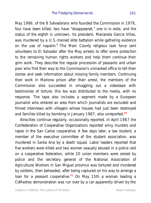May 1[98](#page--1-0)6; of the 8 Salvadorans who founded the Commission in 1978, four have been killed, two have "disappeared," one is in exile, and the status of the eighth is unknown. Its president, Marianela Garcia Villas, was murdered by a U.S.-trained elite battalion while gathering evidence on the use of napalm.**<sup>9</sup>**The Main County religious task force sent volunteers to El Salvador after the May arrests to offer some protection to the remaining human rights workers and help them continue their grim work. They describe the regular procession of peasants and urban poor who find their way to the Commission's unmarked office to tell their stories and seek information about missing family members. Continuing their work in Mariona prison after their arrest, the members of the Commission also succeeded in smuggling out a videotape with testimonies of torture; this too was distribute[d](#page--1-0) to the media, with no response. The tape also includes a segment made by a European journalist who entered an area from which journalists are excluded and filmed interviews with villagers whose houses had just been destroyed and families killed by bombing in January 1987, also unreported.**<sup>10</sup>**

Atrocities continue regularly, occasionally reported. In April 1987 the Confederation of Cooperative Organizations reported army murders and rapes in the San Carlos cooperative. A few days later, a law student, a member of the executive committee of the student association, was murdered in Santa Ana by a death squad. Labor leaders reported that five workers were killed and two women sexually abused in a police raid on a cooperati[ve](#page--1-0) federation, while 20 union members were seized by police and the secretary general of the National Association of Agricultural Workers in San Miguel province was tortured and murdered by soldiers, then beheaded, after being captured on his way to arrange a loan for a peasant cooperative.**<sup>11</sup>** On May 15th a woman leading a CoMadres demonstration was run over by a car apparently driven by the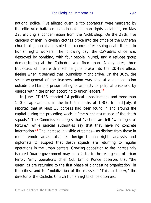national police. Five alleged guerrilla "collaborators" were murdered by the elite Arce battalion, notorious for human rights violations, on May 22, eliciting a condemnation from the Archbishop. On the 27th, five carloads of men in civilian clothes broke into the office of the Lutheran church at gunpoint and stole their records after issuing death threats to human rights workers. The following day, the CoMadres office was destroyed by bombing, with four people injured, and a refugee group demonstrating at the Cathedral was fired upon. A day later, three truckloads of men with machin[e](#page--1-0) guns broke into the CDHES office, fleeing when it seemed that journalists might arrive. On the 30th, the secretary-general of the teachers union was shot at a demonstration outside the Mariona prison calling for amnesty for political prisoners, by guards within the prison according to union leaders.**<sup>12</sup>**

In June, CDHES reported 14 political assassinations and more than 100 disappearances in the first 5 months of 1987. In mid-July, it reported that at least 13 corpses had been found in and around the capital during the preceding week in "the silent resurgence of the death squads." The Commission alleges that "victims are left "with signs of torture," while judicial authorities say that they have no concrete information.**<sup>13</sup>** The increase in visible atrocities—as distinct from those in more remote areas—also led foreign human rights analysts and diplomats to suspect that death squads are returning to regular operations in the urban centers. Growing opposition to the increasingly isolated Duarte government may be a factor in the resurgence of urban terror. Army operations chief Col. Emilio Ponce observes that "the guerrillas are returning to the first phase of clandestine organization" in the cities, and to "mobilization of the masses." "This isn't new," the director of the Catholic Church human rights office observes: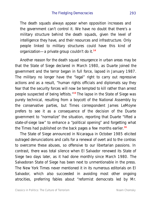The death squads always appear when opposition increases and the government can't co[ntro](#page--1-0)l it. We have no doubt that there's a military structure behind the death squads, given the level of intelligence they have, and their resources and infrastructure. Only people linked to military structures could have this kind of organization—a private group couldn't do it.**<sup>14</sup>**

Another reason for the death squad resurgence in urban areas may be that the State of Siege declared in March 1980, as Duarte joined the government and [th](#page--1-0)e terror began in full force, lapsed in January 1987. The military no longer have the "legal" right to carry out repressive actions and as a result, "human rights officials and diplomats say they fear that the security forces will now be tempted to kill rather than arrest people suspected of being leftists."**<sup>15</sup>**The lapse in the State of Siege was purely technical, resulting from a boycott of the National Assembly by the conservative parties, but *Times* corres[pon](#page--1-0)dent James LeMoyne prefers to see it as a consequence of the decision of the Duarte government to "normalize" the situation, reporting that Duarte "lifted a state-of-siege law" to enhance a "political opening" and forgetting what the *Times* had published on the back pages a few months earlier.**<sup>16</sup>**

The State of Siege announced in Nicaragua in October 1985 elicited outraged denunciations and calls for a renewal of overt aid to the contras to overcome these abuses, so offensive to our libertarian passions. In contrast, there was total silence when El Salvador *renewed* its State of Siege two days later, as it had done monthly since March 1980. The Salvadoran State of Siege has been next to unmentionable in the press. The *New York Times* never mentioned it in its numerous editorials on El Salvador, which also succeeded in avoiding most other ongoing atrocities, preferring fables about "reformist democrats led by Mr.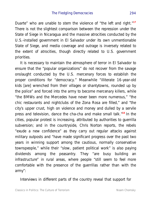Duarte" who are unable to stem the violence of "the left and right."**<sup>17</sup>** There is not the slightest comparison between the repression under the State of Siege in Nicaragua and the massive atrocities conducted by the U.S.-installed government in El Salvador under its own unmentionable State of Siege, and media coverage and outrage is inversely related to the extent of atrocities, though directly related to U.S. government priorities.

It is necessary to maintain the atmosphere of terror in El Salvador to ensure that the "popular organizations" do not recover from the savage onslaught conducted by the U.S. mercenary forces to establish the proper conditions for "democracy." Meanwhile "illiterate 16-year-old kids [are] wrenched from their villages or shantytowns, rounded up by the police" and forced into the army to beco[me](#page--1-0) mercenary killers, while "the BMWs and the Mercedes have never been more numerous," "the chic restaurants and nightclubs of the *Zona Rosa* are filled," and "the city's upper crust, high on violence and money and dulled by a servile press and television, dance the cha-cha and make small talk."**<sup>18</sup>**In the cities, popular protest is increasing, attributed by authorities to guerrilla subversion; and in the countryside, Chris Norton reports, the rebels "exude a new confidence" as they carry out regular attacks against military outposts and "have made significant progress over the past two years in winning support among the cautious, normally conservative townspeople," while their "slow, patient political work" is also paying dividends among the peasantry. They "are busy building an infrastructure" in rural areas, where people "still seem to feel more comfortable with the presence of the guerrillas rather than with the army":

Interviews in different parts of the country reveal that support for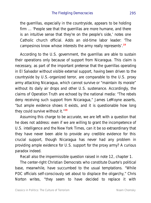the guerrillas, especially in the countryside[, a](#page--1-0)ppears to be holding firm ... 'People see that the guerrillas are more humane, and there is an intuitive sense that they're on the people's side,' notes one Catholic church official. Adds an old-time labor leader: 'The *campesinos* know whose interests the army really represents'.**<sup>19</sup>**

According to the U.S. government, the guerrillas are able to sustain their operations only because of support from Nicaragua. This claim is necessary, as part of the important pretense that the guerrillas operating in El Salvador without visible external support, having been driven to the countryside by U.S.-organized terror, are comparable to the U.S. proxy army attacking Nicaragua, which cannot survive or "maintain its morale" without its [da](#page--1-0)ily air drops and other U.S. sustenance. Accordingly, the claims of Operation Truth are echoed by the national media: "The rebels deny receiving such support from Nicaragua," James LeMoyne asserts, "but ample evidence shows it exists, and it is questionable how long they could survive without it."**<sup>20</sup>**

Assuming this charge to be accurate, we are left with a question that he does not address: even if we are willing to grant the incompetence of U.S. intelligence and the *New York Times,* can it be so extraordinary that they have never been able to provide any credible evidence for this crucial support, though Nicaragua has never had any problem in providing ample evidence for U.S. support for the proxy army? A curious paradox indeed.

Recall also the impermissible question raised in note 12, chapter 1.

The center-right Christian Democrats who constitute Duarte's political base, meanwhile, have succumbed to the usual temptations. "While PDC officials self-consciously set about to displace the oligarchy," Chris Norton writes, "they seem to have decided to replace it with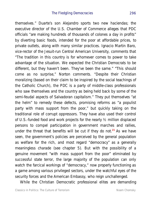themselves." Duarte's son Alejandro sports two new haciendas; the executive director of the U.S. Chamber of Commerce alleges that PDC officials "are making hundreds of thousands of colones a day in profits" by diverting basic foods, intended for the poor at affordable prices, to private outlets, along with many similar practices. Ignacio Martin Baro, vice-rector of the Jesuit-run Central American University, comments that "The tradition in this country is for whomever comes to power to take advantage of the situation. We expected the Christian Democrats to be different, but they haven't been. They've been the same." "This should come as no surprise," Norton comments. "Despite their Christian moralizing (based on their claim to be inspired by the social teachings of the Catholic Church), the PDC is a party of middle-class professionals who saw themselves and the country as being held back by some of the semi-feudal aspects of Salvadoran capitalism." They put themselves "at the helm" to remedy these defects, promising reforms as "a populist party with mass support from the p[oo](#page--1-0)r," but quickly taking on the traditional role of corrupt oppressors. They have also used their control of U.S.-funded food and work projects for the nearly ½ million displaced persons to compel participation in government marches and rallies, under the threat that benefits will be cut if they do not.**<sup>21</sup>**As we have seen, the government's policies are perceived by the general population as welfare for the rich, and most regard "democracy" as a generally meaningless charade (see chapter 5). But with the possibility of a genuine movement "with mass support from the poor" eliminated by successful state terror, the large majority of the population can only watch the farcical workings of "democracy," now properly functioning as a game among various privileged sectors, under the watchful eyes of the security forces and the American Embassy, who reign unchallenged.

While the Christian Democratic professional elites are demanding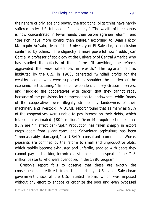their share of privilege and power, the traditional oligarchies have hardly suffered under U.S. tutelage in "democracy." "The wealth of the country is now concentrated in fewer hands than before agrarian reform," and "the rich have more control than before," according to Dean Héctor Marroquín Arévalo, dean of the University of El Salvador, a conclusion confirmed by others. "The oligarchy is more powerful now," adds Juan Garcia, a professor of sociology at the University of Central America who has studied the effects of the reform: "If anything, the reforms aggravated the wide differences in wealth." The agrarian reform, instituted by the U.S. in 1980, generated "windfall profits for the wealthy people who were supposed to shoulder the burden of the economic restructuring," *Times* correspondent Lindsey Gruson observes, and "saddled the cooperatives with debts" that they cannot repay because of the provisions for compensation to landowners, while "many of the cooperatives were illegally stripped by landowners of their machinery and livestock." A USAID report "found that as many as 95% of the cooperatives were unable to pay interest on their debts, which totaled an estimated \$800 million." Dean Marroquín estimates that 98% are "in effect bankrupt." Production has fallen sharply in export crops apart from sugar cane, and Salvadoran agriculture has been "immeasurably damaged," a USAID consultant comments. Worse, peasants are confined by the reform to small and unproductive plots, which rapidly become exhausted and unfertile, saddled with debts they cannot pay and lacking technical assistance, not to speak of the "1.8 million peasants who were overlooked in the 1980 program."

Gruson's report fails to observe that these are exactly the consequences predicted from the start by U.S. and Salvadoran government critics of the U.S.-initiated reform, which was imposed without any effort to engage or organize the poor and even bypassed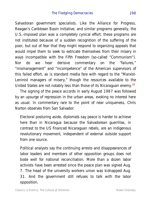Salvadoran government specialists. Like the Alliance for Progress, Reagan's Caribbean Basin Initiative, and similar programs generally, the U.S.-imposed plan was a completely cynical effort; these programs are not instituted because of a sudden recognition of the suffering of the poor, but out of fear that they might respond to organizing appeals that would impel them to seek to extricate themselves from their misery in ways incompatible with the Fifth Freedom (so-called "Communism"). Nor do we hear derisive commentary [on](#page--1-0) the "failures," "mismanagement" and "incompetence" of the American supervisors of this failed effort, as is standard media fare with regard to the "Marxist-Leninist managers of misery," though the resources available to the United States are not notably less than those of its Nicaraguan enemy.**<sup>22</sup>**

The signing of the peace accords in early August 1987 was followed by an upsurge of repression in the urban areas, evoking no interest here as usual. In commentary rare to the point of near uniqueness, Chris Norton observes from San Salvador:

Electoral posturing aside, diplomats say peace is harder to achieve here than in Nicaragua because the Salvadorean guerrillas, in contrast to the US financed Nicaraguan rebels, are an indigenous revolutionary movement, independent of external outside support from one source.

Political analysts say the continuing arrests and disappearances of labor leaders and members of other opposition groups does not bode well for national reconciliation. More than a dozen labor activists have been arrested since the peace plan was signed Aug. *7.* The head of the university workers union was kidnapped Aug. 31. And the government still refuses to talk with the labor opposition.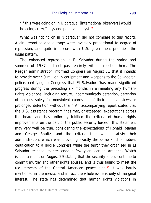"If this were going on in Nicaragua, [international observers] would be going crazy," says one political analyst.**<sup>23</sup>**

What was "going on in Nicaragua" did not compare to this record. Again, reporting and outrage were inversely proportional to degree of repression, and quite in accord with U.S. government priorities; the usual pattern.

The enhanced repression in El Salvador during the spring and summer of 1987 did not pass entirely without reaction here. The Reagan administration informed Congress on August 31 that it intends to provide over \$9 million in equipment and weapons to the Salvadoran police, certifying to Congress that El Salvador "has made significant progress during the preceding six months in eliminating any humanrights violations, including torture, incommunicado detention, detention of persons solely for nonviolent expression of their political views or prolonged detention without trial." An accompanying report states that the U.S. assistance program "has met, or exceeded, expectations across the board and has uniformly fulfilled the criteria of human-rights improvements on the part of the public security forces"; this statement may very well be true, considering the expectations of Ronald Reagan and George Shultz, and the criteria that would satisfy their administration, which was providing exactly the same kind of upbeat certification to a docile Congress w[hi](#page--1-0)le the terror they organized in El Salvador reached its crescendo a few years earlier. Americas Watch issued a report on August 29 stating that the security forces continue to commit murder and other rights abuses, and is thus failing to meet the requirements of the Central American peace plan.**<sup>24</sup>**It was barely mentioned in the media, and in fact the whole issue is only of marginal interest. The state has determined that human rights violations in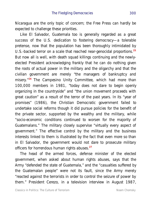Nicaragua are the only topic of concern; the Free [Pr](#page--1-0)ess can hardly be expected to challenge these priorities.

Like El Salvador, Guatemala too is generally regarded as a great success of the U.S. dedication to fostering democracy—a tolerable pretense, now that the population has been thoroughly intimidated by U.S.-backed terror on a scale that reached near-genocidal proportions.**<sup>25</sup>** But now all is well, with death squad killings continuing and the newlyelected President acknowledging frankly that he can do nothing given the roots of actual power in the military and the oligarchy and that the civilian government are merely "the managers of bankruptcy and misery."**<sup>26</sup>**The Campesino Unity Committee, which had more than 100,000 members in 1981, "today does not dare to begin openly organizing in the countryside" and "the union movement proceeds with great caution" as a result of the terror of the past years. In its "year of promises" (1986), the Christian Democratic government failed to undertake social reforms though it did pursue policies for the benefit of the private sector, supported by the wealthy and the military, while "socio-economic conditions continued to worsen for the majority of Guatemalans." The milit[ary](#page--1-0) closely supervise "virtually every aspect of government." The effective control by the military and the business interests linked to them is illustrated by the fact that even more so than in El Salvador, the government would not dare to prosecute military officers for horrendous human rights abuses.**<sup>27</sup>**

The head of the armed forces, defense minister of the elected government, when asked about human rights abuses, says that the Army "defended the state of Guatemala," and the "casualties suffered by the Guatemalan people" were not its fault, since the Army merely "reacted against the terrorists in order to control the seizure of power by them." President Cerezo, in a television interview in August 1987,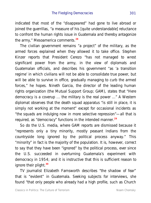indicated that most of the "disappeared" had gone to live abroad or joined the guerrillas, "a measure of his [quite understandable] reluctance to confront the human rights issue in Guatemala and thereby antagonize the army," *Mesoamerica* comments.**<sup>28</sup>**

The civilian government remains "a project" of the military, as the armed forces explained when they allowed it to take office. Stephen Kinzer reports that President Cerezo "has not managed to wrest significant power from the army, in the view of diplomats and Guatemalan officials, and describes his government "as 'a transition regime' in which civilians will not be able to consolidate true power, but will be able to survive in office, gradually managing to curb the armed forces," he hopes. Nineth Garcia, the director of the leading human rights organization (the Mutual Support Group; GAM), states that "Here democracy is a coverup ... the military i[s t](#page--1-0)he real power ..." A Western diplomat observes that the death squad apparatus "is still in place, it is simply not working at the moment" except for occasional incidents as "the squads are indulging now in more selective repression"—all that is required, as "democracy" functions in the intended manner.**<sup>29</sup>**

So do the U.S. media, where GAM reports are dismissed because it "represents only a tiny minority, mostly peasant Indians from the countryside long ignored by the political process anyway." This ["m](#page--1-0)inority" in fact is the majority of the population. It is, however, correct to say that they have been "ignored" by the political process, ever since the U.S. succeeded in overturning Guatemala's experiment with democracy in 1954; and it is instructive that this is sufficient reason to ignore their plight.**<sup>30</sup>**

TV journalist Elizabeth Farnsworth describes "the shadow of fear" that is "evident" in Guatemala. Seeking subjects for interviews, she found "that only people who already had a high profile, such as Church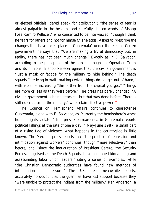or elected officials, dared speak for attribution"; "the sense of fear is almost palpable in the hesitant and carefully chosen words of Bishop José Ramiro Pellecer," who consented to be interviewed, "though I think he fears for others and not for himself," she adds. Asked to "describe the changes that have taken place in Guatemala" under the elected Cerezo government, he says that "We are making a try at democracy but, in reality, there has not been much change." Exactly as in El Salvador, according to the perceptions of the public, though not Operation Truth and its minions. Bishop Pellecer agrees that the civilian government is "just a mask or façade for the military to hide behind." The death squads "are lying in wait, making certain [th](#page--1-0)ings do not get out of hand," with violence increasing "the farther from the capital you get." "Things are more or less as they were before." The press has barely changed: "A civilian government is being attacked, but that was done before. There is still no criticism of the military," who retain effective power.**<sup>31</sup>**

The Council on Hemispheric Affairs continues to characterize Guatemala, along with El Salvador, as "currently the hemisphere's worst human rights violator." Inforpress Centroamerica in Guatemala reports political killings at the rate of one a day in May-June 1987, a small part of a rising tide of violence; what happens in the countryside is little known. The Mexican press reports that "the practice of repression and intimidation against workers" continues, though "more selectively" than before, and "since the inauguration of President Cerezo, the Security Forces, disguised as the Death Squads, have continued kidnapping and assassinating labor union leaders," citing a series of examples, while "the Christian Democratic authorities have found new methods of intimidation and pressure." The U.S. press meanwhile reports, accurately no doubt, that the guerrillas have lost support because they "were unable to protect the Indians from the military." Ken Anderson, a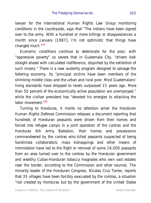[l](#page--1-0)awyer for the International Human Rights Law Group monitoring conditions in the countryside, says that "The Indians have been signed over to the army. With a hundred or more killings or disappearances a month since January [1987], I'm not optimistic that things have changed much."**<sup>32</sup>**

Economic conditions continue to deteriorate for the poor, with "oppressive poverty" so severe that in Guatemala City, "drivers look straight ahead with calculated indifference, dispirited by the exhibition of such misery." There is a new austerity program designed to salvage the faltering economy. Its "principal victims have been members of the [sh](#page--1-0)rinking middle class and the urban and rural poor. Most Guatemalans' living standards have dropped to levels surpassed 15 years ago. More than 50 percent of the economically active population are unemployed," while the civilian president has "devoted his energies to attacking the labor movement."**<sup>33</sup>**

Turning to Honduras, it merits no attention when the Honduran Human Rights Defense Commission releases a document reporting that hundreds of Honduran peasants were driven from their homes and forced into refugee camps in a joint operation of the contras and the Honduras 6th Army Battalion, their homes and possessions commandeered by the contras who killed peasants suspected of being Sandinista collaborators; mass kidnappings and other means of intimidation have led to the flight or removal of some 16,000 peasants from an area turned over to the contras by the Honduran government and wealthy Cuban-Honduran tobacco magnates who own vast estates near the border, according to the Commission and other sources. The minority leader of the Honduran Congress, Nicolas Cruz Torres, reports that 35 villages have been forcibly evacuated by the contras, a situation "not created by Honduras but by the government of the United States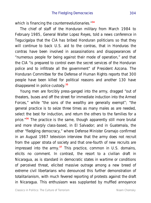which is financing the counterrevolutionaries."**<sup>34</sup>**

The chief of staff of the Honduran military from March 1984 to February 1985, General Walter Lopez Reyes, told a news conference in Tegucigalpa that the CIA has bribed Honduran politicians so that they will continue to back U.S. aid to the contras, that in Honduras the contras have been involved in assassinations and disappearances of "numerous people for being against their mode of operation," and that the CIA "is [pre](#page--1-0)pared to control even the secret services of the Honduran police and to infiltrate all the government" of President Azcona. The Honduran Committee for the Defense of Human Rights reports that 300 people have been killed for political reasons and another 130 have disappeared in police custody.**<sup>35</sup>**

Young men are forcibly press-ganged into the army, dragged "out of theaters, buses and off the street for immediate induction into the Armed Forces," while "the sons of the wealthy are generally exempt"; "the general practice is to seize three times as many males as are needed, select the best for induction, and return the others to the families for a price."**<sup>36</sup>** The practice is the same, though apparently still more brutal and mo[re](#page--1-0) sharply class-based, in El Salvador; and in Guatemala, the other "fledgling democracy," where Defense Minister Gramajo confirmed in an August 1987 television interview that the army does not recruit from the upper strata of society and that one-fourth of new recruits are impressed into the army.**<sup>37</sup>** This practice, common in U.S. domains, elicits no comment. In contrast, the resort to a civilian draft in Nicaragua, as is standard in democratic states in wartime or conditions of perceived threat, elicited massive outrage among a new breed of extreme civil libertarians who denounced this further demonstration of totalitarianism, with much fevered reporting of protests against the draft in Nicaragua. This enthusiasm was supplanted by muffled annoyance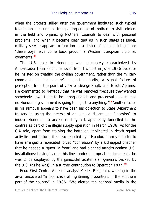when the protests stilled after the government instituted such typical totalitarian measures as transporting groups of mothers to visit soldiers in the field and organizing Mothers' Councils to deal with personal problems, and when it became clear that as in such states as Israel, military service appears to function as a device of national integration; "these boys have come back proud," a Western European diplomat comments.**<sup>38</sup>**

The U.S. role in Honduras was adequately characterized by Ambassador John Ferch, removed from his post in June 1986 because he insisted on treating the civilian government, rather than the military command, as the country's highe[st](#page--1-0) authority, a signal failure of perception from the point of view of George Shultz and Elliott Abrams. He commented to *Newsday* that he was removed "because they wanted somebody down there to be strong enough and proconsul enough that no Honduran government is going to object to anything."**<sup>39</sup>**Another factor in his removal appears to have been his objection to State Department trickery in using the pretext of an alleged Nicaraguan "invasion" to induce Honduras to accept military aid, apparently funnelled to the contras as part of the illegal supply operation in March 1986. As for the CIA role, apart from training the battalion implicated in death squad activities and torture, it is also reported by a Honduran army defector to have arranged a fabricated forced "confession[" b](#page--1-0)y a kidnapped prisoner that he headed a "guerrilla front" and had planned attacks against U.S. installations; having learned his lines under appropriate inducements, he was to be displayed by the genocidal Guatemalan generals backed by the U.S. (as he was), in a further contribution to Operation Truth.**<sup>40</sup>**

Food First Central America analyst Medea Benjamin, working in the area, uncovered "a food crisis of frightening proportions in the southern part of the country" in 1986. "We alerted the national media in the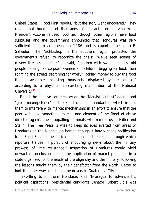United States," Food First reports, "but the story went uncovered." They report that hundreds of thousands of peasants are starving while President Azcona refused food aid, though other regions have food surpluses and the government announced that Honduras was selfsufficient in corn and beans in 1986 and is exporting beans to El Salvador. The Archbishop in the southern region protested the government's refusal to recognize the crisis: "We've seen scenes of misery like never before," he said, "children with swollen bellies, old people looking like corpses, women and children begging for food, men roaming the streets searching for work," lacking money to buy the food that is available, including thousands "displaced by the contras," according to a physician researching malnutrition at the National University.**<sup>41</sup>**

Recall the derisive commentary on the "Marxist-Leninist" dogma and "gross incompetence" of the Sandinista *commandantes,* which impels them to interfere with market mechanisms in an effort to ensure that the poor will have something to eat, one element of the flood of abuse directed against these appalling criminals who remind us of Hitler and Stalin. The Free Press is wise to keep its eyes averted from areas of Honduras on the Nicaraguan border, though it hardly needs notification from Food First of the critical conditions in the region through which reporters traipse in pursuit of encouraging news about the military prowess of "the resistance." Inspection of Honduras would yield unwanted conclusions about the application of market principles in a state organized for the needs of the oligarchy and the military, following the lessons taught them by their benefactor from the North. Better to look the other way, much like the drivers in Guatemala City.

Travelling to southern Honduras and Nicaragua to advance his political aspirations, presidential candidate Senator Robert Dole was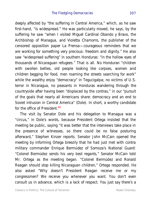deeply affected by "the suffering in Central America," which, as he saw first-hand, "is widespread." He was particularly moved, he says, by the suffering he saw "when I visited Miguel Cardinal Obando y Bravo, the Archbishop of Managua, and Violetta Chamorro, the publisher of the censored opposition paper La Prensa—courageous reminders that we are working for something very precious: freedom and dignity." He also saw "widespread suffering" in southern Honduras: "in the hollow eyes of thousands of Nicaraguan refugees." That is all. No Honduran "children with swollen bellies, old people looking like corpses, women and children begging for food, men roaming the streets searching for work" while the wealthy enjoy "democracy" in Tegucigalpa; no victims of U.S. terror i[n N](#page--1-0)icaragua, no peasants in Honduras wandering through the countryside after having been "displaced by the contras," in our "pursuit of the goals that nearly all Americans share: democracy and an end to Soviet intrusion in Central America" (Dole). In short, a worthy candidate for the office of President.**<sup>42</sup>**

The visit by Senator Dole and his delegation to Managua was a "circus," in Dole's words, because President Ortega insisted that the meeting be public, saying "it was better that the interviews take place in the presence of witnesses, so there could be no false posturing afterward," Stephen Kinzer reports. Senator John McCain opened the meeting by informing Ortega breezily that he had just met with contra military commander Enrique Bermúdez of Somoza's National Guard: "Colonel Bermúdez sends his very best regards," Senator McCain told Mr. Ortega as the meeting began. "Colonel Bermúdez and Ronald Reagan should stop killing Nicaraguan children," Ortega responded. He also asked "Why doesn't President Reagan receive me or my congressmen? We receive you whenever you want. You don't even consult us in advance, which is a lack of respect. You just say there's a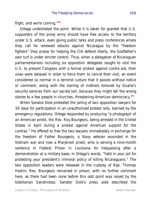flight, and we're coming."**<sup>43</sup>**

Ortega understated the point. While it is taken for granted that U.S. supporters of the proxy army should have free access to the territory under U.S. attack, even giving public talks and press conferences where they call for renewed attacks against Nicaragua by the "freedom fighters" they praise for helping the CIA defend liberty, the Godfather's own turf is under stricter control. Thus, when a delegation of Nicaraguan parliamentarians including six opposition delegates sought to visit the U.S. to present Congress with a formal protest against contra aid, their visas were delayed in order to force them to canc[el t](#page--1-0)heir visit, an event considered so normal in a terrorist culture that it passes without notice or comment, along with the barring of mothers tortured by Duarte's security services from our sacred soil, because they might tell the wrong stories to a few people in churches, threatening American democracy.**<sup>44</sup>**

When Senator Dole protested the jailing of two opposition lawyers for 30 days for participation in an unauthorized protest rally, banned by the emergency regulations, Ortega responded by producing "a photograph of an American priest, the Rev. Roy Bourgeois, being arrested in the United States in April during a protest against American support for the contras." He offered to free the two lawyers immediately in exchange for the freedom of Father Bourgeois, a Navy veteran wounded in the Vietnam war and now a Maryknoll priest, who is serving a nine-month sentence in Federal Prison in Louisiana for trespassing after a demonstration at a military base; in Ortega's words, "held in your jail for protesting your president's immoral policy of killing Nicaraguans." The two opposition leaders were released in the custody of Rep. Thomas Harkin; Rev. Bourgeois remained in prison, with no further comment here, as there had been none before this odd point was raised by the totalitarian Sandinistas. Senator Dole's press aide described the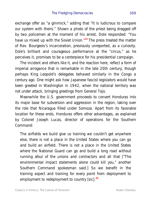exchange offer as "a gimmick," adding that "It is ludicrous to compare our system with theirs." Shown a photo of the priest being dragged off by two policemen at the moment of his arrest, Dole responded: "You have us mixed up with the Soviet Union."**<sup>45</sup>**The press treated the matter of Rev. Bourgeois's incarceration, previously unreported, as a curiosity. Dole's brilliant and courageous performance at the "circus," as he perceives it, promises to be a centerpiece for his presidential campaign.

The incident and others like it, and the reaction here, reflect a form of imperial arrogance that is remarkable in the late 20th century, though perhaps King Leopold's delegates behaved similarly in the Congo a century ago. One might ask how Japanese fascist legislators would have been greeted in Washington in 1942, when the national territory was not under attack, bringing greetings from General Tojo.

Meanwhile the U.S. government proceeds to convert Honduras into its major base for subversion and aggression in the region, taking over the role that Nicaragua filled under Somoza. Apart from its favorable location for these ends, Honduras offers other advantages, as explained by Colonel Joseph Lucas, director of operations for the Southern Command:

The airfields we build give us training we couldn't get anywhere else; there is not a place in the United States where you can go and build an airfield. There is not a place in the United States where the National Guard can go and build a long road without running afoul of the unio[ns](#page--1-0) and contractors and all that ["The environmental impact statements alone could kill you," another Southern Command spokesman said.] So we benefit in the training aspect and training for every point from deployment to employment to redeployment to country [sic].**<sup>46</sup>**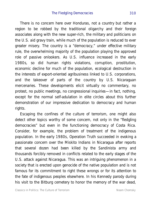There is no concern here over Honduras, not a country but rather a region to be robbed by the traditional oligarchy and their foreign associates along with the new super-rich, the military and politicians on the U.S. aid gravy train, while much of the population is reduced to ever greater misery. The country is a "democracy," under effective military rule, the overwhelming majority of the population playing the approved role of passive onlookers. As U.S. influence increased in the early 1980s, so did human rights violations, corruption, prostitution, economic decline for much of the population, ecological destruction in the interests of export-oriented agribusiness linked to U.S. corporations, and the takeover of parts of the country by U.S. Nicaraguan mercenaries. These developments elicit virtually no commentary, no protest, no public meetings, no congressional inquiries—in fact, nothing, except for the normal self-adulation in elite circles about this further demonstration of our impressive dedication to democracy and human rights.

Escaping the confines of the culture of terrorism, one might also detect other topics worthy of some concern, not only in the "fledgling democracies" but even in the functioning democracy of Costa Rica. Consider, for example, the problem of treatment of the indigenous population. In the early 1980s, Operation Truth succeeded in evoking a passionate concern over the Miskito Indians in Nicaragua after reports that several dozen had been killed by the Sandinista army and thousands forcibly removed in conflicts related to the early stages of the U.S. attack against Nicaragua. This was an intriguing phenomenon in a society that is erected upon genocide of the native population and is not famous for its commitment to right these wrongs or for its attention to the fate of indigenous peoples elsewhere. In his Kennedy parody during his visit to the Bitburg cemetery to honor the memory of the war dead,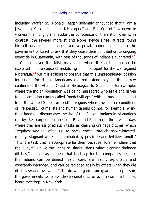including Waffen SS, Ronald Reagan solemnly announced that "I am a Jew ..., a Miskito Indian in Nicaragua," and Elie Wiesel flew down to witness t[he](#page--1-0)ir plight and evoke the conscience of the nation over it; in contrast, the revered moralist and Nobel Peace Prize laureate found himself unable to manage even a private communication to the government of Israel to ask that they cease their contribution to ongoing genocide in Guatemala, with tens of thousands of Indians slaughtered.**<sup>47</sup>**

Concern over the Miskitos abated when it could no longer be exploited for the cause of mobilizing public support for the war against Nicaragua,**<sup>48</sup>**but it is striking to observe that this unprecedented passion for justice for Native Americans did not extend beyond the narrow confines of the Atlantic Coast of Nicaragua, to Guatemala for example, where the Indian population was being massacred wholesale and driven to concentration camps called "model villages" with enthusiastic support from the United States, or to other regions where the normal conditions of life persist. Journalists and humanitarians do not, for example, wring their hands in dismay over the life of the Guaymí Indians in plantations run by U.S. corporations in Costa Rica and Panama to the present day, where they are assigned such tasks as cleaning drainage ditches, which "requires wading—often up to one's chest—through snake-infested, muddy, stagnant water contaminated by pesticide and fertilizer runoff." This is a task that is appropriate for them because "foremen claim that the Gu[ay](#page--1-0)mí, unlike the Latins or Blacks, 'don't mind' cleaning drainage ditches," and an assignment that is cheap for the companies because the Indians can be denied health care, are readily exploitable and constantly degraded, and can be replaced easily by others when they die of disease and overwork.**<sup>49</sup>**Nor do we organize proxy armies to pressure the governments to relieve these conditions, or even raise questions at board meetings in New York.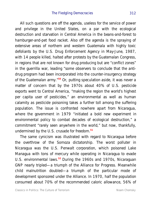All such questions are off the agenda, useless for the service of power and privilege in the United States, on a par with the ecological destruction and starvation in Central America in the beans-and-forest to hamburger-and-pet food racket. Also off the agenda is the spraying of extensive areas of northern and western Guatemala with highly toxic defoliants by the U.S. Drug Enforcement Agency in May-June, 1987, with 1[4 p](#page--1-0)eople killed, halted after protests by the Guatemalan Congress, in regions that are not known for drug producing but are "conflict zones" in the guerrilla war, leading "some observers to conclude that the antidrug program had been incorporated into the counter-insurgency strategy of the Guatemalan army."**<sup>50</sup>** Or, putting speculation aside, it was never a matter of concern that by the 1970s about 40% of U.S. pesticide exports went to Central America, "making the region the world's highest per capita user of pesticides," an environmental as well as human calamity as pesticide poisoning takes a further toll among the suffering population. The issue is [co](#page--1-0)nfronted nowhere apart from Nicaragua, where the government in 1979 "initiated a bold new experiment in environmental policy to combat decades of ecological destruction," a commitment "rarely seen anywhere in the world," but now, thankfully, undermined by the U.S. crusade for freedom.**<sup>51</sup>**

The [sa](#page--1-0)me cynicism was illustrated with regard to Nicaragua before the overthrow of the Somoza dictatorship. The worst polluter in Nicaragua was the U.S. Penwalt corporation, which poisoned Lake Managua with tons of mercury while operating in Nicaragua to evade U.S. environmental laws.**<sup>52</sup>**During the 1960s and 1970s, Nicaraguan GNP nearly tripled—a triumph of the Alliance for Progress. Meanwhile child malnutrition doubled—a triumph of the particular mode of development sponsored under the Alliance. In 1970, half the population consumed about 70% of the recommended caloric allowance, 56% of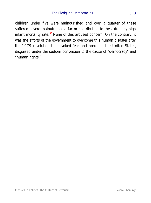children under five were malnourished and over a quarter of these suffered severe malnutrition, a factor contributing to the extremely high infant mortality rate.**<sup>53</sup>**None of this aroused concern. On the contrary, it was the efforts of the government to overcome this human disaster after the 1979 revolution that evoked fear and horror in the United States, disguised under the sudden conversion to the cause of "democracy" and "human rights."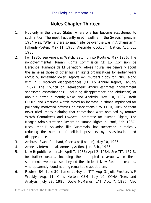## **Notes Chapter Thirteen**

- 1. Not only in the United States, where one has become accustomed to such antics. The most frequently used headline in the Swedish press in 1984 was: "Why is there so much silence over the war in Afghanistan?" *Jyllands-Posten,* May 11, 1985; Alexander Cockburn, *Nation,* Aug. 31, 1985.
- 2. For 1985; see Americas Watch, *Settling into Routine,* May 1986. The nongovernmental Human Rights Commission CDHES (Comisión de Derechos Humanos de El Salvador), whose figures are generally about the same as those of other human rights organizations for earlier years (actually, somewhat lower), reports 4-5 murders a day for 1986, along with 213 recorded disappearances (CDHES Annual Report, January 1987). The Council on Hemispheric Affairs estimates "government sponsored assassinations" (including disappearance and abduction) at about a dozen a month; *News and Analysis,* Nov. 10, 1987. Both CDHES and Americas Watch record an increase in "those imprisoned for politically motivated offenses or associations," to 1100, 90% of them never tried, many claiming that confessions were obtained by torture; Watch Committees and Lawyers Committee for Human Rights, *The Reagan Administration's Record on Human Rights in 1986,* Feb. 1987. Recall that El Salvador, like Guatemala, has succeeded in radically reducing the number of political prisoners by assassination and disappearance.
- 3. Ambrose Evans-Pritchard, *Spectator* (London), May 10, 1986.
- 4. Amnesty International, *Amnesty Action,* Jan.-Feb., 1986.
- 5. *New Republic,* editorials, April *7,* 1986; April 2, 1984. See *TTT,* 167-8, for further details, including the attempted coverup when these statements were exposed beyond the circle of *New Republic* readers, who apparently found nothing remarkable about them.
- 6. Reuters, *BG,* June 30; James LeMoyne, *NYT,* Aug. 3; Julia Preston, *WP Weekly,* Aug. 11; Chris Norton, *CSM,* July 10; COHA *News and Analysis,* July 28, 1986; Doyle McManus, *LAT,* Aug. 7, 1986. Also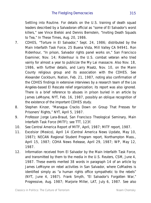*Settling into Routine.* For details on the U.S. training of death squad leaders described by a Salvadoran official as "some of El Salvador's worst killers," see Vince Bielski and Dennis Bernstein, "Inviting Death Squads to Tea," *In These Times,* Aug. 20, 1986.

- 7. CDHES, "Torture in El Salvador," Sept. 24, 1986; distributed by the Main Interfaith Task Force, 25 Buena Vista, Mill Valley CA 94941. Ron Ridenhour, "In prison, Salvador rights panel works on," *San Francisco Examiner,* Nov. 14; Ridenhour is the U.S. combat veteran who tried vainly for almost a year to publicize the My Lai massacre. Also Nov. 18, 1986, with further details, and Larry Maatz, Nov. 10, on the Mann County religious group and its association with the CDHES. See Alexander Cockburn, *Nation,* Feb. 21, 1987, noting also confirmation of the CDHES findings in extensive interviews by a research team of the Los Angeles-based El Rescate relief organization; its report was also ignored. There is a brief reference to abuses in prison buried in an article by James LeMoyne, *NYT,* Feb. 16, 1987, possibly an oblique recognition of the existence of the important CDHES study.
- 8. Stephen Kinzer, "Managua Cracks Down on Group That Presses for Prisoners' Rights," *NYT,* April 5, 1987.
- 9. Professor Jorge Lara-Braud, San Francisco Theological Seminary, Main Interfaith Task Force (MITF); see *TTT,* 123f.
- 10. See *Central America Report* of MITF, April, 1987; MITF report, 1987.
- 11. *Excelsior* (Mexico), April 14 *(Central America News Update,* May 10, 1987); NECAN Regional Student Program report, Northampton Mass., April 15, 1987; COHA News Release, April 29, 1987; *WP,* May 12, 1987.
- 12. Information received from El Salvador by the Main Interfaith Task Force, and transmitted by them to the media in the U.S. Reuters, *CSM,* June 4, 1987. These events merited 38 words in paragraph 14 of an article by James LeMoyne on rebel activities in San Salvador, where CoMadres is identified simply as "a human rights office sympathetic to the rebels" *(NYT,* June 4, 1987). Frank Smyth, "El Salvador's Forgotten War," *Progressive,* Aug. 1987; Marjorie Miller, *LAT,* July 6, 1987. See also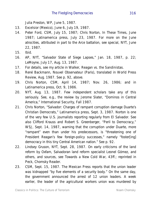Julia Preston, *WP,* June 5, 1987.

- 13. *Excelsior* (Mexico), June 6, July 19, 1987.
- 14. Peter Ford, *CSM,* July 15, 1987; Chris Norton, *In These Times,* June 1987; *Latinamerica press,* July 23, 1987. For more on the June atrocities, attributed in part to the Arce battalion, see special, *NYT,* June 22, 1987.
- 15. *Ibid.*
- 16. AP, *NYT,* "Salvador State of Siege Lapses," Jan. 18, 1987, p. 22; LeMoyne, July 17, Aug. 13, 1987.
- 17. For details, see my article in Walker, *Reagan vs. the Sandinistas.*
- 18. René Backmann, *Nouvel Observateur* (Paris), translated in *World Press Review,* Aug. 1987. See p. 92, above.
- 19. Chris Norton, *CSM,* April 14, 1987; Nov. 26, 1986; and in *Latinamerica press,* Oct. 9, 1986.
- 20. *NYT,* Aug. 13, 1987. Few independent scholars take any of this seriously. See, e.g., the review by Jerome Slater, "Dominos in Central America," *International Security,* Fall 1987.
- 21. Chris Norton, "Salvador: Charges of rampant corruption damage Duarte's Christian Democrats," *Latinamerica press,* Sept. 3, 1987. Norton is one of the very few U.S. journalists reporting regularly from El Salvador. See also Clifford Krauss and Robert S. Greenberger, "Peril to Democracy," *WSJ,* Sept. 14, 1987, warning that the corruption under Duarte, more "rampant" even than under his predecessors, is "threatening one of President Reagan's few foreign-policy successes," namely "foster[ing] democracy in this tiny Central American nation." See p. 92.
- 22. Lindsey Gruson, *NYT,* Sept. 28, 1987. On early criticisms of the land reform by Oxfam, Salvadoran land reform specialist Leonel Gómez, and others, and sources, see *Towards a New Cold War,* 43ff.; reprinted in Peck, *Chomsky Reader.*
- 23. *CSM,* Sept. 15, 1987. The Mexican Press reports that the union leader was kidnapped "by five elements of a security body." On the same day, the government announced the arrest of 12 union leaders. A week earlier, the leader of the agricultural workers union was murdered by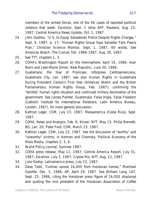members of the armed forces, one of the 46 cases of reported political violence that week. *Excelsior,* Sept. 1 (Also AFP, Reuters), Aug. 23, 1987. *Central America News Update,* Oct. 1, 1987.

- 24. John Goshko, "U.S. to Equip Salvadoran Police Despite Rights Charges," Sept. 9, 1987, p. 17; "Human Rights Group Says Salvador Fails Peace Plan," *Christian Science Monitor,* Sept. 1, 1987, 60 words. See Americas Watch, *The Civilian Toll: 1986-1987,* Aug. 30, 1987.
- 25. See *TTT,* chapters 1, 3.
- 26. COHA's *Washington Report on the Hemisphere,* April 16, 1986. Alan Nairn and Jean-Marie Simon, *New Republic,* June 30, 1986.
- 27. *Guatemala: the Year of Promises,* Inforpress Centroamericana, Guatemala City, Jan. 1987; see also *Human Rights in Guatemala During President Cerezo's First Year* (Americas Watch and the British Parliamentary Human Rights Group, Feb. 1987), confirming the "terrible" human rights situation and continued military domination of the government. See James Painter, *Guatemala: False Hope, False Freedom*  (Catholic Institute for International Relations, Latin America Bureau, London, 1987), for more general discussion.
- 28. Kathryn Leger, *CSM,* July 23, 1987; *Mesoamerica* (Costa Rica), Sept. 1987.
- 29. COHA, *News and Analysis,* Feb. 6; Kinzer, *NYT,* May 13; Philip Bennett, *BG,* Jan. 20; Peter Ford, *CSM,* March 23, 1987.
- 30. Kathryn Leger, *CSM,* July 23, 1987. See the discussion of "worthy" and "unworthy" victims, in Herman and Chomsky, *Political Economy of the Mass Media,* chapters 2, 5, 6.
- 31. *World Policy Journal,* Summer 1987.
- 32. COHA press release, May 11, 1987; *Central America Report,* July 31, 1987; *Excelsior,* July 3, 1987; Crystal Nix, *NYT,* Aug. 12, 1987.
- 33. Julio Godoy, *Latinamerica press,* July 23, 1987.
- 34. Dave Todd, "Contras uproot 16,000 from Honduras homes," *Montreal Gazette,* Dec. 3, 1986; AP, April 29, 1987. See William Long, *LAT,*  Sept. 25, 1986, citing the Honduran press figure of 16,000 displaced and quoting the vice president of the Honduran Association of Coffee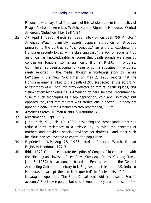Producers who says that "the cause of this whole problem is the policy of Reagan"; cited in Americas Watch, *Human Rights in Honduras: Central America's 'Sideshow'* May 1987, 84f.

- 35. AP, April 1, 1987; March 29, 1987, interview on CBS, "60 Minutes." Americas Watch plausibly regards Lopez's attribution of atrocities primarily to the contras as "disingenuous," an effort to exculpate the Honduran security forces, while observing that "the acknowledgement by an official as knowledgeable as Lopez that death squads were run by *contras* on Honduran soil is significant" *(Human Rights in Honduras,*  65). There had been accounts for years of contra atrocities in Honduras, rarely reported in the media, though a front-page story by James LeMoyne in the *New York Times* on May 2, 1987 reports that the Honduran army is linked to the death of 200 suspected leftists according to testimony of a Honduran army defector on torture, death squads, and "'elimination' techniques." His American trainers, he says, recommended "use of such techniques as sleep deprivation, cold and isolation," but opposed "physical torture" that was carried out in secret. His accounts appear in detail in the Americas Watch report cited, 126ff.
- 36. Americas Watch, *Human Rights in Honduras,* 46.
- 37. *Mesoamerica,* Sept. 1987.
- 38. June Erlick, *MH,* Feb. 19, 1987, describing the "propaganda" that has reduced draft resistance to a "trickle" by "allaying the concerns of mothers and providing special privileges for draftees," and other such insidious devices invented to control the population.
- 39. Reprinted in *WP,* Aug. 25, 1986; cited in Americas Watch, *Human Rights in Honduras,* 122-3.
- 40. *Ibid.,* 137f. On the "elaborate deception of Congress" in connection with the Nicaraguan "invasion," see Steve Stecklow, *Dallas Morning News,*  Jan. *7,* 1987; his account is based on Ferch's report to the General Accounting Office that contrary to U.S. government lies, the U.S. induced Honduras to accept the aid it "requested" to "defend itself" from the Nicaraguan operation. The State Department "did not dispute Ferch's account," Stecklow reports, "but said it would be 'cynical' to describe the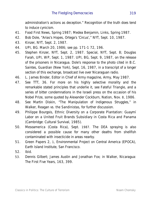administration's actions as deception." Recognition of the truth does tend to induce cynicism.

- 41. *Food First News,* Spring 1987; Medea Benjamin, *Links,* Spring 1987.
- 42. Bob Dole, "Arias's Hopes, Ortega's 'Circus'," *NYT,* Sept. 10, 1987.
- 43. Kinzer, *NYT,* Sept. 2, 1987.
- 44. UPI, *BG.* March 20, 1986; see pp. 171-1 72, 196.
- 45. Stephen Kinzer, *NYT,* Sept. 2, 1987. Special, *NYT,* Sept. 8; Douglas Farah, UPI, *WP,* Sept. 1, 1987. UPI, *BG,* Sept. 9, 1987, on the release of the prisoners in Nicaragua. Dole's response to the photo cited in B.C. Saintes, *Guardian* (New York), Sept. 16, 1987, in a transcript of a longer section of this exchange, broadcast live over Nicaraguan radio.
- 46. L. James Binder, Editor in Chief of *Army* magazine, *Army,* May 1987.
- 47. See *TTT,* 36. For more on his highly selective morality and the remarkable stated principles that underlie it, see *Fateful Triangle,* and a series of bitter condemnations in the Israeli press on the occasion of his Nobel Prize, some quoted by Alexander Cockburn, *Nation,* Nov. 8, 1986.
- 48. See Martin Diskin, "The Manipulation of Indigenous Struggles," in Walker, R*eagan vs. the Sandinistas,* for further discussion.
- 49. Philippe Bourgois, *Ethnic Diversity on a Corporate Plantation: Guaymí Labor on a United Fruit Brands Subsidiary in Costa Rica and Panama*  (Cambridge: Cultural Survival, 1985).
- 50. *Mesoamerica* (Costa Rica), Sept. 1987. The DEA spraying is also considered a possible cause for many other deaths from shellfish contaminated with insecticide in areas nearby.
- 51. *Green Papers* 2, 1, Environmental Project on Central America (EPOCA), Earth Island Institute, San Francisco.
- 52. *Ibid.*
- 53. Dennis Gilbert; James Austin and Jonathan Fox; in Walker, *Nicaragua: The First Five Years,* 163, 399.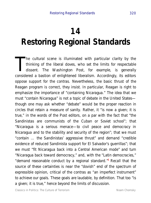## **14 Restoring Regional Standards**

he cultural scene is illuminated with particular clarity by the thinking of the liberal doves, who set the limits for respectable dissent. The *Washington Post,* for example, is generally considered a bastion of enlightened liberalism. Accordingly, its editors oppose support for the contras. Nevertheless, the basic thrust of the Reagan program is correct, they insist. In particular, Reagan is right to emphasize the importance of "containing Nicaragua." The idea that we must "contain Nicaragua" is not a topic of debate in the United States though one may ask whether "debate" would be the proper reaction in circles that retain a measure of sanity. Rather, it "is now a given; it is true," in the words of the *Post* editors, on a par with the fact that "the Sandinistas are communists of the Cuban or Soviet school"; that "Nicaragua is a serious menace—to civil peace and democracy in Nicaragua and to the stability and security of the region"; that we must "contain … the Sandinistas' aggres[sive](#page--1-0) thrust" and demand "credible evidence of reduced Sandinista support for El Salvador's guerrillas"; that we must "fit Nicaragua back into a Central American mode" and turn "Nicaragua back toward democracy," and, with the "Latin democracies," "demand reasonable conduct by a regional standard."**<sup>1</sup>**Recall that the source of these certainties is near the "dovish" end of the spectrum of expressible opinion, critical of the contras as "an imperfect instrument" to achieve our goals. These goals are laudable, by definition. That too "is a given; it is true," hence beyond the limits of discussion. The<br>thin<br>diss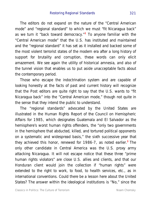The editors do not expand on the nature of the "Central American mode" and "regional standard" to which we must "fit Nicaragua back" as we turn it "back toward democracy."**<sup>2</sup>** To anyone familiar with the "Central American mode" that the U.S. has instituted and maintained and the "regional standard" it has set as it installed and backed some of the most violent terrorist states of the modern era after a long history of support for brutality and corruption, these words can only elicit amazement. We see again the utility of historical amnesia, and also of the tunnel vision that enables us to put aside unacceptable facts about the contemporary period.

Those who escape the indoctrination system and are capable of looking honestly at the facts of past and current history will recognize that the *Post* editors are quite right to say that the U.S. wants to "fit Nicaragua back" into the "Central American mode," though not quite in the sense that they intend the public to understand.

The "regional standards" advocated by the United States are illustrated in the Human Rights Report of the Council on Hemispheric Affairs for 1985, which designates Guatemala [an](#page--1-0)d El Salvador as the hemisphere's worst human rights offenders, the "only two governments in the hemisphere that abducted, killed, and tortured political opponents on a systematic and widespread basis," the sixth successive year that they achieved this honor, renewed for 1986-7, as noted earlier.**<sup>3</sup>**The only other candidate in Central America was the U.S. proxy army attacking Nicaragua. It will not escape notice that these three "prime human rights violators" are close U.S. allies and clients, and that our Honduran client would join the collection if "human rights" were extended to the right to work, to food, to health services, etc., as in international conventions. Could there be a lesson here about the United States? The answer within the ideological institutions is "No," since the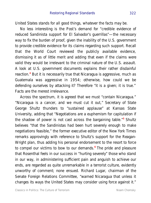#### *Restoring Regional Standards*

United States stands for all good things, whatever the facts may be.

No less interesting is the *Post's* demand for "credible evidence of reduced Sandinista support for El Salvador's guerrillas"—the necessary way to fix the burden of proof, given the inability of the U.S. government to provide credible evidence for its claims regarding such support. Recall that the World Court reviewed the publicly available evidence, dismissing it as of little merit and adding that even if the claims were valid they would be irrelevant to the criminal nature of the U.S. assault. A look at U.S. government documents explains their rather disdainful reaction.**<sup>4</sup>** But it is necessarily true that Nicaragua is aggressive, much as Guatemala was aggressive in 1954; otherwise, how could we be defending ourselves by attacking it? Therefore "it is a given; it is true." Facts are the merest irrelevance.

Across the spectrum, it is agreed that we [mu](#page--1-0)st "contain Nicaragua." "Nicaragua is a cancer, and we must cut it out," Secretary of State George Shultz thunders to "sustained applause" at Kansas State University, adding that "Negotiations are a euphemism for capitulation if the shadow of power is not cast across the bargaining table."**<sup>5</sup>**Shultz believes "that the Sandinista[s](#page--1-0) had been hurt severely enough to make negotiations feasible," the former executive editor of the *New York Times*  remarks approvingly with reference to Shultz's support for the Reagan-Wright plan, thus adding his personal endorsement to the resort to force to compel our victims to bow to our demands.**<sup>6</sup>**The pride and pleasure that Rosenthal feels in our success in "hurting severely" those who stand in our way, in administering sufficient pain and anguish to achieve our ends, are regarded as quite unremarkable in a terrorist culture, evidently unworthy of comment; none ensued. Richard Lugar, chairman of the Senate Foreign Relations Committee, "warned Nicaragua that unless it changes its ways the United States may consider using force against it."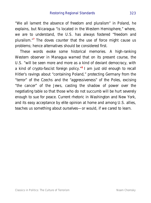#### *Restoring Regional Standards*

"We all lament the absence of freedom and pluralism" in Poland, he explains, but Nicaragua "is located in the Western Hemisphere," where, we are to understand, the U.S. has always fostered "freedom and pluralism."**<sup>7</sup>**The doves counter that the use of force might cause us problems; hence alter[na](#page--1-0)tives should be considered first.

These words evoke some historical memories. A high-ranking Western observer in Managua warned that on its present course, the U.S. "will be seen more and more as a kind of deviant democracy, with a kind of crypto-fascist foreign policy."**<sup>8</sup>**I am just old enough to recall Hitler's ravings about "containing Poland," protecting Germany from the "terror" of the Czechs and the "aggressiveness" of the Poles, excising "the cancer" of the Jews, casting the shadow of power over the negotiating table so that those who do not succumb will be hurt severely enough to sue for peace. Current rhetoric in Washington and New York, and its easy acceptance by elite opinion at home and among U.S. allies, teaches us something about ourselves—or would, if we cared to learn.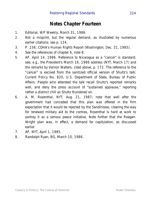### **Notes Chapter Fourteen**

- 1. Editorial, *WP Weekly,* March 31, 1986.
- 2. Not a misprint, but the regular demand, as illustrated by numerous earlier citations; see p. 124.
- 3. P. 236; *COHA's Human Rights Report* (Washington, Dec. 31, 1985).
- 4. See the references of chapter 6, note 8.
- 5. AP, April 14, 1986. Reference to Nicaragua as a "cancer" is standard; see, e.g., the President's March 16, 1986 address *(NYT,* March 17) and the remarks by Vernon Walters, cited above, p. 172. The reference to the "cancer" is excised from the sanitized official version of Shultz's talk; *Current Policy* No. 820, U.S. Department of State, Bureau of Public Affairs. People who attended the talk recall Shultz's reported remarks well, and deny the press account of "sustained applause," reporting rather a distinct chill as Shultz thundered on.
- 6. A. M. Rosenthal, *NYT,* Aug. 21, 1987; note that well after the government had conceded that this plan was offered in the firm expectation that it would be rejected by the Sandinistas, clearing the way for renewed military aid to the contras, Rosenthal is hard at work to portray it as a serious peace initiative. Note further that the Reagan-Wright plan was, in effect, a demand for capitulation, as discussed earlier.
- 7. AP, *NYT,* April 1, 1985.
- 8. Randolph Ryan, *BG,* March 10, 1986.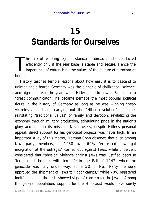# **15 Standards for Ourselves**

he task of restoring regional standards abroad can be conducted efficiently only if the rear base is stable and secure. Hence the importance of entrenching the values of the culture of terrorism at home. The efficiency of the efficiency in the term of the term of the state of the state of the state of the state of the state of the state of the state of the state of the state of the state of the state of the state of the st

History teaches terrible lessons about how easy it is to descend to unimaginable horror. Germany was the pinnacle of civilization, science, and high culture in the years when Hitler came to power. Famous as a "great communicator," he became perhaps the most popular political figure in the history of Germany as long as he was winning cheap victories abroad and carrying out the "Hitler revolution" at home: reinstating "traditional values" of family and devotion, revitalizing the economy through military production, stimulating pride in the nation's glory and faith in its mission. Nevertheless, despite Hitler's personal appeal, direct support for his genocidal projects was never high. In an important study o[f th](#page--1-0)is matter, Norman Cohn observes that even among Nazi party members, in 1938 over 60% "expressed downright indignation at the outrages" carried out against Jews, while 5 percent considered that "physical violence against Jews was justified because 'terror must be met with terror'."**<sup>1</sup>**In the Fall of 1942, when the genocide was fully under way, some 5% of Nazi Party members approved the shipment of Jews to "labor camps," while 70% registered indifference and the rest "showed signs of concern for the Jews." Among the general population, support for the Holocaust would have surely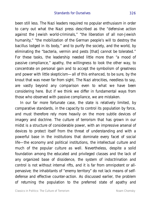been still less. The Nazi leaders required no popular enthusiasm in order to carry out what the Nazi press described as the "defensive action against the Jewish world-criminals," "the liberation of all non-Jewish humanity," "the mobilization of the German people's will to destroy the bacillus lodged in its body," and to purify the society, and the world, by eliminating the "bacteria, vermin and pests [that] cannot be tolerated." For these tasks, the leadership needed little more than "a mood of passive compliance," apathy, the willingness to look the other way, to concentrate on personal gain and to accept the symbolism of greatness and power with little skepticism—all of this enhanced, to be sure, by the knout that was never far from sight. The Nazi atrocities, needless to say, are vastly beyond any comparison even to what we have been considering here. But if we think we differ in fundamental ways from those who observed with passive compliance, we are mistaken.

In our far more fortunate case, the state is relatively limited, by comparative standards, in the capacity to control its population by force, and must therefore rely more heavily on the more subtle devices of imagery and doctrine. The culture of terrorism that has grown in our midst is a structure of considerable power, with an impressive arsenal of devices to protect itself from the threat of understanding and with a powerful base in the institutions that dominate every facet of social life—the economy and political institutions, the intellectual culture and much of the popular culture as well. Nevertheless, despite a solid foundation among the educated and privileged classes and the lack of any organized base of dissidence, the system of indoctrination and control is not without internal rifts, and it is far from omnipotent or allpervasive; the inhabitants of "enemy territory" do not lack means of selfdefense and effective counter-action. As discussed earlier, the problem of returning the population to the preferred state of apathy and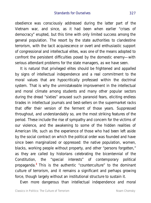## *Standards for Ourselves*

obedience was consciously addressed during the latter part of the Vietnam war, and since, as it had been when earlier "crises of democracy" erupted, but this time with only limited success among the general population. The resort by the state authorities to clandestine terrorism, with the tacit acquiescence or overt and enthusiastic support of congressional and intellectual elites, was one of the means adopted to confront the persistent difficulties posed by the domestic enemy—with serious attendant problems for the state managers, as we have seen.

It is natural that privileged elites should be frightened and appalled by signs of intellectual independence and a real commitment to the moral values that are hypocritically professed within the doctrinal system. That is why the unmistakeable improvement in the intellectual and moral climate among students and many other popular sectors during the dread "sixties" aroused such paranoid fears, eliciting endless tirades in intellectual journals and best-sellers on the supermarket racks that offer their version of the ferment of those years. Suppressed throughout, and understandably so, are the most striking features of the period. These include the rise of sympathy and concern for the victims of our violence, and the awakening to some of the hidden realities of American life, such as the experience of those who had been left aside by the social contract on which the political order was founded and have since been marginalized or oppressed: the native population, women, blacks, working people without property, and other "persons forgotten," as they are called by historians celebrating the bicentennial of the Constitution, the "special interests" of contemporary political propaganda.**<sup>2</sup>**This is the authentic "counterculture" to the dominant culture of terrorism, and it remains a significant and perhaps growing force, though largely without an institutional structure to sustain it.

Even more dangerous than intellectual independence and moral

*Classics in Politics: The Culture of Terrorism* Noam *Noam Chomsky Noam Chomsky*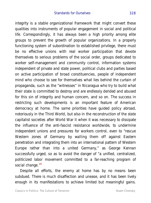## *Standards for Ourselves*

integrity is a stable organizational framework that might convert these qualities into instruments of popular engagement in social and political life. Correspondingly, it has always been a high priority among elite groups to prevent the growth of popular organizations. In a properly functioning system of subordination to established privilege, there must be no effective unions with real worker participation that devote themselves to serious problems of the social order, groups dedicated to worker self-management and community control, information systems independent of private and state power, political clubs and parties based on active participation of broad constituencies, people of independent mind who choose to see for themselves what lies behind the curtain of propaganda, such as the "witnesses" in Nicaragua who try to build what their state is committed to destroy and are endlessly derided and abused for this sin of integrity and human concern, and so on. The success in restricting such developments is an important feature of American democracy at home. The same priorities have guided policy abroad, notoriously in the Third World, but also in the reconstruction of the state capitalist societies after World War II when it was necessary to dissipate the influence of the anti-fascist resistance worldwide, to undermine independent unions and pressures for workers control, even to "rescue Western zones of Germany by *walling them off* against Eastern penetration and integrating them into an international pattern of Western Europe rather than into a united Germany," as George Kennan successfully urged, so as to avoid the danger of "a unified, centralized, politicized labor movement committed to a far-reaching program of social change."**<sup>3</sup>**

Despite all efforts, the enemy at home has by no means been subdued. There is much disaffection and unease, and it has been lively enough in its manifestations to achieve limited but meaningful gains.

*Classics in Politics: The Culture of Terrorism* Noam *Noam Chomsky Noam Chomsky Noam Chomsky*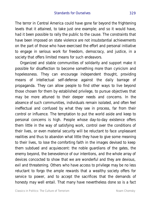The terror in Central America could have gone far beyond the frightening levels that it attained, to take just one example; and so it would have, had it been possible to rally the public to the cause. The constraints that have been imposed on state violence are not insubstantial achievements on the part of those who have exercised the effort and personal initiative to engage in serious work for freedom, democracy, and justice, in a society that offers limited means for such endeavors.

Organized and stable communities of solidarity and support make it possible for disaffection to become something more than cynicism and hopelessness. They can encourage independent thought, providing means of intellectual self-defense against the daily barrage of propaganda. They can allow people to find other ways to live beyond those chosen for them by established privilege, to pursue objectives that may be more attuned to their deeper needs and concerns. In the absence of such communities, individuals remain isolated, and often feel ineffectual and confused by what they see in process, far from their control or influence. The temptation to put the world aside and keep to personal concerns is high. People whose day-to-day existence offers them little in the way of satisfying work, control over the conditions of their lives, or even material security will be reluctant to face unpleasant realities and thus to abandon what little they have to give some meaning to their lives, to lose the comforting faith in the images devised to keep them subdued and acquiescent: the noble guardians of the gates, the enemy beyond, the benevolence of our intentions, and the whole array of devices concocted to show that we are wonderful and they are devious, evil and threatening. Others who have access to privilege may be no less reluctant to forgo the ample rewards that a wealthy society offers for service to power, and to accept the sacrifices that the demands of honesty may well entail. That many have nevertheless done so is a fact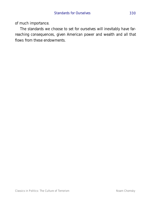of much importance.

The standards we choose to set for ourselves will inevitably have farreaching consequences, given American power and wealth and all that flows from these endowments.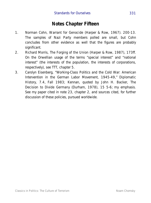## **Notes Chapter Fifteen**

- 1. Norman Cohn, *Warrant for Genocide* (Harper & Row, 1967). 200-13. The samples of Nazi Party members polled are small, but Cohn concludes from other evidence as well that the figures are probably significant.
- 2. Richard Morris, *The Forging of the Union* (Harper & Row, 1987), 173ff. On the Orwellian usage of the terms "special interest" and "national interest" (the interests of the population, the interests of corporations, respectively), see *TTT,* chapter 5.
- 3. Carolyn Eisenberg, "Working-Class Politics and the Cold War: American Intervention in the German Labor Movement, 1945-49," *Diplomatic History,* 7.4, Fall 1983; Kennan, quoted by John H. Backer, *The Decision to Divide Germany* (Durham, 1978), 15 5-6; my emphasis. See my paper cited in note 23, chapter 2, and sources cited, for further discussion of these policies, pursued worldwide.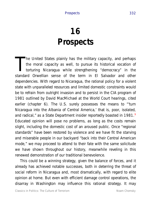# **16 Prospects**

he United States plainly has the military capacity, and perhaps the moral capacity as well, to pursue its historical vocation of torturing Nicaragua while strengthening ''democracy" in the standard Orwellian sense of the term in El Salvador and other dependencies. With regard to Nicaragua, the rational policy for a violent state with unparalleled resources and limited domestic constraints would be to refrain from outright invasion and to persist in [th](#page--1-0)e CIA program of 1981 outlined by David MacMichael at the World Court hearings, cited earlier (chapter 6). The U.S. surely possesses the means to "'turn Nicaragua into the Albania of Central America,' that is, poor, isolated, and radical," as a State Department insider reportedly boasted in 1981.**<sup>1</sup>** Educated opinion will pose no problems, as long as the costs remain slight, including the domestic cost of an aroused public. Once "regional standards" have been restored by violence and we have fit the starving and miserable people in our backyard "back into their Central American mode," we may proceed to attend to their fate with the same solicitude we have shown throughout our history, meanwhile reveling in this renewed demonstration of our traditional benevolence. The<br>the<br>tort

This could be a winning strategy, given the balance of forces, and it already has achieved notable successes, both in deterring the threat of social reform in Nicaragua and, most dramatically, with regard to elite opinion at home. But even with efficient damage control operations, the disarray in Washington may influence this rational strategy. It may

*Classics in Politics: The Culture of Terrorism* Noam *Noam Chomsky Noam Chomsky*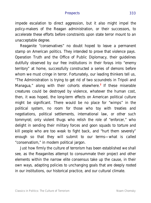#### *Prospects*

impede escalation to direct aggression, but it also might impel the policy-makers of the Reagan administration, or their successors, to accelerate these efforts before constraints upon state terror mount to an unacceptable degree.

Reaganite "conservatives" no doubt hoped to leave a permanent stamp on American politics. They intended to prove that violence pays. Operation Truth and the Office of Public Diplomacy, their guidelines dutifully observed by our free [inst](#page--1-0)itutions in their forays into "enemy territory" at home, successfully constructed a series of demons before whom we must cringe in terror. Fortunately, our leading thinkers tell us, "The Administration is trying to get rid of two scoundrels in Tripoli and Managua," along with their cohorts elsewhere.**<sup>2</sup>**If these miserable creatures could be destroyed by violence, whatever the human cost, then, it was hoped, the long-term effects on American political culture might be significant. There would be no place for "wimps" in the political system, no room for those who toy with treaties and negotiations, political settlements, international law, or other such tommyrot; only violent thugs who relish the role of "enforcer," who delight in sending their military forces and goon squads to torture and kill people who are too weak to fight back, and "hurt them severely" enough so that they will submit to our terms—what is called "conservatism," in modem political jargon.

Just how firmly the culture of terrorism has been established we shall see, as the Reaganites attempt to consummate their project and other elements within the narrow elite consensus take up the cause, in their own ways, adapting policies to unchanging goals that are deeply rooted in our institutions, our historical practice, and our cultural climate.

*Classics in Politics: The Culture of Terrorism* Noam Noam Chomsky **Noam Chomsky Noam Chomsky**